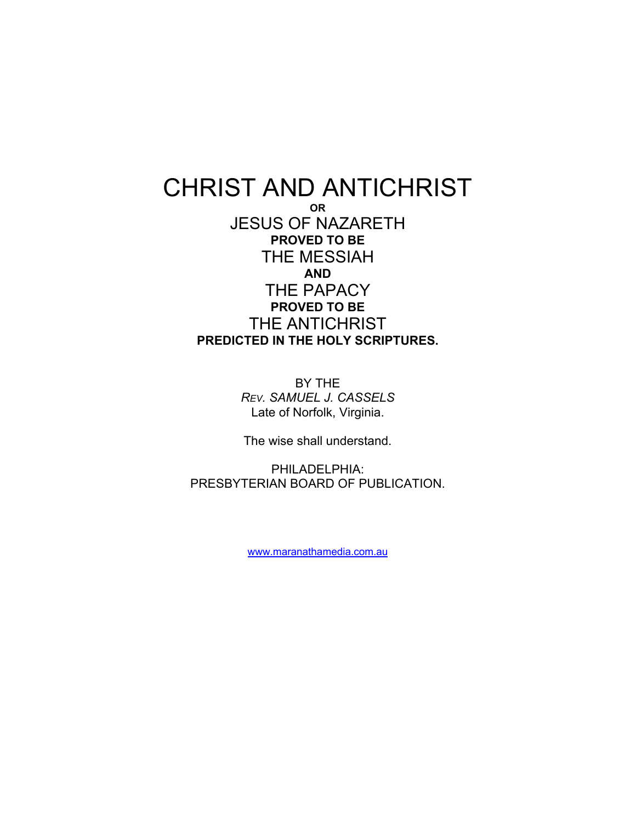## CHRIST AND ANTICHRIST **OR**  JESUS OF NAZARETH **PROVED TO BE**  THE MESSIAH **AND**  THE PAPACY **PROVED TO BE**  THE ANTICHRIST **PREDICTED IN THE HOLY SCRIPTURES.**

BY THE *REV. SAMUEL J. CASSELS*  Late of Norfolk, Virginia.

The wise shall understand.

PHILADELPHIA: PRESBYTERIAN BOARD OF PUBLICATION.

[www.maranathamedia.com.au](http://www.maranathamedia.com.au/)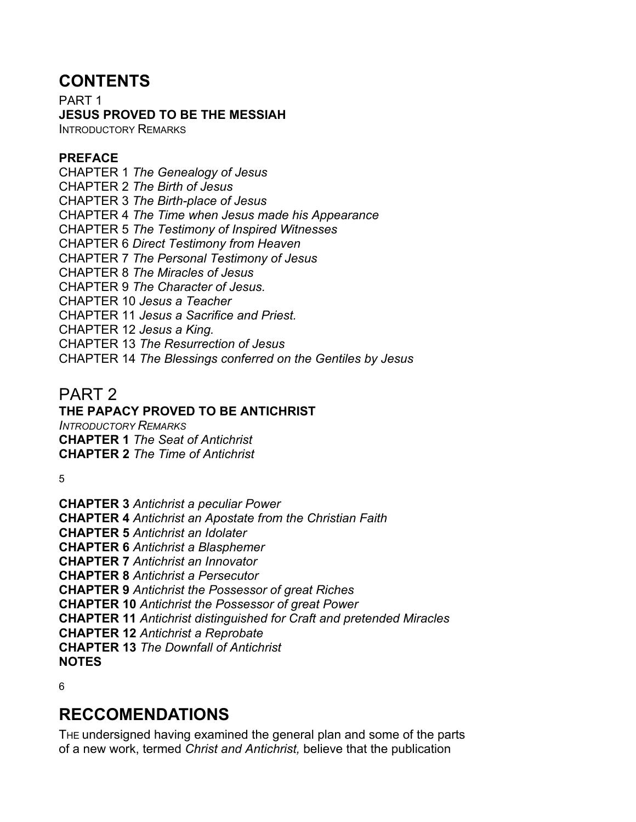## **CONTENTS**

PART 1 **JESUS PROVED TO BE THE MESSIAH**  INTRODUCTORY REMARKS

**PREFACE** 

CHAPTER 1 *The Genealogy of Jesus*  CHAPTER 2 *The Birth of Jesus*  CHAPTER 3 *The Birth-place of Jesus*  CHAPTER 4 *The Time when Jesus made his Appearance*  CHAPTER 5 *The Testimony of Inspired Witnesses*  CHAPTER 6 *Direct Testimony from Heaven*  CHAPTER 7 *The Personal Testimony of Jesus*  CHAPTER 8 *The Miracles of Jesus*  CHAPTER 9 *The Character of Jesus.*  CHAPTER 10 *Jesus a Teacher*  CHAPTER 11 *Jesus a Sacrifice and Priest.*  CHAPTER 12 *Jesus a King.*  CHAPTER 13 *The Resurrection of Jesus*  CHAPTER 14 *The Blessings conferred on the Gentiles by Jesus* 

## PART 2

**THE PAPACY PROVED TO BE ANTICHRIST**  *INTRODUCTORY REMARKS*  **CHAPTER 1** *The Seat of Antichrist*  **CHAPTER 2** *The Time of Antichrist* 

5

**CHAPTER 3** *Antichrist a peculiar Power*  **CHAPTER 4** *Antichrist an Apostate from the Christian Faith*  **CHAPTER 5** *Antichrist an Idolater*  **CHAPTER 6** *Antichrist a Blasphemer*  **CHAPTER 7** *Antichrist an Innovator*  **CHAPTER 8** *Antichrist a Persecutor*  **CHAPTER 9** *Antichrist the Possessor of great Riches*  **CHAPTER 10** *Antichrist the Possessor of great Power*  **CHAPTER 11** *Antichrist distinguished for Craft and pretended Miracles*  **CHAPTER 12** *Antichrist a Reprobate*  **CHAPTER 13** *The Downfall of Antichrist*  **NOTES** 

6

# **RECCOMENDATIONS**

THE undersigned having examined the general plan and some of the parts of a new work, termed *Christ and Antichrist,* believe that the publication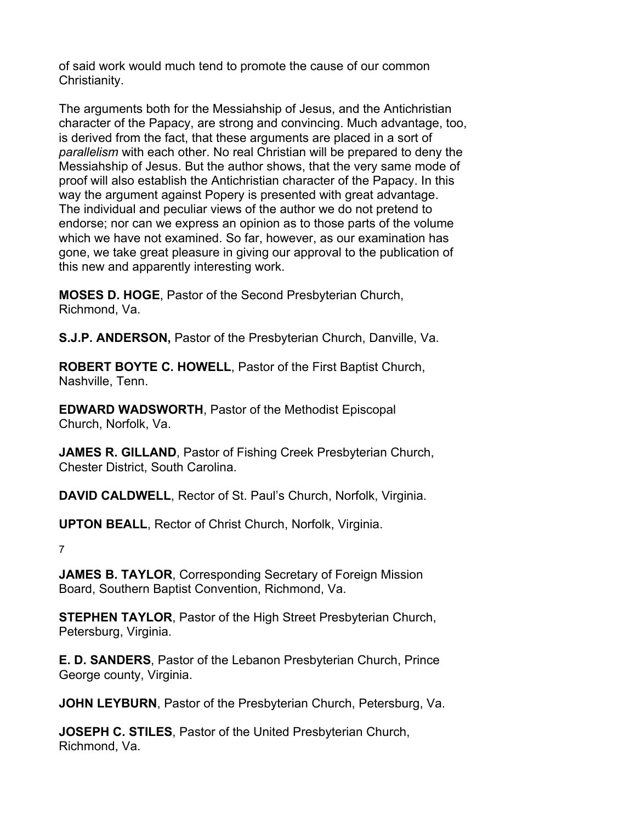of said work would much tend to promote the cause of our common Christianity.

The arguments both for the Messiahship of Jesus, and the Antichristian character of the Papacy, are strong and convincing. Much advantage, too, is derived from the fact, that these arguments are placed in a sort of *parallelism* with each other. No real Christian will be prepared to deny the Messiahship of Jesus. But the author shows, that the very same mode of proof will also establish the Antichristian character of the Papacy. In this way the argument against Popery is presented with great advantage. The individual and peculiar views of the author we do not pretend to endorse; nor can we express an opinion as to those parts of the volume which we have not examined. So far, however, as our examination has gone, we take great pleasure in giving our approval to the publication of this new and apparently interesting work.

**MOSES D. HOGE**, Pastor of the Second Presbyterian Church, Richmond, Va.

**S.J.P. ANDERSON,** Pastor of the Presbyterian Church, Danville, Va.

**ROBERT BOYTE C. HOWELL**, Pastor of the First Baptist Church, Nashville, Tenn.

**EDWARD WADSWORTH**, Pastor of the Methodist Episcopal Church, Norfolk, Va.

**JAMES R. GILLAND**, Pastor of Fishing Creek Presbyterian Church, Chester District, South Carolina.

**DAVID CALDWELL**, Rector of St. Paul's Church, Norfolk, Virginia.

**UPTON BEALL**, Rector of Christ Church, Norfolk, Virginia.

7

**JAMES B. TAYLOR**, Corresponding Secretary of Foreign Mission Board, Southern Baptist Convention, Richmond, Va.

**STEPHEN TAYLOR**, Pastor of the High Street Presbyterian Church, Petersburg, Virginia.

**E. D. SANDERS**, Pastor of the Lebanon Presbyterian Church, Prince George county, Virginia.

**JOHN LEYBURN**, Pastor of the Presbyterian Church, Petersburg, Va.

**JOSEPH C. STILES**, Pastor of the United Presbyterian Church, Richmond, Va.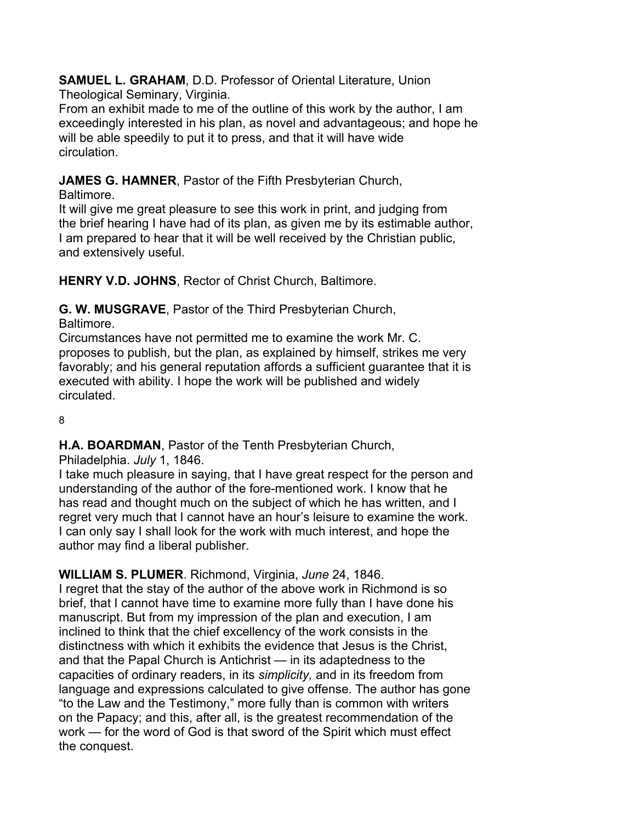**SAMUEL L. GRAHAM**, D.D. Professor of Oriental Literature, Union Theological Seminary, Virginia.

From an exhibit made to me of the outline of this work by the author, I am exceedingly interested in his plan, as novel and advantageous; and hope he will be able speedily to put it to press, and that it will have wide circulation.

**JAMES G. HAMNER**, Pastor of the Fifth Presbyterian Church,

Baltimore.

It will give me great pleasure to see this work in print, and judging from the brief hearing I have had of its plan, as given me by its estimable author, I am prepared to hear that it will be well received by the Christian public, and extensively useful.

**HENRY V.D. JOHNS**, Rector of Christ Church, Baltimore.

**G. W. MUSGRAVE**, Pastor of the Third Presbyterian Church,

Baltimore.

Circumstances have not permitted me to examine the work Mr. C. proposes to publish, but the plan, as explained by himself, strikes me very favorably; and his general reputation affords a sufficient guarantee that it is executed with ability. I hope the work will be published and widely circulated.

8

**H.A. BOARDMAN**, Pastor of the Tenth Presbyterian Church,

Philadelphia. *July* 1, 1846.

I take much pleasure in saying, that I have great respect for the person and understanding of the author of the fore-mentioned work. I know that he has read and thought much on the subject of which he has written, and I regret very much that I cannot have an hour's leisure to examine the work. I can only say I shall look for the work with much interest, and hope the author may find a liberal publisher.

**WILLIAM S. PLUMER**. Richmond, Virginia, *June* 24, 1846.

I regret that the stay of the author of the above work in Richmond is so brief, that I cannot have time to examine more fully than I have done his manuscript. But from my impression of the plan and execution, I am inclined to think that the chief excellency of the work consists in the distinctness with which it exhibits the evidence that Jesus is the Christ, and that the Papal Church is Antichrist — in its adaptedness to the capacities of ordinary readers, in its *simplicity,* and in its freedom from language and expressions calculated to give offense. The author has gone "to the Law and the Testimony," more fully than is common with writers on the Papacy; and this, after all, is the greatest recommendation of the work — for the word of God is that sword of the Spirit which must effect the conquest.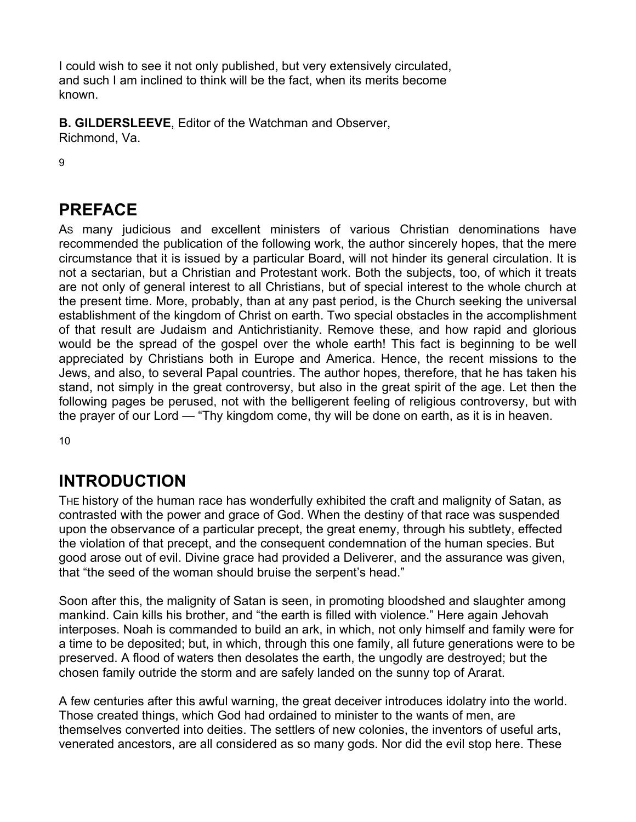I could wish to see it not only published, but very extensively circulated, and such I am inclined to think will be the fact, when its merits become known.

**B. GILDERSLEEVE**, Editor of the Watchman and Observer, Richmond, Va.

9

# **PREFACE**

AS many judicious and excellent ministers of various Christian denominations have recommended the publication of the following work, the author sincerely hopes, that the mere circumstance that it is issued by a particular Board, will not hinder its general circulation. It is not a sectarian, but a Christian and Protestant work. Both the subjects, too, of which it treats are not only of general interest to all Christians, but of special interest to the whole church at the present time. More, probably, than at any past period, is the Church seeking the universal establishment of the kingdom of Christ on earth. Two special obstacles in the accomplishment of that result are Judaism and Antichristianity. Remove these, and how rapid and glorious would be the spread of the gospel over the whole earth! This fact is beginning to be well appreciated by Christians both in Europe and America. Hence, the recent missions to the Jews, and also, to several Papal countries. The author hopes, therefore, that he has taken his stand, not simply in the great controversy, but also in the great spirit of the age. Let then the following pages be perused, not with the belligerent feeling of religious controversy, but with the prayer of our Lord — "Thy kingdom come, thy will be done on earth, as it is in heaven.

10

# **INTRODUCTION**

THE history of the human race has wonderfully exhibited the craft and malignity of Satan, as contrasted with the power and grace of God. When the destiny of that race was suspended upon the observance of a particular precept, the great enemy, through his subtlety, effected the violation of that precept, and the consequent condemnation of the human species. But good arose out of evil. Divine grace had provided a Deliverer, and the assurance was given, that "the seed of the woman should bruise the serpent's head."

Soon after this, the malignity of Satan is seen, in promoting bloodshed and slaughter among mankind. Cain kills his brother, and "the earth is filled with violence." Here again Jehovah interposes. Noah is commanded to build an ark, in which, not only himself and family were for a time to be deposited; but, in which, through this one family, all future generations were to be preserved. A flood of waters then desolates the earth, the ungodly are destroyed; but the chosen family outride the storm and are safely landed on the sunny top of Ararat.

A few centuries after this awful warning, the great deceiver introduces idolatry into the world. Those created things, which God had ordained to minister to the wants of men, are themselves converted into deities. The settlers of new colonies, the inventors of useful arts, venerated ancestors, are all considered as so many gods. Nor did the evil stop here. These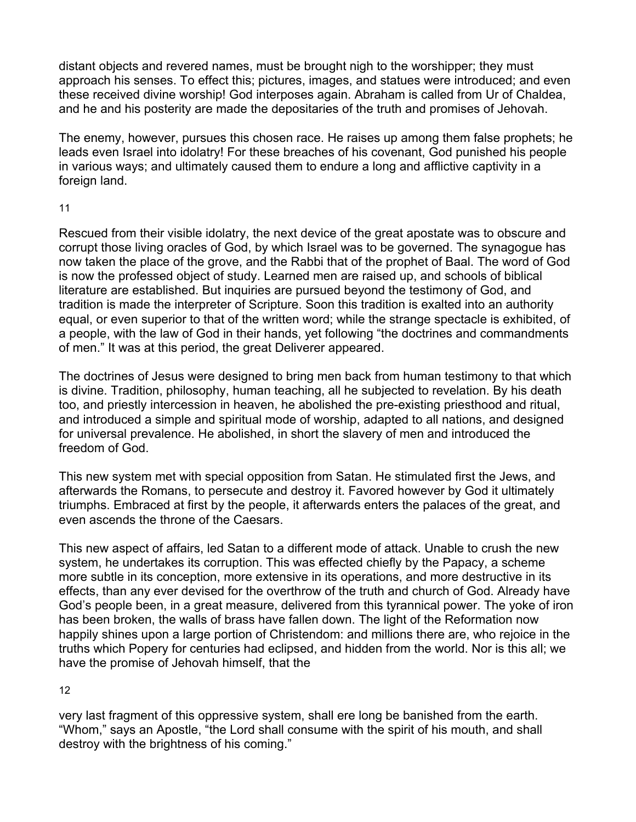distant objects and revered names, must be brought nigh to the worshipper; they must approach his senses. To effect this; pictures, images, and statues were introduced; and even these received divine worship! God interposes again. Abraham is called from Ur of Chaldea, and he and his posterity are made the depositaries of the truth and promises of Jehovah.

The enemy, however, pursues this chosen race. He raises up among them false prophets; he leads even Israel into idolatry! For these breaches of his covenant, God punished his people in various ways; and ultimately caused them to endure a long and afflictive captivity in a foreign land.

#### 11

Rescued from their visible idolatry, the next device of the great apostate was to obscure and corrupt those living oracles of God, by which Israel was to be governed. The synagogue has now taken the place of the grove, and the Rabbi that of the prophet of Baal. The word of God is now the professed object of study. Learned men are raised up, and schools of biblical literature are established. But inquiries are pursued beyond the testimony of God, and tradition is made the interpreter of Scripture. Soon this tradition is exalted into an authority equal, or even superior to that of the written word; while the strange spectacle is exhibited, of a people, with the law of God in their hands, yet following "the doctrines and commandments of men." It was at this period, the great Deliverer appeared.

The doctrines of Jesus were designed to bring men back from human testimony to that which is divine. Tradition, philosophy, human teaching, all he subjected to revelation. By his death too, and priestly intercession in heaven, he abolished the pre-existing priesthood and ritual, and introduced a simple and spiritual mode of worship, adapted to all nations, and designed for universal prevalence. He abolished, in short the slavery of men and introduced the freedom of God.

This new system met with special opposition from Satan. He stimulated first the Jews, and afterwards the Romans, to persecute and destroy it. Favored however by God it ultimately triumphs. Embraced at first by the people, it afterwards enters the palaces of the great, and even ascends the throne of the Caesars.

This new aspect of affairs, led Satan to a different mode of attack. Unable to crush the new system, he undertakes its corruption. This was effected chiefly by the Papacy, a scheme more subtle in its conception, more extensive in its operations, and more destructive in its effects, than any ever devised for the overthrow of the truth and church of God. Already have God's people been, in a great measure, delivered from this tyrannical power. The yoke of iron has been broken, the walls of brass have fallen down. The light of the Reformation now happily shines upon a large portion of Christendom: and millions there are, who rejoice in the truths which Popery for centuries had eclipsed, and hidden from the world. Nor is this all; we have the promise of Jehovah himself, that the

#### 12

very last fragment of this oppressive system, shall ere long be banished from the earth. "Whom," says an Apostle, "the Lord shall consume with the spirit of his mouth, and shall destroy with the brightness of his coming."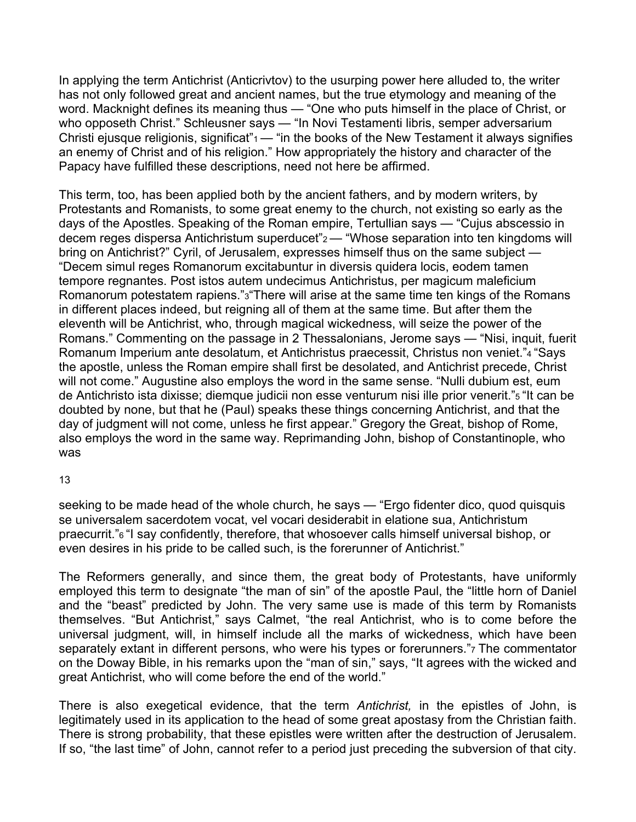In applying the term Antichrist (Anticrivtov) to the usurping power here alluded to, the writer has not only followed great and ancient names, but the true etymology and meaning of the word. Macknight defines its meaning thus — "One who puts himself in the place of Christ, or who opposeth Christ." Schleusner says — "In Novi Testamenti libris, semper adversarium Christi ejusque religionis, significat" $1 -$  "in the books of the New Testament it always signifies an enemy of Christ and of his religion." How appropriately the history and character of the Papacy have fulfilled these descriptions, need not here be affirmed.

This term, too, has been applied both by the ancient fathers, and by modern writers, by Protestants and Romanists, to some great enemy to the church, not existing so early as the days of the Apostles. Speaking of the Roman empire, Tertullian says — "Cujus abscessio in decem reges dispersa Antichristum superducet"2 — "Whose separation into ten kingdoms will bring on Antichrist?" Cyril, of Jerusalem, expresses himself thus on the same subject — "Decem simul reges Romanorum excitabuntur in diversis quidera locis, eodem tamen tempore regnantes. Post istos autem undecimus Antichristus, per magicum maleficium Romanorum potestatem rapiens."3"There will arise at the same time ten kings of the Romans in different places indeed, but reigning all of them at the same time. But after them the eleventh will be Antichrist, who, through magical wickedness, will seize the power of the Romans." Commenting on the passage in 2 Thessalonians, Jerome says — "Nisi, inquit, fuerit Romanum Imperium ante desolatum, et Antichristus praecessit, Christus non veniet."4 "Says the apostle, unless the Roman empire shall first be desolated, and Antichrist precede, Christ will not come." Augustine also employs the word in the same sense. "Nulli dubium est, eum de Antichristo ista dixisse; diemque judicii non esse venturum nisi ille prior venerit."5 "It can be doubted by none, but that he (Paul) speaks these things concerning Antichrist, and that the day of judgment will not come, unless he first appear." Gregory the Great, bishop of Rome, also employs the word in the same way. Reprimanding John, bishop of Constantinople, who was

#### 13

seeking to be made head of the whole church, he says — "Ergo fidenter dico, quod quisquis se universalem sacerdotem vocat, vel vocari desiderabit in elatione sua, Antichristum praecurrit."6 "I say confidently, therefore, that whosoever calls himself universal bishop, or even desires in his pride to be called such, is the forerunner of Antichrist."

The Reformers generally, and since them, the great body of Protestants, have uniformly employed this term to designate "the man of sin" of the apostle Paul, the "little horn of Daniel and the "beast" predicted by John. The very same use is made of this term by Romanists themselves. "But Antichrist," says Calmet, "the real Antichrist, who is to come before the universal judgment, will, in himself include all the marks of wickedness, which have been separately extant in different persons, who were his types or forerunners.", The commentator on the Doway Bible, in his remarks upon the "man of sin," says, "It agrees with the wicked and great Antichrist, who will come before the end of the world."

There is also exegetical evidence, that the term *Antichrist,* in the epistles of John, is legitimately used in its application to the head of some great apostasy from the Christian faith. There is strong probability, that these epistles were written after the destruction of Jerusalem. If so, "the last time" of John, cannot refer to a period just preceding the subversion of that city.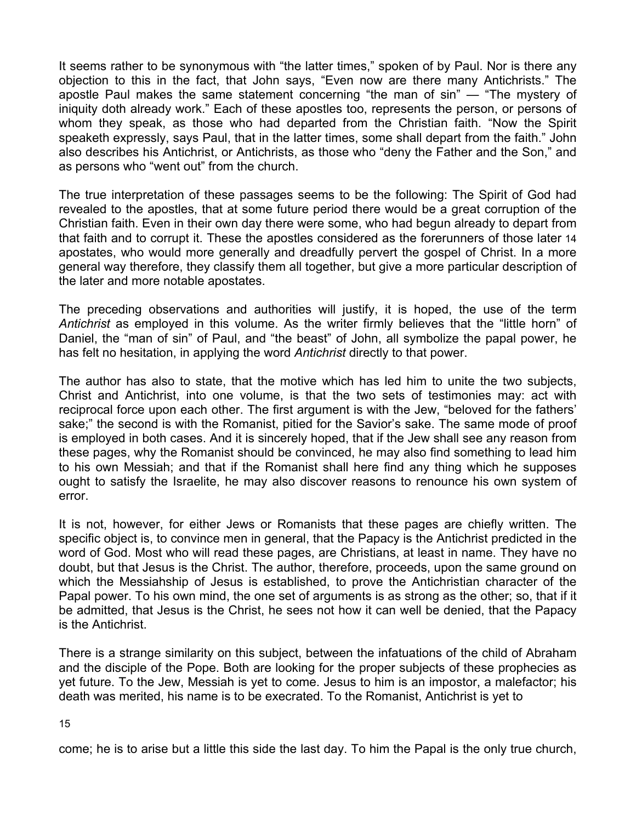It seems rather to be synonymous with "the latter times," spoken of by Paul. Nor is there any objection to this in the fact, that John says, "Even now are there many Antichrists." The apostle Paul makes the same statement concerning "the man of sin" — "The mystery of iniquity doth already work." Each of these apostles too, represents the person, or persons of whom they speak, as those who had departed from the Christian faith. "Now the Spirit speaketh expressly, says Paul, that in the latter times, some shall depart from the faith." John also describes his Antichrist, or Antichrists, as those who "deny the Father and the Son," and as persons who "went out" from the church.

The true interpretation of these passages seems to be the following: The Spirit of God had revealed to the apostles, that at some future period there would be a great corruption of the Christian faith. Even in their own day there were some, who had begun already to depart from that faith and to corrupt it. These the apostles considered as the forerunners of those later 14 apostates, who would more generally and dreadfully pervert the gospel of Christ. In a more general way therefore, they classify them all together, but give a more particular description of the later and more notable apostates.

The preceding observations and authorities will justify, it is hoped, the use of the term *Antichrist* as employed in this volume. As the writer firmly believes that the "little horn" of Daniel, the "man of sin" of Paul, and "the beast" of John, all symbolize the papal power, he has felt no hesitation, in applying the word *Antichrist* directly to that power.

The author has also to state, that the motive which has led him to unite the two subjects, Christ and Antichrist, into one volume, is that the two sets of testimonies may: act with reciprocal force upon each other. The first argument is with the Jew, "beloved for the fathers' sake;" the second is with the Romanist, pitied for the Savior's sake. The same mode of proof is employed in both cases. And it is sincerely hoped, that if the Jew shall see any reason from these pages, why the Romanist should be convinced, he may also find something to lead him to his own Messiah; and that if the Romanist shall here find any thing which he supposes ought to satisfy the Israelite, he may also discover reasons to renounce his own system of error.

It is not, however, for either Jews or Romanists that these pages are chiefly written. The specific object is, to convince men in general, that the Papacy is the Antichrist predicted in the word of God. Most who will read these pages, are Christians, at least in name. They have no doubt, but that Jesus is the Christ. The author, therefore, proceeds, upon the same ground on which the Messiahship of Jesus is established, to prove the Antichristian character of the Papal power. To his own mind, the one set of arguments is as strong as the other; so, that if it be admitted, that Jesus is the Christ, he sees not how it can well be denied, that the Papacy is the Antichrist.

There is a strange similarity on this subject, between the infatuations of the child of Abraham and the disciple of the Pope. Both are looking for the proper subjects of these prophecies as yet future. To the Jew, Messiah is yet to come. Jesus to him is an impostor, a malefactor; his death was merited, his name is to be execrated. To the Romanist, Antichrist is yet to

15

come; he is to arise but a little this side the last day. To him the Papal is the only true church,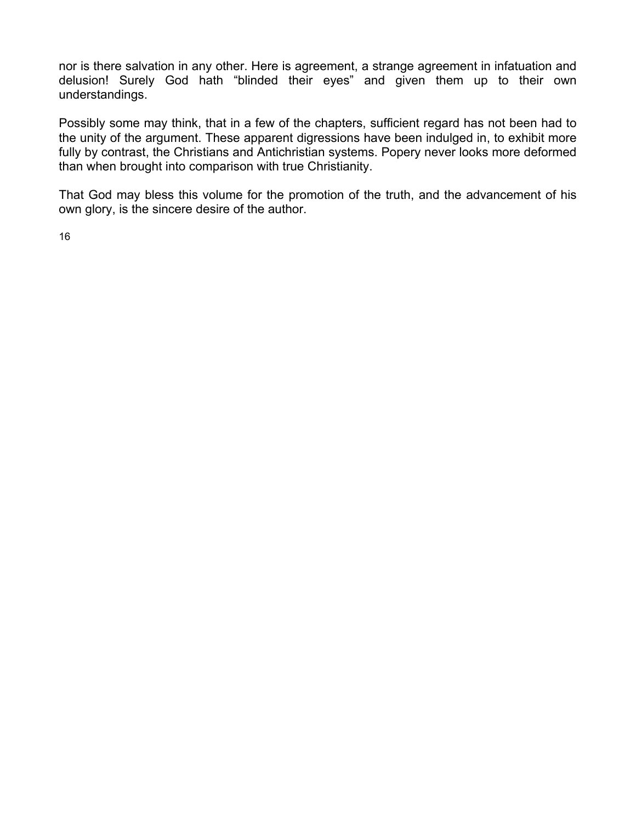nor is there salvation in any other. Here is agreement, a strange agreement in infatuation and delusion! Surely God hath "blinded their eyes" and given them up to their own understandings.

Possibly some may think, that in a few of the chapters, sufficient regard has not been had to the unity of the argument. These apparent digressions have been indulged in, to exhibit more fully by contrast, the Christians and Antichristian systems. Popery never looks more deformed than when brought into comparison with true Christianity.

That God may bless this volume for the promotion of the truth, and the advancement of his own glory, is the sincere desire of the author.

16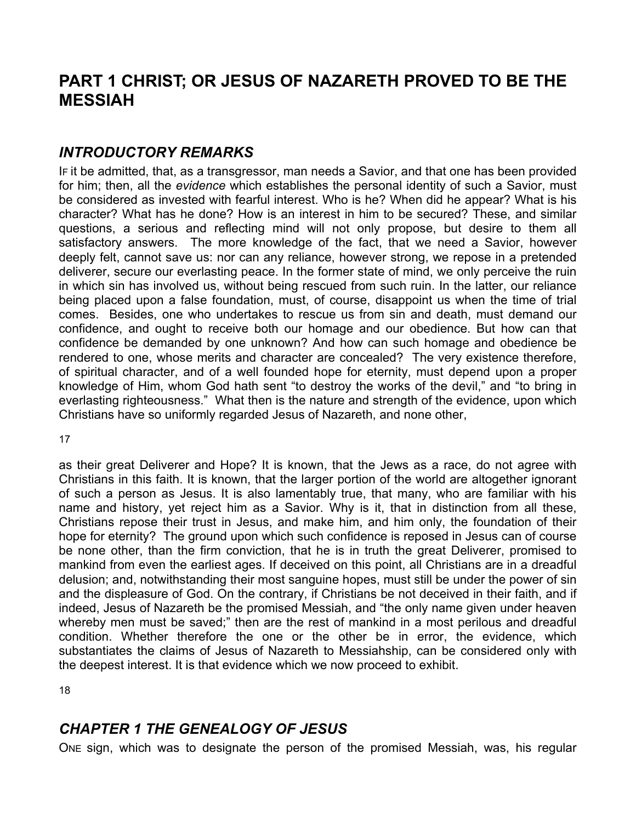## **PART 1 CHRIST; OR JESUS OF NAZARETH PROVED TO BE THE MESSIAH**

## *INTRODUCTORY REMARKS*

IF it be admitted, that, as a transgressor, man needs a Savior, and that one has been provided for him; then, all the *evidence* which establishes the personal identity of such a Savior, must be considered as invested with fearful interest. Who is he? When did he appear? What is his character? What has he done? How is an interest in him to be secured? These, and similar questions, a serious and reflecting mind will not only propose, but desire to them all satisfactory answers. The more knowledge of the fact, that we need a Savior, however deeply felt, cannot save us: nor can any reliance, however strong, we repose in a pretended deliverer, secure our everlasting peace. In the former state of mind, we only perceive the ruin in which sin has involved us, without being rescued from such ruin. In the latter, our reliance being placed upon a false foundation, must, of course, disappoint us when the time of trial comes. Besides, one who undertakes to rescue us from sin and death, must demand our confidence, and ought to receive both our homage and our obedience. But how can that confidence be demanded by one unknown? And how can such homage and obedience be rendered to one, whose merits and character are concealed? The very existence therefore, of spiritual character, and of a well founded hope for eternity, must depend upon a proper knowledge of Him, whom God hath sent "to destroy the works of the devil," and "to bring in everlasting righteousness." What then is the nature and strength of the evidence, upon which Christians have so uniformly regarded Jesus of Nazareth, and none other,

17

as their great Deliverer and Hope? It is known, that the Jews as a race, do not agree with Christians in this faith. It is known, that the larger portion of the world are altogether ignorant of such a person as Jesus. It is also lamentably true, that many, who are familiar with his name and history, yet reject him as a Savior. Why is it, that in distinction from all these, Christians repose their trust in Jesus, and make him, and him only, the foundation of their hope for eternity? The ground upon which such confidence is reposed in Jesus can of course be none other, than the firm conviction, that he is in truth the great Deliverer, promised to mankind from even the earliest ages. If deceived on this point, all Christians are in a dreadful delusion; and, notwithstanding their most sanguine hopes, must still be under the power of sin and the displeasure of God. On the contrary, if Christians be not deceived in their faith, and if indeed, Jesus of Nazareth be the promised Messiah, and "the only name given under heaven whereby men must be saved;" then are the rest of mankind in a most perilous and dreadful condition. Whether therefore the one or the other be in error, the evidence, which substantiates the claims of Jesus of Nazareth to Messiahship, can be considered only with the deepest interest. It is that evidence which we now proceed to exhibit.

18

## *CHAPTER 1 THE GENEALOGY OF JESUS*

ONE sign, which was to designate the person of the promised Messiah, was, his regular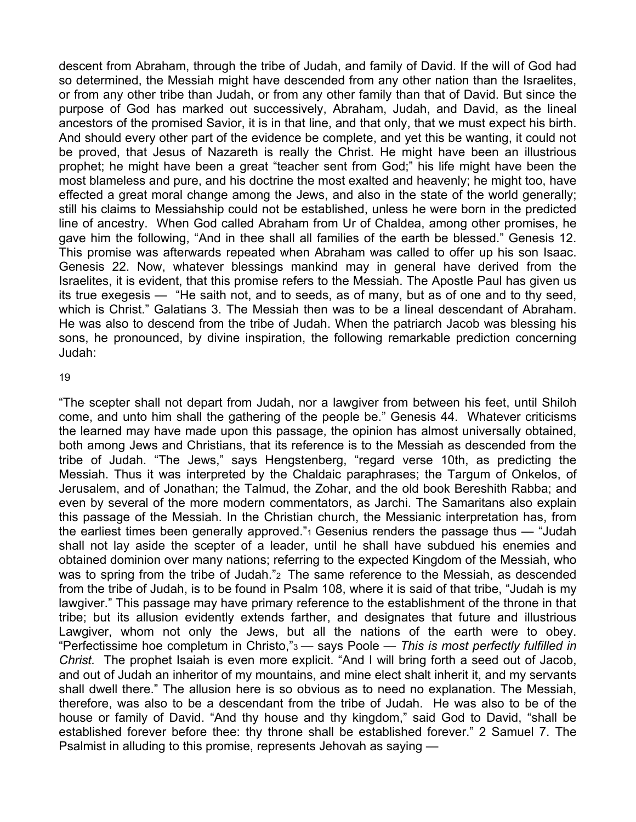descent from Abraham, through the tribe of Judah, and family of David. If the will of God had so determined, the Messiah might have descended from any other nation than the Israelites, or from any other tribe than Judah, or from any other family than that of David. But since the purpose of God has marked out successively, Abraham, Judah, and David, as the lineal ancestors of the promised Savior, it is in that line, and that only, that we must expect his birth. And should every other part of the evidence be complete, and yet this be wanting, it could not be proved, that Jesus of Nazareth is really the Christ. He might have been an illustrious prophet; he might have been a great "teacher sent from God;" his life might have been the most blameless and pure, and his doctrine the most exalted and heavenly; he might too, have effected a great moral change among the Jews, and also in the state of the world generally; still his claims to Messiahship could not be established, unless he were born in the predicted line of ancestry. When God called Abraham from Ur of Chaldea, among other promises, he gave him the following, "And in thee shall all families of the earth be blessed." Genesis 12. This promise was afterwards repeated when Abraham was called to offer up his son Isaac. Genesis 22. Now, whatever blessings mankind may in general have derived from the Israelites, it is evident, that this promise refers to the Messiah. The Apostle Paul has given us its true exegesis — "He saith not, and to seeds, as of many, but as of one and to thy seed, which is Christ." Galatians 3. The Messiah then was to be a lineal descendant of Abraham. He was also to descend from the tribe of Judah. When the patriarch Jacob was blessing his sons, he pronounced, by divine inspiration, the following remarkable prediction concerning Judah:

#### 19

"The scepter shall not depart from Judah, nor a lawgiver from between his feet, until Shiloh come, and unto him shall the gathering of the people be." Genesis 44. Whatever criticisms the learned may have made upon this passage, the opinion has almost universally obtained, both among Jews and Christians, that its reference is to the Messiah as descended from the tribe of Judah. "The Jews," says Hengstenberg, "regard verse 10th, as predicting the Messiah. Thus it was interpreted by the Chaldaic paraphrases; the Targum of Onkelos, of Jerusalem, and of Jonathan; the Talmud, the Zohar, and the old book Bereshith Rabba; and even by several of the more modern commentators, as Jarchi. The Samaritans also explain this passage of the Messiah. In the Christian church, the Messianic interpretation has, from the earliest times been generally approved."1 Gesenius renders the passage thus — "Judah shall not lay aside the scepter of a leader, until he shall have subdued his enemies and obtained dominion over many nations; referring to the expected Kingdom of the Messiah, who was to spring from the tribe of Judah." The same reference to the Messiah, as descended from the tribe of Judah, is to be found in Psalm 108, where it is said of that tribe, "Judah is my lawgiver." This passage may have primary reference to the establishment of the throne in that tribe; but its allusion evidently extends farther, and designates that future and illustrious Lawgiver, whom not only the Jews, but all the nations of the earth were to obey. "Perfectissime hoe completum in Christo,"3 — says Poole — *This is most perfectly fulfilled in Christ.* The prophet Isaiah is even more explicit. "And I will bring forth a seed out of Jacob, and out of Judah an inheritor of my mountains, and mine elect shalt inherit it, and my servants shall dwell there." The allusion here is so obvious as to need no explanation. The Messiah, therefore, was also to be a descendant from the tribe of Judah. He was also to be of the house or family of David. "And thy house and thy kingdom," said God to David, "shall be established forever before thee: thy throne shall be established forever." 2 Samuel 7. The Psalmist in alluding to this promise, represents Jehovah as saying —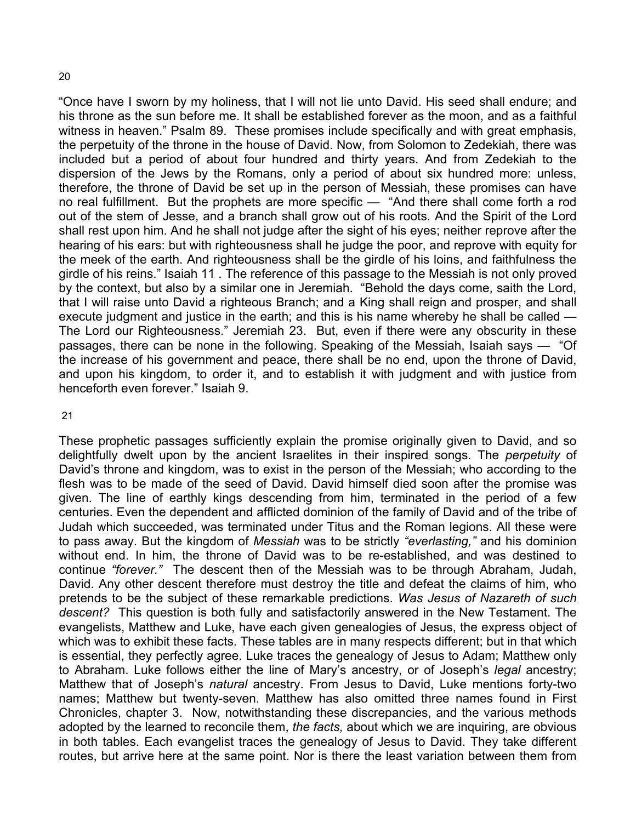"Once have I sworn by my holiness, that I will not lie unto David. His seed shall endure; and his throne as the sun before me. It shall be established forever as the moon, and as a faithful witness in heaven." Psalm 89. These promises include specifically and with great emphasis, the perpetuity of the throne in the house of David. Now, from Solomon to Zedekiah, there was included but a period of about four hundred and thirty years. And from Zedekiah to the dispersion of the Jews by the Romans, only a period of about six hundred more: unless, therefore, the throne of David be set up in the person of Messiah, these promises can have no real fulfillment. But the prophets are more specific — "And there shall come forth a rod out of the stem of Jesse, and a branch shall grow out of his roots. And the Spirit of the Lord shall rest upon him. And he shall not judge after the sight of his eyes; neither reprove after the hearing of his ears: but with righteousness shall he judge the poor, and reprove with equity for the meek of the earth. And righteousness shall be the girdle of his loins, and faithfulness the girdle of his reins." Isaiah 11 . The reference of this passage to the Messiah is not only proved by the context, but also by a similar one in Jeremiah. "Behold the days come, saith the Lord, that I will raise unto David a righteous Branch; and a King shall reign and prosper, and shall execute judgment and justice in the earth; and this is his name whereby he shall be called — The Lord our Righteousness." Jeremiah 23. But, even if there were any obscurity in these passages, there can be none in the following. Speaking of the Messiah, Isaiah says — "Of the increase of his government and peace, there shall be no end, upon the throne of David, and upon his kingdom, to order it, and to establish it with judgment and with justice from henceforth even forever." Isaiah 9.

#### 21

These prophetic passages sufficiently explain the promise originally given to David, and so delightfully dwelt upon by the ancient Israelites in their inspired songs. The *perpetuity* of David's throne and kingdom, was to exist in the person of the Messiah; who according to the flesh was to be made of the seed of David. David himself died soon after the promise was given. The line of earthly kings descending from him, terminated in the period of a few centuries. Even the dependent and afflicted dominion of the family of David and of the tribe of Judah which succeeded, was terminated under Titus and the Roman legions. All these were to pass away. But the kingdom of *Messiah* was to be strictly *"everlasting,"* and his dominion without end. In him, the throne of David was to be re-established, and was destined to continue *"forever."* The descent then of the Messiah was to be through Abraham, Judah, David. Any other descent therefore must destroy the title and defeat the claims of him, who pretends to be the subject of these remarkable predictions. *Was Jesus of Nazareth of such descent?* This question is both fully and satisfactorily answered in the New Testament. The evangelists, Matthew and Luke, have each given genealogies of Jesus, the express object of which was to exhibit these facts. These tables are in many respects different; but in that which is essential, they perfectly agree. Luke traces the genealogy of Jesus to Adam; Matthew only to Abraham. Luke follows either the line of Mary's ancestry, or of Joseph's *legal* ancestry; Matthew that of Joseph's *natural* ancestry. From Jesus to David, Luke mentions forty-two names; Matthew but twenty-seven. Matthew has also omitted three names found in First Chronicles, chapter 3. Now, notwithstanding these discrepancies, and the various methods adopted by the learned to reconcile them, *the facts,* about which we are inquiring, are obvious in both tables. Each evangelist traces the genealogy of Jesus to David. They take different routes, but arrive here at the same point. Nor is there the least variation between them from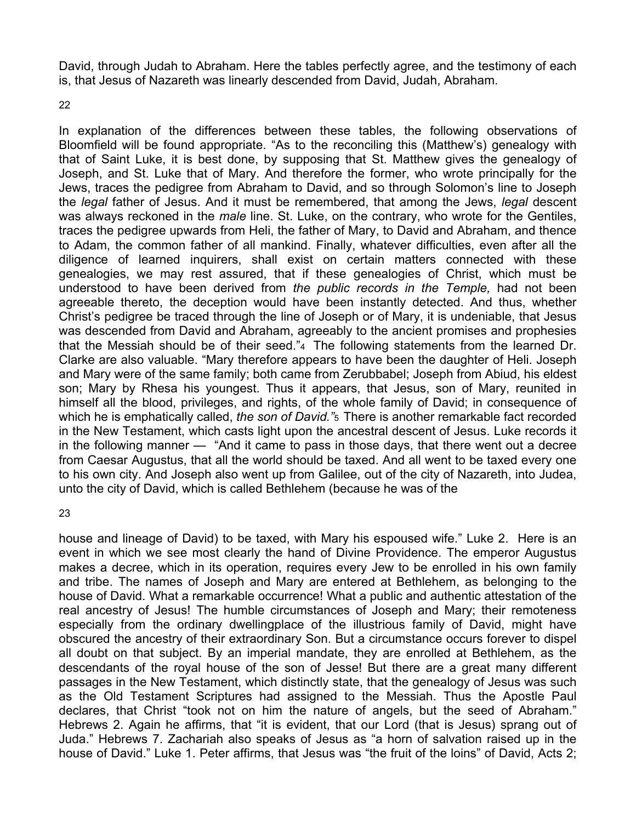David, through Judah to Abraham. Here the tables perfectly agree, and the testimony of each is, that Jesus of Nazareth was linearly descended from David, Judah, Abraham.

22

In explanation of the differences between these tables, the following observations of Bloomfield will be found appropriate. "As to the reconciling this (Matthew's) genealogy with that of Saint Luke, it is best done, by supposing that St. Matthew gives the genealogy of Joseph, and St. Luke that of Mary. And therefore the former, who wrote principally for the Jews, traces the pedigree from Abraham to David, and so through Solomon's line to Joseph the *legal* father of Jesus. And it must be remembered, that among the Jews, *legal* descent was always reckoned in the *male* line. St. Luke, on the contrary, who wrote for the Gentiles, traces the pedigree upwards from Heli, the father of Mary, to David and Abraham, and thence to Adam, the common father of all mankind. Finally, whatever difficulties, even after all the diligence of learned inquirers, shall exist on certain matters connected with these genealogies, we may rest assured, that if these genealogies of Christ, which must be understood to have been derived from *the public records in the Temple,* had not been agreeable thereto, the deception would have been instantly detected. And thus, whether Christ's pedigree be traced through the line of Joseph or of Mary, it is undeniable, that Jesus was descended from David and Abraham, agreeably to the ancient promises and prophesies that the Messiah should be of their seed."4 The following statements from the learned Dr. Clarke are also valuable. "Mary therefore appears to have been the daughter of Heli. Joseph and Mary were of the same family; both came from Zerubbabel; Joseph from Abiud, his eldest son; Mary by Rhesa his youngest. Thus it appears, that Jesus, son of Mary, reunited in himself all the blood, privileges, and rights, of the whole family of David; in consequence of which he is emphatically called, *the son of David."*5 There is another remarkable fact recorded in the New Testament, which casts light upon the ancestral descent of Jesus. Luke records it in the following manner — "And it came to pass in those days, that there went out a decree from Caesar Augustus, that all the world should be taxed. And all went to be taxed every one to his own city. And Joseph also went up from Galilee, out of the city of Nazareth, into Judea, unto the city of David, which is called Bethlehem (because he was of the

#### 23

house and lineage of David) to be taxed, with Mary his espoused wife." Luke 2. Here is an event in which we see most clearly the hand of Divine Providence. The emperor Augustus makes a decree, which in its operation, requires every Jew to be enrolled in his own family and tribe. The names of Joseph and Mary are entered at Bethlehem, as belonging to the house of David. What a remarkable occurrence! What a public and authentic attestation of the real ancestry of Jesus! The humble circumstances of Joseph and Mary; their remoteness especially from the ordinary dwellingplace of the illustrious family of David, might have obscured the ancestry of their extraordinary Son. But a circumstance occurs forever to dispel all doubt on that subject. By an imperial mandate, they are enrolled at Bethlehem, as the descendants of the royal house of the son of Jesse! But there are a great many different passages in the New Testament, which distinctly state, that the genealogy of Jesus was such as the Old Testament Scriptures had assigned to the Messiah. Thus the Apostle Paul declares, that Christ "took not on him the nature of angels, but the seed of Abraham." Hebrews 2. Again he affirms, that "it is evident, that our Lord (that is Jesus) sprang out of Juda." Hebrews 7. Zachariah also speaks of Jesus as "a horn of salvation raised up in the house of David." Luke 1. Peter affirms, that Jesus was "the fruit of the loins" of David, Acts 2;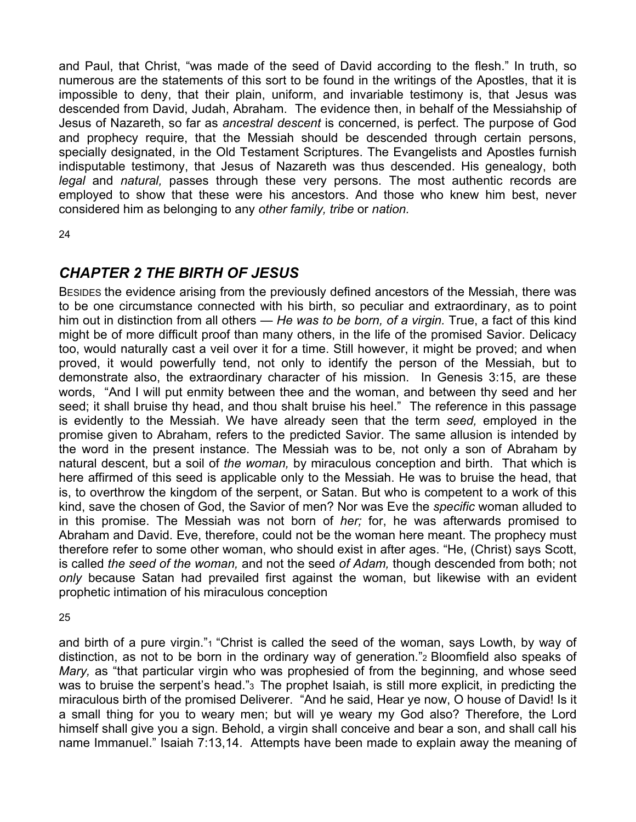and Paul, that Christ, "was made of the seed of David according to the flesh." In truth, so numerous are the statements of this sort to be found in the writings of the Apostles, that it is impossible to deny, that their plain, uniform, and invariable testimony is, that Jesus was descended from David, Judah, Abraham. The evidence then, in behalf of the Messiahship of Jesus of Nazareth, so far as *ancestral descent* is concerned, is perfect. The purpose of God and prophecy require, that the Messiah should be descended through certain persons, specially designated, in the Old Testament Scriptures. The Evangelists and Apostles furnish indisputable testimony, that Jesus of Nazareth was thus descended. His genealogy, both legal and *natural*, passes through these very persons. The most authentic records are employed to show that these were his ancestors. And those who knew him best, never considered him as belonging to any *other family, tribe* or *nation.* 

24

## *CHAPTER 2 THE BIRTH OF JESUS*

BESIDES the evidence arising from the previously defined ancestors of the Messiah, there was to be one circumstance connected with his birth, so peculiar and extraordinary, as to point him out in distinction from all others — *He was to be born, of a virgin.* True, a fact of this kind might be of more difficult proof than many others, in the life of the promised Savior. Delicacy too, would naturally cast a veil over it for a time. Still however, it might be proved; and when proved, it would powerfully tend, not only to identify the person of the Messiah, but to demonstrate also, the extraordinary character of his mission. In Genesis 3:15, are these words, "And I will put enmity between thee and the woman, and between thy seed and her seed; it shall bruise thy head, and thou shalt bruise his heel." The reference in this passage is evidently to the Messiah. We have already seen that the term *seed,* employed in the promise given to Abraham, refers to the predicted Savior. The same allusion is intended by the word in the present instance. The Messiah was to be, not only a son of Abraham by natural descent, but a soil of *the woman,* by miraculous conception and birth. That which is here affirmed of this seed is applicable only to the Messiah. He was to bruise the head, that is, to overthrow the kingdom of the serpent, or Satan. But who is competent to a work of this kind, save the chosen of God, the Savior of men? Nor was Eve the *specific* woman alluded to in this promise. The Messiah was not born of *her;* for, he was afterwards promised to Abraham and David. Eve, therefore, could not be the woman here meant. The prophecy must therefore refer to some other woman, who should exist in after ages. "He, (Christ) says Scott, is called *the seed of the woman,* and not the seed *of Adam,* though descended from both; not *only* because Satan had prevailed first against the woman, but likewise with an evident prophetic intimation of his miraculous conception

25

and birth of a pure virgin."<sup>1</sup> "Christ is called the seed of the woman, says Lowth, by way of distinction, as not to be born in the ordinary way of generation."2 Bloomfield also speaks of *Mary,* as "that particular virgin who was prophesied of from the beginning, and whose seed was to bruise the serpent's head."<sup>3</sup> The prophet Isaiah, is still more explicit, in predicting the miraculous birth of the promised Deliverer. "And he said, Hear ye now, O house of David! Is it a small thing for you to weary men; but will ye weary my God also? Therefore, the Lord himself shall give you a sign. Behold, a virgin shall conceive and bear a son, and shall call his name Immanuel." Isaiah 7:13,14. Attempts have been made to explain away the meaning of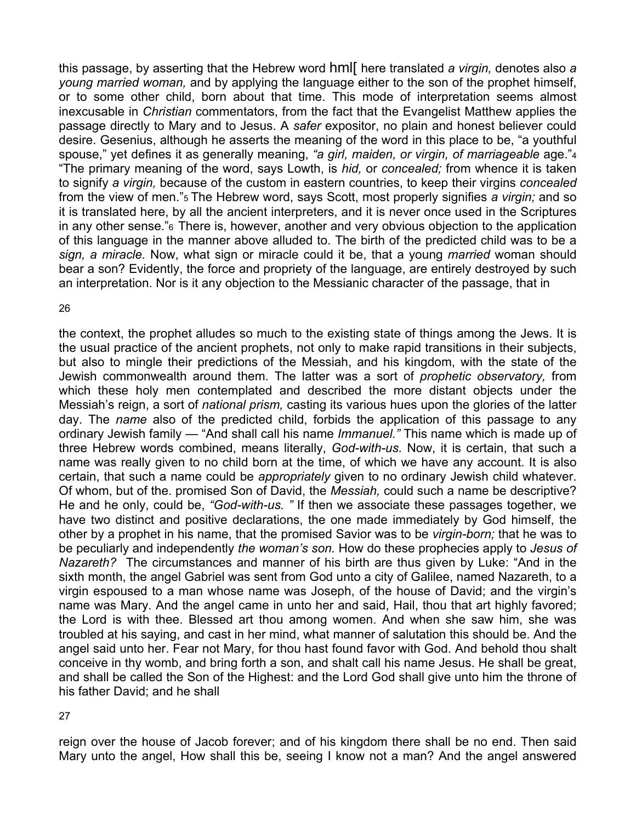this passage, by asserting that the Hebrew word hml[ here translated *a virgin,* denotes also *a young married woman,* and by applying the language either to the son of the prophet himself, or to some other child, born about that time. This mode of interpretation seems almost inexcusable in *Christian* commentators, from the fact that the Evangelist Matthew applies the passage directly to Mary and to Jesus. A *safer* expositor, no plain and honest believer could desire. Gesenius, although he asserts the meaning of the word in this place to be, "a youthful spouse," yet defines it as generally meaning, *"a girl, maiden, or virgin, of marriageable* age."4 "The primary meaning of the word, says Lowth, is *hid,* or *concealed;* from whence it is taken to signify *a virgin,* because of the custom in eastern countries, to keep their virgins *concealed*  from the view of men."5 The Hebrew word, says Scott, most properly signifies *a virgin;* and so it is translated here, by all the ancient interpreters, and it is never once used in the Scriptures in any other sense."6 There is, however, another and very obvious objection to the application of this language in the manner above alluded to. The birth of the predicted child was to be a *sign, a miracle.* Now, what sign or miracle could it be, that a young *married* woman should bear a son? Evidently, the force and propriety of the language, are entirely destroyed by such an interpretation. Nor is it any objection to the Messianic character of the passage, that in

#### 26

the context, the prophet alludes so much to the existing state of things among the Jews. It is the usual practice of the ancient prophets, not only to make rapid transitions in their subjects, but also to mingle their predictions of the Messiah, and his kingdom, with the state of the Jewish commonwealth around them. The latter was a sort of *prophetic observatory,* from which these holy men contemplated and described the more distant objects under the Messiah's reign, a sort of *national prism,* casting its various hues upon the glories of the latter day. The *name* also of the predicted child, forbids the application of this passage to any ordinary Jewish family — "And shall call his name *Immanuel."* This name which is made up of three Hebrew words combined, means literally, *God-with-us.* Now, it is certain, that such a name was really given to no child born at the time, of which we have any account. It is also certain, that such a name could be *appropriately* given to no ordinary Jewish child whatever. Of whom, but of the. promised Son of David, the *Messiah,* could such a name be descriptive? He and he only, could be, *"God-with-us. "* If then we associate these passages together, we have two distinct and positive declarations, the one made immediately by God himself, the other by a prophet in his name, that the promised Savior was to be *virgin-born;* that he was to be peculiarly and independently *the woman's son.* How do these prophecies apply to *Jesus of Nazareth?* The circumstances and manner of his birth are thus given by Luke: "And in the sixth month, the angel Gabriel was sent from God unto a city of Galilee, named Nazareth, to a virgin espoused to a man whose name was Joseph, of the house of David; and the virgin's name was Mary. And the angel came in unto her and said, Hail, thou that art highly favored; the Lord is with thee. Blessed art thou among women. And when she saw him, she was troubled at his saying, and cast in her mind, what manner of salutation this should be. And the angel said unto her. Fear not Mary, for thou hast found favor with God. And behold thou shalt conceive in thy womb, and bring forth a son, and shalt call his name Jesus. He shall be great, and shall be called the Son of the Highest: and the Lord God shall give unto him the throne of his father David; and he shall

#### 27

reign over the house of Jacob forever; and of his kingdom there shall be no end. Then said Mary unto the angel, How shall this be, seeing I know not a man? And the angel answered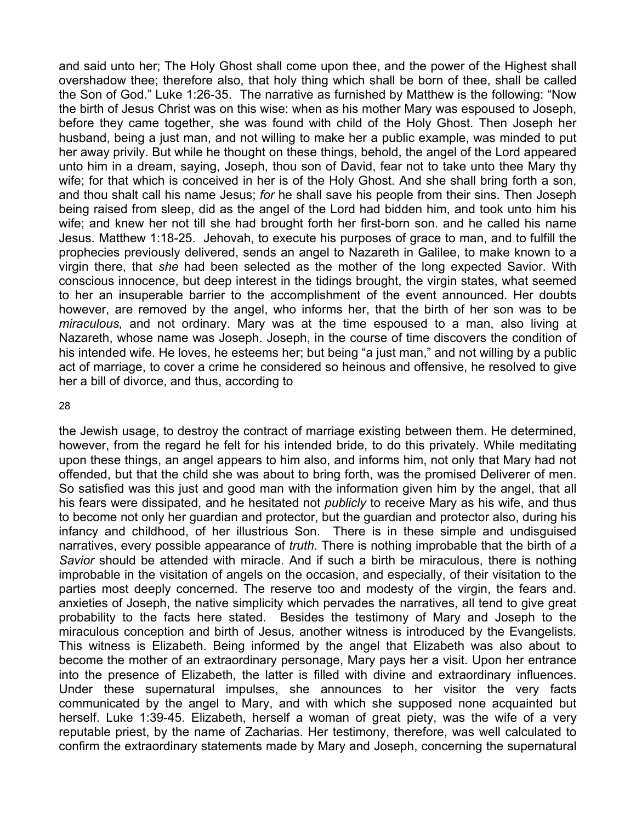and said unto her; The Holy Ghost shall come upon thee, and the power of the Highest shall overshadow thee; therefore also, that holy thing which shall be born of thee, shall be called the Son of God." Luke 1:26-35. The narrative as furnished by Matthew is the following: "Now the birth of Jesus Christ was on this wise: when as his mother Mary was espoused to Joseph, before they came together, she was found with child of the Holy Ghost. Then Joseph her husband, being a just man, and not willing to make her a public example, was minded to put her away privily. But while he thought on these things, behold, the angel of the Lord appeared unto him in a dream, saying, Joseph, thou son of David, fear not to take unto thee Mary thy wife; for that which is conceived in her is of the Holy Ghost. And she shall bring forth a son, and thou shalt call his name Jesus; *for* he shall save his people from their sins. Then Joseph being raised from sleep, did as the angel of the Lord had bidden him, and took unto him his wife; and knew her not till she had brought forth her first-born son. and he called his name Jesus. Matthew 1:18-25. Jehovah, to execute his purposes of grace to man, and to fulfill the prophecies previously delivered, sends an angel to Nazareth in Galilee, to make known to a virgin there, that *she* had been selected as the mother of the long expected Savior. With conscious innocence, but deep interest in the tidings brought, the virgin states, what seemed to her an insuperable barrier to the accomplishment of the event announced. Her doubts however, are removed by the angel, who informs her, that the birth of her son was to be *miraculous,* and not ordinary. Mary was at the time espoused to a man, also living at Nazareth, whose name was Joseph. Joseph, in the course of time discovers the condition of his intended wife. He loves, he esteems her; but being "a just man," and not willing by a public act of marriage, to cover a crime he considered so heinous and offensive, he resolved to give her a bill of divorce, and thus, according to

#### 28

the Jewish usage, to destroy the contract of marriage existing between them. He determined, however, from the regard he felt for his intended bride, to do this privately. While meditating upon these things, an angel appears to him also, and informs him, not only that Mary had not offended, but that the child she was about to bring forth, was the promised Deliverer of men. So satisfied was this just and good man with the information given him by the angel, that all his fears were dissipated, and he hesitated not *publicly* to receive Mary as his wife, and thus to become not only her guardian and protector, but the guardian and protector also, during his infancy and childhood, of her illustrious Son. There is in these simple and undisguised narratives, every possible appearance of *truth.* There is nothing improbable that the birth of *a Savior* should be attended with miracle. And if such a birth be miraculous, there is nothing improbable in the visitation of angels on the occasion, and especially, of their visitation to the parties most deeply concerned. The reserve too and modesty of the virgin, the fears and. anxieties of Joseph, the native simplicity which pervades the narratives, all tend to give great probability to the facts here stated. Besides the testimony of Mary and Joseph to the miraculous conception and birth of Jesus, another witness is introduced by the Evangelists. This witness is Elizabeth. Being informed by the angel that Elizabeth was also about to become the mother of an extraordinary personage, Mary pays her a visit. Upon her entrance into the presence of Elizabeth, the latter is filled with divine and extraordinary influences. Under these supernatural impulses, she announces to her visitor the very facts communicated by the angel to Mary, and with which she supposed none acquainted but herself. Luke 1:39-45. Elizabeth, herself a woman of great piety, was the wife of a very reputable priest, by the name of Zacharias. Her testimony, therefore, was well calculated to confirm the extraordinary statements made by Mary and Joseph, concerning the supernatural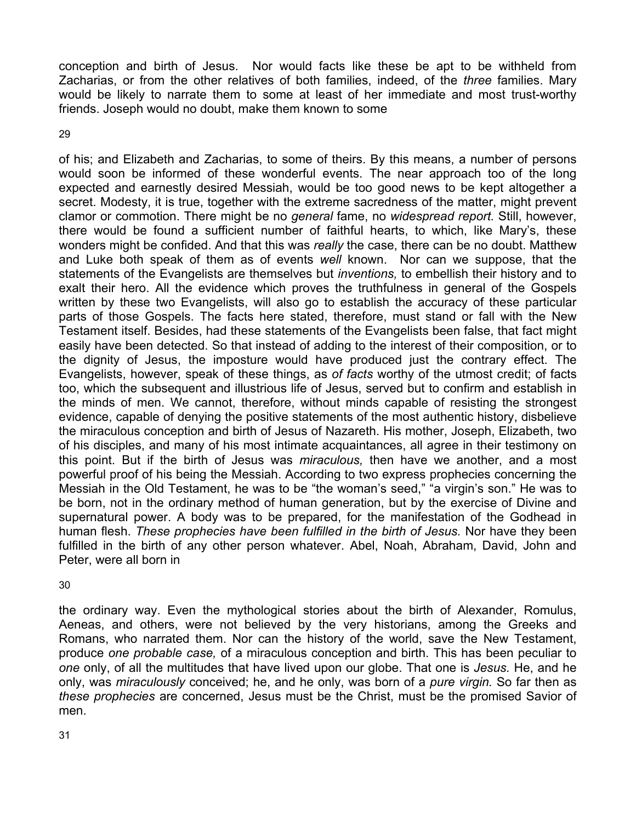conception and birth of Jesus. Nor would facts like these be apt to be withheld from Zacharias, or from the other relatives of both families, indeed, of the *three* families. Mary would be likely to narrate them to some at least of her immediate and most trust-worthy friends. Joseph would no doubt, make them known to some

29

of his; and Elizabeth and Zacharias, to some of theirs. By this means, a number of persons would soon be informed of these wonderful events. The near approach too of the long expected and earnestly desired Messiah, would be too good news to be kept altogether a secret. Modesty, it is true, together with the extreme sacredness of the matter, might prevent clamor or commotion. There might be no *general* fame, no *widespread report.* Still, however, there would be found a sufficient number of faithful hearts, to which, like Mary's, these wonders might be confided. And that this was *really* the case, there can be no doubt. Matthew and Luke both speak of them as of events *well* known. Nor can we suppose, that the statements of the Evangelists are themselves but *inventions,* to embellish their history and to exalt their hero. All the evidence which proves the truthfulness in general of the Gospels written by these two Evangelists, will also go to establish the accuracy of these particular parts of those Gospels. The facts here stated, therefore, must stand or fall with the New Testament itself. Besides, had these statements of the Evangelists been false, that fact might easily have been detected. So that instead of adding to the interest of their composition, or to the dignity of Jesus, the imposture would have produced just the contrary effect. The Evangelists, however, speak of these things, as *of facts* worthy of the utmost credit; of facts too, which the subsequent and illustrious life of Jesus, served but to confirm and establish in the minds of men. We cannot, therefore, without minds capable of resisting the strongest evidence, capable of denying the positive statements of the most authentic history, disbelieve the miraculous conception and birth of Jesus of Nazareth. His mother, Joseph, Elizabeth, two of his disciples, and many of his most intimate acquaintances, all agree in their testimony on this point. But if the birth of Jesus was *miraculous,* then have we another, and a most powerful proof of his being the Messiah. According to two express prophecies concerning the Messiah in the Old Testament, he was to be "the woman's seed," "a virgin's son." He was to be born, not in the ordinary method of human generation, but by the exercise of Divine and supernatural power. A body was to be prepared, for the manifestation of the Godhead in human flesh. *These prophecies have been fulfilled in the birth of Jesus.* Nor have they been fulfilled in the birth of any other person whatever. Abel, Noah, Abraham, David, John and Peter, were all born in

30

the ordinary way. Even the mythological stories about the birth of Alexander, Romulus, Aeneas, and others, were not believed by the very historians, among the Greeks and Romans, who narrated them. Nor can the history of the world, save the New Testament, produce *one probable case,* of a miraculous conception and birth. This has been peculiar to *one* only, of all the multitudes that have lived upon our globe. That one is *Jesus.* He, and he only, was *miraculously* conceived; he, and he only, was born of a *pure virgin.* So far then as *these prophecies* are concerned, Jesus must be the Christ, must be the promised Savior of men.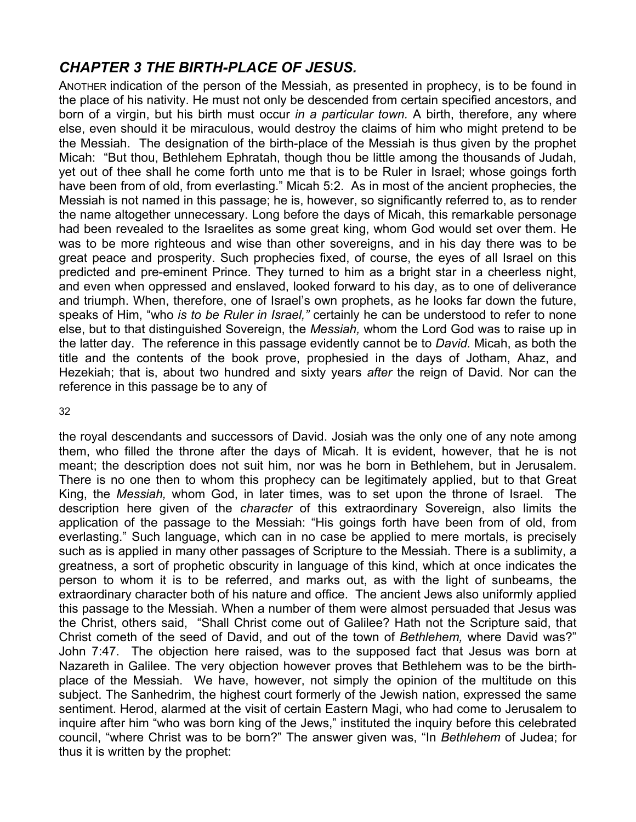## *CHAPTER 3 THE BIRTH-PLACE OF JESUS.*

ANOTHER indication of the person of the Messiah, as presented in prophecy, is to be found in the place of his nativity. He must not only be descended from certain specified ancestors, and born of a virgin, but his birth must occur *in a particular town.* A birth, therefore, any where else, even should it be miraculous, would destroy the claims of him who might pretend to be the Messiah. The designation of the birth-place of the Messiah is thus given by the prophet Micah: "But thou, Bethlehem Ephratah, though thou be little among the thousands of Judah, yet out of thee shall he come forth unto me that is to be Ruler in Israel; whose goings forth have been from of old, from everlasting." Micah 5:2. As in most of the ancient prophecies, the Messiah is not named in this passage; he is, however, so significantly referred to, as to render the name altogether unnecessary. Long before the days of Micah, this remarkable personage had been revealed to the Israelites as some great king, whom God would set over them. He was to be more righteous and wise than other sovereigns, and in his day there was to be great peace and prosperity. Such prophecies fixed, of course, the eyes of all Israel on this predicted and pre-eminent Prince. They turned to him as a bright star in a cheerless night, and even when oppressed and enslaved, looked forward to his day, as to one of deliverance and triumph. When, therefore, one of Israel's own prophets, as he looks far down the future, speaks of Him, "who *is to be Ruler in Israel,"* certainly he can be understood to refer to none else, but to that distinguished Sovereign, the *Messiah,* whom the Lord God was to raise up in the latter day. The reference in this passage evidently cannot be to *David.* Micah, as both the title and the contents of the book prove, prophesied in the days of Jotham, Ahaz, and Hezekiah; that is, about two hundred and sixty years *after* the reign of David. Nor can the reference in this passage be to any of

#### 32

the royal descendants and successors of David. Josiah was the only one of any note among them, who filled the throne after the days of Micah. It is evident, however, that he is not meant; the description does not suit him, nor was he born in Bethlehem, but in Jerusalem. There is no one then to whom this prophecy can be legitimately applied, but to that Great King, the *Messiah,* whom God, in later times, was to set upon the throne of Israel. The description here given of the *character* of this extraordinary Sovereign, also limits the application of the passage to the Messiah: "His goings forth have been from of old, from everlasting." Such language, which can in no case be applied to mere mortals, is precisely such as is applied in many other passages of Scripture to the Messiah. There is a sublimity, a greatness, a sort of prophetic obscurity in language of this kind, which at once indicates the person to whom it is to be referred, and marks out, as with the light of sunbeams, the extraordinary character both of his nature and office. The ancient Jews also uniformly applied this passage to the Messiah. When a number of them were almost persuaded that Jesus was the Christ, others said, "Shall Christ come out of Galilee? Hath not the Scripture said, that Christ cometh of the seed of David, and out of the town of *Bethlehem,* where David was?" John 7:47. The objection here raised, was to the supposed fact that Jesus was born at Nazareth in Galilee. The very objection however proves that Bethlehem was to be the birthplace of the Messiah. We have, however, not simply the opinion of the multitude on this subject. The Sanhedrim, the highest court formerly of the Jewish nation, expressed the same sentiment. Herod, alarmed at the visit of certain Eastern Magi, who had come to Jerusalem to inquire after him "who was born king of the Jews," instituted the inquiry before this celebrated council, "where Christ was to be born?" The answer given was, "In *Bethlehem* of Judea; for thus it is written by the prophet: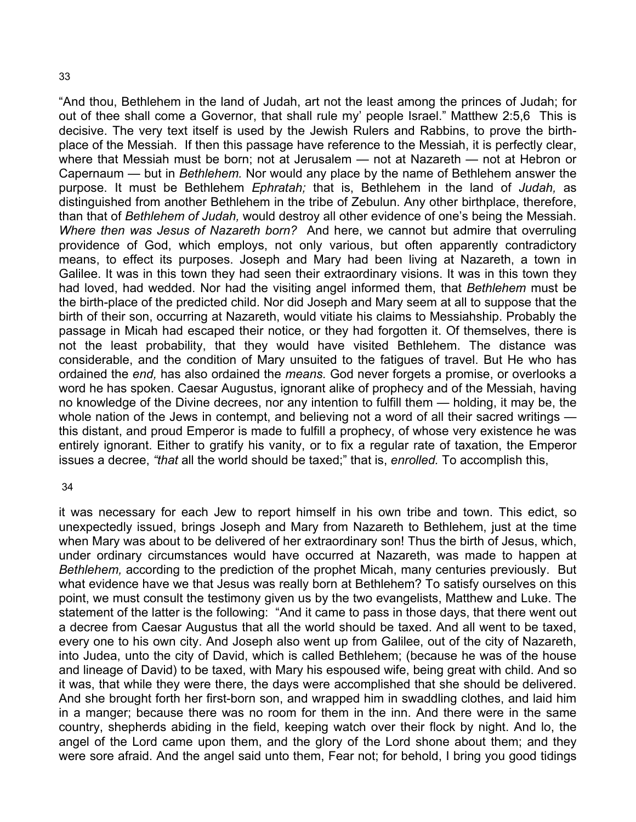"And thou, Bethlehem in the land of Judah, art not the least among the princes of Judah; for out of thee shall come a Governor, that shall rule my' people Israel." Matthew 2:5,6 This is decisive. The very text itself is used by the Jewish Rulers and Rabbins, to prove the birthplace of the Messiah. If then this passage have reference to the Messiah, it is perfectly clear, where that Messiah must be born; not at Jerusalem — not at Nazareth — not at Hebron or Capernaum — but in *Bethlehem.* Nor would any place by the name of Bethlehem answer the purpose. It must be Bethlehem *Ephratah;* that is, Bethlehem in the land of *Judah,* as distinguished from another Bethlehem in the tribe of Zebulun. Any other birthplace, therefore, than that of *Bethlehem of Judah,* would destroy all other evidence of one's being the Messiah. *Where then was Jesus of Nazareth born?* And here, we cannot but admire that overruling providence of God, which employs, not only various, but often apparently contradictory means, to effect its purposes. Joseph and Mary had been living at Nazareth, a town in Galilee. It was in this town they had seen their extraordinary visions. It was in this town they had loved, had wedded. Nor had the visiting angel informed them, that *Bethlehem* must be the birth-place of the predicted child. Nor did Joseph and Mary seem at all to suppose that the birth of their son, occurring at Nazareth, would vitiate his claims to Messiahship. Probably the passage in Micah had escaped their notice, or they had forgotten it. Of themselves, there is not the least probability, that they would have visited Bethlehem. The distance was considerable, and the condition of Mary unsuited to the fatigues of travel. But He who has ordained the *end,* has also ordained the *means.* God never forgets a promise, or overlooks a word he has spoken. Caesar Augustus, ignorant alike of prophecy and of the Messiah, having no knowledge of the Divine decrees, nor any intention to fulfill them — holding, it may be, the whole nation of the Jews in contempt, and believing not a word of all their sacred writings this distant, and proud Emperor is made to fulfill a prophecy, of whose very existence he was entirely ignorant. Either to gratify his vanity, or to fix a regular rate of taxation, the Emperor issues a decree, *"that* all the world should be taxed;" that is, *enrolled.* To accomplish this,

#### 34

it was necessary for each Jew to report himself in his own tribe and town. This edict, so unexpectedly issued, brings Joseph and Mary from Nazareth to Bethlehem, just at the time when Mary was about to be delivered of her extraordinary son! Thus the birth of Jesus, which, under ordinary circumstances would have occurred at Nazareth, was made to happen at *Bethlehem,* according to the prediction of the prophet Micah, many centuries previously. But what evidence have we that Jesus was really born at Bethlehem? To satisfy ourselves on this point, we must consult the testimony given us by the two evangelists, Matthew and Luke. The statement of the latter is the following: "And it came to pass in those days, that there went out a decree from Caesar Augustus that all the world should be taxed. And all went to be taxed, every one to his own city. And Joseph also went up from Galilee, out of the city of Nazareth, into Judea, unto the city of David, which is called Bethlehem; (because he was of the house and lineage of David) to be taxed, with Mary his espoused wife, being great with child. And so it was, that while they were there, the days were accomplished that she should be delivered. And she brought forth her first-born son, and wrapped him in swaddling clothes, and laid him in a manger; because there was no room for them in the inn. And there were in the same country, shepherds abiding in the field, keeping watch over their flock by night. And lo, the angel of the Lord came upon them, and the glory of the Lord shone about them; and they were sore afraid. And the angel said unto them, Fear not; for behold, I bring you good tidings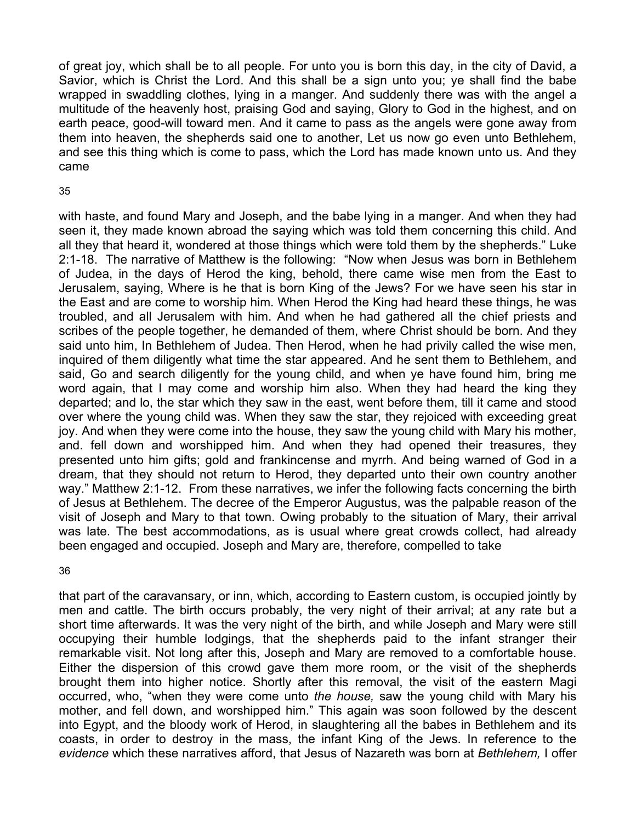of great joy, which shall be to all people. For unto you is born this day, in the city of David, a Savior, which is Christ the Lord. And this shall be a sign unto you; ye shall find the babe wrapped in swaddling clothes, lying in a manger. And suddenly there was with the angel a multitude of the heavenly host, praising God and saying, Glory to God in the highest, and on earth peace, good-will toward men. And it came to pass as the angels were gone away from them into heaven, the shepherds said one to another, Let us now go even unto Bethlehem, and see this thing which is come to pass, which the Lord has made known unto us. And they came

#### 35

with haste, and found Mary and Joseph, and the babe lying in a manger. And when they had seen it, they made known abroad the saying which was told them concerning this child. And all they that heard it, wondered at those things which were told them by the shepherds." Luke 2:1-18. The narrative of Matthew is the following: "Now when Jesus was born in Bethlehem of Judea, in the days of Herod the king, behold, there came wise men from the East to Jerusalem, saying, Where is he that is born King of the Jews? For we have seen his star in the East and are come to worship him. When Herod the King had heard these things, he was troubled, and all Jerusalem with him. And when he had gathered all the chief priests and scribes of the people together, he demanded of them, where Christ should be born. And they said unto him, In Bethlehem of Judea. Then Herod, when he had privily called the wise men, inquired of them diligently what time the star appeared. And he sent them to Bethlehem, and said, Go and search diligently for the young child, and when ye have found him, bring me word again, that I may come and worship him also. When they had heard the king they departed; and lo, the star which they saw in the east, went before them, till it came and stood over where the young child was. When they saw the star, they rejoiced with exceeding great joy. And when they were come into the house, they saw the young child with Mary his mother, and. fell down and worshipped him. And when they had opened their treasures, they presented unto him gifts; gold and frankincense and myrrh. And being warned of God in a dream, that they should not return to Herod, they departed unto their own country another way." Matthew 2:1-12. From these narratives, we infer the following facts concerning the birth of Jesus at Bethlehem. The decree of the Emperor Augustus, was the palpable reason of the visit of Joseph and Mary to that town. Owing probably to the situation of Mary, their arrival was late. The best accommodations, as is usual where great crowds collect, had already been engaged and occupied. Joseph and Mary are, therefore, compelled to take

36

that part of the caravansary, or inn, which, according to Eastern custom, is occupied jointly by men and cattle. The birth occurs probably, the very night of their arrival; at any rate but a short time afterwards. It was the very night of the birth, and while Joseph and Mary were still occupying their humble lodgings, that the shepherds paid to the infant stranger their remarkable visit. Not long after this, Joseph and Mary are removed to a comfortable house. Either the dispersion of this crowd gave them more room, or the visit of the shepherds brought them into higher notice. Shortly after this removal, the visit of the eastern Magi occurred, who, "when they were come unto *the house,* saw the young child with Mary his mother, and fell down, and worshipped him." This again was soon followed by the descent into Egypt, and the bloody work of Herod, in slaughtering all the babes in Bethlehem and its coasts, in order to destroy in the mass, the infant King of the Jews. In reference to the *evidence* which these narratives afford, that Jesus of Nazareth was born at *Bethlehem,* I offer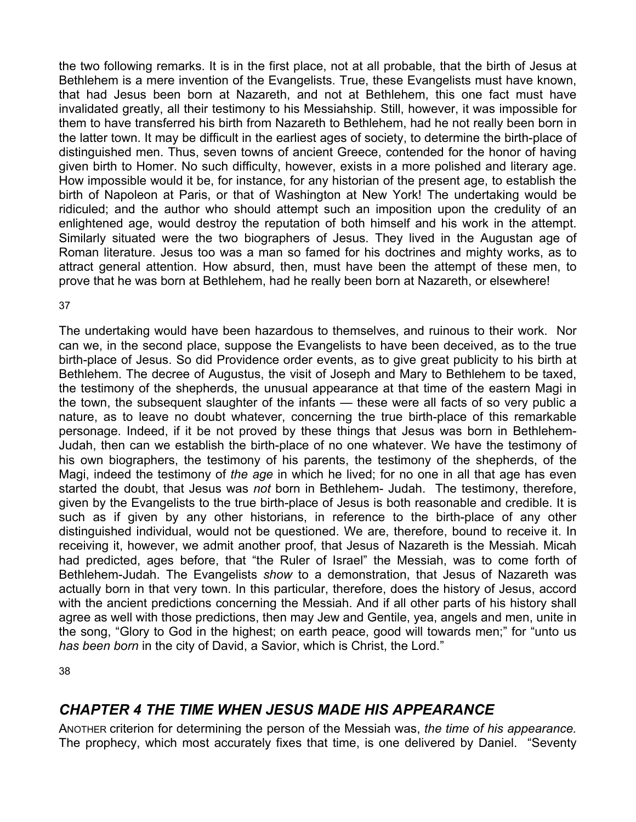the two following remarks. It is in the first place, not at all probable, that the birth of Jesus at Bethlehem is a mere invention of the Evangelists. True, these Evangelists must have known, that had Jesus been born at Nazareth, and not at Bethlehem, this one fact must have invalidated greatly, all their testimony to his Messiahship. Still, however, it was impossible for them to have transferred his birth from Nazareth to Bethlehem, had he not really been born in the latter town. It may be difficult in the earliest ages of society, to determine the birth-place of distinguished men. Thus, seven towns of ancient Greece, contended for the honor of having given birth to Homer. No such difficulty, however, exists in a more polished and literary age. How impossible would it be, for instance, for any historian of the present age, to establish the birth of Napoleon at Paris, or that of Washington at New York! The undertaking would be ridiculed; and the author who should attempt such an imposition upon the credulity of an enlightened age, would destroy the reputation of both himself and his work in the attempt. Similarly situated were the two biographers of Jesus. They lived in the Augustan age of Roman literature. Jesus too was a man so famed for his doctrines and mighty works, as to attract general attention. How absurd, then, must have been the attempt of these men, to prove that he was born at Bethlehem, had he really been born at Nazareth, or elsewhere!

#### 37

The undertaking would have been hazardous to themselves, and ruinous to their work. Nor can we, in the second place, suppose the Evangelists to have been deceived, as to the true birth-place of Jesus. So did Providence order events, as to give great publicity to his birth at Bethlehem. The decree of Augustus, the visit of Joseph and Mary to Bethlehem to be taxed, the testimony of the shepherds, the unusual appearance at that time of the eastern Magi in the town, the subsequent slaughter of the infants — these were all facts of so very public a nature, as to leave no doubt whatever, concerning the true birth-place of this remarkable personage. Indeed, if it be not proved by these things that Jesus was born in Bethlehem-Judah, then can we establish the birth-place of no one whatever. We have the testimony of his own biographers, the testimony of his parents, the testimony of the shepherds, of the Magi, indeed the testimony of *the age* in which he lived; for no one in all that age has even started the doubt, that Jesus was *not* born in Bethlehem- Judah. The testimony, therefore, given by the Evangelists to the true birth-place of Jesus is both reasonable and credible. It is such as if given by any other historians, in reference to the birth-place of any other distinguished individual, would not be questioned. We are, therefore, bound to receive it. In receiving it, however, we admit another proof, that Jesus of Nazareth is the Messiah. Micah had predicted, ages before, that "the Ruler of Israel" the Messiah, was to come forth of Bethlehem-Judah. The Evangelists *show* to a demonstration, that Jesus of Nazareth was actually born in that very town. In this particular, therefore, does the history of Jesus, accord with the ancient predictions concerning the Messiah. And if all other parts of his history shall agree as well with those predictions, then may Jew and Gentile, yea, angels and men, unite in the song, "Glory to God in the highest; on earth peace, good will towards men;" for "unto us *has been born* in the city of David, a Savior, which is Christ, the Lord."

38

### *CHAPTER 4 THE TIME WHEN JESUS MADE HIS APPEARANCE*

ANOTHER criterion for determining the person of the Messiah was, *the time of his appearance.*  The prophecy, which most accurately fixes that time, is one delivered by Daniel. "Seventy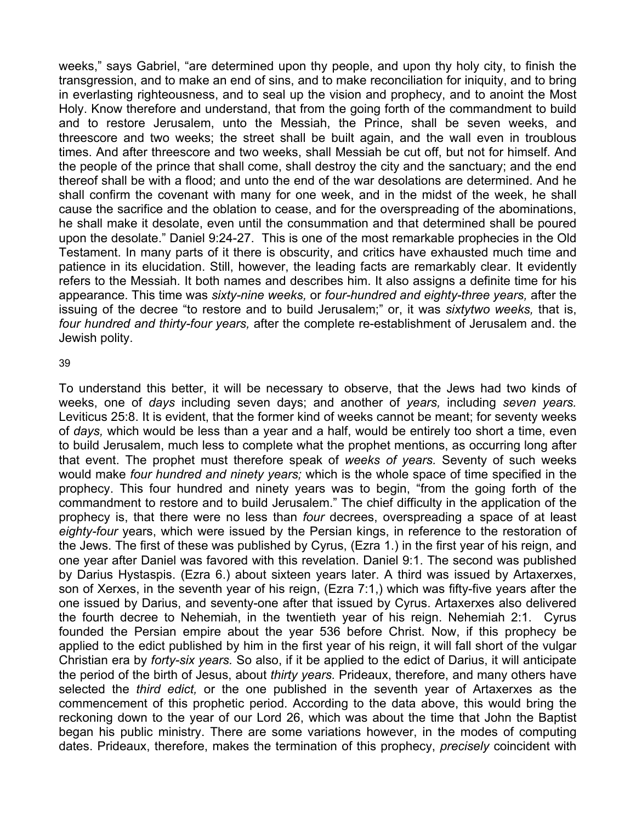weeks," says Gabriel, "are determined upon thy people, and upon thy holy city, to finish the transgression, and to make an end of sins, and to make reconciliation for iniquity, and to bring in everlasting righteousness, and to seal up the vision and prophecy, and to anoint the Most Holy. Know therefore and understand, that from the going forth of the commandment to build and to restore Jerusalem, unto the Messiah, the Prince, shall be seven weeks, and threescore and two weeks; the street shall be built again, and the wall even in troublous times. And after threescore and two weeks, shall Messiah be cut off, but not for himself. And the people of the prince that shall come, shall destroy the city and the sanctuary; and the end thereof shall be with a flood; and unto the end of the war desolations are determined. And he shall confirm the covenant with many for one week, and in the midst of the week, he shall cause the sacrifice and the oblation to cease, and for the overspreading of the abominations, he shall make it desolate, even until the consummation and that determined shall be poured upon the desolate." Daniel 9:24-27. This is one of the most remarkable prophecies in the Old Testament. In many parts of it there is obscurity, and critics have exhausted much time and patience in its elucidation. Still, however, the leading facts are remarkably clear. It evidently refers to the Messiah. It both names and describes him. It also assigns a definite time for his appearance. This time was *sixty-nine weeks,* or *four-hundred and eighty-three years,* after the issuing of the decree "to restore and to build Jerusalem;" or, it was *sixtytwo weeks,* that is, *four hundred and thirty-four years,* after the complete re-establishment of Jerusalem and. the Jewish polity.

#### 39

To understand this better, it will be necessary to observe, that the Jews had two kinds of weeks, one of *days* including seven days; and another of *years,* including *seven years.*  Leviticus 25:8. It is evident, that the former kind of weeks cannot be meant; for seventy weeks of *days,* which would be less than a year and a half, would be entirely too short a time, even to build Jerusalem, much less to complete what the prophet mentions, as occurring long after that event. The prophet must therefore speak of *weeks of years.* Seventy of such weeks would make *four hundred and ninety years;* which is the whole space of time specified in the prophecy. This four hundred and ninety years was to begin, "from the going forth of the commandment to restore and to build Jerusalem." The chief difficulty in the application of the prophecy is, that there were no less than *four* decrees, overspreading a space of at least *eighty-four* years, which were issued by the Persian kings, in reference to the restoration of the Jews. The first of these was published by Cyrus, (Ezra 1.) in the first year of his reign, and one year after Daniel was favored with this revelation. Daniel 9:1. The second was published by Darius Hystaspis. (Ezra 6.) about sixteen years later. A third was issued by Artaxerxes, son of Xerxes, in the seventh year of his reign, (Ezra 7:1,) which was fifty-five years after the one issued by Darius, and seventy-one after that issued by Cyrus. Artaxerxes also delivered the fourth decree to Nehemiah, in the twentieth year of his reign. Nehemiah 2:1. Cyrus founded the Persian empire about the year 536 before Christ. Now, if this prophecy be applied to the edict published by him in the first year of his reign, it will fall short of the vulgar Christian era by *forty-six years.* So also, if it be applied to the edict of Darius, it will anticipate the period of the birth of Jesus, about *thirty years.* Prideaux, therefore, and many others have selected the *third edict,* or the one published in the seventh year of Artaxerxes as the commencement of this prophetic period. According to the data above, this would bring the reckoning down to the year of our Lord 26, which was about the time that John the Baptist began his public ministry. There are some variations however, in the modes of computing dates. Prideaux, therefore, makes the termination of this prophecy, *precisely* coincident with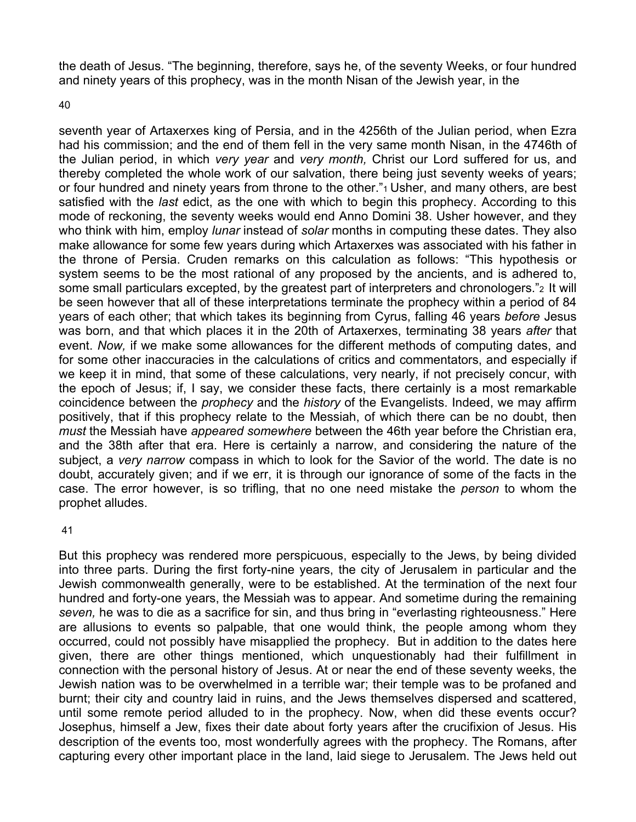the death of Jesus. "The beginning, therefore, says he, of the seventy Weeks, or four hundred and ninety years of this prophecy, was in the month Nisan of the Jewish year, in the

40

seventh year of Artaxerxes king of Persia, and in the 4256th of the Julian period, when Ezra had his commission; and the end of them fell in the very same month Nisan, in the 4746th of the Julian period, in which *very year* and *very month,* Christ our Lord suffered for us, and thereby completed the whole work of our salvation, there being just seventy weeks of years; or four hundred and ninety years from throne to the other."<sup>1</sup> Usher, and many others, are best satisfied with the *last* edict, as the one with which to begin this prophecy. According to this mode of reckoning, the seventy weeks would end Anno Domini 38. Usher however, and they who think with him, employ *lunar* instead of *solar* months in computing these dates. They also make allowance for some few years during which Artaxerxes was associated with his father in the throne of Persia. Cruden remarks on this calculation as follows: "This hypothesis or system seems to be the most rational of any proposed by the ancients, and is adhered to, some small particulars excepted, by the greatest part of interpreters and chronologers." 2 It will be seen however that all of these interpretations terminate the prophecy within a period of 84 years of each other; that which takes its beginning from Cyrus, falling 46 years *before* Jesus was born, and that which places it in the 20th of Artaxerxes, terminating 38 years *after* that event. *Now,* if we make some allowances for the different methods of computing dates, and for some other inaccuracies in the calculations of critics and commentators, and especially if we keep it in mind, that some of these calculations, very nearly, if not precisely concur, with the epoch of Jesus; if, I say, we consider these facts, there certainly is a most remarkable coincidence between the *prophecy* and the *history* of the Evangelists. Indeed, we may affirm positively, that if this prophecy relate to the Messiah, of which there can be no doubt, then *must* the Messiah have *appeared somewhere* between the 46th year before the Christian era, and the 38th after that era. Here is certainly a narrow, and considering the nature of the subject, a *very narrow* compass in which to look for the Savior of the world. The date is no doubt, accurately given; and if we err, it is through our ignorance of some of the facts in the case. The error however, is so trifling, that no one need mistake the *person* to whom the prophet alludes.

41

But this prophecy was rendered more perspicuous, especially to the Jews, by being divided into three parts. During the first forty-nine years, the city of Jerusalem in particular and the Jewish commonwealth generally, were to be established. At the termination of the next four hundred and forty-one years, the Messiah was to appear. And sometime during the remaining *seven,* he was to die as a sacrifice for sin, and thus bring in "everlasting righteousness." Here are allusions to events so palpable, that one would think, the people among whom they occurred, could not possibly have misapplied the prophecy. But in addition to the dates here given, there are other things mentioned, which unquestionably had their fulfillment in connection with the personal history of Jesus. At or near the end of these seventy weeks, the Jewish nation was to be overwhelmed in a terrible war; their temple was to be profaned and burnt; their city and country laid in ruins, and the Jews themselves dispersed and scattered, until some remote period alluded to in the prophecy. Now, when did these events occur? Josephus, himself a Jew, fixes their date about forty years after the crucifixion of Jesus. His description of the events too, most wonderfully agrees with the prophecy. The Romans, after capturing every other important place in the land, laid siege to Jerusalem. The Jews held out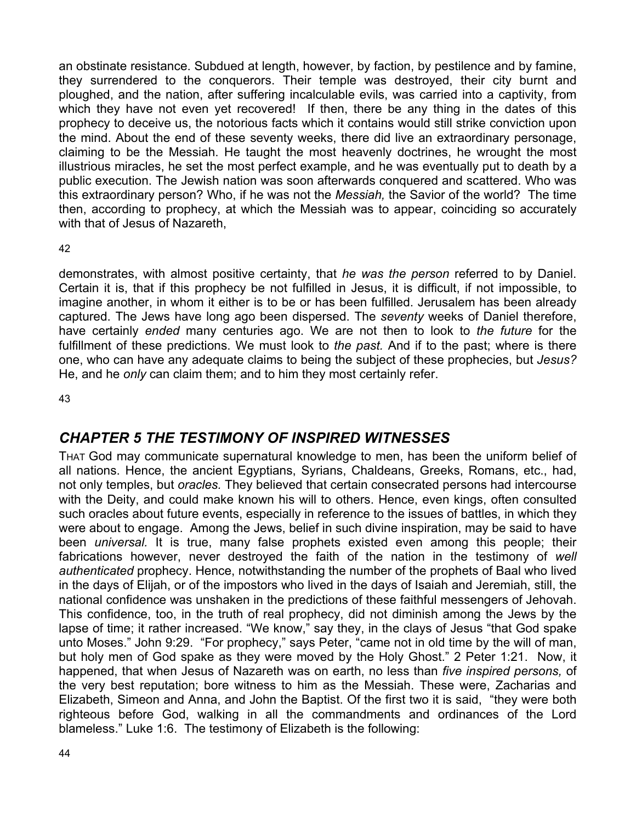an obstinate resistance. Subdued at length, however, by faction, by pestilence and by famine, they surrendered to the conquerors. Their temple was destroyed, their city burnt and ploughed, and the nation, after suffering incalculable evils, was carried into a captivity, from which they have not even yet recovered! If then, there be any thing in the dates of this prophecy to deceive us, the notorious facts which it contains would still strike conviction upon the mind. About the end of these seventy weeks, there did live an extraordinary personage, claiming to be the Messiah. He taught the most heavenly doctrines, he wrought the most illustrious miracles, he set the most perfect example, and he was eventually put to death by a public execution. The Jewish nation was soon afterwards conquered and scattered. Who was this extraordinary person? Who, if he was not the *Messiah,* the Savior of the world? The time then, according to prophecy, at which the Messiah was to appear, coinciding so accurately with that of Jesus of Nazareth,

42

demonstrates, with almost positive certainty, that *he was the person* referred to by Daniel. Certain it is, that if this prophecy be not fulfilled in Jesus, it is difficult, if not impossible, to imagine another, in whom it either is to be or has been fulfilled. Jerusalem has been already captured. The Jews have long ago been dispersed. The *seventy* weeks of Daniel therefore, have certainly *ended* many centuries ago. We are not then to look to *the future* for the fulfillment of these predictions. We must look to *the past.* And if to the past; where is there one, who can have any adequate claims to being the subject of these prophecies, but *Jesus?*  He, and he *only* can claim them; and to him they most certainly refer.

43

## *CHAPTER 5 THE TESTIMONY OF INSPIRED WITNESSES*

THAT God may communicate supernatural knowledge to men, has been the uniform belief of all nations. Hence, the ancient Egyptians, Syrians, Chaldeans, Greeks, Romans, etc., had, not only temples, but *oracles.* They believed that certain consecrated persons had intercourse with the Deity, and could make known his will to others. Hence, even kings, often consulted such oracles about future events, especially in reference to the issues of battles, in which they were about to engage. Among the Jews, belief in such divine inspiration, may be said to have been *universal.* It is true, many false prophets existed even among this people; their fabrications however, never destroyed the faith of the nation in the testimony of *well authenticated* prophecy. Hence, notwithstanding the number of the prophets of Baal who lived in the days of Elijah, or of the impostors who lived in the days of Isaiah and Jeremiah, still, the national confidence was unshaken in the predictions of these faithful messengers of Jehovah. This confidence, too, in the truth of real prophecy, did not diminish among the Jews by the lapse of time; it rather increased. "We know," say they, in the clays of Jesus "that God spake unto Moses." John 9:29. "For prophecy," says Peter, "came not in old time by the will of man, but holy men of God spake as they were moved by the Holy Ghost." 2 Peter 1:21. Now, it happened, that when Jesus of Nazareth was on earth, no less than *five inspired persons,* of the very best reputation; bore witness to him as the Messiah. These were, Zacharias and Elizabeth, Simeon and Anna, and John the Baptist. Of the first two it is said, "they were both righteous before God, walking in all the commandments and ordinances of the Lord blameless." Luke 1:6. The testimony of Elizabeth is the following: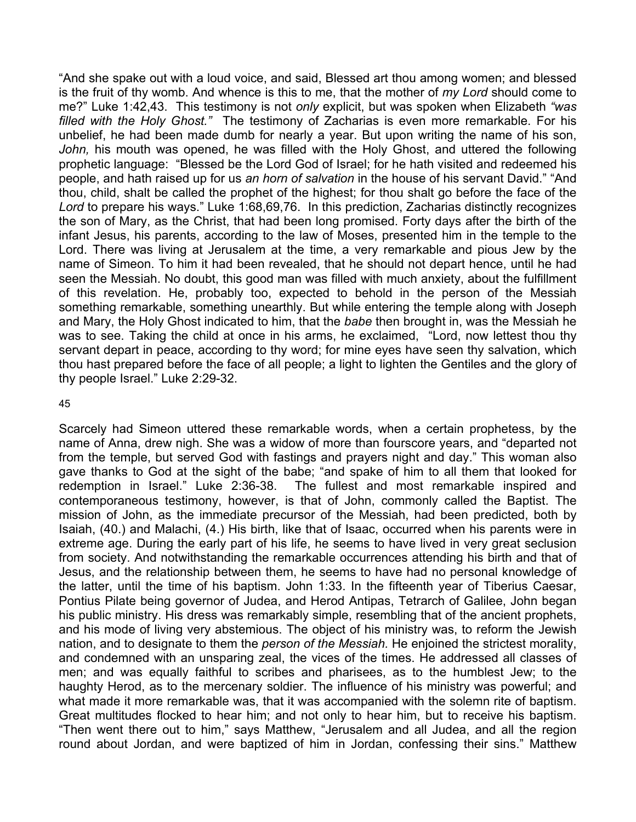"And she spake out with a loud voice, and said, Blessed art thou among women; and blessed is the fruit of thy womb. And whence is this to me, that the mother of *my Lord* should come to me?" Luke 1:42,43. This testimony is not *only* explicit, but was spoken when Elizabeth *"was filled with the Holy Ghost."* The testimony of Zacharias is even more remarkable. For his unbelief, he had been made dumb for nearly a year. But upon writing the name of his son, *John,* his mouth was opened, he was filled with the Holy Ghost, and uttered the following prophetic language: "Blessed be the Lord God of Israel; for he hath visited and redeemed his people, and hath raised up for us *an horn of salvation* in the house of his servant David." "And thou, child, shalt be called the prophet of the highest; for thou shalt go before the face of the *Lord* to prepare his ways." Luke 1:68,69,76. In this prediction, Zacharias distinctly recognizes the son of Mary, as the Christ, that had been long promised. Forty days after the birth of the infant Jesus, his parents, according to the law of Moses, presented him in the temple to the Lord. There was living at Jerusalem at the time, a very remarkable and pious Jew by the name of Simeon. To him it had been revealed, that he should not depart hence, until he had seen the Messiah. No doubt, this good man was filled with much anxiety, about the fulfillment of this revelation. He, probably too, expected to behold in the person of the Messiah something remarkable, something unearthly. But while entering the temple along with Joseph and Mary, the Holy Ghost indicated to him, that the *babe* then brought in, was the Messiah he was to see. Taking the child at once in his arms, he exclaimed, "Lord, now lettest thou thy servant depart in peace, according to thy word; for mine eyes have seen thy salvation, which thou hast prepared before the face of all people; a light to lighten the Gentiles and the glory of thy people Israel." Luke 2:29-32.

#### 45

Scarcely had Simeon uttered these remarkable words, when a certain prophetess, by the name of Anna, drew nigh. She was a widow of more than fourscore years, and "departed not from the temple, but served God with fastings and prayers night and day." This woman also gave thanks to God at the sight of the babe; "and spake of him to all them that looked for redemption in Israel." Luke 2:36-38. The fullest and most remarkable inspired and contemporaneous testimony, however, is that of John, commonly called the Baptist. The mission of John, as the immediate precursor of the Messiah, had been predicted, both by Isaiah, (40.) and Malachi, (4.) His birth, like that of Isaac, occurred when his parents were in extreme age. During the early part of his life, he seems to have lived in very great seclusion from society. And notwithstanding the remarkable occurrences attending his birth and that of Jesus, and the relationship between them, he seems to have had no personal knowledge of the latter, until the time of his baptism. John 1:33. In the fifteenth year of Tiberius Caesar, Pontius Pilate being governor of Judea, and Herod Antipas, Tetrarch of Galilee, John began his public ministry. His dress was remarkably simple, resembling that of the ancient prophets, and his mode of living very abstemious. The object of his ministry was, to reform the Jewish nation, and to designate to them the *person of the Messiah.* He enjoined the strictest morality, and condemned with an unsparing zeal, the vices of the times. He addressed all classes of men; and was equally faithful to scribes and pharisees, as to the humblest Jew; to the haughty Herod, as to the mercenary soldier. The influence of his ministry was powerful; and what made it more remarkable was, that it was accompanied with the solemn rite of baptism. Great multitudes flocked to hear him; and not only to hear him, but to receive his baptism. "Then went there out to him," says Matthew, "Jerusalem and all Judea, and all the region round about Jordan, and were baptized of him in Jordan, confessing their sins." Matthew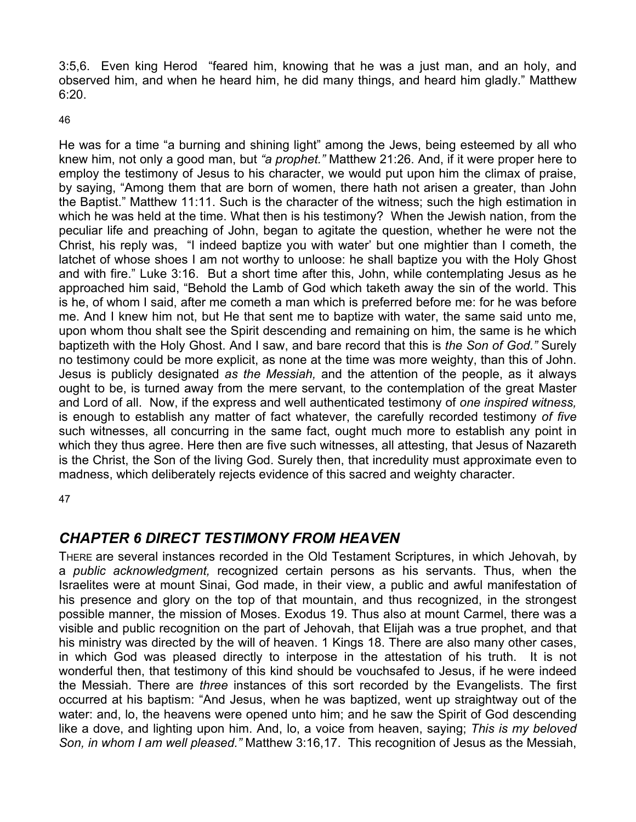3:5,6. Even king Herod "feared him, knowing that he was a just man, and an holy, and observed him, and when he heard him, he did many things, and heard him gladly." Matthew 6:20.

46

He was for a time "a burning and shining light" among the Jews, being esteemed by all who knew him, not only a good man, but *"a prophet."* Matthew 21:26. And, if it were proper here to employ the testimony of Jesus to his character, we would put upon him the climax of praise, by saying, "Among them that are born of women, there hath not arisen a greater, than John the Baptist." Matthew 11:11. Such is the character of the witness; such the high estimation in which he was held at the time. What then is his testimony? When the Jewish nation, from the peculiar life and preaching of John, began to agitate the question, whether he were not the Christ, his reply was, "I indeed baptize you with water' but one mightier than I cometh, the latchet of whose shoes I am not worthy to unloose: he shall baptize you with the Holy Ghost and with fire." Luke 3:16. But a short time after this, John, while contemplating Jesus as he approached him said, "Behold the Lamb of God which taketh away the sin of the world. This is he, of whom I said, after me cometh a man which is preferred before me: for he was before me. And I knew him not, but He that sent me to baptize with water, the same said unto me, upon whom thou shalt see the Spirit descending and remaining on him, the same is he which baptizeth with the Holy Ghost. And I saw, and bare record that this is *the Son of God."* Surely no testimony could be more explicit, as none at the time was more weighty, than this of John. Jesus is publicly designated *as the Messiah,* and the attention of the people, as it always ought to be, is turned away from the mere servant, to the contemplation of the great Master and Lord of all. Now, if the express and well authenticated testimony of *one inspired witness,*  is enough to establish any matter of fact whatever, the carefully recorded testimony *of five*  such witnesses, all concurring in the same fact, ought much more to establish any point in which they thus agree. Here then are five such witnesses, all attesting, that Jesus of Nazareth is the Christ, the Son of the living God. Surely then, that incredulity must approximate even to madness, which deliberately rejects evidence of this sacred and weighty character.

47

## *CHAPTER 6 DIRECT TESTIMONY FROM HEAVEN*

THERE are several instances recorded in the Old Testament Scriptures, in which Jehovah, by a *public acknowledgment,* recognized certain persons as his servants. Thus, when the Israelites were at mount Sinai, God made, in their view, a public and awful manifestation of his presence and glory on the top of that mountain, and thus recognized, in the strongest possible manner, the mission of Moses. Exodus 19. Thus also at mount Carmel, there was a visible and public recognition on the part of Jehovah, that Elijah was a true prophet, and that his ministry was directed by the will of heaven. 1 Kings 18. There are also many other cases, in which God was pleased directly to interpose in the attestation of his truth. It is not wonderful then, that testimony of this kind should be vouchsafed to Jesus, if he were indeed the Messiah. There are *three* instances of this sort recorded by the Evangelists. The first occurred at his baptism: "And Jesus, when he was baptized, went up straightway out of the water: and, lo, the heavens were opened unto him; and he saw the Spirit of God descending like a dove, and lighting upon him. And, lo, a voice from heaven, saying; *This is my beloved Son, in whom I am well pleased."* Matthew 3:16,17. This recognition of Jesus as the Messiah,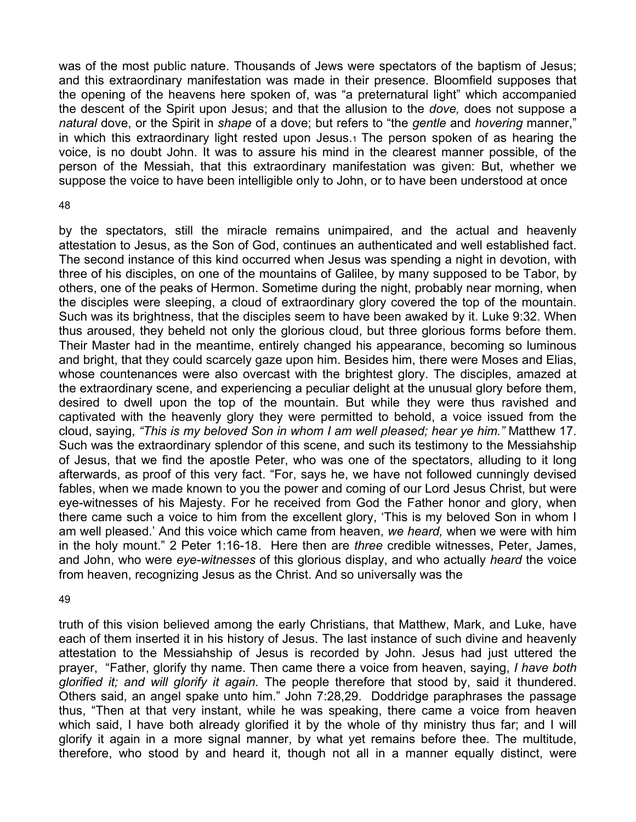was of the most public nature. Thousands of Jews were spectators of the baptism of Jesus; and this extraordinary manifestation was made in their presence. Bloomfield supposes that the opening of the heavens here spoken of, was "a preternatural light" which accompanied the descent of the Spirit upon Jesus; and that the allusion to the *dove,* does not suppose a *natural* dove, or the Spirit in *shape* of a dove; but refers to "the *gentle* and *hovering* manner," in which this extraordinary light rested upon Jesus.1 The person spoken of as hearing the voice, is no doubt John. It was to assure his mind in the clearest manner possible, of the person of the Messiah, that this extraordinary manifestation was given: But, whether we suppose the voice to have been intelligible only to John, or to have been understood at once

#### 48

by the spectators, still the miracle remains unimpaired, and the actual and heavenly attestation to Jesus, as the Son of God, continues an authenticated and well established fact. The second instance of this kind occurred when Jesus was spending a night in devotion, with three of his disciples, on one of the mountains of Galilee, by many supposed to be Tabor, by others, one of the peaks of Hermon. Sometime during the night, probably near morning, when the disciples were sleeping, a cloud of extraordinary glory covered the top of the mountain. Such was its brightness, that the disciples seem to have been awaked by it. Luke 9:32. When thus aroused, they beheld not only the glorious cloud, but three glorious forms before them. Their Master had in the meantime, entirely changed his appearance, becoming so luminous and bright, that they could scarcely gaze upon him. Besides him, there were Moses and Elias, whose countenances were also overcast with the brightest glory. The disciples, amazed at the extraordinary scene, and experiencing a peculiar delight at the unusual glory before them, desired to dwell upon the top of the mountain. But while they were thus ravished and captivated with the heavenly glory they were permitted to behold, a voice issued from the cloud, saying, *"This is my beloved Son in whom I am well pleased; hear ye him."* Matthew 17. Such was the extraordinary splendor of this scene, and such its testimony to the Messiahship of Jesus, that we find the apostle Peter, who was one of the spectators, alluding to it long afterwards, as proof of this very fact. "For, says he, we have not followed cunningly devised fables, when we made known to you the power and coming of our Lord Jesus Christ, but were eye-witnesses of his Majesty. For he received from God the Father honor and glory, when there came such a voice to him from the excellent glory, 'This is my beloved Son in whom I am well pleased.' And this voice which came from heaven, *we heard,* when we were with him in the holy mount." 2 Peter 1:16-18. Here then are *three* credible witnesses, Peter, James, and John, who were *eye-witnesses* of this glorious display, and who actually *heard* the voice from heaven, recognizing Jesus as the Christ. And so universally was the

#### 49

truth of this vision believed among the early Christians, that Matthew, Mark, and Luke, have each of them inserted it in his history of Jesus. The last instance of such divine and heavenly attestation to the Messiahship of Jesus is recorded by John. Jesus had just uttered the prayer, "Father, glorify thy name. Then came there a voice from heaven, saying, *I have both glorified it; and will glorify it again.* The people therefore that stood by, said it thundered. Others said, an angel spake unto him." John 7:28,29. Doddridge paraphrases the passage thus, "Then at that very instant, while he was speaking, there came a voice from heaven which said, I have both already glorified it by the whole of thy ministry thus far; and I will glorify it again in a more signal manner, by what yet remains before thee. The multitude, therefore, who stood by and heard it, though not all in a manner equally distinct, were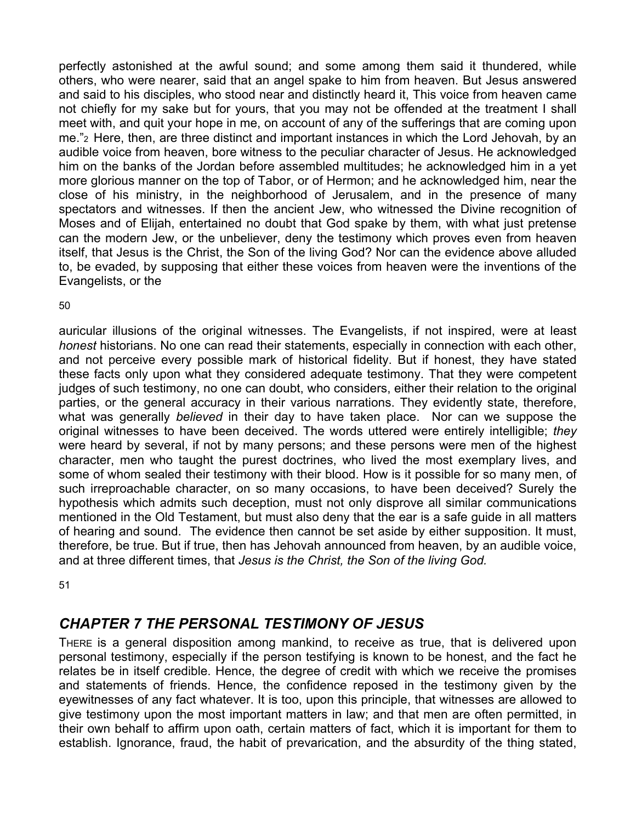perfectly astonished at the awful sound; and some among them said it thundered, while others, who were nearer, said that an angel spake to him from heaven. But Jesus answered and said to his disciples, who stood near and distinctly heard it, This voice from heaven came not chiefly for my sake but for yours, that you may not be offended at the treatment I shall meet with, and quit your hope in me, on account of any of the sufferings that are coming upon me."2 Here, then, are three distinct and important instances in which the Lord Jehovah, by an audible voice from heaven, bore witness to the peculiar character of Jesus. He acknowledged him on the banks of the Jordan before assembled multitudes; he acknowledged him in a yet more glorious manner on the top of Tabor, or of Hermon; and he acknowledged him, near the close of his ministry, in the neighborhood of Jerusalem, and in the presence of many spectators and witnesses. If then the ancient Jew, who witnessed the Divine recognition of Moses and of Elijah, entertained no doubt that God spake by them, with what just pretense can the modern Jew, or the unbeliever, deny the testimony which proves even from heaven itself, that Jesus is the Christ, the Son of the living God? Nor can the evidence above alluded to, be evaded, by supposing that either these voices from heaven were the inventions of the Evangelists, or the

50

auricular illusions of the original witnesses. The Evangelists, if not inspired, were at least *honest* historians. No one can read their statements, especially in connection with each other, and not perceive every possible mark of historical fidelity. But if honest, they have stated these facts only upon what they considered adequate testimony. That they were competent judges of such testimony, no one can doubt, who considers, either their relation to the original parties, or the general accuracy in their various narrations. They evidently state, therefore, what was generally *believed* in their day to have taken place. Nor can we suppose the original witnesses to have been deceived. The words uttered were entirely intelligible; *they*  were heard by several, if not by many persons; and these persons were men of the highest character, men who taught the purest doctrines, who lived the most exemplary lives, and some of whom sealed their testimony with their blood. How is it possible for so many men, of such irreproachable character, on so many occasions, to have been deceived? Surely the hypothesis which admits such deception, must not only disprove all similar communications mentioned in the Old Testament, but must also deny that the ear is a safe guide in all matters of hearing and sound. The evidence then cannot be set aside by either supposition. It must, therefore, be true. But if true, then has Jehovah announced from heaven, by an audible voice, and at three different times, that *Jesus is the Christ, the Son of the living God.* 

51

## *CHAPTER 7 THE PERSONAL TESTIMONY OF JESUS*

THERE is a general disposition among mankind, to receive as true, that is delivered upon personal testimony, especially if the person testifying is known to be honest, and the fact he relates be in itself credible. Hence, the degree of credit with which we receive the promises and statements of friends. Hence, the confidence reposed in the testimony given by the eyewitnesses of any fact whatever. It is too, upon this principle, that witnesses are allowed to give testimony upon the most important matters in law; and that men are often permitted, in their own behalf to affirm upon oath, certain matters of fact, which it is important for them to establish. Ignorance, fraud, the habit of prevarication, and the absurdity of the thing stated,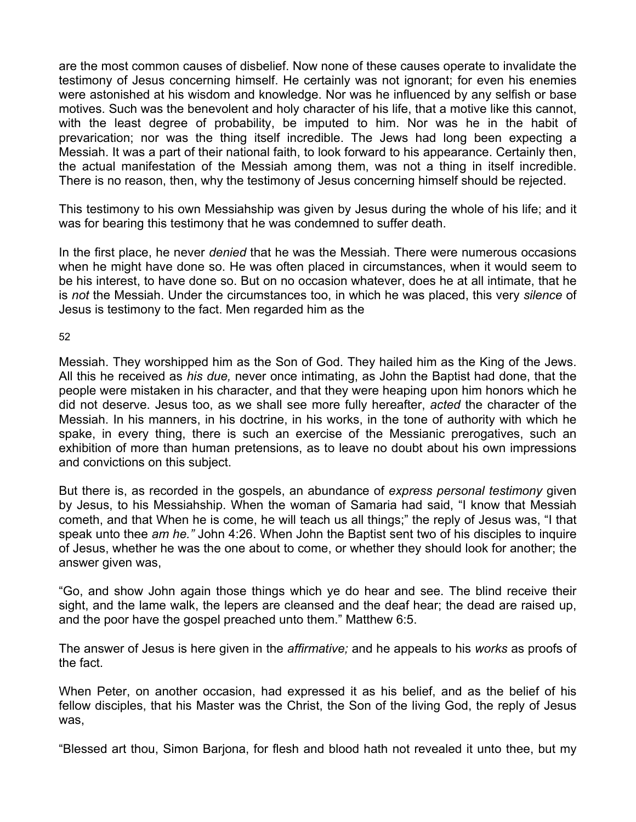are the most common causes of disbelief. Now none of these causes operate to invalidate the testimony of Jesus concerning himself. He certainly was not ignorant; for even his enemies were astonished at his wisdom and knowledge. Nor was he influenced by any selfish or base motives. Such was the benevolent and holy character of his life, that a motive like this cannot, with the least degree of probability, be imputed to him. Nor was he in the habit of prevarication; nor was the thing itself incredible. The Jews had long been expecting a Messiah. It was a part of their national faith, to look forward to his appearance. Certainly then, the actual manifestation of the Messiah among them, was not a thing in itself incredible. There is no reason, then, why the testimony of Jesus concerning himself should be rejected.

This testimony to his own Messiahship was given by Jesus during the whole of his life; and it was for bearing this testimony that he was condemned to suffer death.

In the first place, he never *denied* that he was the Messiah. There were numerous occasions when he might have done so. He was often placed in circumstances, when it would seem to be his interest, to have done so. But on no occasion whatever, does he at all intimate, that he is *not* the Messiah. Under the circumstances too, in which he was placed, this very *silence* of Jesus is testimony to the fact. Men regarded him as the

52

Messiah. They worshipped him as the Son of God. They hailed him as the King of the Jews. All this he received as *his due,* never once intimating, as John the Baptist had done, that the people were mistaken in his character, and that they were heaping upon him honors which he did not deserve. Jesus too, as we shall see more fully hereafter, *acted* the character of the Messiah. In his manners, in his doctrine, in his works, in the tone of authority with which he spake, in every thing, there is such an exercise of the Messianic prerogatives, such an exhibition of more than human pretensions, as to leave no doubt about his own impressions and convictions on this subject.

But there is, as recorded in the gospels, an abundance of *express personal testimony* given by Jesus, to his Messiahship. When the woman of Samaria had said, "I know that Messiah cometh, and that When he is come, he will teach us all things;" the reply of Jesus was, "I that speak unto thee *am he."* John 4:26. When John the Baptist sent two of his disciples to inquire of Jesus, whether he was the one about to come, or whether they should look for another; the answer given was,

"Go, and show John again those things which ye do hear and see. The blind receive their sight, and the lame walk, the lepers are cleansed and the deaf hear; the dead are raised up, and the poor have the gospel preached unto them." Matthew 6:5.

The answer of Jesus is here given in the *affirmative;* and he appeals to his *works* as proofs of the fact.

When Peter, on another occasion, had expressed it as his belief, and as the belief of his fellow disciples, that his Master was the Christ, the Son of the living God, the reply of Jesus was,

"Blessed art thou, Simon Barjona, for flesh and blood hath not revealed it unto thee, but my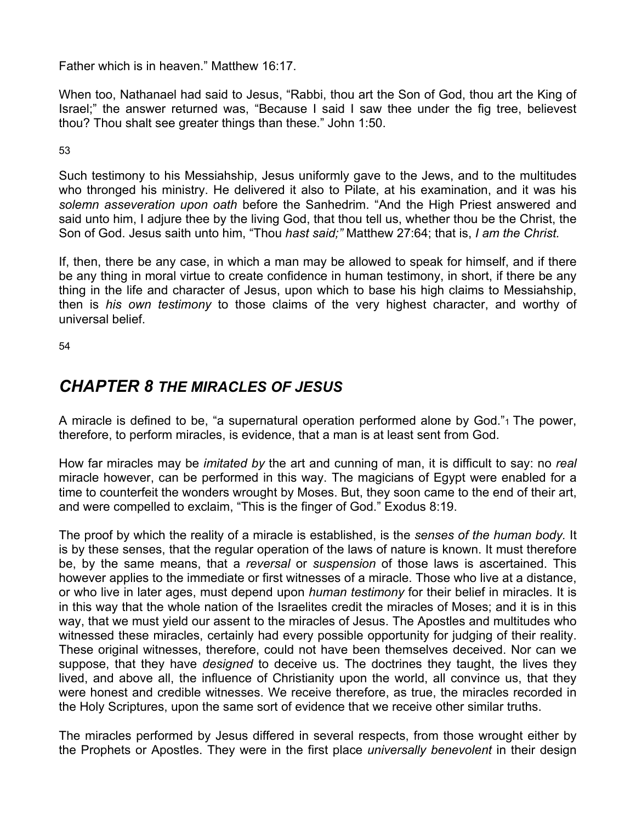Father which is in heaven." Matthew 16:17.

When too, Nathanael had said to Jesus, "Rabbi, thou art the Son of God, thou art the King of Israel;" the answer returned was, "Because I said I saw thee under the fig tree, believest thou? Thou shalt see greater things than these." John 1:50.

53

Such testimony to his Messiahship, Jesus uniformly gave to the Jews, and to the multitudes who thronged his ministry. He delivered it also to Pilate, at his examination, and it was his *solemn asseveration upon oath* before the Sanhedrim. "And the High Priest answered and said unto him, I adjure thee by the living God, that thou tell us, whether thou be the Christ, the Son of God. Jesus saith unto him, "Thou *hast said;"* Matthew 27:64; that is, *I am the Christ.* 

If, then, there be any case, in which a man may be allowed to speak for himself, and if there be any thing in moral virtue to create confidence in human testimony, in short, if there be any thing in the life and character of Jesus, upon which to base his high claims to Messiahship, then is *his own testimony* to those claims of the very highest character, and worthy of universal belief.

54

## *CHAPTER 8 THE MIRACLES OF JESUS*

A miracle is defined to be, "a supernatural operation performed alone by God."1 The power, therefore, to perform miracles, is evidence, that a man is at least sent from God.

How far miracles may be *imitated by* the art and cunning of man, it is difficult to say: no *real*  miracle however, can be performed in this way. The magicians of Egypt were enabled for a time to counterfeit the wonders wrought by Moses. But, they soon came to the end of their art, and were compelled to exclaim, "This is the finger of God." Exodus 8:19.

The proof by which the reality of a miracle is established, is the *senses of the human body.* It is by these senses, that the regular operation of the laws of nature is known. It must therefore be, by the same means, that a *reversal* or *suspension* of those laws is ascertained. This however applies to the immediate or first witnesses of a miracle. Those who live at a distance, or who live in later ages, must depend upon *human testimony* for their belief in miracles. It is in this way that the whole nation of the Israelites credit the miracles of Moses; and it is in this way, that we must yield our assent to the miracles of Jesus. The Apostles and multitudes who witnessed these miracles, certainly had every possible opportunity for judging of their reality. These original witnesses, therefore, could not have been themselves deceived. Nor can we suppose, that they have *designed* to deceive us. The doctrines they taught, the lives they lived, and above all, the influence of Christianity upon the world, all convince us, that they were honest and credible witnesses. We receive therefore, as true, the miracles recorded in the Holy Scriptures, upon the same sort of evidence that we receive other similar truths.

The miracles performed by Jesus differed in several respects, from those wrought either by the Prophets or Apostles. They were in the first place *universally benevolent* in their design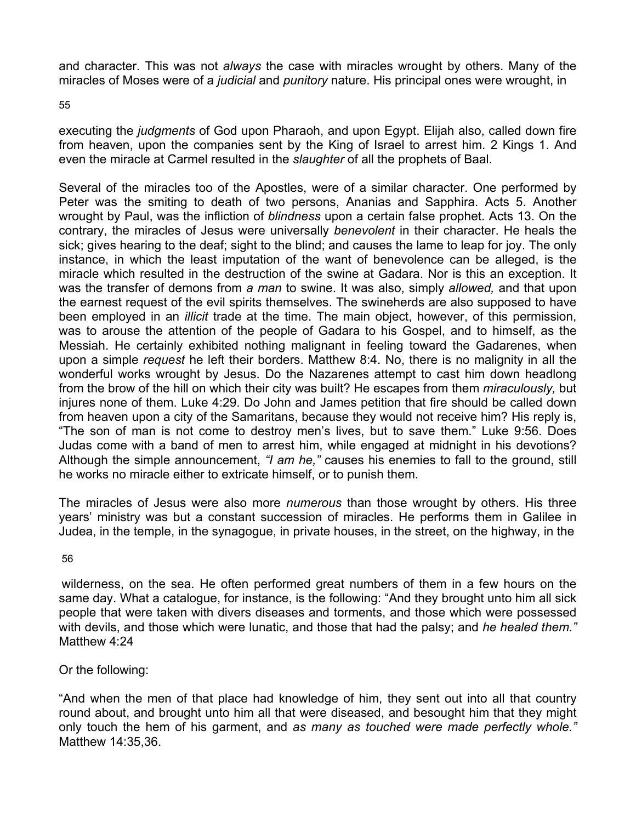and character. This was not *always* the case with miracles wrought by others. Many of the miracles of Moses were of a *judicial* and *punitory* nature. His principal ones were wrought, in

55

executing the *judgments* of God upon Pharaoh, and upon Egypt. Elijah also, called down fire from heaven, upon the companies sent by the King of Israel to arrest him. 2 Kings 1. And even the miracle at Carmel resulted in the *slaughter* of all the prophets of Baal.

Several of the miracles too of the Apostles, were of a similar character. One performed by Peter was the smiting to death of two persons, Ananias and Sapphira. Acts 5. Another wrought by Paul, was the infliction of *blindness* upon a certain false prophet. Acts 13. On the contrary, the miracles of Jesus were universally *benevolent* in their character. He heals the sick; gives hearing to the deaf; sight to the blind; and causes the lame to leap for joy. The only instance, in which the least imputation of the want of benevolence can be alleged, is the miracle which resulted in the destruction of the swine at Gadara. Nor is this an exception. It was the transfer of demons from *a man* to swine. It was also, simply *allowed,* and that upon the earnest request of the evil spirits themselves. The swineherds are also supposed to have been employed in an *illicit* trade at the time. The main object, however, of this permission, was to arouse the attention of the people of Gadara to his Gospel, and to himself, as the Messiah. He certainly exhibited nothing malignant in feeling toward the Gadarenes, when upon a simple *request* he left their borders. Matthew 8:4. No, there is no malignity in all the wonderful works wrought by Jesus. Do the Nazarenes attempt to cast him down headlong from the brow of the hill on which their city was built? He escapes from them *miraculously,* but injures none of them. Luke 4:29. Do John and James petition that fire should be called down from heaven upon a city of the Samaritans, because they would not receive him? His reply is, "The son of man is not come to destroy men's lives, but to save them." Luke 9:56. Does Judas come with a band of men to arrest him, while engaged at midnight in his devotions? Although the simple announcement, *"I am he,"* causes his enemies to fall to the ground, still he works no miracle either to extricate himself, or to punish them.

The miracles of Jesus were also more *numerous* than those wrought by others. His three years' ministry was but a constant succession of miracles. He performs them in Galilee in Judea, in the temple, in the synagogue, in private houses, in the street, on the highway, in the

56

wilderness, on the sea. He often performed great numbers of them in a few hours on the same day. What a catalogue, for instance, is the following: "And they brought unto him all sick people that were taken with divers diseases and torments, and those which were possessed with devils, and those which were lunatic, and those that had the palsy; and *he healed them."*  Matthew 4:24

Or the following:

"And when the men of that place had knowledge of him, they sent out into all that country round about, and brought unto him all that were diseased, and besought him that they might only touch the hem of his garment, and *as many as touched were made perfectly whole."*  Matthew 14:35,36.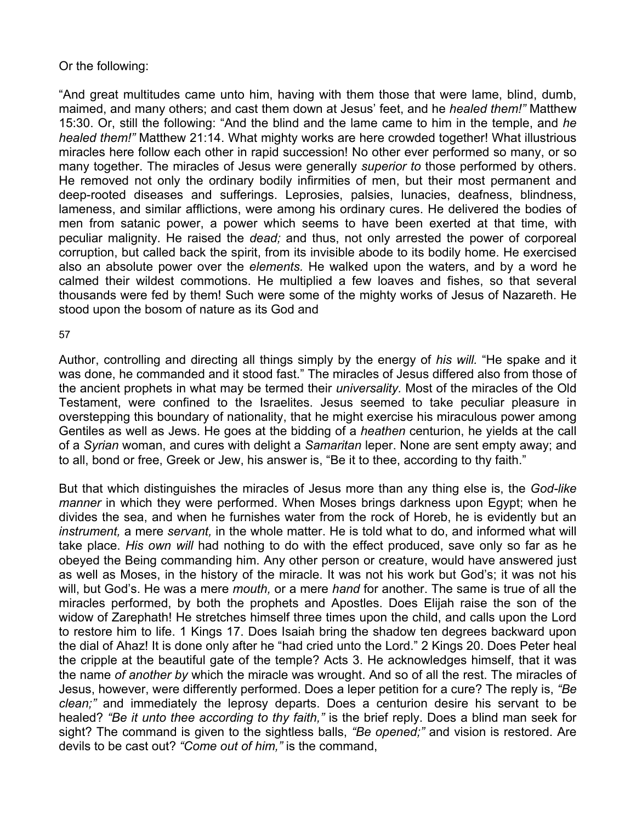#### Or the following:

"And great multitudes came unto him, having with them those that were lame, blind, dumb, maimed, and many others; and cast them down at Jesus' feet, and he *healed them!"* Matthew 15:30. Or, still the following: "And the blind and the lame came to him in the temple, and *he healed them!"* Matthew 21:14. What mighty works are here crowded together! What illustrious miracles here follow each other in rapid succession! No other ever performed so many, or so many together. The miracles of Jesus were generally *superior to* those performed by others. He removed not only the ordinary bodily infirmities of men, but their most permanent and deep-rooted diseases and sufferings. Leprosies, palsies, lunacies, deafness, blindness, lameness, and similar afflictions, were among his ordinary cures. He delivered the bodies of men from satanic power, a power which seems to have been exerted at that time, with peculiar malignity. He raised the *dead;* and thus, not only arrested the power of corporeal corruption, but called back the spirit, from its invisible abode to its bodily home. He exercised also an absolute power over the *elements.* He walked upon the waters, and by a word he calmed their wildest commotions. He multiplied a few loaves and fishes, so that several thousands were fed by them! Such were some of the mighty works of Jesus of Nazareth. He stood upon the bosom of nature as its God and

#### 57

Author, controlling and directing all things simply by the energy of *his will.* "He spake and it was done, he commanded and it stood fast." The miracles of Jesus differed also from those of the ancient prophets in what may be termed their *universality.* Most of the miracles of the Old Testament, were confined to the Israelites. Jesus seemed to take peculiar pleasure in overstepping this boundary of nationality, that he might exercise his miraculous power among Gentiles as well as Jews. He goes at the bidding of a *heathen* centurion, he yields at the call of a *Syrian* woman, and cures with delight a *Samaritan* leper. None are sent empty away; and to all, bond or free, Greek or Jew, his answer is, "Be it to thee, according to thy faith."

But that which distinguishes the miracles of Jesus more than any thing else is, the *God-like manner* in which they were performed. When Moses brings darkness upon Egypt; when he divides the sea, and when he furnishes water from the rock of Horeb, he is evidently but an *instrument,* a mere *servant,* in the whole matter. He is told what to do, and informed what will take place. *His own will* had nothing to do with the effect produced, save only so far as he obeyed the Being commanding him. Any other person or creature, would have answered just as well as Moses, in the history of the miracle. It was not his work but God's; it was not his will, but God's. He was a mere *mouth,* or a mere *hand* for another. The same is true of all the miracles performed, by both the prophets and Apostles. Does Elijah raise the son of the widow of Zarephath! He stretches himself three times upon the child, and calls upon the Lord to restore him to life. 1 Kings 17. Does Isaiah bring the shadow ten degrees backward upon the dial of Ahaz! It is done only after he "had cried unto the Lord." 2 Kings 20. Does Peter heal the cripple at the beautiful gate of the temple? Acts 3. He acknowledges himself, that it was the name *of another by* which the miracle was wrought. And so of all the rest. The miracles of Jesus, however, were differently performed. Does a leper petition for a cure? The reply is, *"Be clean;"* and immediately the leprosy departs. Does a centurion desire his servant to be healed? *"Be it unto thee according to thy faith,"* is the brief reply. Does a blind man seek for sight? The command is given to the sightless balls, *"Be opened;"* and vision is restored. Are devils to be cast out? *"Come out of him,"* is the command,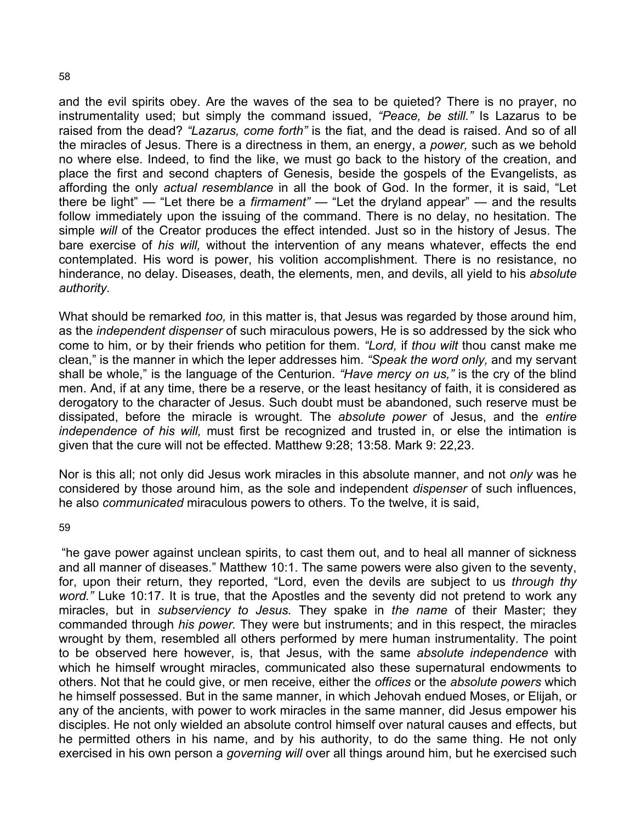and the evil spirits obey. Are the waves of the sea to be quieted? There is no prayer, no instrumentality used; but simply the command issued, *"Peace, be still."* Is Lazarus to be raised from the dead? *"Lazarus, come forth"* is the fiat, and the dead is raised. And so of all the miracles of Jesus. There is a directness in them, an energy, a *power,* such as we behold no where else. Indeed, to find the like, we must go back to the history of the creation, and place the first and second chapters of Genesis, beside the gospels of the Evangelists, as affording the only *actual resemblance* in all the book of God. In the former, it is said, "Let there be light" — "Let there be a *firmament"* — "Let the dryland appear" — and the results follow immediately upon the issuing of the command. There is no delay, no hesitation. The simple *will* of the Creator produces the effect intended. Just so in the history of Jesus. The bare exercise of *his will,* without the intervention of any means whatever, effects the end contemplated. His word is power, his volition accomplishment. There is no resistance, no hinderance, no delay. Diseases, death, the elements, men, and devils, all yield to his *absolute authority.* 

What should be remarked *too,* in this matter is, that Jesus was regarded by those around him, as the *independent dispenser* of such miraculous powers, He is so addressed by the sick who come to him, or by their friends who petition for them. *"Lord,* if *thou wilt* thou canst make me clean," is the manner in which the leper addresses him. *"Speak the word only,* and my servant shall be whole," is the language of the Centurion. *"Have mercy on us,"* is the cry of the blind men. And, if at any time, there be a reserve, or the least hesitancy of faith, it is considered as derogatory to the character of Jesus. Such doubt must be abandoned, such reserve must be dissipated, before the miracle is wrought. The *absolute power* of Jesus, and the *entire independence of his will,* must first be recognized and trusted in, or else the intimation is given that the cure will not be effected. Matthew 9:28; 13:58. Mark 9: 22,23.

Nor is this all; not only did Jesus work miracles in this absolute manner, and not *only* was he considered by those around him, as the sole and independent *dispenser* of such influences, he also *communicated* miraculous powers to others. To the twelve, it is said,

59

"he gave power against unclean spirits, to cast them out, and to heal all manner of sickness and all manner of diseases." Matthew 10:1. The same powers were also given to the seventy, for, upon their return, they reported, "Lord, even the devils are subject to us *through thy word."* Luke 10:17. It is true, that the Apostles and the seventy did not pretend to work any miracles, but in *subserviency to Jesus.* They spake in *the name* of their Master; they commanded through *his power.* They were but instruments; and in this respect, the miracles wrought by them, resembled all others performed by mere human instrumentality. The point to be observed here however, is, that Jesus, with the same *absolute independence* with which he himself wrought miracles, communicated also these supernatural endowments to others. Not that he could give, or men receive, either the *offices* or the *absolute powers* which he himself possessed. But in the same manner, in which Jehovah endued Moses, or Elijah, or any of the ancients, with power to work miracles in the same manner, did Jesus empower his disciples. He not only wielded an absolute control himself over natural causes and effects, but he permitted others in his name, and by his authority, to do the same thing. He not only exercised in his own person a *governing will* over all things around him, but he exercised such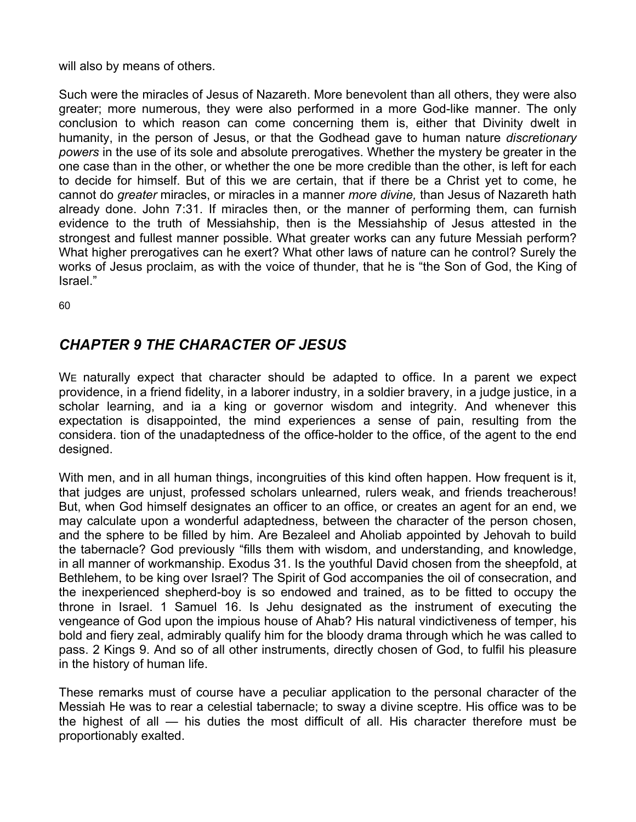will also by means of others.

Such were the miracles of Jesus of Nazareth. More benevolent than all others, they were also greater; more numerous, they were also performed in a more God-like manner. The only conclusion to which reason can come concerning them is, either that Divinity dwelt in humanity, in the person of Jesus, or that the Godhead gave to human nature *discretionary powers* in the use of its sole and absolute prerogatives. Whether the mystery be greater in the one case than in the other, or whether the one be more credible than the other, is left for each to decide for himself. But of this we are certain, that if there be a Christ yet to come, he cannot do *greater* miracles, or miracles in a manner *more divine,* than Jesus of Nazareth hath already done. John 7:31. If miracles then, or the manner of performing them, can furnish evidence to the truth of Messiahship, then is the Messiahship of Jesus attested in the strongest and fullest manner possible. What greater works can any future Messiah perform? What higher prerogatives can he exert? What other laws of nature can he control? Surely the works of Jesus proclaim, as with the voice of thunder, that he is "the Son of God, the King of Israel"

60

## *CHAPTER 9 THE CHARACTER OF JESUS*

WE naturally expect that character should be adapted to office. In a parent we expect providence, in a friend fidelity, in a laborer industry, in a soldier bravery, in a judge justice, in a scholar learning, and ia a king or governor wisdom and integrity. And whenever this expectation is disappointed, the mind experiences a sense of pain, resulting from the considera. tion of the unadaptedness of the office-holder to the office, of the agent to the end designed.

With men, and in all human things, incongruities of this kind often happen. How frequent is it, that judges are unjust, professed scholars unlearned, rulers weak, and friends treacherous! But, when God himself designates an officer to an office, or creates an agent for an end, we may calculate upon a wonderful adaptedness, between the character of the person chosen, and the sphere to be filled by him. Are Bezaleel and Aholiab appointed by Jehovah to build the tabernacle? God previously "fills them with wisdom, and understanding, and knowledge, in all manner of workmanship. Exodus 31. Is the youthful David chosen from the sheepfold, at Bethlehem, to be king over Israel? The Spirit of God accompanies the oil of consecration, and the inexperienced shepherd-boy is so endowed and trained, as to be fitted to occupy the throne in Israel. 1 Samuel 16. Is Jehu designated as the instrument of executing the vengeance of God upon the impious house of Ahab? His natural vindictiveness of temper, his bold and fiery zeal, admirably qualify him for the bloody drama through which he was called to pass. 2 Kings 9. And so of all other instruments, directly chosen of God, to fulfil his pleasure in the history of human life.

These remarks must of course have a peculiar application to the personal character of the Messiah He was to rear a celestial tabernacle; to sway a divine sceptre. His office was to be the highest of all — his duties the most difficult of all. His character therefore must be proportionably exalted.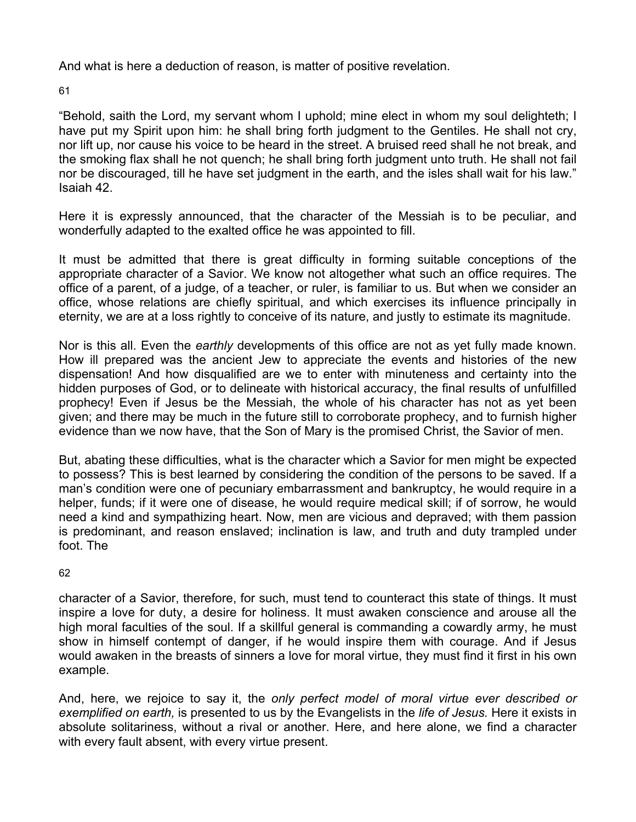And what is here a deduction of reason, is matter of positive revelation.

61

"Behold, saith the Lord, my servant whom I uphold; mine elect in whom my soul delighteth; I have put my Spirit upon him: he shall bring forth judgment to the Gentiles. He shall not cry, nor lift up, nor cause his voice to be heard in the street. A bruised reed shall he not break, and the smoking flax shall he not quench; he shall bring forth judgment unto truth. He shall not fail nor be discouraged, till he have set judgment in the earth, and the isles shall wait for his law." Isaiah 42.

Here it is expressly announced, that the character of the Messiah is to be peculiar, and wonderfully adapted to the exalted office he was appointed to fill.

It must be admitted that there is great difficulty in forming suitable conceptions of the appropriate character of a Savior. We know not altogether what such an office requires. The office of a parent, of a judge, of a teacher, or ruler, is familiar to us. But when we consider an office, whose relations are chiefly spiritual, and which exercises its influence principally in eternity, we are at a loss rightly to conceive of its nature, and justly to estimate its magnitude.

Nor is this all. Even the *earthly* developments of this office are not as yet fully made known. How ill prepared was the ancient Jew to appreciate the events and histories of the new dispensation! And how disqualified are we to enter with minuteness and certainty into the hidden purposes of God, or to delineate with historical accuracy, the final results of unfulfilled prophecy! Even if Jesus be the Messiah, the whole of his character has not as yet been given; and there may be much in the future still to corroborate prophecy, and to furnish higher evidence than we now have, that the Son of Mary is the promised Christ, the Savior of men.

But, abating these difficulties, what is the character which a Savior for men might be expected to possess? This is best learned by considering the condition of the persons to be saved. If a man's condition were one of pecuniary embarrassment and bankruptcy, he would require in a helper, funds; if it were one of disease, he would require medical skill; if of sorrow, he would need a kind and sympathizing heart. Now, men are vicious and depraved; with them passion is predominant, and reason enslaved; inclination is law, and truth and duty trampled under foot. The

62

character of a Savior, therefore, for such, must tend to counteract this state of things. It must inspire a love for duty, a desire for holiness. It must awaken conscience and arouse all the high moral faculties of the soul. If a skillful general is commanding a cowardly army, he must show in himself contempt of danger, if he would inspire them with courage. And if Jesus would awaken in the breasts of sinners a love for moral virtue, they must find it first in his own example.

And, here, we rejoice to say it, the *only perfect model of moral virtue ever described or exemplified on earth,* is presented to us by the Evangelists in the *life of Jesus.* Here it exists in absolute solitariness, without a rival or another. Here, and here alone, we find a character with every fault absent, with every virtue present.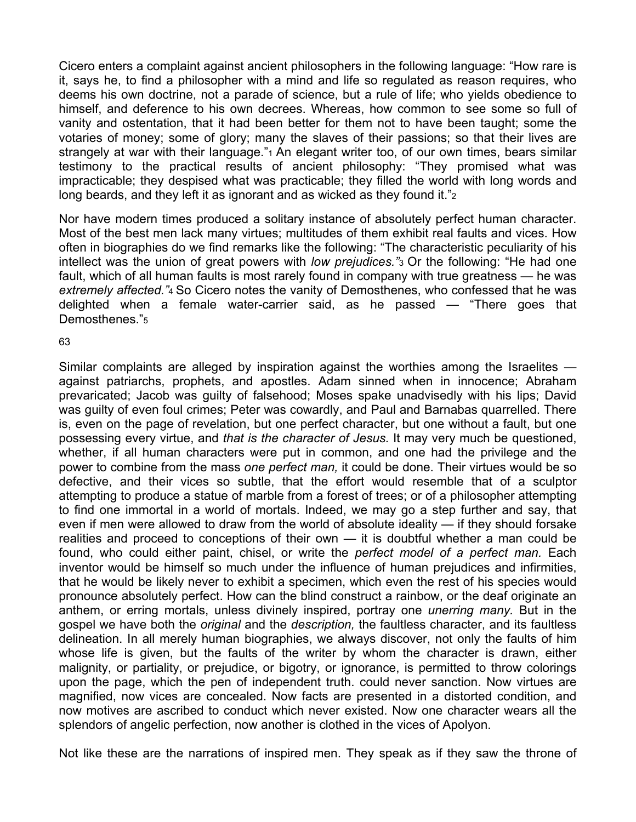Cicero enters a complaint against ancient philosophers in the following language: "How rare is it, says he, to find a philosopher with a mind and life so regulated as reason requires, who deems his own doctrine, not a parade of science, but a rule of life; who yields obedience to himself, and deference to his own decrees. Whereas, how common to see some so full of vanity and ostentation, that it had been better for them not to have been taught; some the votaries of money; some of glory; many the slaves of their passions; so that their lives are strangely at war with their language."<sup>1</sup> An elegant writer too, of our own times, bears similar testimony to the practical results of ancient philosophy: "They promised what was impracticable; they despised what was practicable; they filled the world with long words and long beards, and they left it as ignorant and as wicked as they found it."2

Nor have modern times produced a solitary instance of absolutely perfect human character. Most of the best men lack many virtues; multitudes of them exhibit real faults and vices. How often in biographies do we find remarks like the following: "The characteristic peculiarity of his intellect was the union of great powers with *low prejudices."*3 Or the following: "He had one fault, which of all human faults is most rarely found in company with true greatness — he was *extremely affected."*4 So Cicero notes the vanity of Demosthenes, who confessed that he was delighted when a female water-carrier said, as he passed — "There goes that Demosthenes."5

#### 63

Similar complaints are alleged by inspiration against the worthies among the Israelites against patriarchs, prophets, and apostles. Adam sinned when in innocence; Abraham prevaricated; Jacob was guilty of falsehood; Moses spake unadvisedly with his lips; David was guilty of even foul crimes; Peter was cowardly, and Paul and Barnabas quarrelled. There is, even on the page of revelation, but one perfect character, but one without a fault, but one possessing every virtue, and *that is the character of Jesus.* It may very much be questioned, whether, if all human characters were put in common, and one had the privilege and the power to combine from the mass *one perfect man,* it could be done. Their virtues would be so defective, and their vices so subtle, that the effort would resemble that of a sculptor attempting to produce a statue of marble from a forest of trees; or of a philosopher attempting to find one immortal in a world of mortals. Indeed, we may go a step further and say, that even if men were allowed to draw from the world of absolute ideality — if they should forsake realities and proceed to conceptions of their own — it is doubtful whether a man could be found, who could either paint, chisel, or write the *perfect model of a perfect man.* Each inventor would be himself so much under the influence of human prejudices and infirmities, that he would be likely never to exhibit a specimen, which even the rest of his species would pronounce absolutely perfect. How can the blind construct a rainbow, or the deaf originate an anthem, or erring mortals, unless divinely inspired, portray one *unerring many.* But in the gospel we have both the *original* and the *description,* the faultless character, and its faultless delineation. In all merely human biographies, we always discover, not only the faults of him whose life is given, but the faults of the writer by whom the character is drawn, either malignity, or partiality, or prejudice, or bigotry, or ignorance, is permitted to throw colorings upon the page, which the pen of independent truth. could never sanction. Now virtues are magnified, now vices are concealed. Now facts are presented in a distorted condition, and now motives are ascribed to conduct which never existed. Now one character wears all the splendors of angelic perfection, now another is clothed in the vices of Apolyon.

Not like these are the narrations of inspired men. They speak as if they saw the throne of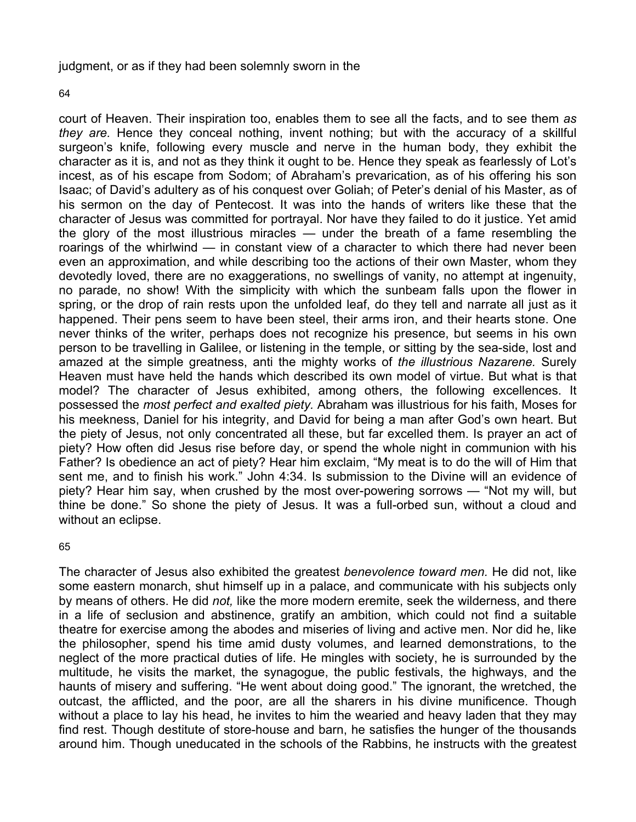judgment, or as if they had been solemnly sworn in the

64

court of Heaven. Their inspiration too, enables them to see all the facts, and to see them *as they are.* Hence they conceal nothing, invent nothing; but with the accuracy of a skillful surgeon's knife, following every muscle and nerve in the human body, they exhibit the character as it is, and not as they think it ought to be. Hence they speak as fearlessly of Lot's incest, as of his escape from Sodom; of Abraham's prevarication, as of his offering his son Isaac; of David's adultery as of his conquest over Goliah; of Peter's denial of his Master, as of his sermon on the day of Pentecost. It was into the hands of writers like these that the character of Jesus was committed for portrayal. Nor have they failed to do it justice. Yet amid the glory of the most illustrious miracles — under the breath of a fame resembling the roarings of the whirlwind — in constant view of a character to which there had never been even an approximation, and while describing too the actions of their own Master, whom they devotedly loved, there are no exaggerations, no swellings of vanity, no attempt at ingenuity, no parade, no show! With the simplicity with which the sunbeam falls upon the flower in spring, or the drop of rain rests upon the unfolded leaf, do they tell and narrate all just as it happened. Their pens seem to have been steel, their arms iron, and their hearts stone. One never thinks of the writer, perhaps does not recognize his presence, but seems in his own person to be travelling in Galilee, or listening in the temple, or sitting by the sea-side, lost and amazed at the simple greatness, anti the mighty works of *the illustrious Nazarene.* Surely Heaven must have held the hands which described its own model of virtue. But what is that model? The character of Jesus exhibited, among others, the following excellences. It possessed the *most perfect and exalted piety.* Abraham was illustrious for his faith, Moses for his meekness, Daniel for his integrity, and David for being a man after God's own heart. But the piety of Jesus, not only concentrated all these, but far excelled them. Is prayer an act of piety? How often did Jesus rise before day, or spend the whole night in communion with his Father? Is obedience an act of piety? Hear him exclaim, "My meat is to do the will of Him that sent me, and to finish his work." John 4:34. Is submission to the Divine will an evidence of piety? Hear him say, when crushed by the most over-powering sorrows — "Not my will, but thine be done." So shone the piety of Jesus. It was a full-orbed sun, without a cloud and without an eclipse.

65

The character of Jesus also exhibited the greatest *benevolence toward men.* He did not, like some eastern monarch, shut himself up in a palace, and communicate with his subjects only by means of others. He did *not,* like the more modern eremite, seek the wilderness, and there in a life of seclusion and abstinence, gratify an ambition, which could not find a suitable theatre for exercise among the abodes and miseries of living and active men. Nor did he, like the philosopher, spend his time amid dusty volumes, and learned demonstrations, to the neglect of the more practical duties of life. He mingles with society, he is surrounded by the multitude, he visits the market, the synagogue, the public festivals, the highways, and the haunts of misery and suffering. "He went about doing good." The ignorant, the wretched, the outcast, the afflicted, and the poor, are all the sharers in his divine munificence. Though without a place to lay his head, he invites to him the wearied and heavy laden that they may find rest. Though destitute of store-house and barn, he satisfies the hunger of the thousands around him. Though uneducated in the schools of the Rabbins, he instructs with the greatest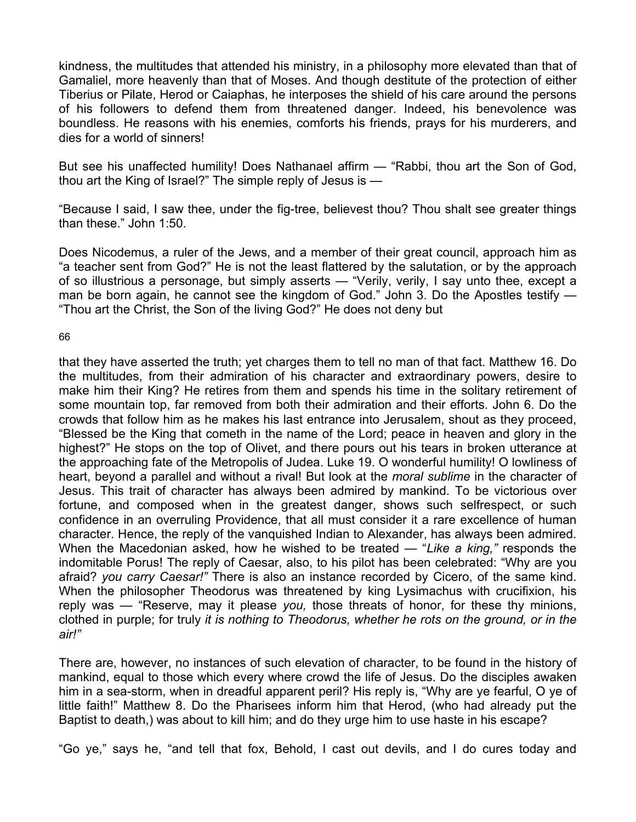kindness, the multitudes that attended his ministry, in a philosophy more elevated than that of Gamaliel, more heavenly than that of Moses. And though destitute of the protection of either Tiberius or Pilate, Herod or Caiaphas, he interposes the shield of his care around the persons of his followers to defend them from threatened danger. Indeed, his benevolence was boundless. He reasons with his enemies, comforts his friends, prays for his murderers, and dies for a world of sinners!

But see his unaffected humility! Does Nathanael affirm — "Rabbi, thou art the Son of God, thou art the King of Israel?" The simple reply of Jesus is —

"Because I said, I saw thee, under the fig-tree, believest thou? Thou shalt see greater things than these." John 1:50.

Does Nicodemus, a ruler of the Jews, and a member of their great council, approach him as "a teacher sent from God?" He is not the least flattered by the salutation, or by the approach of so illustrious a personage, but simply asserts — "Verily, verily, I say unto thee, except a man be born again, he cannot see the kingdom of God." John 3. Do the Apostles testify — "Thou art the Christ, the Son of the living God?" He does not deny but

#### 66

that they have asserted the truth; yet charges them to tell no man of that fact. Matthew 16. Do the multitudes, from their admiration of his character and extraordinary powers, desire to make him their King? He retires from them and spends his time in the solitary retirement of some mountain top, far removed from both their admiration and their efforts. John 6. Do the crowds that follow him as he makes his last entrance into Jerusalem, shout as they proceed, "Blessed be the King that cometh in the name of the Lord; peace in heaven and glory in the highest?" He stops on the top of Olivet, and there pours out his tears in broken utterance at the approaching fate of the Metropolis of Judea. Luke 19. O wonderful humility! O lowliness of heart, beyond a parallel and without a rival! But look at the *moral sublime* in the character of Jesus. This trait of character has always been admired by mankind. To be victorious over fortune, and composed when in the greatest danger, shows such selfrespect, or such confidence in an overruling Providence, that all must consider it a rare excellence of human character. Hence, the reply of the vanquished Indian to Alexander, has always been admired. When the Macedonian asked, how he wished to be treated — "*Like a king,"* responds the indomitable Porus! The reply of Caesar, also, to his pilot has been celebrated: "Why are you afraid? *you carry Caesar!"* There is also an instance recorded by Cicero, of the same kind. When the philosopher Theodorus was threatened by king Lysimachus with crucifixion, his reply was — "Reserve, may it please *you,* those threats of honor, for these thy minions, clothed in purple; for truly *it is nothing to Theodorus, whether he rots on the ground, or in the air!"* 

There are, however, no instances of such elevation of character, to be found in the history of mankind, equal to those which every where crowd the life of Jesus. Do the disciples awaken him in a sea-storm, when in dreadful apparent peril? His reply is, "Why are ye fearful, O ye of little faith!" Matthew 8. Do the Pharisees inform him that Herod, (who had already put the Baptist to death,) was about to kill him; and do they urge him to use haste in his escape?

"Go ye," says he, "and tell that fox, Behold, I cast out devils, and I do cures today and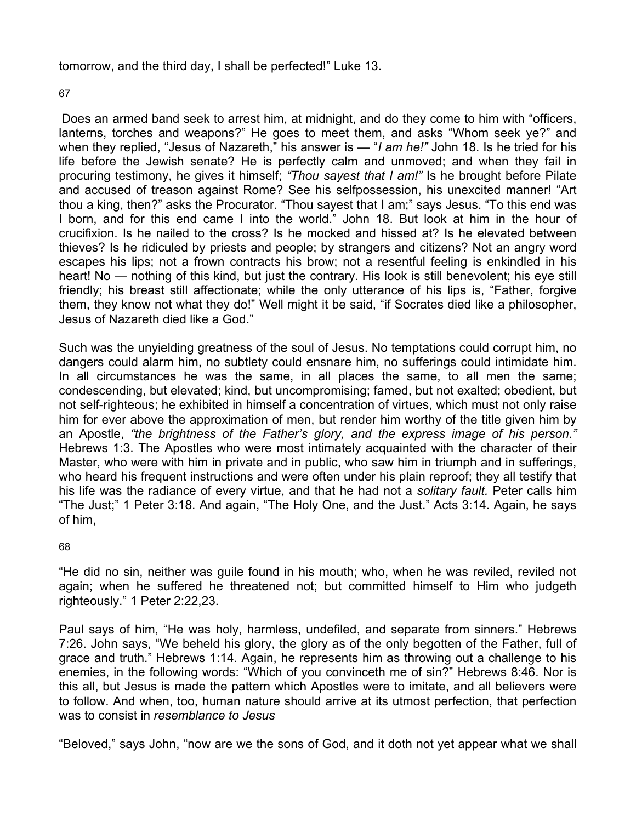tomorrow, and the third day, I shall be perfected!" Luke 13.

67

Does an armed band seek to arrest him, at midnight, and do they come to him with "officers, lanterns, torches and weapons?" He goes to meet them, and asks "Whom seek ye?" and when they replied, "Jesus of Nazareth," his answer is — "*I am he!"* John 18. Is he tried for his life before the Jewish senate? He is perfectly calm and unmoved; and when they fail in procuring testimony, he gives it himself; *"Thou sayest that I am!"* Is he brought before Pilate and accused of treason against Rome? See his selfpossession, his unexcited manner! "Art thou a king, then?" asks the Procurator. "Thou sayest that I am;" says Jesus. "To this end was I born, and for this end came I into the world." John 18. But look at him in the hour of crucifixion. Is he nailed to the cross? Is he mocked and hissed at? Is he elevated between thieves? Is he ridiculed by priests and people; by strangers and citizens? Not an angry word escapes his lips; not a frown contracts his brow; not a resentful feeling is enkindled in his heart! No — nothing of this kind, but just the contrary. His look is still benevolent; his eye still friendly; his breast still affectionate; while the only utterance of his lips is, "Father, forgive them, they know not what they do!" Well might it be said, "if Socrates died like a philosopher, Jesus of Nazareth died like a God."

Such was the unyielding greatness of the soul of Jesus. No temptations could corrupt him, no dangers could alarm him, no subtlety could ensnare him, no sufferings could intimidate him. In all circumstances he was the same, in all places the same, to all men the same; condescending, but elevated; kind, but uncompromising; famed, but not exalted; obedient, but not self-righteous; he exhibited in himself a concentration of virtues, which must not only raise him for ever above the approximation of men, but render him worthy of the title given him by an Apostle, *"the brightness of the Father's glory, and the express image of his person."*  Hebrews 1:3. The Apostles who were most intimately acquainted with the character of their Master, who were with him in private and in public, who saw him in triumph and in sufferings, who heard his frequent instructions and were often under his plain reproof; they all testify that his life was the radiance of every virtue, and that he had not a *solitary fault.* Peter calls him "The Just;" 1 Peter 3:18. And again, "The Holy One, and the Just." Acts 3:14. Again, he says of him,

## 68

"He did no sin, neither was guile found in his mouth; who, when he was reviled, reviled not again; when he suffered he threatened not; but committed himself to Him who judgeth righteously." 1 Peter 2:22,23.

Paul says of him, "He was holy, harmless, undefiled, and separate from sinners." Hebrews 7:26. John says, "We beheld his glory, the glory as of the only begotten of the Father, full of grace and truth." Hebrews 1:14. Again, he represents him as throwing out a challenge to his enemies, in the following words: "Which of you convinceth me of sin?" Hebrews 8:46. Nor is this all, but Jesus is made the pattern which Apostles were to imitate, and all believers were to follow. And when, too, human nature should arrive at its utmost perfection, that perfection was to consist in *resemblance to Jesus* 

"Beloved," says John, "now are we the sons of God, and it doth not yet appear what we shall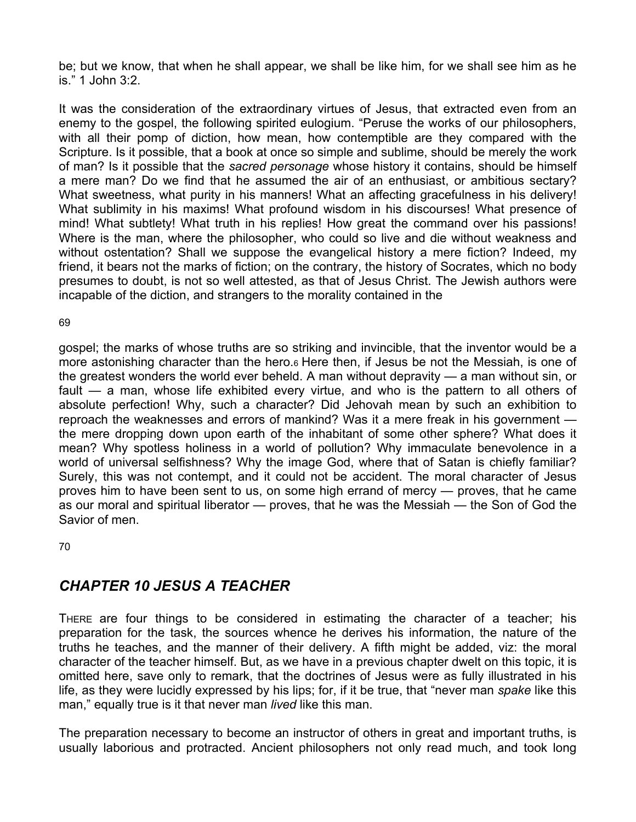be; but we know, that when he shall appear, we shall be like him, for we shall see him as he is." 1 John 3:2.

It was the consideration of the extraordinary virtues of Jesus, that extracted even from an enemy to the gospel, the following spirited eulogium. "Peruse the works of our philosophers, with all their pomp of diction, how mean, how contemptible are they compared with the Scripture. Is it possible, that a book at once so simple and sublime, should be merely the work of man? Is it possible that the *sacred personage* whose history it contains, should be himself a mere man? Do we find that he assumed the air of an enthusiast, or ambitious sectary? What sweetness, what purity in his manners! What an affecting gracefulness in his delivery! What sublimity in his maxims! What profound wisdom in his discourses! What presence of mind! What subtlety! What truth in his replies! How great the command over his passions! Where is the man, where the philosopher, who could so live and die without weakness and without ostentation? Shall we suppose the evangelical history a mere fiction? Indeed, my friend, it bears not the marks of fiction; on the contrary, the history of Socrates, which no body presumes to doubt, is not so well attested, as that of Jesus Christ. The Jewish authors were incapable of the diction, and strangers to the morality contained in the

69

gospel; the marks of whose truths are so striking and invincible, that the inventor would be a more astonishing character than the hero.6 Here then, if Jesus be not the Messiah, is one of the greatest wonders the world ever beheld. A man without depravity — a man without sin, or fault — a man, whose life exhibited every virtue, and who is the pattern to all others of absolute perfection! Why, such a character? Did Jehovah mean by such an exhibition to reproach the weaknesses and errors of mankind? Was it a mere freak in his government the mere dropping down upon earth of the inhabitant of some other sphere? What does it mean? Why spotless holiness in a world of pollution? Why immaculate benevolence in a world of universal selfishness? Why the image God, where that of Satan is chiefly familiar? Surely, this was not contempt, and it could not be accident. The moral character of Jesus proves him to have been sent to us, on some high errand of mercy — proves, that he came as our moral and spiritual liberator — proves, that he was the Messiah — the Son of God the Savior of men.

70

## *CHAPTER 10 JESUS A TEACHER*

THERE are four things to be considered in estimating the character of a teacher; his preparation for the task, the sources whence he derives his information, the nature of the truths he teaches, and the manner of their delivery. A fifth might be added, viz: the moral character of the teacher himself. But, as we have in a previous chapter dwelt on this topic, it is omitted here, save only to remark, that the doctrines of Jesus were as fully illustrated in his life, as they were lucidly expressed by his lips; for, if it be true, that "never man *spake* like this man," equally true is it that never man *lived* like this man.

The preparation necessary to become an instructor of others in great and important truths, is usually laborious and protracted. Ancient philosophers not only read much, and took long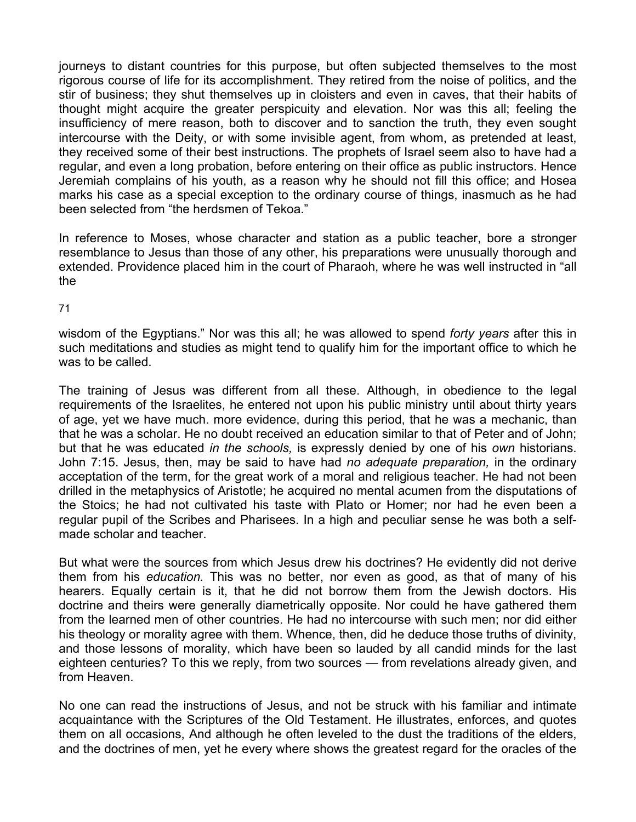journeys to distant countries for this purpose, but often subjected themselves to the most rigorous course of life for its accomplishment. They retired from the noise of politics, and the stir of business; they shut themselves up in cloisters and even in caves, that their habits of thought might acquire the greater perspicuity and elevation. Nor was this all; feeling the insufficiency of mere reason, both to discover and to sanction the truth, they even sought intercourse with the Deity, or with some invisible agent, from whom, as pretended at least, they received some of their best instructions. The prophets of Israel seem also to have had a regular, and even a long probation, before entering on their office as public instructors. Hence Jeremiah complains of his youth, as a reason why he should not fill this office; and Hosea marks his case as a special exception to the ordinary course of things, inasmuch as he had been selected from "the herdsmen of Tekoa."

In reference to Moses, whose character and station as a public teacher, bore a stronger resemblance to Jesus than those of any other, his preparations were unusually thorough and extended. Providence placed him in the court of Pharaoh, where he was well instructed in "all the

71

wisdom of the Egyptians." Nor was this all; he was allowed to spend *forty years* after this in such meditations and studies as might tend to qualify him for the important office to which he was to be called.

The training of Jesus was different from all these. Although, in obedience to the legal requirements of the Israelites, he entered not upon his public ministry until about thirty years of age, yet we have much. more evidence, during this period, that he was a mechanic, than that he was a scholar. He no doubt received an education similar to that of Peter and of John; but that he was educated *in the schools,* is expressly denied by one of his *own* historians. John 7:15. Jesus, then, may be said to have had *no adequate preparation,* in the ordinary acceptation of the term, for the great work of a moral and religious teacher. He had not been drilled in the metaphysics of Aristotle; he acquired no mental acumen from the disputations of the Stoics; he had not cultivated his taste with Plato or Homer; nor had he even been a regular pupil of the Scribes and Pharisees. In a high and peculiar sense he was both a selfmade scholar and teacher.

But what were the sources from which Jesus drew his doctrines? He evidently did not derive them from his *education.* This was no better, nor even as good, as that of many of his hearers. Equally certain is it, that he did not borrow them from the Jewish doctors. His doctrine and theirs were generally diametrically opposite. Nor could he have gathered them from the learned men of other countries. He had no intercourse with such men; nor did either his theology or morality agree with them. Whence, then, did he deduce those truths of divinity, and those lessons of morality, which have been so lauded by all candid minds for the last eighteen centuries? To this we reply, from two sources — from revelations already given, and from Heaven.

No one can read the instructions of Jesus, and not be struck with his familiar and intimate acquaintance with the Scriptures of the Old Testament. He illustrates, enforces, and quotes them on all occasions, And although he often leveled to the dust the traditions of the elders, and the doctrines of men, yet he every where shows the greatest regard for the oracles of the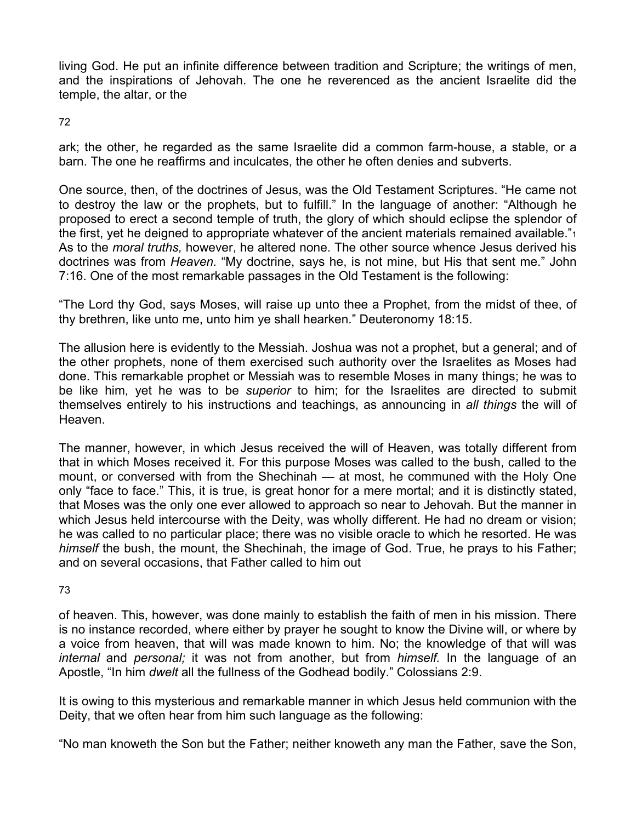living God. He put an infinite difference between tradition and Scripture; the writings of men, and the inspirations of Jehovah. The one he reverenced as the ancient Israelite did the temple, the altar, or the

72

ark; the other, he regarded as the same Israelite did a common farm-house, a stable, or a barn. The one he reaffirms and inculcates, the other he often denies and subverts.

One source, then, of the doctrines of Jesus, was the Old Testament Scriptures. "He came not to destroy the law or the prophets, but to fulfill." In the language of another: "Although he proposed to erect a second temple of truth, the glory of which should eclipse the splendor of the first, yet he deigned to appropriate whatever of the ancient materials remained available."<sup>1</sup> As to the *moral truths,* however, he altered none. The other source whence Jesus derived his doctrines was from *Heaven.* "My doctrine, says he, is not mine, but His that sent me." John 7:16. One of the most remarkable passages in the Old Testament is the following:

"The Lord thy God, says Moses, will raise up unto thee a Prophet, from the midst of thee, of thy brethren, like unto me, unto him ye shall hearken." Deuteronomy 18:15.

The allusion here is evidently to the Messiah. Joshua was not a prophet, but a general; and of the other prophets, none of them exercised such authority over the Israelites as Moses had done. This remarkable prophet or Messiah was to resemble Moses in many things; he was to be like him, yet he was to be *superior* to him; for the Israelites are directed to submit themselves entirely to his instructions and teachings, as announcing in *all things* the will of Heaven.

The manner, however, in which Jesus received the will of Heaven, was totally different from that in which Moses received it. For this purpose Moses was called to the bush, called to the mount, or conversed with from the Shechinah — at most, he communed with the Holy One only "face to face." This, it is true, is great honor for a mere mortal; and it is distinctly stated, that Moses was the only one ever allowed to approach so near to Jehovah. But the manner in which Jesus held intercourse with the Deity, was wholly different. He had no dream or vision; he was called to no particular place; there was no visible oracle to which he resorted. He was *himself* the bush, the mount, the Shechinah, the image of God. True, he prays to his Father; and on several occasions, that Father called to him out

73

of heaven. This, however, was done mainly to establish the faith of men in his mission. There is no instance recorded, where either by prayer he sought to know the Divine will, or where by a voice from heaven, that will was made known to him. No; the knowledge of that will was *internal* and *personal;* it was not from another, but from *himself.* In the language of an Apostle, "In him *dwelt* all the fullness of the Godhead bodily." Colossians 2:9.

It is owing to this mysterious and remarkable manner in which Jesus held communion with the Deity, that we often hear from him such language as the following:

"No man knoweth the Son but the Father; neither knoweth any man the Father, save the Son,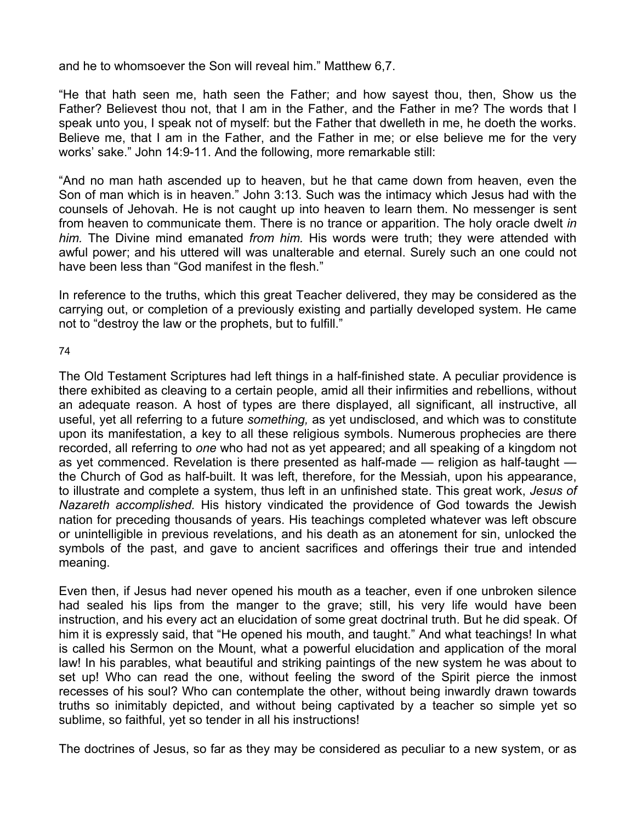and he to whomsoever the Son will reveal him." Matthew 6,7.

"He that hath seen me, hath seen the Father; and how sayest thou, then, Show us the Father? Believest thou not, that I am in the Father, and the Father in me? The words that I speak unto you, I speak not of myself: but the Father that dwelleth in me, he doeth the works. Believe me, that I am in the Father, and the Father in me; or else believe me for the very works' sake." John 14:9-11. And the following, more remarkable still:

"And no man hath ascended up to heaven, but he that came down from heaven, even the Son of man which is in heaven." John 3:13. Such was the intimacy which Jesus had with the counsels of Jehovah. He is not caught up into heaven to learn them. No messenger is sent from heaven to communicate them. There is no trance or apparition. The holy oracle dwelt *in him.* The Divine mind emanated *from him.* His words were truth; they were attended with awful power; and his uttered will was unalterable and eternal. Surely such an one could not have been less than "God manifest in the flesh."

In reference to the truths, which this great Teacher delivered, they may be considered as the carrying out, or completion of a previously existing and partially developed system. He came not to "destroy the law or the prophets, but to fulfill."

74

The Old Testament Scriptures had left things in a half-finished state. A peculiar providence is there exhibited as cleaving to a certain people, amid all their infirmities and rebellions, without an adequate reason. A host of types are there displayed, all significant, all instructive, all useful, yet all referring to a future *something,* as yet undisclosed, and which was to constitute upon its manifestation, a key to all these religious symbols. Numerous prophecies are there recorded, all referring to *one* who had not as yet appeared; and all speaking of a kingdom not as yet commenced. Revelation is there presented as half-made — religion as half-taught the Church of God as half-built. It was left, therefore, for the Messiah, upon his appearance, to illustrate and complete a system, thus left in an unfinished state. This great work, *Jesus of Nazareth accomplished.* His history vindicated the providence of God towards the Jewish nation for preceding thousands of years. His teachings completed whatever was left obscure or unintelligible in previous revelations, and his death as an atonement for sin, unlocked the symbols of the past, and gave to ancient sacrifices and offerings their true and intended meaning.

Even then, if Jesus had never opened his mouth as a teacher, even if one unbroken silence had sealed his lips from the manger to the grave; still, his very life would have been instruction, and his every act an elucidation of some great doctrinal truth. But he did speak. Of him it is expressly said, that "He opened his mouth, and taught." And what teachings! In what is called his Sermon on the Mount, what a powerful elucidation and application of the moral law! In his parables, what beautiful and striking paintings of the new system he was about to set up! Who can read the one, without feeling the sword of the Spirit pierce the inmost recesses of his soul? Who can contemplate the other, without being inwardly drawn towards truths so inimitably depicted, and without being captivated by a teacher so simple yet so sublime, so faithful, yet so tender in all his instructions!

The doctrines of Jesus, so far as they may be considered as peculiar to a new system, or as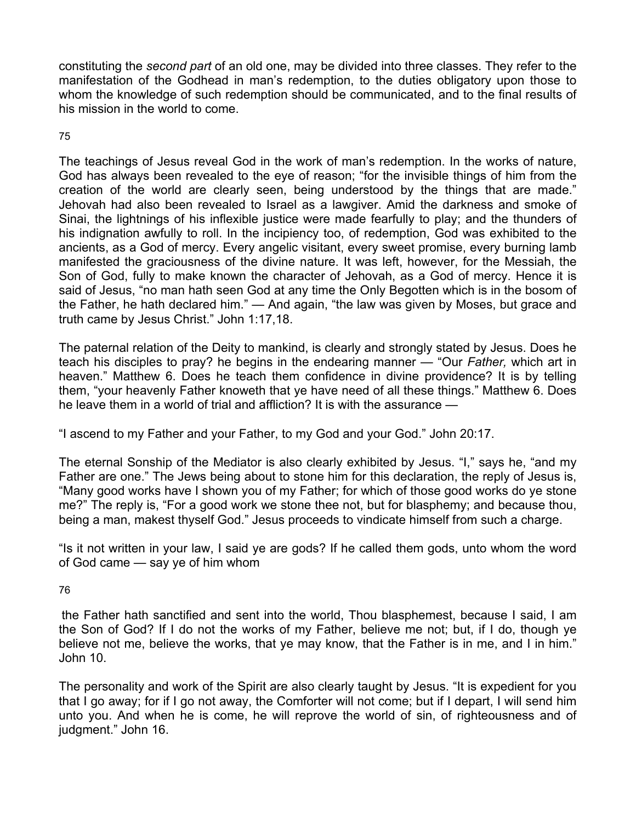constituting the *second part* of an old one, may be divided into three classes. They refer to the manifestation of the Godhead in man's redemption, to the duties obligatory upon those to whom the knowledge of such redemption should be communicated, and to the final results of his mission in the world to come.

## 75

The teachings of Jesus reveal God in the work of man's redemption. In the works of nature, God has always been revealed to the eye of reason; "for the invisible things of him from the creation of the world are clearly seen, being understood by the things that are made." Jehovah had also been revealed to Israel as a lawgiver. Amid the darkness and smoke of Sinai, the lightnings of his inflexible justice were made fearfully to play; and the thunders of his indignation awfully to roll. In the incipiency too, of redemption, God was exhibited to the ancients, as a God of mercy. Every angelic visitant, every sweet promise, every burning lamb manifested the graciousness of the divine nature. It was left, however, for the Messiah, the Son of God, fully to make known the character of Jehovah, as a God of mercy. Hence it is said of Jesus, "no man hath seen God at any time the Only Begotten which is in the bosom of the Father, he hath declared him." — And again, "the law was given by Moses, but grace and truth came by Jesus Christ." John 1:17,18.

The paternal relation of the Deity to mankind, is clearly and strongly stated by Jesus. Does he teach his disciples to pray? he begins in the endearing manner — "Our *Father,* which art in heaven." Matthew 6. Does he teach them confidence in divine providence? It is by telling them, "your heavenly Father knoweth that ye have need of all these things." Matthew 6. Does he leave them in a world of trial and affliction? It is with the assurance —

"I ascend to my Father and your Father, to my God and your God." John 20:17.

The eternal Sonship of the Mediator is also clearly exhibited by Jesus. "I," says he, "and my Father are one." The Jews being about to stone him for this declaration, the reply of Jesus is, "Many good works have I shown you of my Father; for which of those good works do ye stone me?" The reply is, "For a good work we stone thee not, but for blasphemy; and because thou, being a man, makest thyself God." Jesus proceeds to vindicate himself from such a charge.

"Is it not written in your law, I said ye are gods? If he called them gods, unto whom the word of God came — say ye of him whom

76

the Father hath sanctified and sent into the world, Thou blasphemest, because I said, I am the Son of God? If I do not the works of my Father, believe me not; but, if I do, though ye believe not me, believe the works, that ye may know, that the Father is in me, and I in him." John 10.

The personality and work of the Spirit are also clearly taught by Jesus. "It is expedient for you that I go away; for if I go not away, the Comforter will not come; but if I depart, I will send him unto you. And when he is come, he will reprove the world of sin, of righteousness and of judgment." John 16.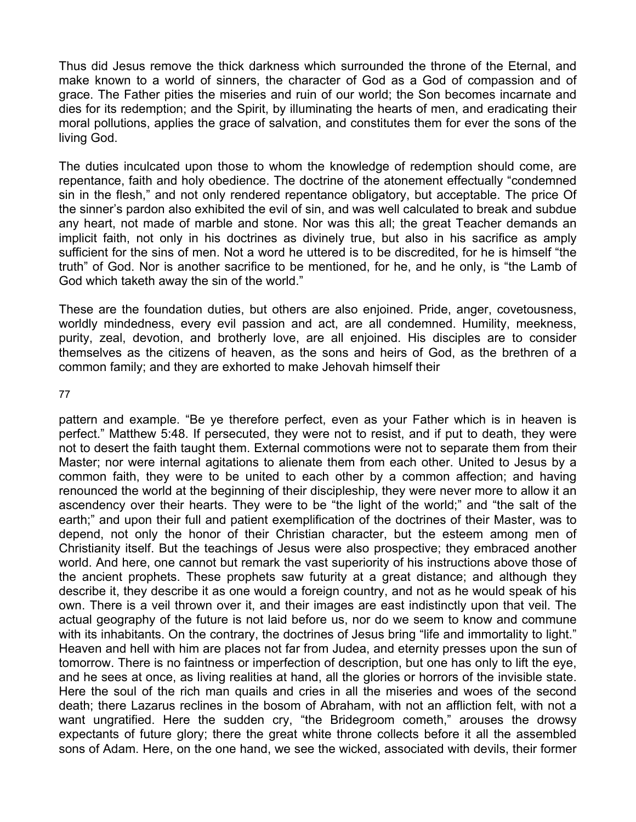Thus did Jesus remove the thick darkness which surrounded the throne of the Eternal, and make known to a world of sinners, the character of God as a God of compassion and of grace. The Father pities the miseries and ruin of our world; the Son becomes incarnate and dies for its redemption; and the Spirit, by illuminating the hearts of men, and eradicating their moral pollutions, applies the grace of salvation, and constitutes them for ever the sons of the living God.

The duties inculcated upon those to whom the knowledge of redemption should come, are repentance, faith and holy obedience. The doctrine of the atonement effectually "condemned sin in the flesh," and not only rendered repentance obligatory, but acceptable. The price Of the sinner's pardon also exhibited the evil of sin, and was well calculated to break and subdue any heart, not made of marble and stone. Nor was this all; the great Teacher demands an implicit faith, not only in his doctrines as divinely true, but also in his sacrifice as amply sufficient for the sins of men. Not a word he uttered is to be discredited, for he is himself "the truth" of God. Nor is another sacrifice to be mentioned, for he, and he only, is "the Lamb of God which taketh away the sin of the world."

These are the foundation duties, but others are also enjoined. Pride, anger, covetousness, worldly mindedness, every evil passion and act, are all condemned. Humility, meekness, purity, zeal, devotion, and brotherly love, are all enjoined. His disciples are to consider themselves as the citizens of heaven, as the sons and heirs of God, as the brethren of a common family; and they are exhorted to make Jehovah himself their

77

pattern and example. "Be ye therefore perfect, even as your Father which is in heaven is perfect." Matthew 5:48. If persecuted, they were not to resist, and if put to death, they were not to desert the faith taught them. External commotions were not to separate them from their Master; nor were internal agitations to alienate them from each other. United to Jesus by a common faith, they were to be united to each other by a common affection; and having renounced the world at the beginning of their discipleship, they were never more to allow it an ascendency over their hearts. They were to be "the light of the world;" and "the salt of the earth;" and upon their full and patient exemplification of the doctrines of their Master, was to depend, not only the honor of their Christian character, but the esteem among men of Christianity itself. But the teachings of Jesus were also prospective; they embraced another world. And here, one cannot but remark the vast superiority of his instructions above those of the ancient prophets. These prophets saw futurity at a great distance; and although they describe it, they describe it as one would a foreign country, and not as he would speak of his own. There is a veil thrown over it, and their images are east indistinctly upon that veil. The actual geography of the future is not laid before us, nor do we seem to know and commune with its inhabitants. On the contrary, the doctrines of Jesus bring "life and immortality to light." Heaven and hell with him are places not far from Judea, and eternity presses upon the sun of tomorrow. There is no faintness or imperfection of description, but one has only to lift the eye, and he sees at once, as living realities at hand, all the glories or horrors of the invisible state. Here the soul of the rich man quails and cries in all the miseries and woes of the second death; there Lazarus reclines in the bosom of Abraham, with not an affliction felt, with not a want ungratified. Here the sudden cry, "the Bridegroom cometh," arouses the drowsy expectants of future glory; there the great white throne collects before it all the assembled sons of Adam. Here, on the one hand, we see the wicked, associated with devils, their former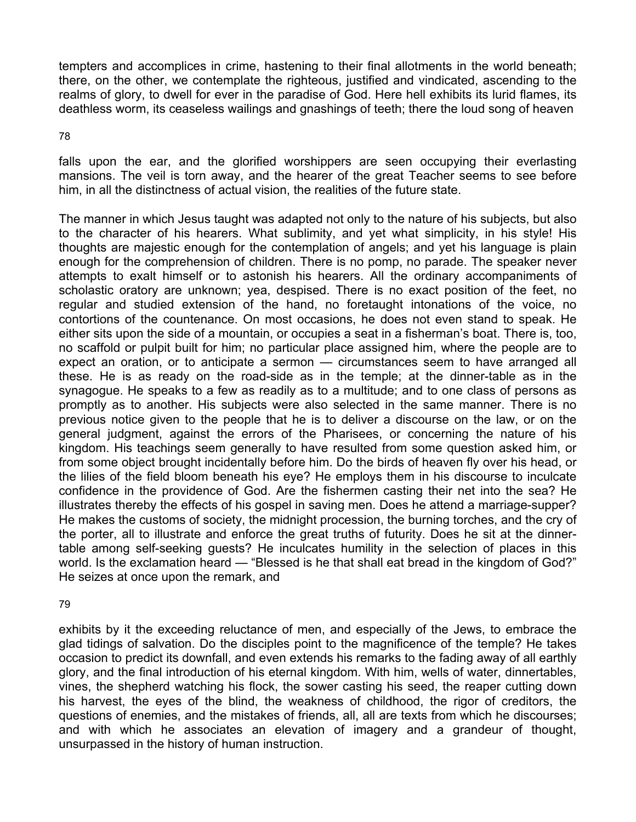tempters and accomplices in crime, hastening to their final allotments in the world beneath; there, on the other, we contemplate the righteous, justified and vindicated, ascending to the realms of glory, to dwell for ever in the paradise of God. Here hell exhibits its lurid flames, its deathless worm, its ceaseless wailings and gnashings of teeth; there the loud song of heaven

#### 78

falls upon the ear, and the glorified worshippers are seen occupying their everlasting mansions. The veil is torn away, and the hearer of the great Teacher seems to see before him, in all the distinctness of actual vision, the realities of the future state.

The manner in which Jesus taught was adapted not only to the nature of his subjects, but also to the character of his hearers. What sublimity, and yet what simplicity, in his style! His thoughts are majestic enough for the contemplation of angels; and yet his language is plain enough for the comprehension of children. There is no pomp, no parade. The speaker never attempts to exalt himself or to astonish his hearers. All the ordinary accompaniments of scholastic oratory are unknown; yea, despised. There is no exact position of the feet, no regular and studied extension of the hand, no foretaught intonations of the voice, no contortions of the countenance. On most occasions, he does not even stand to speak. He either sits upon the side of a mountain, or occupies a seat in a fisherman's boat. There is, too, no scaffold or pulpit built for him; no particular place assigned him, where the people are to expect an oration, or to anticipate a sermon — circumstances seem to have arranged all these. He is as ready on the road-side as in the temple; at the dinner-table as in the synagogue. He speaks to a few as readily as to a multitude; and to one class of persons as promptly as to another. His subjects were also selected in the same manner. There is no previous notice given to the people that he is to deliver a discourse on the law, or on the general judgment, against the errors of the Pharisees, or concerning the nature of his kingdom. His teachings seem generally to have resulted from some question asked him, or from some object brought incidentally before him. Do the birds of heaven fly over his head, or the lilies of the field bloom beneath his eye? He employs them in his discourse to inculcate confidence in the providence of God. Are the fishermen casting their net into the sea? He illustrates thereby the effects of his gospel in saving men. Does he attend a marriage-supper? He makes the customs of society, the midnight procession, the burning torches, and the cry of the porter, all to illustrate and enforce the great truths of futurity. Does he sit at the dinnertable among self-seeking guests? He inculcates humility in the selection of places in this world. Is the exclamation heard — "Blessed is he that shall eat bread in the kingdom of God?" He seizes at once upon the remark, and

#### 79

exhibits by it the exceeding reluctance of men, and especially of the Jews, to embrace the glad tidings of salvation. Do the disciples point to the magnificence of the temple? He takes occasion to predict its downfall, and even extends his remarks to the fading away of all earthly glory, and the final introduction of his eternal kingdom. With him, wells of water, dinnertables, vines, the shepherd watching his flock, the sower casting his seed, the reaper cutting down his harvest, the eyes of the blind, the weakness of childhood, the rigor of creditors, the questions of enemies, and the mistakes of friends, all, all are texts from which he discourses; and with which he associates an elevation of imagery and a grandeur of thought, unsurpassed in the history of human instruction.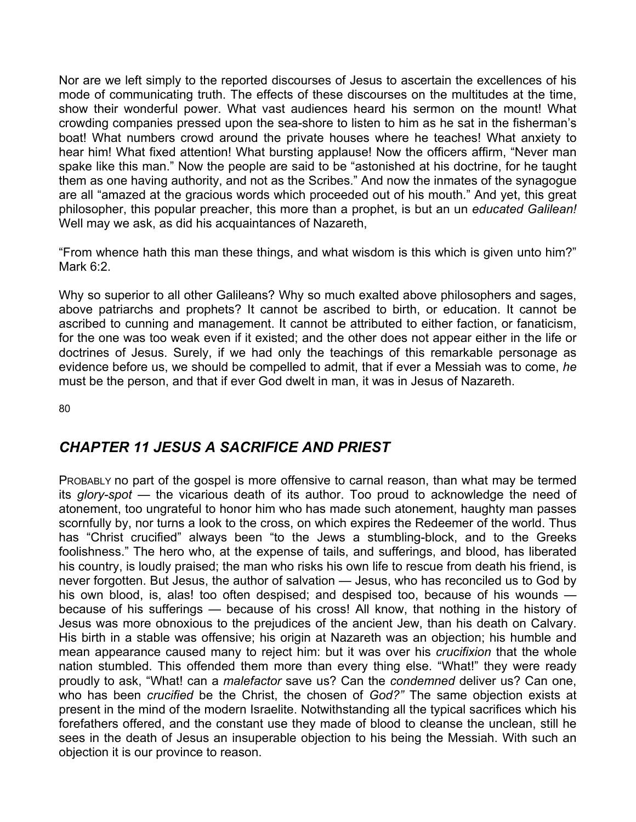Nor are we left simply to the reported discourses of Jesus to ascertain the excellences of his mode of communicating truth. The effects of these discourses on the multitudes at the time, show their wonderful power. What vast audiences heard his sermon on the mount! What crowding companies pressed upon the sea-shore to listen to him as he sat in the fisherman's boat! What numbers crowd around the private houses where he teaches! What anxiety to hear him! What fixed attention! What bursting applause! Now the officers affirm, "Never man spake like this man." Now the people are said to be "astonished at his doctrine, for he taught them as one having authority, and not as the Scribes." And now the inmates of the synagogue are all "amazed at the gracious words which proceeded out of his mouth." And yet, this great philosopher, this popular preacher, this more than a prophet, is but an un *educated Galilean!*  Well may we ask, as did his acquaintances of Nazareth.

"From whence hath this man these things, and what wisdom is this which is given unto him?" Mark 6:2.

Why so superior to all other Galileans? Why so much exalted above philosophers and sages, above patriarchs and prophets? It cannot be ascribed to birth, or education. It cannot be ascribed to cunning and management. It cannot be attributed to either faction, or fanaticism, for the one was too weak even if it existed; and the other does not appear either in the life or doctrines of Jesus. Surely, if we had only the teachings of this remarkable personage as evidence before us, we should be compelled to admit, that if ever a Messiah was to come, *he*  must be the person, and that if ever God dwelt in man, it was in Jesus of Nazareth.

80

# *CHAPTER 11 JESUS A SACRIFICE AND PRIEST*

PROBABLY no part of the gospel is more offensive to carnal reason, than what may be termed its *glory-spot* — the vicarious death of its author. Too proud to acknowledge the need of atonement, too ungrateful to honor him who has made such atonement, haughty man passes scornfully by, nor turns a look to the cross, on which expires the Redeemer of the world. Thus has "Christ crucified" always been "to the Jews a stumbling-block, and to the Greeks foolishness." The hero who, at the expense of tails, and sufferings, and blood, has liberated his country, is loudly praised; the man who risks his own life to rescue from death his friend, is never forgotten. But Jesus, the author of salvation — Jesus, who has reconciled us to God by his own blood, is, alas! too often despised; and despised too, because of his wounds because of his sufferings — because of his cross! All know, that nothing in the history of Jesus was more obnoxious to the prejudices of the ancient Jew, than his death on Calvary. His birth in a stable was offensive; his origin at Nazareth was an objection; his humble and mean appearance caused many to reject him: but it was over his *crucifixion* that the whole nation stumbled. This offended them more than every thing else. "What!" they were ready proudly to ask, "What! can a *malefactor* save us? Can the *condemned* deliver us? Can one, who has been *crucified* be the Christ, the chosen of *God?"* The same objection exists at present in the mind of the modern Israelite. Notwithstanding all the typical sacrifices which his forefathers offered, and the constant use they made of blood to cleanse the unclean, still he sees in the death of Jesus an insuperable objection to his being the Messiah. With such an objection it is our province to reason.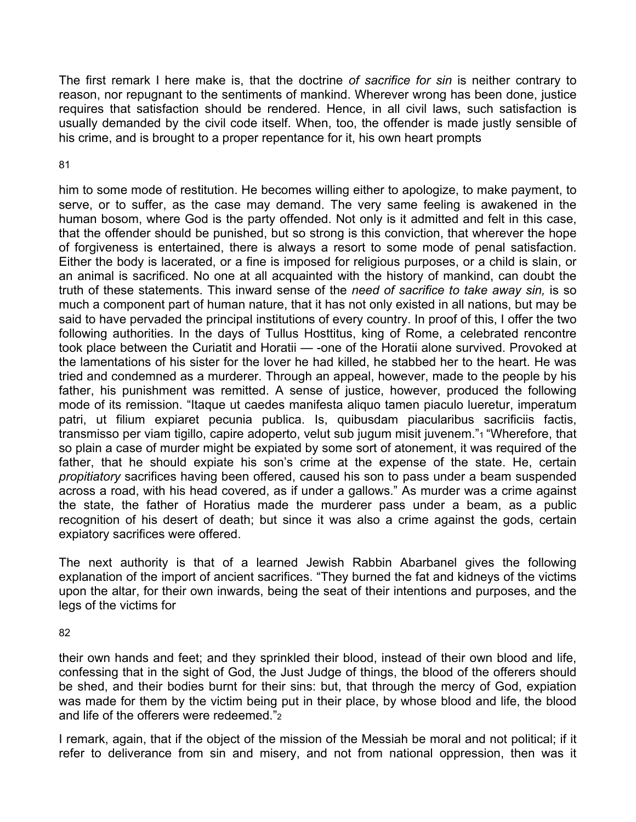The first remark I here make is, that the doctrine *of sacrifice for sin* is neither contrary to reason, nor repugnant to the sentiments of mankind. Wherever wrong has been done, justice requires that satisfaction should be rendered. Hence, in all civil laws, such satisfaction is usually demanded by the civil code itself. When, too, the offender is made justly sensible of his crime, and is brought to a proper repentance for it, his own heart prompts

### 81

him to some mode of restitution. He becomes willing either to apologize, to make payment, to serve, or to suffer, as the case may demand. The very same feeling is awakened in the human bosom, where God is the party offended. Not only is it admitted and felt in this case, that the offender should be punished, but so strong is this conviction, that wherever the hope of forgiveness is entertained, there is always a resort to some mode of penal satisfaction. Either the body is lacerated, or a fine is imposed for religious purposes, or a child is slain, or an animal is sacrificed. No one at all acquainted with the history of mankind, can doubt the truth of these statements. This inward sense of the *need of sacrifice to take away sin,* is so much a component part of human nature, that it has not only existed in all nations, but may be said to have pervaded the principal institutions of every country. In proof of this, I offer the two following authorities. In the days of Tullus Hosttitus, king of Rome, a celebrated rencontre took place between the Curiatit and Horatii — -one of the Horatii alone survived. Provoked at the lamentations of his sister for the lover he had killed, he stabbed her to the heart. He was tried and condemned as a murderer. Through an appeal, however, made to the people by his father, his punishment was remitted. A sense of justice, however, produced the following mode of its remission. "Itaque ut caedes manifesta aliquo tamen piaculo lueretur, imperatum patri, ut filium expiaret pecunia publica. Is, quibusdam piacularibus sacrificiis factis, transmisso per viam tigillo, capire adoperto, velut sub jugum misit juvenem."1 "Wherefore, that so plain a case of murder might be expiated by some sort of atonement, it was required of the father, that he should expiate his son's crime at the expense of the state. He, certain *propitiatory* sacrifices having been offered, caused his son to pass under a beam suspended across a road, with his head covered, as if under a gallows." As murder was a crime against the state, the father of Horatius made the murderer pass under a beam, as a public recognition of his desert of death; but since it was also a crime against the gods, certain expiatory sacrifices were offered.

The next authority is that of a learned Jewish Rabbin Abarbanel gives the following explanation of the import of ancient sacrifices. "They burned the fat and kidneys of the victims upon the altar, for their own inwards, being the seat of their intentions and purposes, and the legs of the victims for

82

their own hands and feet; and they sprinkled their blood, instead of their own blood and life, confessing that in the sight of God, the Just Judge of things, the blood of the offerers should be shed, and their bodies burnt for their sins: but, that through the mercy of God, expiation was made for them by the victim being put in their place, by whose blood and life, the blood and life of the offerers were redeemed."2

I remark, again, that if the object of the mission of the Messiah be moral and not political; if it refer to deliverance from sin and misery, and not from national oppression, then was it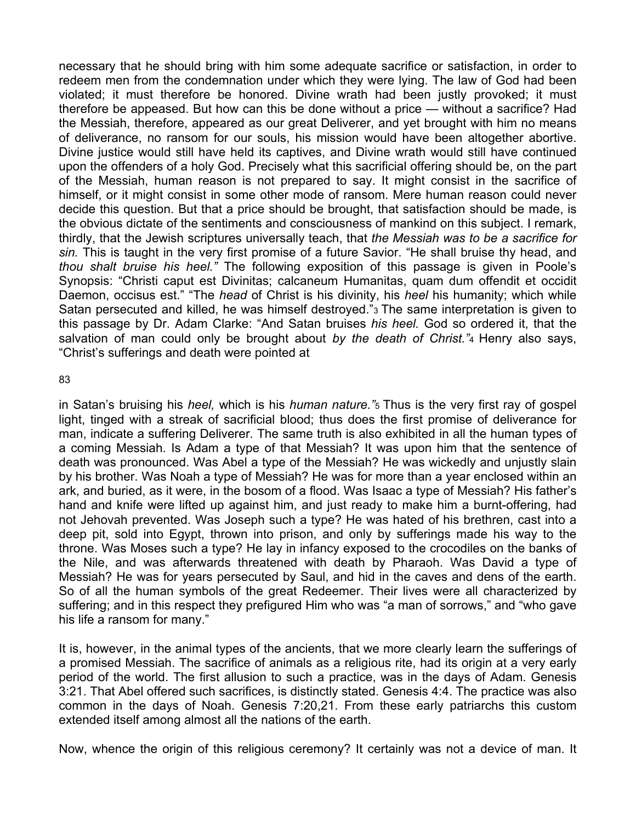necessary that he should bring with him some adequate sacrifice or satisfaction, in order to redeem men from the condemnation under which they were lying. The law of God had been violated; it must therefore be honored. Divine wrath had been justly provoked; it must therefore be appeased. But how can this be done without a price — without a sacrifice? Had the Messiah, therefore, appeared as our great Deliverer, and yet brought with him no means of deliverance, no ransom for our souls, his mission would have been altogether abortive. Divine justice would still have held its captives, and Divine wrath would still have continued upon the offenders of a holy God. Precisely what this sacrificial offering should be, on the part of the Messiah, human reason is not prepared to say. It might consist in the sacrifice of himself, or it might consist in some other mode of ransom. Mere human reason could never decide this question. But that a price should be brought, that satisfaction should be made, is the obvious dictate of the sentiments and consciousness of mankind on this subject. I remark, thirdly, that the Jewish scriptures universally teach, that *the Messiah was to be a sacrifice for sin.* This is taught in the very first promise of a future Savior. "He shall bruise thy head, and *thou shalt bruise his heel."* The following exposition of this passage is given in Poole's Synopsis: "Christi caput est Divinitas; calcaneum Humanitas, quam dum offendit et occidit Daemon, occisus est." "The *head* of Christ is his divinity, his *heel* his humanity; which while Satan persecuted and killed, he was himself destroyed."3 The same interpretation is given to this passage by Dr. Adam Clarke: "And Satan bruises *his heel.* God so ordered it, that the salvation of man could only be brought about *by the death of Christ."*4 Henry also says, "Christ's sufferings and death were pointed at

83

in Satan's bruising his *heel,* which is his *human nature."*5 Thus is the very first ray of gospel light, tinged with a streak of sacrificial blood; thus does the first promise of deliverance for man, indicate a suffering Deliverer. The same truth is also exhibited in all the human types of a coming Messiah. Is Adam a type of that Messiah? It was upon him that the sentence of death was pronounced. Was Abel a type of the Messiah? He was wickedly and unjustly slain by his brother. Was Noah a type of Messiah? He was for more than a year enclosed within an ark, and buried, as it were, in the bosom of a flood. Was Isaac a type of Messiah? His father's hand and knife were lifted up against him, and just ready to make him a burnt-offering, had not Jehovah prevented. Was Joseph such a type? He was hated of his brethren, cast into a deep pit, sold into Egypt, thrown into prison, and only by sufferings made his way to the throne. Was Moses such a type? He lay in infancy exposed to the crocodiles on the banks of the Nile, and was afterwards threatened with death by Pharaoh. Was David a type of Messiah? He was for years persecuted by Saul, and hid in the caves and dens of the earth. So of all the human symbols of the great Redeemer. Their lives were all characterized by suffering; and in this respect they prefigured Him who was "a man of sorrows," and "who gave his life a ransom for many."

It is, however, in the animal types of the ancients, that we more clearly learn the sufferings of a promised Messiah. The sacrifice of animals as a religious rite, had its origin at a very early period of the world. The first allusion to such a practice, was in the days of Adam. Genesis 3:21. That Abel offered such sacrifices, is distinctly stated. Genesis 4:4. The practice was also common in the days of Noah. Genesis 7:20,21. From these early patriarchs this custom extended itself among almost all the nations of the earth.

Now, whence the origin of this religious ceremony? It certainly was not a device of man. It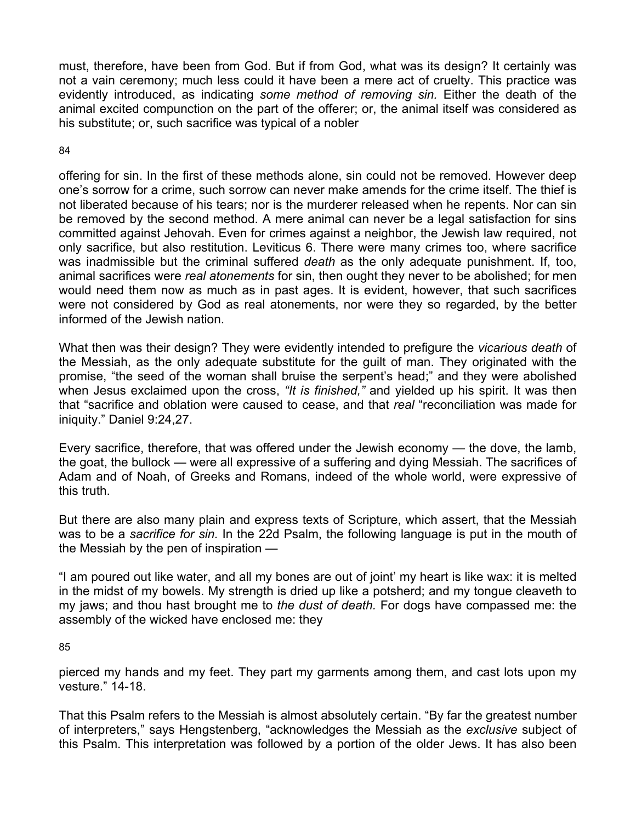must, therefore, have been from God. But if from God, what was its design? It certainly was not a vain ceremony; much less could it have been a mere act of cruelty. This practice was evidently introduced, as indicating *some method of removing sin.* Either the death of the animal excited compunction on the part of the offerer; or, the animal itself was considered as his substitute; or, such sacrifice was typical of a nobler

84

offering for sin. In the first of these methods alone, sin could not be removed. However deep one's sorrow for a crime, such sorrow can never make amends for the crime itself. The thief is not liberated because of his tears; nor is the murderer released when he repents. Nor can sin be removed by the second method. A mere animal can never be a legal satisfaction for sins committed against Jehovah. Even for crimes against a neighbor, the Jewish law required, not only sacrifice, but also restitution. Leviticus 6. There were many crimes too, where sacrifice was inadmissible but the criminal suffered *death* as the only adequate punishment. If, too, animal sacrifices were *real atonements* for sin, then ought they never to be abolished; for men would need them now as much as in past ages. It is evident, however, that such sacrifices were not considered by God as real atonements, nor were they so regarded, by the better informed of the Jewish nation.

What then was their design? They were evidently intended to prefigure the *vicarious death* of the Messiah, as the only adequate substitute for the guilt of man. They originated with the promise, "the seed of the woman shall bruise the serpent's head;" and they were abolished when Jesus exclaimed upon the cross, *"It is finished,"* and yielded up his spirit. It was then that "sacrifice and oblation were caused to cease, and that *real* "reconciliation was made for iniquity." Daniel 9:24,27.

Every sacrifice, therefore, that was offered under the Jewish economy — the dove, the lamb, the goat, the bullock — were all expressive of a suffering and dying Messiah. The sacrifices of Adam and of Noah, of Greeks and Romans, indeed of the whole world, were expressive of this truth.

But there are also many plain and express texts of Scripture, which assert, that the Messiah was to be a *sacrifice for sin.* In the 22d Psalm, the following language is put in the mouth of the Messiah by the pen of inspiration —

"I am poured out like water, and all my bones are out of joint' my heart is like wax: it is melted in the midst of my bowels. My strength is dried up like a potsherd; and my tongue cleaveth to my jaws; and thou hast brought me to *the dust of death.* For dogs have compassed me: the assembly of the wicked have enclosed me: they

85

pierced my hands and my feet. They part my garments among them, and cast lots upon my vesture." 14-18.

That this Psalm refers to the Messiah is almost absolutely certain. "By far the greatest number of interpreters," says Hengstenberg, "acknowledges the Messiah as the *exclusive* subject of this Psalm. This interpretation was followed by a portion of the older Jews. It has also been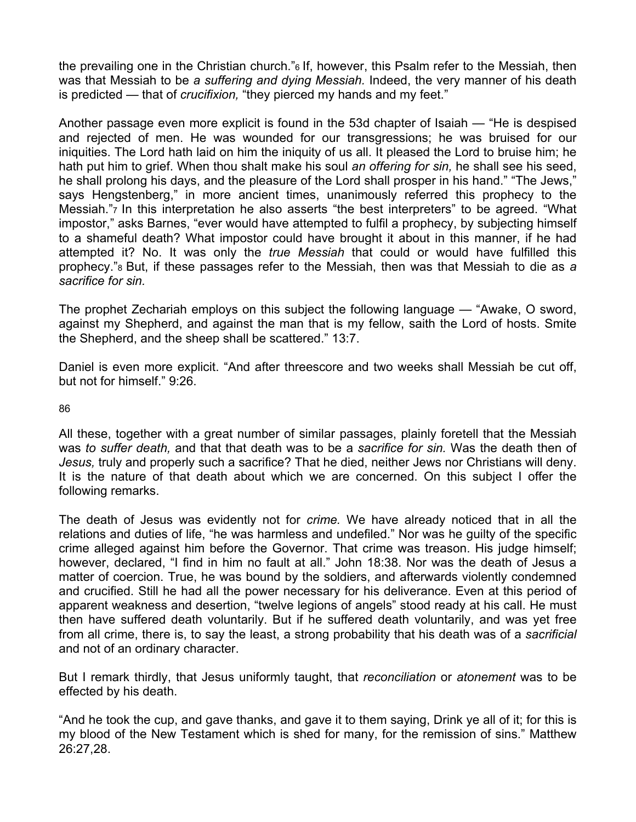the prevailing one in the Christian church."6 If, however, this Psalm refer to the Messiah, then was that Messiah to be *a suffering and dying Messiah.* Indeed, the very manner of his death is predicted — that of *crucifixion,* "they pierced my hands and my feet."

Another passage even more explicit is found in the 53d chapter of Isaiah — "He is despised and rejected of men. He was wounded for our transgressions; he was bruised for our iniquities. The Lord hath laid on him the iniquity of us all. It pleased the Lord to bruise him; he hath put him to grief. When thou shalt make his soul *an offering for sin,* he shall see his seed, he shall prolong his days, and the pleasure of the Lord shall prosper in his hand." "The Jews," says Hengstenberg," in more ancient times, unanimously referred this prophecy to the Messiah.", In this interpretation he also asserts "the best interpreters" to be agreed. "What impostor," asks Barnes, "ever would have attempted to fulfil a prophecy, by subjecting himself to a shameful death? What impostor could have brought it about in this manner, if he had attempted it? No. It was only the *true Messiah* that could or would have fulfilled this prophecy."8 But, if these passages refer to the Messiah, then was that Messiah to die as *a sacrifice for sin.* 

The prophet Zechariah employs on this subject the following language — "Awake, O sword, against my Shepherd, and against the man that is my fellow, saith the Lord of hosts. Smite the Shepherd, and the sheep shall be scattered." 13:7.

Daniel is even more explicit. "And after threescore and two weeks shall Messiah be cut off, but not for himself." 9:26.

86

All these, together with a great number of similar passages, plainly foretell that the Messiah was *to suffer death,* and that that death was to be a *sacrifice for sin.* Was the death then of *Jesus,* truly and properly such a sacrifice? That he died, neither Jews nor Christians will deny. It is the nature of that death about which we are concerned. On this subject I offer the following remarks.

The death of Jesus was evidently not for *crime.* We have already noticed that in all the relations and duties of life, "he was harmless and undefiled." Nor was he guilty of the specific crime alleged against him before the Governor. That crime was treason. His judge himself; however, declared, "I find in him no fault at all." John 18:38. Nor was the death of Jesus a matter of coercion. True, he was bound by the soldiers, and afterwards violently condemned and crucified. Still he had all the power necessary for his deliverance. Even at this period of apparent weakness and desertion, "twelve legions of angels" stood ready at his call. He must then have suffered death voluntarily. But if he suffered death voluntarily, and was yet free from all crime, there is, to say the least, a strong probability that his death was of a *sacrificial*  and not of an ordinary character.

But I remark thirdly, that Jesus uniformly taught, that *reconciliation* or *atonement* was to be effected by his death.

"And he took the cup, and gave thanks, and gave it to them saying, Drink ye all of it; for this is my blood of the New Testament which is shed for many, for the remission of sins." Matthew 26:27,28.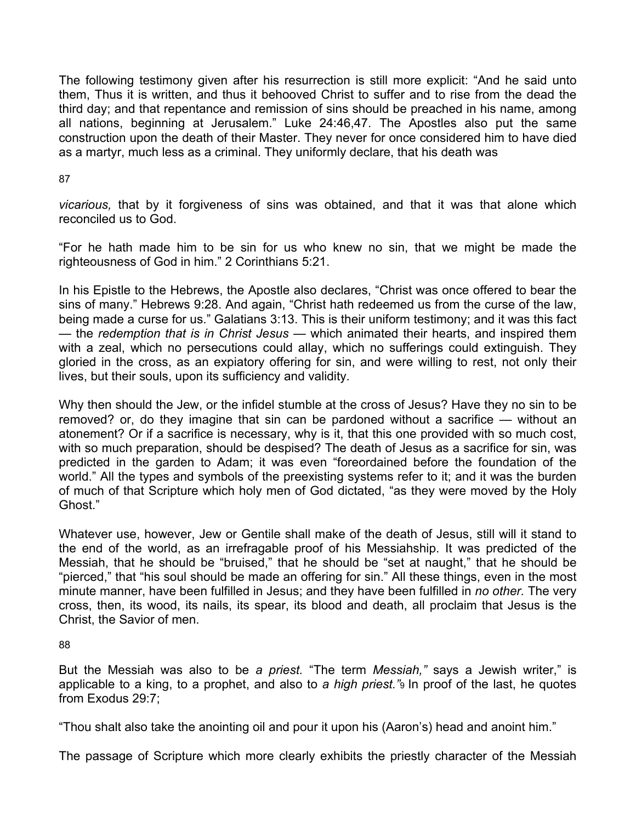The following testimony given after his resurrection is still more explicit: "And he said unto them, Thus it is written, and thus it behooved Christ to suffer and to rise from the dead the third day; and that repentance and remission of sins should be preached in his name, among all nations, beginning at Jerusalem." Luke 24:46,47. The Apostles also put the same construction upon the death of their Master. They never for once considered him to have died as a martyr, much less as a criminal. They uniformly declare, that his death was

### 87

*vicarious,* that by it forgiveness of sins was obtained, and that it was that alone which reconciled us to God.

"For he hath made him to be sin for us who knew no sin, that we might be made the righteousness of God in him." 2 Corinthians 5:21.

In his Epistle to the Hebrews, the Apostle also declares, "Christ was once offered to bear the sins of many." Hebrews 9:28. And again, "Christ hath redeemed us from the curse of the law, being made a curse for us." Galatians 3:13. This is their uniform testimony; and it was this fact — the *redemption that is in Christ Jesus* — which animated their hearts, and inspired them with a zeal, which no persecutions could allay, which no sufferings could extinguish. They gloried in the cross, as an expiatory offering for sin, and were willing to rest, not only their lives, but their souls, upon its sufficiency and validity.

Why then should the Jew, or the infidel stumble at the cross of Jesus? Have they no sin to be removed? or, do they imagine that sin can be pardoned without a sacrifice — without an atonement? Or if a sacrifice is necessary, why is it, that this one provided with so much cost, with so much preparation, should be despised? The death of Jesus as a sacrifice for sin, was predicted in the garden to Adam; it was even "foreordained before the foundation of the world." All the types and symbols of the preexisting systems refer to it; and it was the burden of much of that Scripture which holy men of God dictated, "as they were moved by the Holy Ghost."

Whatever use, however, Jew or Gentile shall make of the death of Jesus, still will it stand to the end of the world, as an irrefragable proof of his Messiahship. It was predicted of the Messiah, that he should be "bruised," that he should be "set at naught," that he should be "pierced," that "his soul should be made an offering for sin." All these things, even in the most minute manner, have been fulfilled in Jesus; and they have been fulfilled in *no other.* The very cross, then, its wood, its nails, its spear, its blood and death, all proclaim that Jesus is the Christ, the Savior of men.

#### 88

But the Messiah was also to be *a priest.* "The term *Messiah,"* says a Jewish writer," is applicable to a king, to a prophet, and also to *a high priest."*9 In proof of the last, he quotes from Exodus 29:7;

"Thou shalt also take the anointing oil and pour it upon his (Aaron's) head and anoint him."

The passage of Scripture which more clearly exhibits the priestly character of the Messiah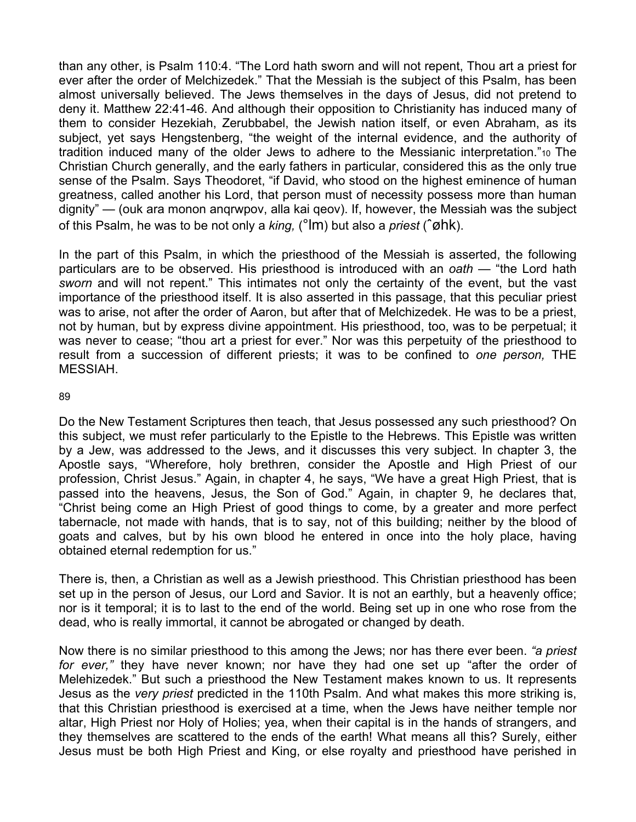than any other, is Psalm 110:4. "The Lord hath sworn and will not repent, Thou art a priest for ever after the order of Melchizedek." That the Messiah is the subject of this Psalm, has been almost universally believed. The Jews themselves in the days of Jesus, did not pretend to deny it. Matthew 22:41-46. And although their opposition to Christianity has induced many of them to consider Hezekiah, Zerubbabel, the Jewish nation itself, or even Abraham, as its subject, yet says Hengstenberg, "the weight of the internal evidence, and the authority of tradition induced many of the older Jews to adhere to the Messianic interpretation."10 The Christian Church generally, and the early fathers in particular, considered this as the only true sense of the Psalm. Says Theodoret, "if David, who stood on the highest eminence of human greatness, called another his Lord, that person must of necessity possess more than human dignity" — (ouk ara monon anqrwpov, alla kai qeov). If, however, the Messiah was the subject of this Psalm, he was to be not only a *king,* (°lm) but also a *priest* (ˆøhk).

In the part of this Psalm, in which the priesthood of the Messiah is asserted, the following particulars are to be observed. His priesthood is introduced with an *oath* — "the Lord hath *sworn* and will not repent." This intimates not only the certainty of the event, but the vast importance of the priesthood itself. It is also asserted in this passage, that this peculiar priest was to arise, not after the order of Aaron, but after that of Melchizedek. He was to be a priest, not by human, but by express divine appointment. His priesthood, too, was to be perpetual; it was never to cease; "thou art a priest for ever." Nor was this perpetuity of the priesthood to result from a succession of different priests; it was to be confined to *one person,* THE MESSIAH.

89

Do the New Testament Scriptures then teach, that Jesus possessed any such priesthood? On this subject, we must refer particularly to the Epistle to the Hebrews. This Epistle was written by a Jew, was addressed to the Jews, and it discusses this very subject. In chapter 3, the Apostle says, "Wherefore, holy brethren, consider the Apostle and High Priest of our profession, Christ Jesus." Again, in chapter 4, he says, "We have a great High Priest, that is passed into the heavens, Jesus, the Son of God." Again, in chapter 9, he declares that, "Christ being come an High Priest of good things to come, by a greater and more perfect tabernacle, not made with hands, that is to say, not of this building; neither by the blood of goats and calves, but by his own blood he entered in once into the holy place, having obtained eternal redemption for us."

There is, then, a Christian as well as a Jewish priesthood. This Christian priesthood has been set up in the person of Jesus, our Lord and Savior. It is not an earthly, but a heavenly office; nor is it temporal; it is to last to the end of the world. Being set up in one who rose from the dead, who is really immortal, it cannot be abrogated or changed by death.

Now there is no similar priesthood to this among the Jews; nor has there ever been. *"a priest for ever,"* they have never known; nor have they had one set up "after the order of Melehizedek." But such a priesthood the New Testament makes known to us. It represents Jesus as the *very priest* predicted in the 110th Psalm. And what makes this more striking is, that this Christian priesthood is exercised at a time, when the Jews have neither temple nor altar, High Priest nor Holy of Holies; yea, when their capital is in the hands of strangers, and they themselves are scattered to the ends of the earth! What means all this? Surely, either Jesus must be both High Priest and King, or else royalty and priesthood have perished in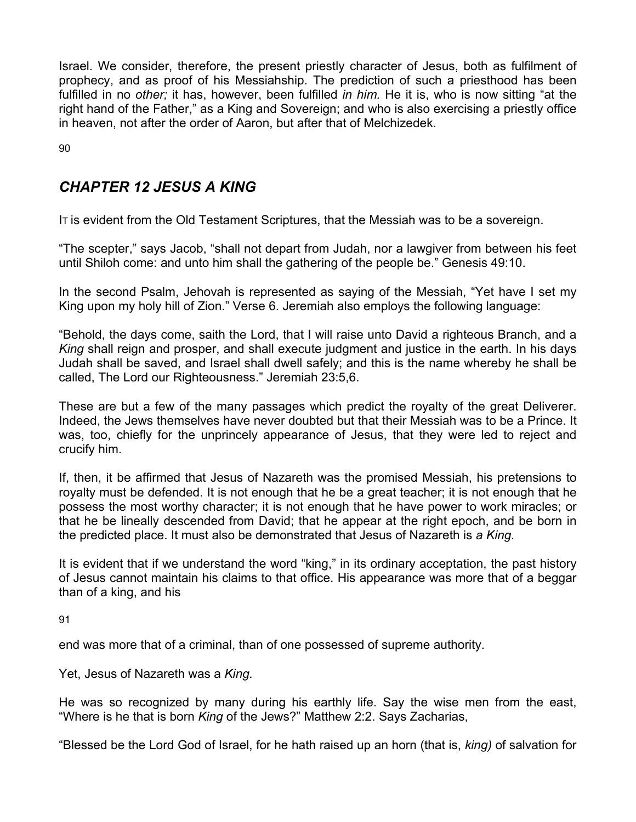Israel. We consider, therefore, the present priestly character of Jesus, both as fulfilment of prophecy, and as proof of his Messiahship. The prediction of such a priesthood has been fulfilled in no *other;* it has, however, been fulfilled *in him.* He it is, who is now sitting "at the right hand of the Father," as a King and Sovereign; and who is also exercising a priestly office in heaven, not after the order of Aaron, but after that of Melchizedek.

90

## *CHAPTER 12 JESUS A KING*

IT is evident from the Old Testament Scriptures, that the Messiah was to be a sovereign.

"The scepter," says Jacob, "shall not depart from Judah, nor a lawgiver from between his feet until Shiloh come: and unto him shall the gathering of the people be." Genesis 49:10.

In the second Psalm, Jehovah is represented as saying of the Messiah, "Yet have I set my King upon my holy hill of Zion." Verse 6. Jeremiah also employs the following language:

"Behold, the days come, saith the Lord, that I will raise unto David a righteous Branch, and a *King* shall reign and prosper, and shall execute judgment and justice in the earth. In his days Judah shall be saved, and Israel shall dwell safely; and this is the name whereby he shall be called, The Lord our Righteousness." Jeremiah 23:5,6.

These are but a few of the many passages which predict the royalty of the great Deliverer. Indeed, the Jews themselves have never doubted but that their Messiah was to be a Prince. It was, too, chiefly for the unprincely appearance of Jesus, that they were led to reject and crucify him.

If, then, it be affirmed that Jesus of Nazareth was the promised Messiah, his pretensions to royalty must be defended. It is not enough that he be a great teacher; it is not enough that he possess the most worthy character; it is not enough that he have power to work miracles; or that he be lineally descended from David; that he appear at the right epoch, and be born in the predicted place. It must also be demonstrated that Jesus of Nazareth is *a King.* 

It is evident that if we understand the word "king," in its ordinary acceptation, the past history of Jesus cannot maintain his claims to that office. His appearance was more that of a beggar than of a king, and his

91

end was more that of a criminal, than of one possessed of supreme authority.

Yet, Jesus of Nazareth was a *King.* 

He was so recognized by many during his earthly life. Say the wise men from the east, "Where is he that is born *King* of the Jews?" Matthew 2:2. Says Zacharias,

"Blessed be the Lord God of Israel, for he hath raised up an horn (that is, *king)* of salvation for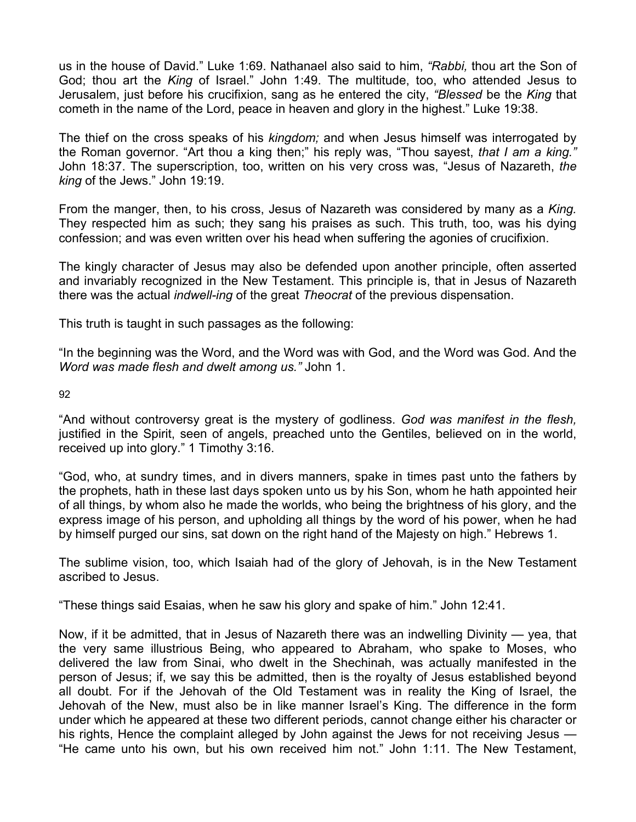us in the house of David." Luke 1:69. Nathanael also said to him, *"Rabbi,* thou art the Son of God; thou art the *King* of Israel." John 1:49. The multitude, too, who attended Jesus to Jerusalem, just before his crucifixion, sang as he entered the city, *"Blessed* be the *King* that cometh in the name of the Lord, peace in heaven and glory in the highest." Luke 19:38.

The thief on the cross speaks of his *kingdom;* and when Jesus himself was interrogated by the Roman governor. "Art thou a king then;" his reply was, "Thou sayest, *that I am a king."*  John 18:37. The superscription, too, written on his very cross was, "Jesus of Nazareth, *the king* of the Jews." John 19:19.

From the manger, then, to his cross, Jesus of Nazareth was considered by many as a *King.*  They respected him as such; they sang his praises as such. This truth, too, was his dying confession; and was even written over his head when suffering the agonies of crucifixion.

The kingly character of Jesus may also be defended upon another principle, often asserted and invariably recognized in the New Testament. This principle is, that in Jesus of Nazareth there was the actual *indwell-ing* of the great *Theocrat* of the previous dispensation.

This truth is taught in such passages as the following:

"In the beginning was the Word, and the Word was with God, and the Word was God. And the *Word was made flesh and dwelt among us."* John 1.

92

"And without controversy great is the mystery of godliness. *God was manifest in the flesh,*  justified in the Spirit, seen of angels, preached unto the Gentiles, believed on in the world, received up into glory." 1 Timothy 3:16.

"God, who, at sundry times, and in divers manners, spake in times past unto the fathers by the prophets, hath in these last days spoken unto us by his Son, whom he hath appointed heir of all things, by whom also he made the worlds, who being the brightness of his glory, and the express image of his person, and upholding all things by the word of his power, when he had by himself purged our sins, sat down on the right hand of the Majesty on high." Hebrews 1.

The sublime vision, too, which Isaiah had of the glory of Jehovah, is in the New Testament ascribed to Jesus.

"These things said Esaias, when he saw his glory and spake of him." John 12:41.

Now, if it be admitted, that in Jesus of Nazareth there was an indwelling Divinity — yea, that the very same illustrious Being, who appeared to Abraham, who spake to Moses, who delivered the law from Sinai, who dwelt in the Shechinah, was actually manifested in the person of Jesus; if, we say this be admitted, then is the royalty of Jesus established beyond all doubt. For if the Jehovah of the Old Testament was in reality the King of Israel, the Jehovah of the New, must also be in like manner Israel's King. The difference in the form under which he appeared at these two different periods, cannot change either his character or his rights, Hence the complaint alleged by John against the Jews for not receiving Jesus — "He came unto his own, but his own received him not." John 1:11. The New Testament,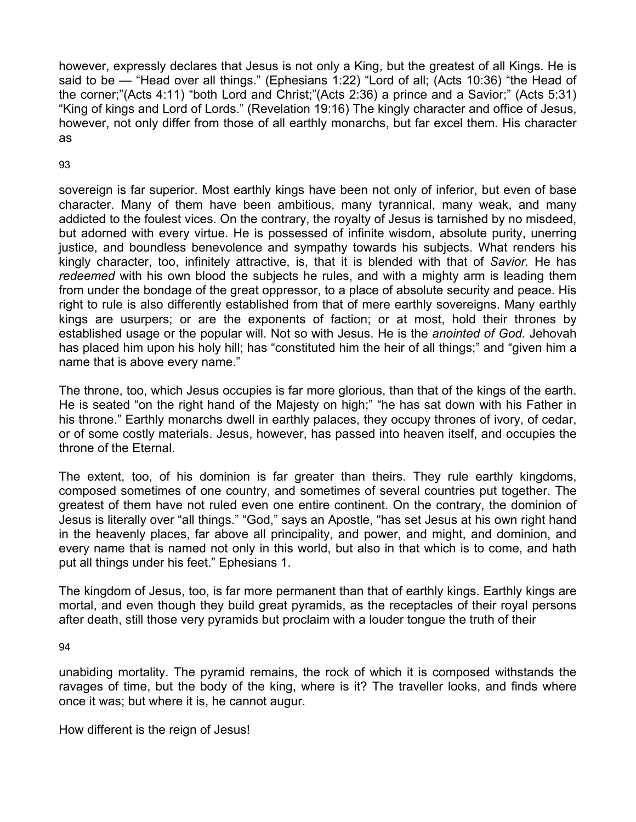however, expressly declares that Jesus is not only a King, but the greatest of all Kings. He is said to be — "Head over all things." (Ephesians 1:22) "Lord of all; (Acts 10:36) "the Head of the corner;"(Acts 4:11) "both Lord and Christ;"(Acts 2:36) a prince and a Savior;" (Acts 5:31) "King of kings and Lord of Lords." (Revelation 19:16) The kingly character and office of Jesus, however, not only differ from those of all earthly monarchs, but far excel them. His character as

### 93

sovereign is far superior. Most earthly kings have been not only of inferior, but even of base character. Many of them have been ambitious, many tyrannical, many weak, and many addicted to the foulest vices. On the contrary, the royalty of Jesus is tarnished by no misdeed, but adorned with every virtue. He is possessed of infinite wisdom, absolute purity, unerring justice, and boundless benevolence and sympathy towards his subjects. What renders his kingly character, too, infinitely attractive, is, that it is blended with that of *Savior.* He has *redeemed* with his own blood the subjects he rules, and with a mighty arm is leading them from under the bondage of the great oppressor, to a place of absolute security and peace. His right to rule is also differently established from that of mere earthly sovereigns. Many earthly kings are usurpers; or are the exponents of faction; or at most, hold their thrones by established usage or the popular will. Not so with Jesus. He is the *anointed of God.* Jehovah has placed him upon his holy hill; has "constituted him the heir of all things;" and "given him a name that is above every name."

The throne, too, which Jesus occupies is far more glorious, than that of the kings of the earth. He is seated "on the right hand of the Majesty on high;" "he has sat down with his Father in his throne." Earthly monarchs dwell in earthly palaces, they occupy thrones of ivory, of cedar, or of some costly materials. Jesus, however, has passed into heaven itself, and occupies the throne of the Eternal.

The extent, too, of his dominion is far greater than theirs. They rule earthly kingdoms, composed sometimes of one country, and sometimes of several countries put together. The greatest of them have not ruled even one entire continent. On the contrary, the dominion of Jesus is literally over "all things." "God," says an Apostle, "has set Jesus at his own right hand in the heavenly places, far above all principality, and power, and might, and dominion, and every name that is named not only in this world, but also in that which is to come, and hath put all things under his feet." Ephesians 1.

The kingdom of Jesus, too, is far more permanent than that of earthly kings. Earthly kings are mortal, and even though they build great pyramids, as the receptacles of their royal persons after death, still those very pyramids but proclaim with a louder tongue the truth of their

#### 94

unabiding mortality. The pyramid remains, the rock of which it is composed withstands the ravages of time, but the body of the king, where is it? The traveller looks, and finds where once it was; but where it is, he cannot augur.

How different is the reign of Jesus!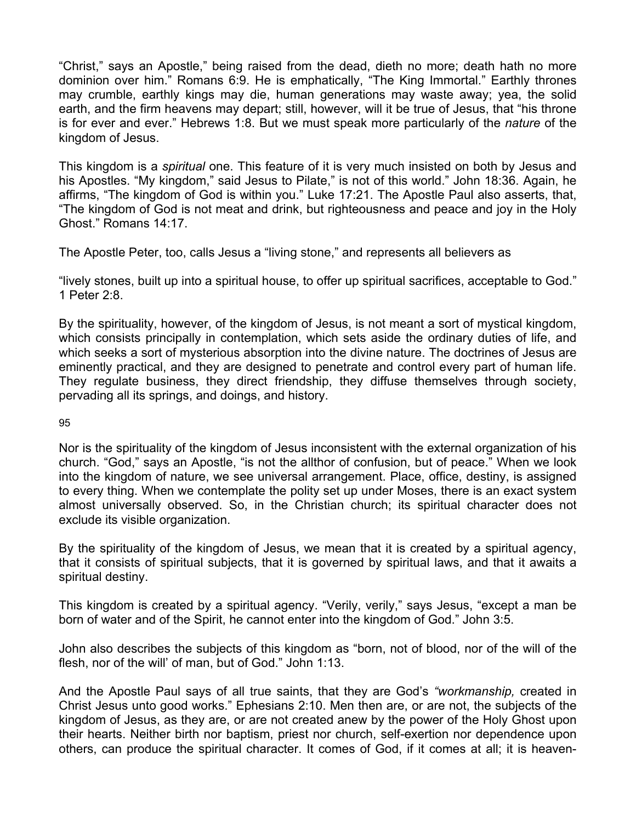"Christ," says an Apostle," being raised from the dead, dieth no more; death hath no more dominion over him." Romans 6:9. He is emphatically, "The King Immortal." Earthly thrones may crumble, earthly kings may die, human generations may waste away; yea, the solid earth, and the firm heavens may depart; still, however, will it be true of Jesus, that "his throne is for ever and ever." Hebrews 1:8. But we must speak more particularly of the *nature* of the kingdom of Jesus.

This kingdom is a *spiritual* one. This feature of it is very much insisted on both by Jesus and his Apostles. "My kingdom," said Jesus to Pilate," is not of this world." John 18:36. Again, he affirms, "The kingdom of God is within you." Luke 17:21. The Apostle Paul also asserts, that, "The kingdom of God is not meat and drink, but righteousness and peace and joy in the Holy Ghost." Romans 14:17.

The Apostle Peter, too, calls Jesus a "living stone," and represents all believers as

"lively stones, built up into a spiritual house, to offer up spiritual sacrifices, acceptable to God." 1 Peter 2:8.

By the spirituality, however, of the kingdom of Jesus, is not meant a sort of mystical kingdom, which consists principally in contemplation, which sets aside the ordinary duties of life, and which seeks a sort of mysterious absorption into the divine nature. The doctrines of Jesus are eminently practical, and they are designed to penetrate and control every part of human life. They regulate business, they direct friendship, they diffuse themselves through society, pervading all its springs, and doings, and history.

95

Nor is the spirituality of the kingdom of Jesus inconsistent with the external organization of his church. "God," says an Apostle, "is not the allthor of confusion, but of peace." When we look into the kingdom of nature, we see universal arrangement. Place, office, destiny, is assigned to every thing. When we contemplate the polity set up under Moses, there is an exact system almost universally observed. So, in the Christian church; its spiritual character does not exclude its visible organization.

By the spirituality of the kingdom of Jesus, we mean that it is created by a spiritual agency, that it consists of spiritual subjects, that it is governed by spiritual laws, and that it awaits a spiritual destiny.

This kingdom is created by a spiritual agency. "Verily, verily," says Jesus, "except a man be born of water and of the Spirit, he cannot enter into the kingdom of God." John 3:5.

John also describes the subjects of this kingdom as "born, not of blood, nor of the will of the flesh, nor of the will' of man, but of God." John 1:13.

And the Apostle Paul says of all true saints, that they are God's *"workmanship,* created in Christ Jesus unto good works." Ephesians 2:10. Men then are, or are not, the subjects of the kingdom of Jesus, as they are, or are not created anew by the power of the Holy Ghost upon their hearts. Neither birth nor baptism, priest nor church, self-exertion nor dependence upon others, can produce the spiritual character. It comes of God, if it comes at all; it is heaven-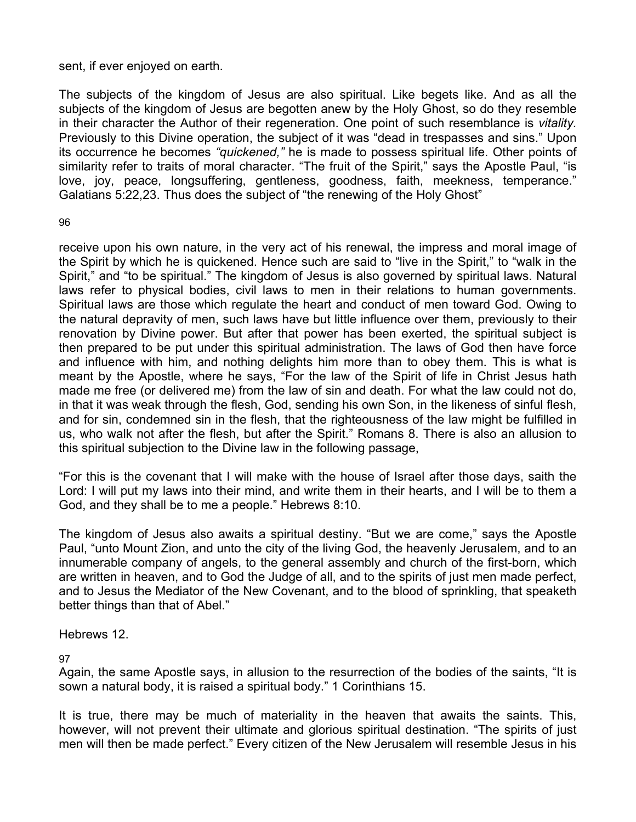### sent, if ever enjoyed on earth.

The subjects of the kingdom of Jesus are also spiritual. Like begets like. And as all the subjects of the kingdom of Jesus are begotten anew by the Holy Ghost, so do they resemble in their character the Author of their regeneration. One point of such resemblance is *vitality.*  Previously to this Divine operation, the subject of it was "dead in trespasses and sins." Upon its occurrence he becomes *"quickened,"* he is made to possess spiritual life. Other points of similarity refer to traits of moral character. "The fruit of the Spirit," says the Apostle Paul, "is love, joy, peace, longsuffering, gentleness, goodness, faith, meekness, temperance." Galatians 5:22,23. Thus does the subject of "the renewing of the Holy Ghost"

96

receive upon his own nature, in the very act of his renewal, the impress and moral image of the Spirit by which he is quickened. Hence such are said to "live in the Spirit," to "walk in the Spirit," and "to be spiritual." The kingdom of Jesus is also governed by spiritual laws. Natural laws refer to physical bodies, civil laws to men in their relations to human governments. Spiritual laws are those which regulate the heart and conduct of men toward God. Owing to the natural depravity of men, such laws have but little influence over them, previously to their renovation by Divine power. But after that power has been exerted, the spiritual subject is then prepared to be put under this spiritual administration. The laws of God then have force and influence with him, and nothing delights him more than to obey them. This is what is meant by the Apostle, where he says, "For the law of the Spirit of life in Christ Jesus hath made me free (or delivered me) from the law of sin and death. For what the law could not do, in that it was weak through the flesh, God, sending his own Son, in the likeness of sinful flesh, and for sin, condemned sin in the flesh, that the righteousness of the law might be fulfilled in us, who walk not after the flesh, but after the Spirit." Romans 8. There is also an allusion to this spiritual subjection to the Divine law in the following passage,

"For this is the covenant that I will make with the house of Israel after those days, saith the Lord: I will put my laws into their mind, and write them in their hearts, and I will be to them a God, and they shall be to me a people." Hebrews 8:10.

The kingdom of Jesus also awaits a spiritual destiny. "But we are come," says the Apostle Paul, "unto Mount Zion, and unto the city of the living God, the heavenly Jerusalem, and to an innumerable company of angels, to the general assembly and church of the first-born, which are written in heaven, and to God the Judge of all, and to the spirits of just men made perfect, and to Jesus the Mediator of the New Covenant, and to the blood of sprinkling, that speaketh better things than that of Abel."

Hebrews 12.

97

Again, the same Apostle says, in allusion to the resurrection of the bodies of the saints, "It is sown a natural body, it is raised a spiritual body." 1 Corinthians 15.

It is true, there may be much of materiality in the heaven that awaits the saints. This, however, will not prevent their ultimate and glorious spiritual destination. "The spirits of just men will then be made perfect." Every citizen of the New Jerusalem will resemble Jesus in his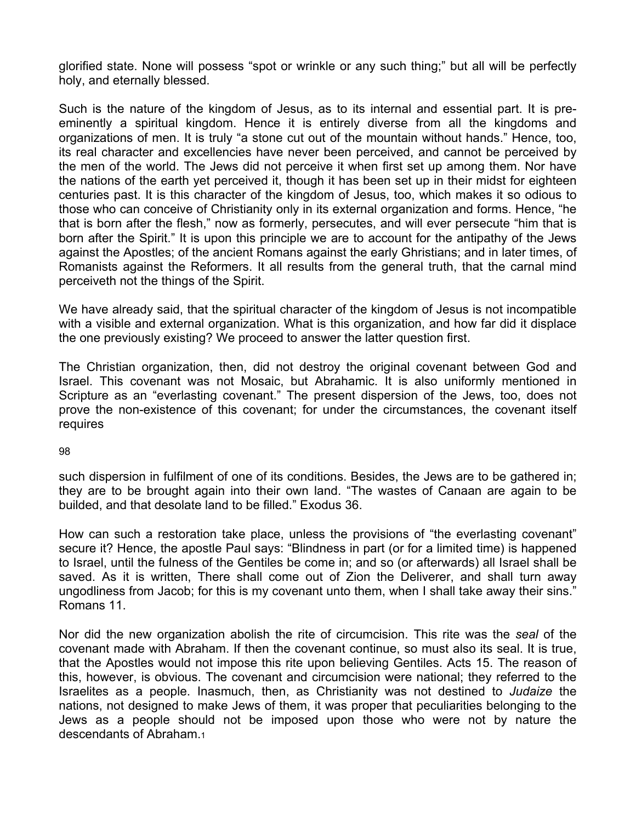glorified state. None will possess "spot or wrinkle or any such thing;" but all will be perfectly holy, and eternally blessed.

Such is the nature of the kingdom of Jesus, as to its internal and essential part. It is preeminently a spiritual kingdom. Hence it is entirely diverse from all the kingdoms and organizations of men. It is truly "a stone cut out of the mountain without hands." Hence, too, its real character and excellencies have never been perceived, and cannot be perceived by the men of the world. The Jews did not perceive it when first set up among them. Nor have the nations of the earth yet perceived it, though it has been set up in their midst for eighteen centuries past. It is this character of the kingdom of Jesus, too, which makes it so odious to those who can conceive of Christianity only in its external organization and forms. Hence, "he that is born after the flesh," now as formerly, persecutes, and will ever persecute "him that is born after the Spirit." It is upon this principle we are to account for the antipathy of the Jews against the Apostles; of the ancient Romans against the early Ghristians; and in later times, of Romanists against the Reformers. It all results from the general truth, that the carnal mind perceiveth not the things of the Spirit.

We have already said, that the spiritual character of the kingdom of Jesus is not incompatible with a visible and external organization. What is this organization, and how far did it displace the one previously existing? We proceed to answer the latter question first.

The Christian organization, then, did not destroy the original covenant between God and Israel. This covenant was not Mosaic, but Abrahamic. It is also uniformly mentioned in Scripture as an "everlasting covenant." The present dispersion of the Jews, too, does not prove the non-existence of this covenant; for under the circumstances, the covenant itself requires

98

such dispersion in fulfilment of one of its conditions. Besides, the Jews are to be gathered in; they are to be brought again into their own land. "The wastes of Canaan are again to be builded, and that desolate land to be filled." Exodus 36.

How can such a restoration take place, unless the provisions of "the everlasting covenant" secure it? Hence, the apostle Paul says: "Blindness in part (or for a limited time) is happened to Israel, until the fulness of the Gentiles be come in; and so (or afterwards) all Israel shall be saved. As it is written, There shall come out of Zion the Deliverer, and shall turn away ungodliness from Jacob; for this is my covenant unto them, when I shall take away their sins." Romans 11.

Nor did the new organization abolish the rite of circumcision. This rite was the *seal* of the covenant made with Abraham. If then the covenant continue, so must also its seal. It is true, that the Apostles would not impose this rite upon believing Gentiles. Acts 15. The reason of this, however, is obvious. The covenant and circumcision were national; they referred to the Israelites as a people. Inasmuch, then, as Christianity was not destined to *Judaize* the nations, not designed to make Jews of them, it was proper that peculiarities belonging to the Jews as a people should not be imposed upon those who were not by nature the descendants of Abraham.1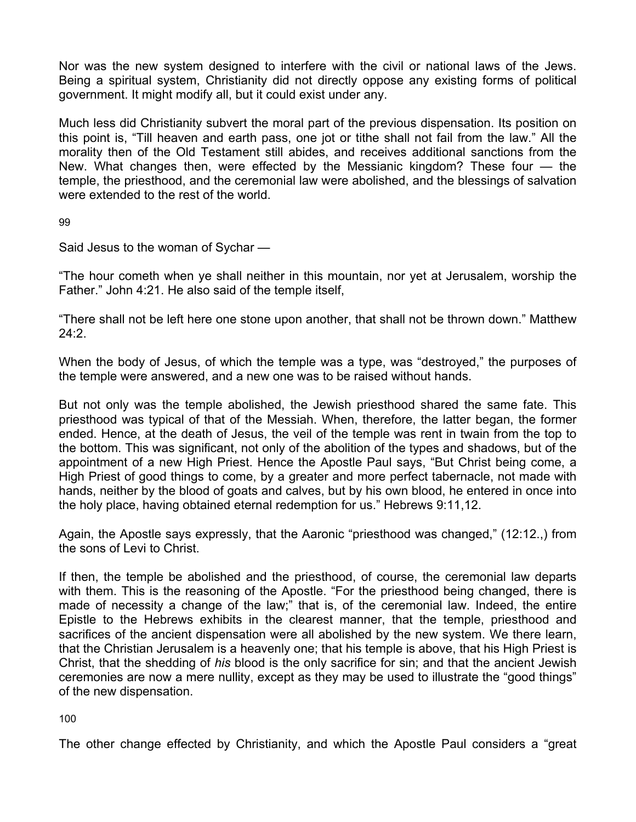Nor was the new system designed to interfere with the civil or national laws of the Jews. Being a spiritual system, Christianity did not directly oppose any existing forms of political government. It might modify all, but it could exist under any.

Much less did Christianity subvert the moral part of the previous dispensation. Its position on this point is, "Till heaven and earth pass, one jot or tithe shall not fail from the law." All the morality then of the Old Testament still abides, and receives additional sanctions from the New. What changes then, were effected by the Messianic kingdom? These four — the temple, the priesthood, and the ceremonial law were abolished, and the blessings of salvation were extended to the rest of the world.

99

Said Jesus to the woman of Sychar —

"The hour cometh when ye shall neither in this mountain, nor yet at Jerusalem, worship the Father." John 4:21. He also said of the temple itself,

"There shall not be left here one stone upon another, that shall not be thrown down." Matthew 24:2.

When the body of Jesus, of which the temple was a type, was "destroyed," the purposes of the temple were answered, and a new one was to be raised without hands.

But not only was the temple abolished, the Jewish priesthood shared the same fate. This priesthood was typical of that of the Messiah. When, therefore, the latter began, the former ended. Hence, at the death of Jesus, the veil of the temple was rent in twain from the top to the bottom. This was significant, not only of the abolition of the types and shadows, but of the appointment of a new High Priest. Hence the Apostle Paul says, "But Christ being come, a High Priest of good things to come, by a greater and more perfect tabernacle, not made with hands, neither by the blood of goats and calves, but by his own blood, he entered in once into the holy place, having obtained eternal redemption for us." Hebrews 9:11,12.

Again, the Apostle says expressly, that the Aaronic "priesthood was changed," (12:12.,) from the sons of Levi to Christ.

If then, the temple be abolished and the priesthood, of course, the ceremonial law departs with them. This is the reasoning of the Apostle. "For the priesthood being changed, there is made of necessity a change of the law;" that is, of the ceremonial law. Indeed, the entire Epistle to the Hebrews exhibits in the clearest manner, that the temple, priesthood and sacrifices of the ancient dispensation were all abolished by the new system. We there learn, that the Christian Jerusalem is a heavenly one; that his temple is above, that his High Priest is Christ, that the shedding of *his* blood is the only sacrifice for sin; and that the ancient Jewish ceremonies are now a mere nullity, except as they may be used to illustrate the "good things" of the new dispensation.

100

The other change effected by Christianity, and which the Apostle Paul considers a "great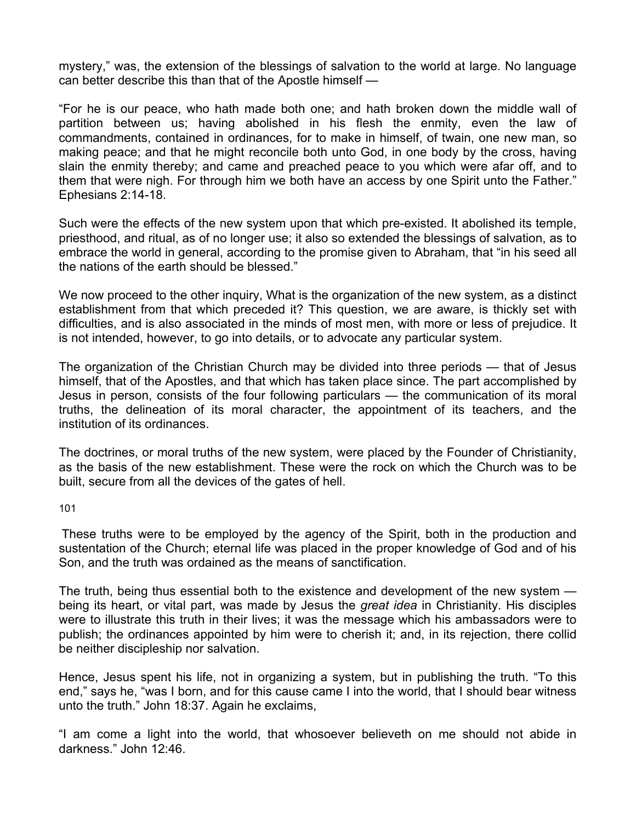mystery," was, the extension of the blessings of salvation to the world at large. No language can better describe this than that of the Apostle himself —

"For he is our peace, who hath made both one; and hath broken down the middle wall of partition between us; having abolished in his flesh the enmity, even the law of commandments, contained in ordinances, for to make in himself, of twain, one new man, so making peace; and that he might reconcile both unto God, in one body by the cross, having slain the enmity thereby; and came and preached peace to you which were afar off, and to them that were nigh. For through him we both have an access by one Spirit unto the Father." Ephesians 2:14-18.

Such were the effects of the new system upon that which pre-existed. It abolished its temple, priesthood, and ritual, as of no longer use; it also so extended the blessings of salvation, as to embrace the world in general, according to the promise given to Abraham, that "in his seed all the nations of the earth should be blessed."

We now proceed to the other inquiry, What is the organization of the new system, as a distinct establishment from that which preceded it? This question, we are aware, is thickly set with difficulties, and is also associated in the minds of most men, with more or less of prejudice. It is not intended, however, to go into details, or to advocate any particular system.

The organization of the Christian Church may be divided into three periods — that of Jesus himself, that of the Apostles, and that which has taken place since. The part accomplished by Jesus in person, consists of the four following particulars — the communication of its moral truths, the delineation of its moral character, the appointment of its teachers, and the institution of its ordinances.

The doctrines, or moral truths of the new system, were placed by the Founder of Christianity, as the basis of the new establishment. These were the rock on which the Church was to be built, secure from all the devices of the gates of hell.

101

These truths were to be employed by the agency of the Spirit, both in the production and sustentation of the Church; eternal life was placed in the proper knowledge of God and of his Son, and the truth was ordained as the means of sanctification.

The truth, being thus essential both to the existence and development of the new system being its heart, or vital part, was made by Jesus the *great idea* in Christianity. His disciples were to illustrate this truth in their lives; it was the message which his ambassadors were to publish; the ordinances appointed by him were to cherish it; and, in its rejection, there collid be neither discipleship nor salvation.

Hence, Jesus spent his life, not in organizing a system, but in publishing the truth. "To this end," says he, "was I born, and for this cause came I into the world, that I should bear witness unto the truth." John 18:37. Again he exclaims,

"I am come a light into the world, that whosoever believeth on me should not abide in darkness." John 12:46.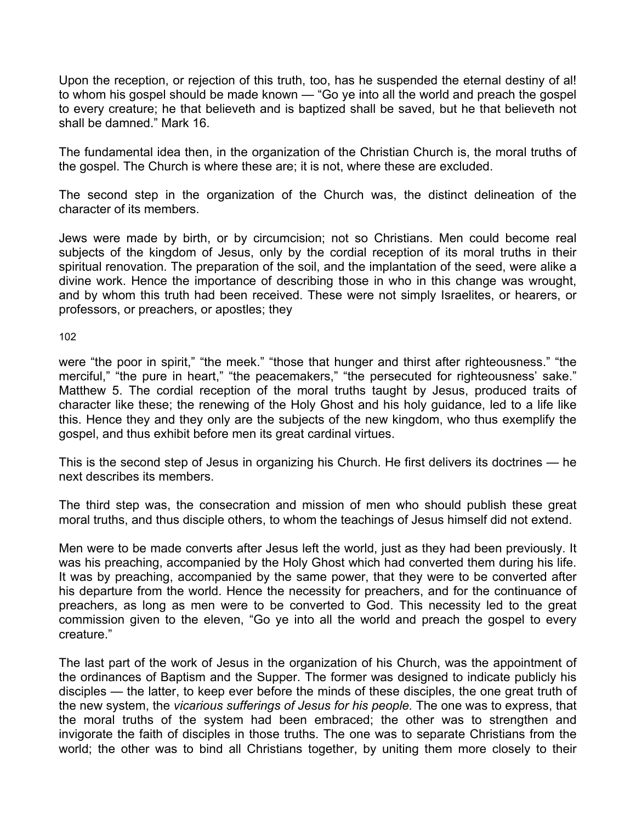Upon the reception, or rejection of this truth, too, has he suspended the eternal destiny of al! to whom his gospel should be made known — "Go ye into all the world and preach the gospel to every creature; he that believeth and is baptized shall be saved, but he that believeth not shall be damned." Mark 16.

The fundamental idea then, in the organization of the Christian Church is, the moral truths of the gospel. The Church is where these are; it is not, where these are excluded.

The second step in the organization of the Church was, the distinct delineation of the character of its members.

Jews were made by birth, or by circumcision; not so Christians. Men could become real subjects of the kingdom of Jesus, only by the cordial reception of its moral truths in their spiritual renovation. The preparation of the soil, and the implantation of the seed, were alike a divine work. Hence the importance of describing those in who in this change was wrought, and by whom this truth had been received. These were not simply Israelites, or hearers, or professors, or preachers, or apostles; they

102

were "the poor in spirit," "the meek." "those that hunger and thirst after righteousness." "the merciful," "the pure in heart," "the peacemakers," "the persecuted for righteousness' sake." Matthew 5. The cordial reception of the moral truths taught by Jesus, produced traits of character like these; the renewing of the Holy Ghost and his holy guidance, led to a life like this. Hence they and they only are the subjects of the new kingdom, who thus exemplify the gospel, and thus exhibit before men its great cardinal virtues.

This is the second step of Jesus in organizing his Church. He first delivers its doctrines — he next describes its members.

The third step was, the consecration and mission of men who should publish these great moral truths, and thus disciple others, to whom the teachings of Jesus himself did not extend.

Men were to be made converts after Jesus left the world, just as they had been previously. It was his preaching, accompanied by the Holy Ghost which had converted them during his life. It was by preaching, accompanied by the same power, that they were to be converted after his departure from the world. Hence the necessity for preachers, and for the continuance of preachers, as long as men were to be converted to God. This necessity led to the great commission given to the eleven, "Go ye into all the world and preach the gospel to every creature."

The last part of the work of Jesus in the organization of his Church, was the appointment of the ordinances of Baptism and the Supper. The former was designed to indicate publicly his disciples — the latter, to keep ever before the minds of these disciples, the one great truth of the new system, the *vicarious sufferings of Jesus for his people.* The one was to express, that the moral truths of the system had been embraced; the other was to strengthen and invigorate the faith of disciples in those truths. The one was to separate Christians from the world; the other was to bind all Christians together, by uniting them more closely to their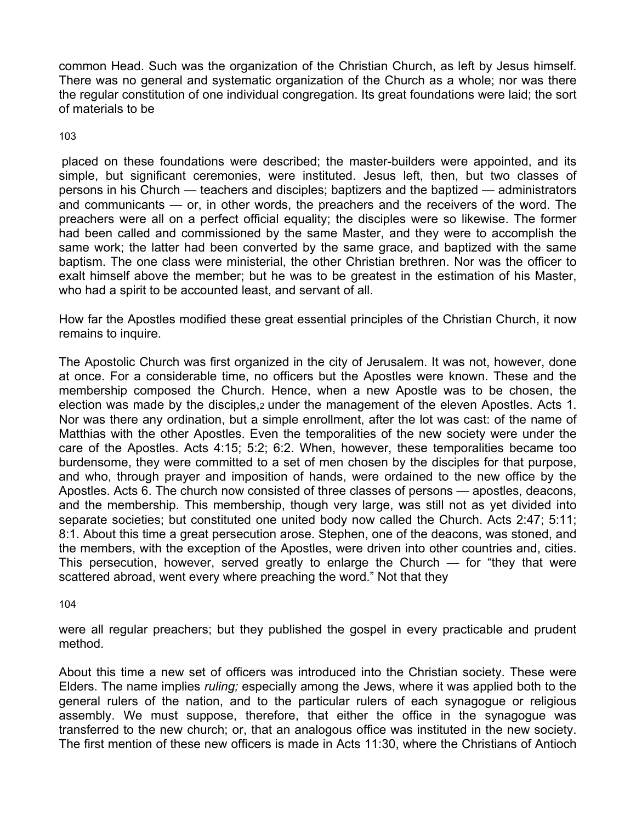common Head. Such was the organization of the Christian Church, as left by Jesus himself. There was no general and systematic organization of the Church as a whole; nor was there the regular constitution of one individual congregation. Its great foundations were laid; the sort of materials to be

103

placed on these foundations were described; the master-builders were appointed, and its simple, but significant ceremonies, were instituted. Jesus left, then, but two classes of persons in his Church — teachers and disciples; baptizers and the baptized — administrators and communicants — or, in other words, the preachers and the receivers of the word. The preachers were all on a perfect official equality; the disciples were so likewise. The former had been called and commissioned by the same Master, and they were to accomplish the same work; the latter had been converted by the same grace, and baptized with the same baptism. The one class were ministerial, the other Christian brethren. Nor was the officer to exalt himself above the member; but he was to be greatest in the estimation of his Master, who had a spirit to be accounted least, and servant of all.

How far the Apostles modified these great essential principles of the Christian Church, it now remains to inquire.

The Apostolic Church was first organized in the city of Jerusalem. It was not, however, done at once. For a considerable time, no officers but the Apostles were known. These and the membership composed the Church. Hence, when a new Apostle was to be chosen, the election was made by the disciples,2 under the management of the eleven Apostles. Acts 1. Nor was there any ordination, but a simple enrollment, after the lot was cast: of the name of Matthias with the other Apostles. Even the temporalities of the new society were under the care of the Apostles. Acts 4:15; 5:2; 6:2. When, however, these temporalities became too burdensome, they were committed to a set of men chosen by the disciples for that purpose, and who, through prayer and imposition of hands, were ordained to the new office by the Apostles. Acts 6. The church now consisted of three classes of persons — apostles, deacons, and the membership. This membership, though very large, was still not as yet divided into separate societies; but constituted one united body now called the Church. Acts 2:47; 5:11; 8:1. About this time a great persecution arose. Stephen, one of the deacons, was stoned, and the members, with the exception of the Apostles, were driven into other countries and, cities. This persecution, however, served greatly to enlarge the Church — for "they that were scattered abroad, went every where preaching the word." Not that they

104

were all regular preachers; but they published the gospel in every practicable and prudent method.

About this time a new set of officers was introduced into the Christian society. These were Elders. The name implies *ruling;* especially among the Jews, where it was applied both to the general rulers of the nation, and to the particular rulers of each synagogue or religious assembly. We must suppose, therefore, that either the office in the synagogue was transferred to the new church; or, that an analogous office was instituted in the new society. The first mention of these new officers is made in Acts 11:30, where the Christians of Antioch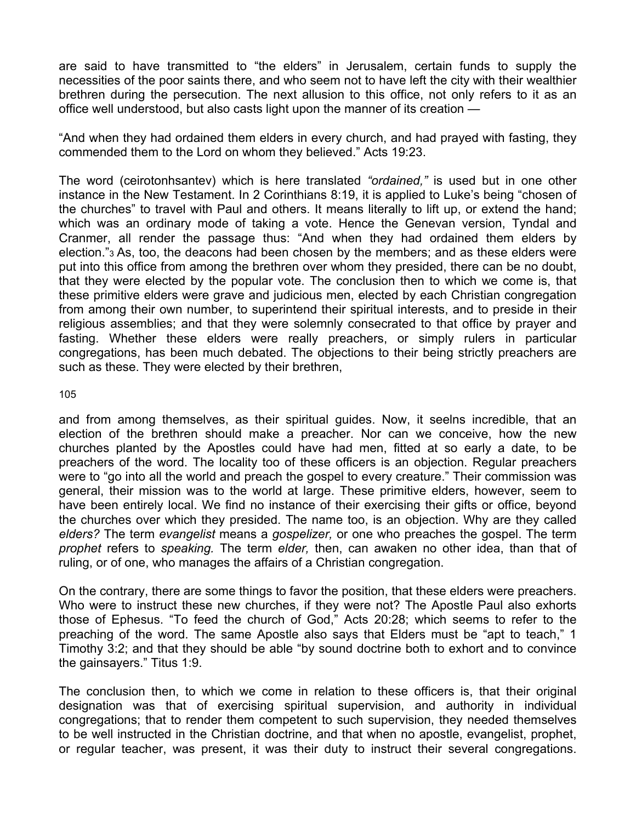are said to have transmitted to "the elders" in Jerusalem, certain funds to supply the necessities of the poor saints there, and who seem not to have left the city with their wealthier brethren during the persecution. The next allusion to this office, not only refers to it as an office well understood, but also casts light upon the manner of its creation —

"And when they had ordained them elders in every church, and had prayed with fasting, they commended them to the Lord on whom they believed." Acts 19:23.

The word (ceirotonhsantev) which is here translated *"ordained,"* is used but in one other instance in the New Testament. In 2 Corinthians 8:19, it is applied to Luke's being "chosen of the churches" to travel with Paul and others. It means literally to lift up, or extend the hand; which was an ordinary mode of taking a vote. Hence the Genevan version, Tyndal and Cranmer, all render the passage thus: "And when they had ordained them elders by election."3 As, too, the deacons had been chosen by the members; and as these elders were put into this office from among the brethren over whom they presided, there can be no doubt, that they were elected by the popular vote. The conclusion then to which we come is, that these primitive elders were grave and judicious men, elected by each Christian congregation from among their own number, to superintend their spiritual interests, and to preside in their religious assemblies; and that they were solemnly consecrated to that office by prayer and fasting. Whether these elders were really preachers, or simply rulers in particular congregations, has been much debated. The objections to their being strictly preachers are such as these. They were elected by their brethren,

105

and from among themselves, as their spiritual guides. Now, it seelns incredible, that an election of the brethren should make a preacher. Nor can we conceive, how the new churches planted by the Apostles could have had men, fitted at so early a date, to be preachers of the word. The locality too of these officers is an objection. Regular preachers were to "go into all the world and preach the gospel to every creature." Their commission was general, their mission was to the world at large. These primitive elders, however, seem to have been entirely local. We find no instance of their exercising their gifts or office, beyond the churches over which they presided. The name too, is an objection. Why are they called *elders?* The term *evangelist* means a *gospelizer,* or one who preaches the gospel. The term *prophet* refers to *speaking.* The term *elder,* then, can awaken no other idea, than that of ruling, or of one, who manages the affairs of a Christian congregation.

On the contrary, there are some things to favor the position, that these elders were preachers. Who were to instruct these new churches, if they were not? The Apostle Paul also exhorts those of Ephesus. "To feed the church of God," Acts 20:28; which seems to refer to the preaching of the word. The same Apostle also says that Elders must be "apt to teach," 1 Timothy 3:2; and that they should be able "by sound doctrine both to exhort and to convince the gainsayers." Titus 1:9.

The conclusion then, to which we come in relation to these officers is, that their original designation was that of exercising spiritual supervision, and authority in individual congregations; that to render them competent to such supervision, they needed themselves to be well instructed in the Christian doctrine, and that when no apostle, evangelist, prophet, or regular teacher, was present, it was their duty to instruct their several congregations.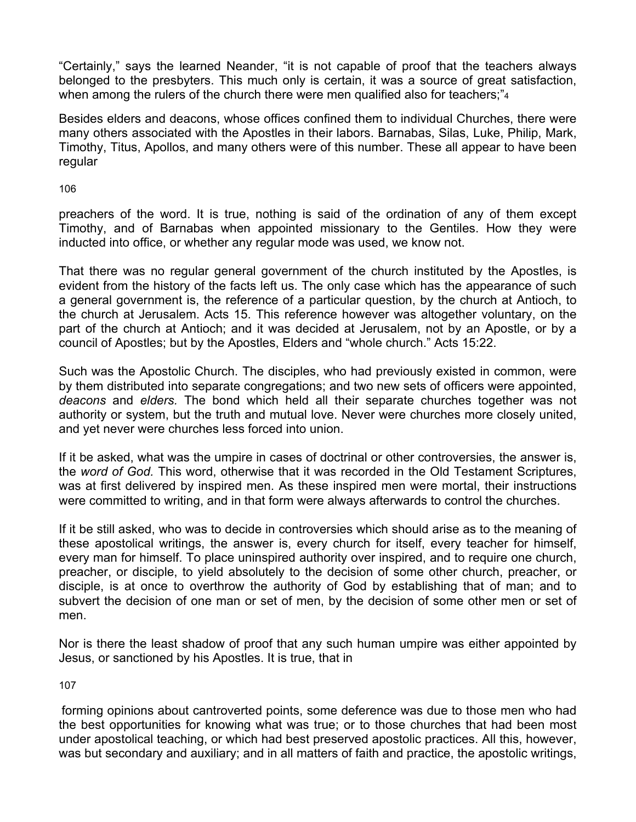"Certainly," says the learned Neander, "it is not capable of proof that the teachers always belonged to the presbyters. This much only is certain, it was a source of great satisfaction, when among the rulers of the church there were men qualified also for teachers;"4

Besides elders and deacons, whose offices confined them to individual Churches, there were many others associated with the Apostles in their labors. Barnabas, Silas, Luke, Philip, Mark, Timothy, Titus, Apollos, and many others were of this number. These all appear to have been regular

106

preachers of the word. It is true, nothing is said of the ordination of any of them except Timothy, and of Barnabas when appointed missionary to the Gentiles. How they were inducted into office, or whether any regular mode was used, we know not.

That there was no regular general government of the church instituted by the Apostles, is evident from the history of the facts left us. The only case which has the appearance of such a general government is, the reference of a particular question, by the church at Antioch, to the church at Jerusalem. Acts 15. This reference however was altogether voluntary, on the part of the church at Antioch; and it was decided at Jerusalem, not by an Apostle, or by a council of Apostles; but by the Apostles, Elders and "whole church." Acts 15:22.

Such was the Apostolic Church. The disciples, who had previously existed in common, were by them distributed into separate congregations; and two new sets of officers were appointed, *deacons* and *elders.* The bond which held all their separate churches together was not authority or system, but the truth and mutual love. Never were churches more closely united, and yet never were churches less forced into union.

If it be asked, what was the umpire in cases of doctrinal or other controversies, the answer is, the *word of God.* This word, otherwise that it was recorded in the Old Testament Scriptures, was at first delivered by inspired men. As these inspired men were mortal, their instructions were committed to writing, and in that form were always afterwards to control the churches.

If it be still asked, who was to decide in controversies which should arise as to the meaning of these apostolical writings, the answer is, every church for itself, every teacher for himself, every man for himself. To place uninspired authority over inspired, and to require one church, preacher, or disciple, to yield absolutely to the decision of some other church, preacher, or disciple, is at once to overthrow the authority of God by establishing that of man; and to subvert the decision of one man or set of men, by the decision of some other men or set of men.

Nor is there the least shadow of proof that any such human umpire was either appointed by Jesus, or sanctioned by his Apostles. It is true, that in

107

forming opinions about cantroverted points, some deference was due to those men who had the best opportunities for knowing what was true; or to those churches that had been most under apostolical teaching, or which had best preserved apostolic practices. All this, however, was but secondary and auxiliary; and in all matters of faith and practice, the apostolic writings,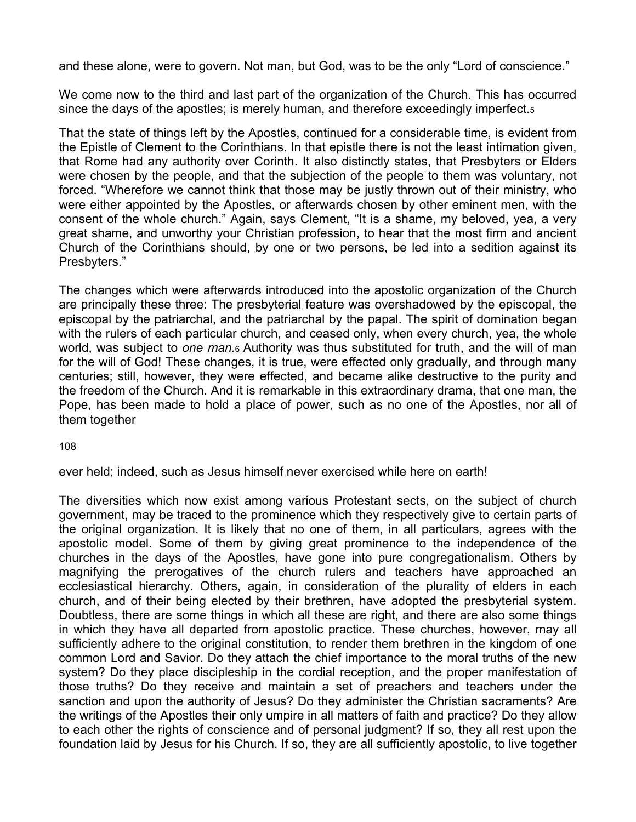and these alone, were to govern. Not man, but God, was to be the only "Lord of conscience."

We come now to the third and last part of the organization of the Church. This has occurred since the days of the apostles; is merely human, and therefore exceedingly imperfect.5

That the state of things left by the Apostles, continued for a considerable time, is evident from the Epistle of Clement to the Corinthians. In that epistle there is not the least intimation given, that Rome had any authority over Corinth. It also distinctly states, that Presbyters or Elders were chosen by the people, and that the subjection of the people to them was voluntary, not forced. "Wherefore we cannot think that those may be justly thrown out of their ministry, who were either appointed by the Apostles, or afterwards chosen by other eminent men, with the consent of the whole church." Again, says Clement, "It is a shame, my beloved, yea, a very great shame, and unworthy your Christian profession, to hear that the most firm and ancient Church of the Corinthians should, by one or two persons, be led into a sedition against its Presbyters."

The changes which were afterwards introduced into the apostolic organization of the Church are principally these three: The presbyterial feature was overshadowed by the episcopal, the episcopal by the patriarchal, and the patriarchal by the papal. The spirit of domination began with the rulers of each particular church, and ceased only, when every church, yea, the whole world, was subject to *one man.*6 Authority was thus substituted for truth, and the will of man for the will of God! These changes, it is true, were effected only gradually, and through many centuries; still, however, they were effected, and became alike destructive to the purity and the freedom of the Church. And it is remarkable in this extraordinary drama, that one man, the Pope, has been made to hold a place of power, such as no one of the Apostles, nor all of them together

108

ever held; indeed, such as Jesus himself never exercised while here on earth!

The diversities which now exist among various Protestant sects, on the subject of church government, may be traced to the prominence which they respectively give to certain parts of the original organization. It is likely that no one of them, in all particulars, agrees with the apostolic model. Some of them by giving great prominence to the independence of the churches in the days of the Apostles, have gone into pure congregationalism. Others by magnifying the prerogatives of the church rulers and teachers have approached an ecclesiastical hierarchy. Others, again, in consideration of the plurality of elders in each church, and of their being elected by their brethren, have adopted the presbyterial system. Doubtless, there are some things in which all these are right, and there are also some things in which they have all departed from apostolic practice. These churches, however, may all sufficiently adhere to the original constitution, to render them brethren in the kingdom of one common Lord and Savior. Do they attach the chief importance to the moral truths of the new system? Do they place discipleship in the cordial reception, and the proper manifestation of those truths? Do they receive and maintain a set of preachers and teachers under the sanction and upon the authority of Jesus? Do they administer the Christian sacraments? Are the writings of the Apostles their only umpire in all matters of faith and practice? Do they allow to each other the rights of conscience and of personal judgment? If so, they all rest upon the foundation laid by Jesus for his Church. If so, they are all sufficiently apostolic, to live together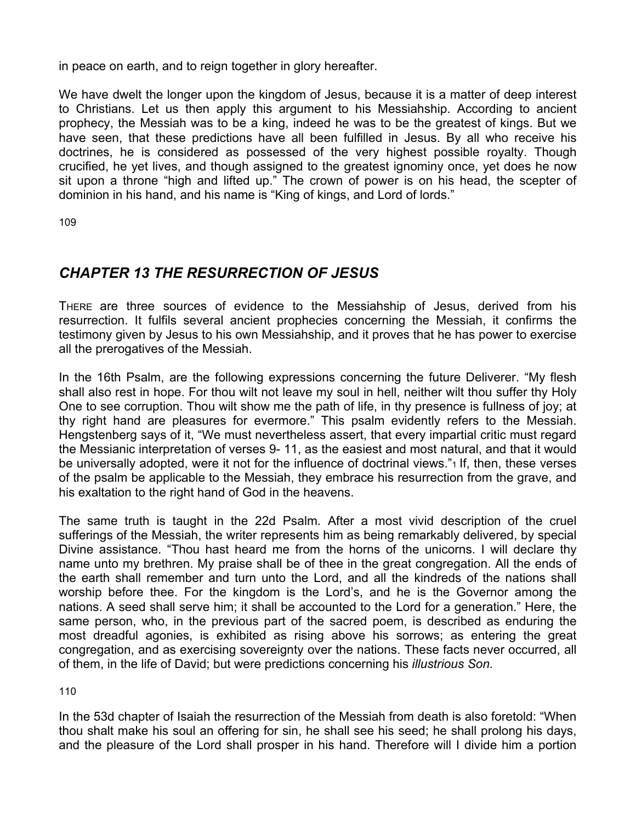in peace on earth, and to reign together in glory hereafter.

We have dwelt the longer upon the kingdom of Jesus, because it is a matter of deep interest to Christians. Let us then apply this argument to his Messiahship. According to ancient prophecy, the Messiah was to be a king, indeed he was to be the greatest of kings. But we have seen, that these predictions have all been fulfilled in Jesus. By all who receive his doctrines, he is considered as possessed of the very highest possible royalty. Though crucified, he yet lives, and though assigned to the greatest ignominy once, yet does he now sit upon a throne "high and lifted up." The crown of power is on his head, the scepter of dominion in his hand, and his name is "King of kings, and Lord of lords."

109

# *CHAPTER 13 THE RESURRECTION OF JESUS*

THERE are three sources of evidence to the Messiahship of Jesus, derived from his resurrection. It fulfils several ancient prophecies concerning the Messiah, it confirms the testimony given by Jesus to his own Messiahship, and it proves that he has power to exercise all the prerogatives of the Messiah.

In the 16th Psalm, are the following expressions concerning the future Deliverer. "My flesh shall also rest in hope. For thou wilt not leave my soul in hell, neither wilt thou suffer thy Holy One to see corruption. Thou wilt show me the path of life, in thy presence is fullness of joy; at thy right hand are pleasures for evermore." This psalm evidently refers to the Messiah. Hengstenberg says of it, "We must nevertheless assert, that every impartial critic must regard the Messianic interpretation of verses 9- 11, as the easiest and most natural, and that it would be universally adopted, were it not for the influence of doctrinal views."<sup>1</sup> If, then, these verses of the psalm be applicable to the Messiah, they embrace his resurrection from the grave, and his exaltation to the right hand of God in the heavens.

The same truth is taught in the 22d Psalm. After a most vivid description of the cruel sufferings of the Messiah, the writer represents him as being remarkably delivered, by special Divine assistance. "Thou hast heard me from the horns of the unicorns. I will declare thy name unto my brethren. My praise shall be of thee in the great congregation. All the ends of the earth shall remember and turn unto the Lord, and all the kindreds of the nations shall worship before thee. For the kingdom is the Lord's, and he is the Governor among the nations. A seed shall serve him; it shall be accounted to the Lord for a generation." Here, the same person, who, in the previous part of the sacred poem, is described as enduring the most dreadful agonies, is exhibited as rising above his sorrows; as entering the great congregation, and as exercising sovereignty over the nations. These facts never occurred, all of them, in the life of David; but were predictions concerning his *illustrious Son.* 

110

In the 53d chapter of Isaiah the resurrection of the Messiah from death is also foretold: "When thou shalt make his soul an offering for sin, he shall see his seed; he shall prolong his days, and the pleasure of the Lord shall prosper in his hand. Therefore will I divide him a portion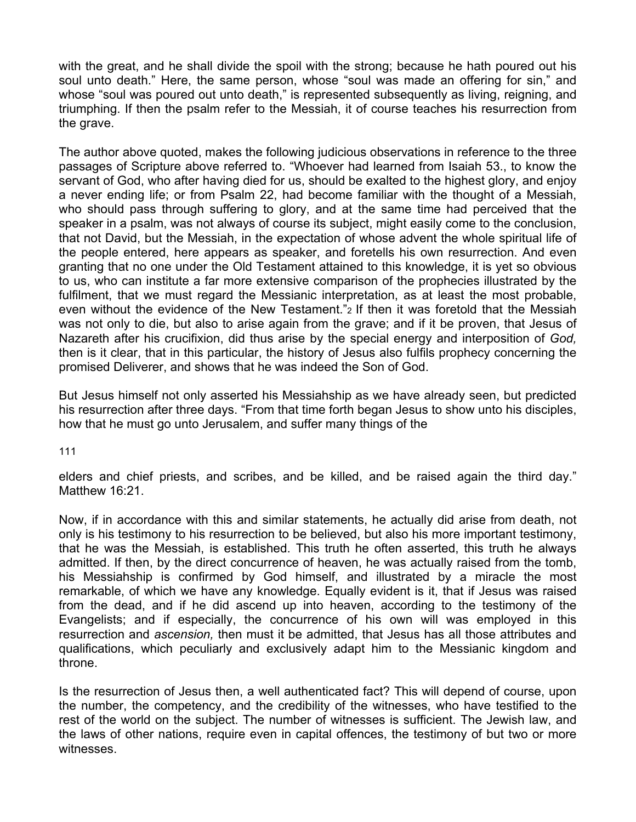with the great, and he shall divide the spoil with the strong; because he hath poured out his soul unto death." Here, the same person, whose "soul was made an offering for sin," and whose "soul was poured out unto death," is represented subsequently as living, reigning, and triumphing. If then the psalm refer to the Messiah, it of course teaches his resurrection from the grave.

The author above quoted, makes the following judicious observations in reference to the three passages of Scripture above referred to. "Whoever had learned from Isaiah 53., to know the servant of God, who after having died for us, should be exalted to the highest glory, and enjoy a never ending life; or from Psalm 22, had become familiar with the thought of a Messiah, who should pass through suffering to glory, and at the same time had perceived that the speaker in a psalm, was not always of course its subject, might easily come to the conclusion, that not David, but the Messiah, in the expectation of whose advent the whole spiritual life of the people entered, here appears as speaker, and foretells his own resurrection. And even granting that no one under the Old Testament attained to this knowledge, it is yet so obvious to us, who can institute a far more extensive comparison of the prophecies illustrated by the fulfilment, that we must regard the Messianic interpretation, as at least the most probable, even without the evidence of the New Testament."2 If then it was foretold that the Messiah was not only to die, but also to arise again from the grave; and if it be proven, that Jesus of Nazareth after his crucifixion, did thus arise by the special energy and interposition of *God,*  then is it clear, that in this particular, the history of Jesus also fulfils prophecy concerning the promised Deliverer, and shows that he was indeed the Son of God.

But Jesus himself not only asserted his Messiahship as we have already seen, but predicted his resurrection after three days. "From that time forth began Jesus to show unto his disciples, how that he must go unto Jerusalem, and suffer many things of the

111

elders and chief priests, and scribes, and be killed, and be raised again the third day." Matthew 16:21.

Now, if in accordance with this and similar statements, he actually did arise from death, not only is his testimony to his resurrection to be believed, but also his more important testimony, that he was the Messiah, is established. This truth he often asserted, this truth he always admitted. If then, by the direct concurrence of heaven, he was actually raised from the tomb, his Messiahship is confirmed by God himself, and illustrated by a miracle the most remarkable, of which we have any knowledge. Equally evident is it, that if Jesus was raised from the dead, and if he did ascend up into heaven, according to the testimony of the Evangelists; and if especially, the concurrence of his own will was employed in this resurrection and *ascension,* then must it be admitted, that Jesus has all those attributes and qualifications, which peculiarly and exclusively adapt him to the Messianic kingdom and throne.

Is the resurrection of Jesus then, a well authenticated fact? This will depend of course, upon the number, the competency, and the credibility of the witnesses, who have testified to the rest of the world on the subject. The number of witnesses is sufficient. The Jewish law, and the laws of other nations, require even in capital offences, the testimony of but two or more witnesses.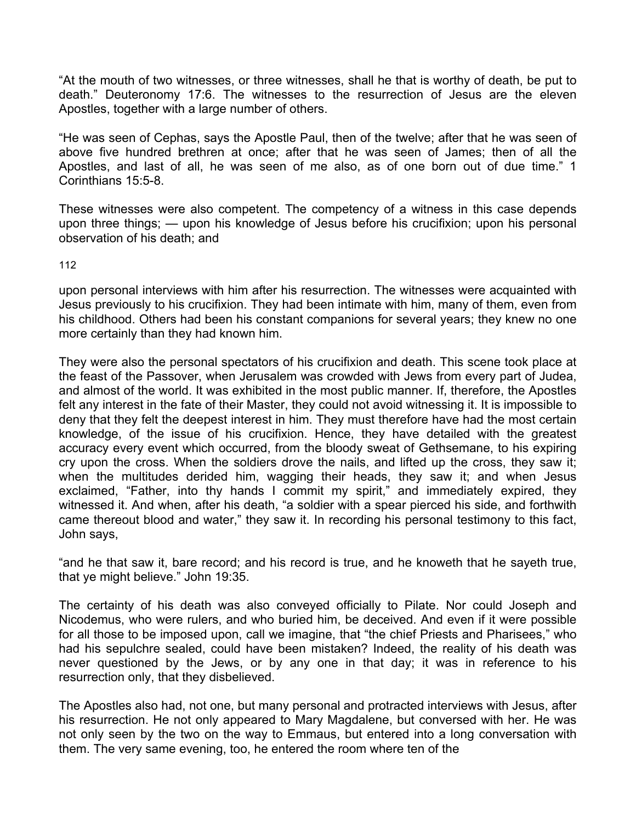"At the mouth of two witnesses, or three witnesses, shall he that is worthy of death, be put to death." Deuteronomy 17:6. The witnesses to the resurrection of Jesus are the eleven Apostles, together with a large number of others.

"He was seen of Cephas, says the Apostle Paul, then of the twelve; after that he was seen of above five hundred brethren at once; after that he was seen of James; then of all the Apostles, and last of all, he was seen of me also, as of one born out of due time." 1 Corinthians 15:5-8.

These witnesses were also competent. The competency of a witness in this case depends upon three things; — upon his knowledge of Jesus before his crucifixion; upon his personal observation of his death; and

112

upon personal interviews with him after his resurrection. The witnesses were acquainted with Jesus previously to his crucifixion. They had been intimate with him, many of them, even from his childhood. Others had been his constant companions for several years; they knew no one more certainly than they had known him.

They were also the personal spectators of his crucifixion and death. This scene took place at the feast of the Passover, when Jerusalem was crowded with Jews from every part of Judea, and almost of the world. It was exhibited in the most public manner. If, therefore, the Apostles felt any interest in the fate of their Master, they could not avoid witnessing it. It is impossible to deny that they felt the deepest interest in him. They must therefore have had the most certain knowledge, of the issue of his crucifixion. Hence, they have detailed with the greatest accuracy every event which occurred, from the bloody sweat of Gethsemane, to his expiring cry upon the cross. When the soldiers drove the nails, and lifted up the cross, they saw it; when the multitudes derided him, wagging their heads, they saw it; and when Jesus exclaimed, "Father, into thy hands I commit my spirit," and immediately expired, they witnessed it. And when, after his death, "a soldier with a spear pierced his side, and forthwith came thereout blood and water," they saw it. In recording his personal testimony to this fact, John says,

"and he that saw it, bare record; and his record is true, and he knoweth that he sayeth true, that ye might believe." John 19:35.

The certainty of his death was also conveyed officially to Pilate. Nor could Joseph and Nicodemus, who were rulers, and who buried him, be deceived. And even if it were possible for all those to be imposed upon, call we imagine, that "the chief Priests and Pharisees," who had his sepulchre sealed, could have been mistaken? Indeed, the reality of his death was never questioned by the Jews, or by any one in that day; it was in reference to his resurrection only, that they disbelieved.

The Apostles also had, not one, but many personal and protracted interviews with Jesus, after his resurrection. He not only appeared to Mary Magdalene, but conversed with her. He was not only seen by the two on the way to Emmaus, but entered into a long conversation with them. The very same evening, too, he entered the room where ten of the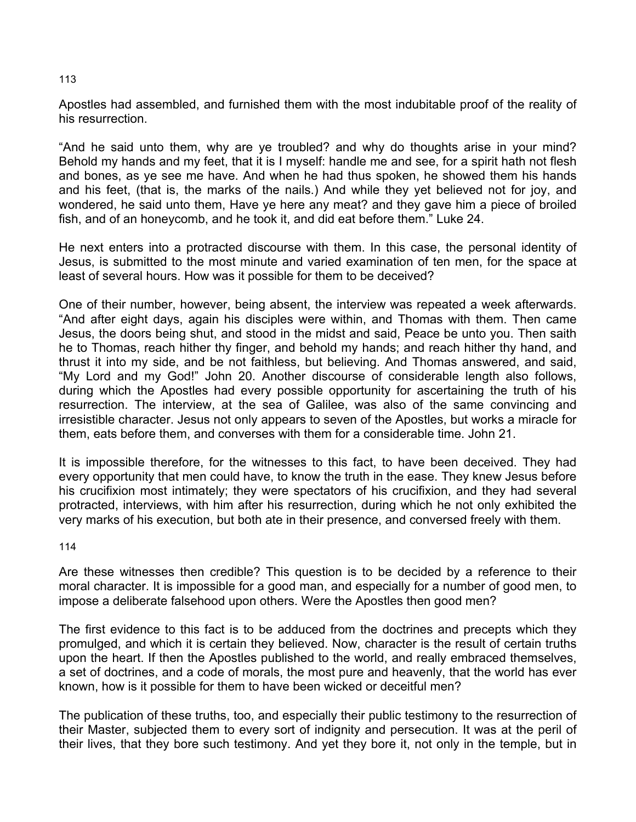## Apostles had assembled, and furnished them with the most indubitable proof of the reality of his resurrection.

"And he said unto them, why are ye troubled? and why do thoughts arise in your mind? Behold my hands and my feet, that it is I myself: handle me and see, for a spirit hath not flesh and bones, as ye see me have. And when he had thus spoken, he showed them his hands and his feet, (that is, the marks of the nails.) And while they yet believed not for joy, and wondered, he said unto them, Have ye here any meat? and they gave him a piece of broiled fish, and of an honeycomb, and he took it, and did eat before them." Luke 24.

He next enters into a protracted discourse with them. In this case, the personal identity of Jesus, is submitted to the most minute and varied examination of ten men, for the space at least of several hours. How was it possible for them to be deceived?

One of their number, however, being absent, the interview was repeated a week afterwards. "And after eight days, again his disciples were within, and Thomas with them. Then came Jesus, the doors being shut, and stood in the midst and said, Peace be unto you. Then saith he to Thomas, reach hither thy finger, and behold my hands; and reach hither thy hand, and thrust it into my side, and be not faithless, but believing. And Thomas answered, and said, "My Lord and my God!" John 20. Another discourse of considerable length also follows, during which the Apostles had every possible opportunity for ascertaining the truth of his resurrection. The interview, at the sea of Galilee, was also of the same convincing and irresistible character. Jesus not only appears to seven of the Apostles, but works a miracle for them, eats before them, and converses with them for a considerable time. John 21.

It is impossible therefore, for the witnesses to this fact, to have been deceived. They had every opportunity that men could have, to know the truth in the ease. They knew Jesus before his crucifixion most intimately; they were spectators of his crucifixion, and they had several protracted, interviews, with him after his resurrection, during which he not only exhibited the very marks of his execution, but both ate in their presence, and conversed freely with them.

114

Are these witnesses then credible? This question is to be decided by a reference to their moral character. It is impossible for a good man, and especially for a number of good men, to impose a deliberate falsehood upon others. Were the Apostles then good men?

The first evidence to this fact is to be adduced from the doctrines and precepts which they promulged, and which it is certain they believed. Now, character is the result of certain truths upon the heart. If then the Apostles published to the world, and really embraced themselves, a set of doctrines, and a code of morals, the most pure and heavenly, that the world has ever known, how is it possible for them to have been wicked or deceitful men?

The publication of these truths, too, and especially their public testimony to the resurrection of their Master, subjected them to every sort of indignity and persecution. It was at the peril of their lives, that they bore such testimony. And yet they bore it, not only in the temple, but in

#### 113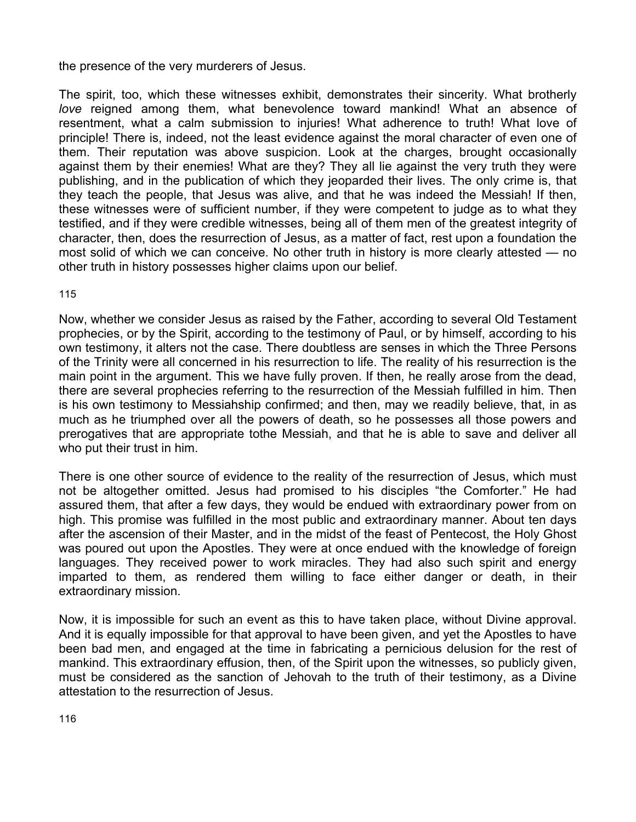the presence of the very murderers of Jesus.

The spirit, too, which these witnesses exhibit, demonstrates their sincerity. What brotherly *love* reigned among them, what benevolence toward mankind! What an absence of resentment, what a calm submission to injuries! What adherence to truth! What love of principle! There is, indeed, not the least evidence against the moral character of even one of them. Their reputation was above suspicion. Look at the charges, brought occasionally against them by their enemies! What are they? They all lie against the very truth they were publishing, and in the publication of which they jeoparded their lives. The only crime is, that they teach the people, that Jesus was alive, and that he was indeed the Messiah! If then, these witnesses were of sufficient number, if they were competent to judge as to what they testified, and if they were credible witnesses, being all of them men of the greatest integrity of character, then, does the resurrection of Jesus, as a matter of fact, rest upon a foundation the most solid of which we can conceive. No other truth in history is more clearly attested — no other truth in history possesses higher claims upon our belief.

115

Now, whether we consider Jesus as raised by the Father, according to several Old Testament prophecies, or by the Spirit, according to the testimony of Paul, or by himself, according to his own testimony, it alters not the case. There doubtless are senses in which the Three Persons of the Trinity were all concerned in his resurrection to life. The reality of his resurrection is the main point in the argument. This we have fully proven. If then, he really arose from the dead, there are several prophecies referring to the resurrection of the Messiah fulfilled in him. Then is his own testimony to Messiahship confirmed; and then, may we readily believe, that, in as much as he triumphed over all the powers of death, so he possesses all those powers and prerogatives that are appropriate tothe Messiah, and that he is able to save and deliver all who put their trust in him.

There is one other source of evidence to the reality of the resurrection of Jesus, which must not be altogether omitted. Jesus had promised to his disciples "the Comforter." He had assured them, that after a few days, they would be endued with extraordinary power from on high. This promise was fulfilled in the most public and extraordinary manner. About ten days after the ascension of their Master, and in the midst of the feast of Pentecost, the Holy Ghost was poured out upon the Apostles. They were at once endued with the knowledge of foreign languages. They received power to work miracles. They had also such spirit and energy imparted to them, as rendered them willing to face either danger or death, in their extraordinary mission.

Now, it is impossible for such an event as this to have taken place, without Divine approval. And it is equally impossible for that approval to have been given, and yet the Apostles to have been bad men, and engaged at the time in fabricating a pernicious delusion for the rest of mankind. This extraordinary effusion, then, of the Spirit upon the witnesses, so publicly given, must be considered as the sanction of Jehovah to the truth of their testimony, as a Divine attestation to the resurrection of Jesus.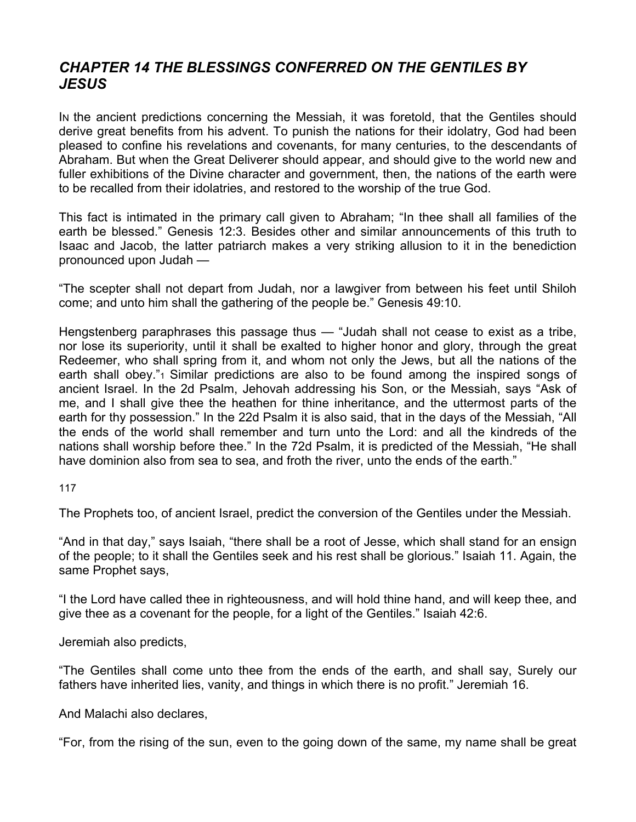## *CHAPTER 14 THE BLESSINGS CONFERRED ON THE GENTILES BY JESUS*

IN the ancient predictions concerning the Messiah, it was foretold, that the Gentiles should derive great benefits from his advent. To punish the nations for their idolatry, God had been pleased to confine his revelations and covenants, for many centuries, to the descendants of Abraham. But when the Great Deliverer should appear, and should give to the world new and fuller exhibitions of the Divine character and government, then, the nations of the earth were to be recalled from their idolatries, and restored to the worship of the true God.

This fact is intimated in the primary call given to Abraham; "In thee shall all families of the earth be blessed." Genesis 12:3. Besides other and similar announcements of this truth to Isaac and Jacob, the latter patriarch makes a very striking allusion to it in the benediction pronounced upon Judah —

"The scepter shall not depart from Judah, nor a lawgiver from between his feet until Shiloh come; and unto him shall the gathering of the people be." Genesis 49:10.

Hengstenberg paraphrases this passage thus — "Judah shall not cease to exist as a tribe, nor lose its superiority, until it shall be exalted to higher honor and glory, through the great Redeemer, who shall spring from it, and whom not only the Jews, but all the nations of the earth shall obey."<sup>1</sup> Similar predictions are also to be found among the inspired songs of ancient Israel. In the 2d Psalm, Jehovah addressing his Son, or the Messiah, says "Ask of me, and I shall give thee the heathen for thine inheritance, and the uttermost parts of the earth for thy possession." In the 22d Psalm it is also said, that in the days of the Messiah, "All the ends of the world shall remember and turn unto the Lord: and all the kindreds of the nations shall worship before thee." In the 72d Psalm, it is predicted of the Messiah, "He shall have dominion also from sea to sea, and froth the river, unto the ends of the earth."

117

The Prophets too, of ancient Israel, predict the conversion of the Gentiles under the Messiah.

"And in that day," says Isaiah, "there shall be a root of Jesse, which shall stand for an ensign of the people; to it shall the Gentiles seek and his rest shall be glorious." Isaiah 11. Again, the same Prophet says,

"I the Lord have called thee in righteousness, and will hold thine hand, and will keep thee, and give thee as a covenant for the people, for a light of the Gentiles." Isaiah 42:6.

Jeremiah also predicts,

"The Gentiles shall come unto thee from the ends of the earth, and shall say, Surely our fathers have inherited lies, vanity, and things in which there is no profit." Jeremiah 16.

And Malachi also declares,

"For, from the rising of the sun, even to the going down of the same, my name shall be great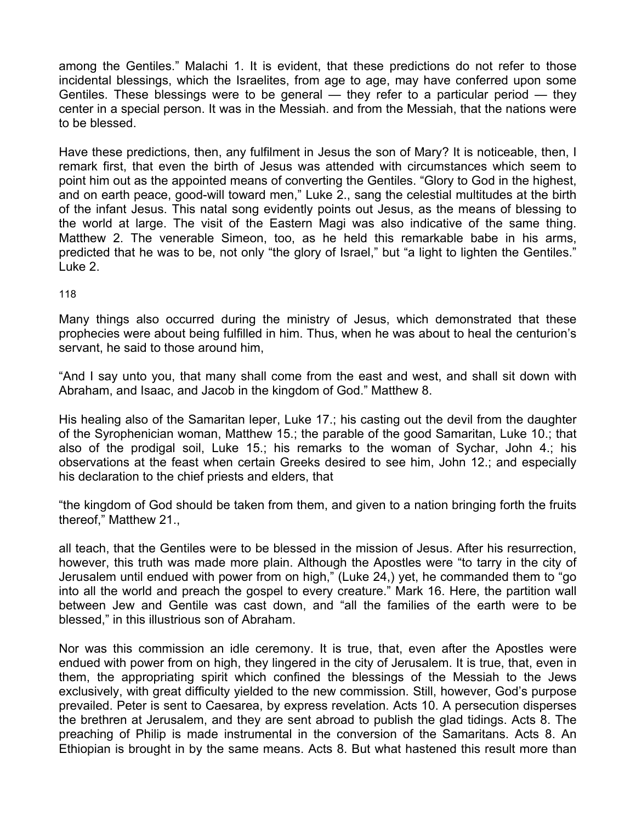among the Gentiles." Malachi 1. It is evident, that these predictions do not refer to those incidental blessings, which the Israelites, from age to age, may have conferred upon some Gentiles. These blessings were to be general — they refer to a particular period — they center in a special person. It was in the Messiah. and from the Messiah, that the nations were to be blessed.

Have these predictions, then, any fulfilment in Jesus the son of Mary? It is noticeable, then, I remark first, that even the birth of Jesus was attended with circumstances which seem to point him out as the appointed means of converting the Gentiles. "Glory to God in the highest, and on earth peace, good-will toward men," Luke 2., sang the celestial multitudes at the birth of the infant Jesus. This natal song evidently points out Jesus, as the means of blessing to the world at large. The visit of the Eastern Magi was also indicative of the same thing. Matthew 2. The venerable Simeon, too, as he held this remarkable babe in his arms, predicted that he was to be, not only "the glory of Israel," but "a light to lighten the Gentiles." Luke 2.

### 118

Many things also occurred during the ministry of Jesus, which demonstrated that these prophecies were about being fulfilled in him. Thus, when he was about to heal the centurion's servant, he said to those around him,

"And I say unto you, that many shall come from the east and west, and shall sit down with Abraham, and Isaac, and Jacob in the kingdom of God." Matthew 8.

His healing also of the Samaritan leper, Luke 17.; his casting out the devil from the daughter of the Syrophenician woman, Matthew 15.; the parable of the good Samaritan, Luke 10.; that also of the prodigal soil, Luke 15.; his remarks to the woman of Sychar, John 4.; his observations at the feast when certain Greeks desired to see him, John 12.; and especially his declaration to the chief priests and elders, that

"the kingdom of God should be taken from them, and given to a nation bringing forth the fruits thereof," Matthew 21.,

all teach, that the Gentiles were to be blessed in the mission of Jesus. After his resurrection, however, this truth was made more plain. Although the Apostles were "to tarry in the city of Jerusalem until endued with power from on high," (Luke 24,) yet, he commanded them to "go into all the world and preach the gospel to every creature." Mark 16. Here, the partition wall between Jew and Gentile was cast down, and "all the families of the earth were to be blessed," in this illustrious son of Abraham.

Nor was this commission an idle ceremony. It is true, that, even after the Apostles were endued with power from on high, they lingered in the city of Jerusalem. It is true, that, even in them, the appropriating spirit which confined the blessings of the Messiah to the Jews exclusively, with great difficulty yielded to the new commission. Still, however, God's purpose prevailed. Peter is sent to Caesarea, by express revelation. Acts 10. A persecution disperses the brethren at Jerusalem, and they are sent abroad to publish the glad tidings. Acts 8. The preaching of Philip is made instrumental in the conversion of the Samaritans. Acts 8. An Ethiopian is brought in by the same means. Acts 8. But what hastened this result more than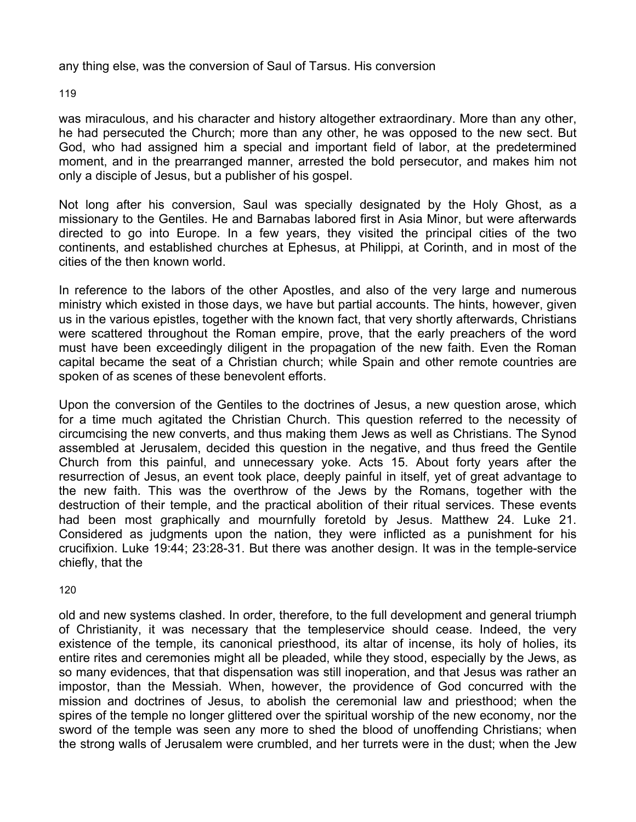any thing else, was the conversion of Saul of Tarsus. His conversion

119

was miraculous, and his character and history altogether extraordinary. More than any other, he had persecuted the Church; more than any other, he was opposed to the new sect. But God, who had assigned him a special and important field of labor, at the predetermined moment, and in the prearranged manner, arrested the bold persecutor, and makes him not only a disciple of Jesus, but a publisher of his gospel.

Not long after his conversion, Saul was specially designated by the Holy Ghost, as a missionary to the Gentiles. He and Barnabas labored first in Asia Minor, but were afterwards directed to go into Europe. In a few years, they visited the principal cities of the two continents, and established churches at Ephesus, at Philippi, at Corinth, and in most of the cities of the then known world.

In reference to the labors of the other Apostles, and also of the very large and numerous ministry which existed in those days, we have but partial accounts. The hints, however, given us in the various epistles, together with the known fact, that very shortly afterwards, Christians were scattered throughout the Roman empire, prove, that the early preachers of the word must have been exceedingly diligent in the propagation of the new faith. Even the Roman capital became the seat of a Christian church; while Spain and other remote countries are spoken of as scenes of these benevolent efforts.

Upon the conversion of the Gentiles to the doctrines of Jesus, a new question arose, which for a time much agitated the Christian Church. This question referred to the necessity of circumcising the new converts, and thus making them Jews as well as Christians. The Synod assembled at Jerusalem, decided this question in the negative, and thus freed the Gentile Church from this painful, and unnecessary yoke. Acts 15. About forty years after the resurrection of Jesus, an event took place, deeply painful in itself, yet of great advantage to the new faith. This was the overthrow of the Jews by the Romans, together with the destruction of their temple, and the practical abolition of their ritual services. These events had been most graphically and mournfully foretold by Jesus. Matthew 24. Luke 21. Considered as judgments upon the nation, they were inflicted as a punishment for his crucifixion. Luke 19:44; 23:28-31. But there was another design. It was in the temple-service chiefly, that the

120

old and new systems clashed. In order, therefore, to the full development and general triumph of Christianity, it was necessary that the templeservice should cease. Indeed, the very existence of the temple, its canonical priesthood, its altar of incense, its holy of holies, its entire rites and ceremonies might all be pleaded, while they stood, especially by the Jews, as so many evidences, that that dispensation was still inoperation, and that Jesus was rather an impostor, than the Messiah. When, however, the providence of God concurred with the mission and doctrines of Jesus, to abolish the ceremonial law and priesthood; when the spires of the temple no longer glittered over the spiritual worship of the new economy, nor the sword of the temple was seen any more to shed the blood of unoffending Christians; when the strong walls of Jerusalem were crumbled, and her turrets were in the dust; when the Jew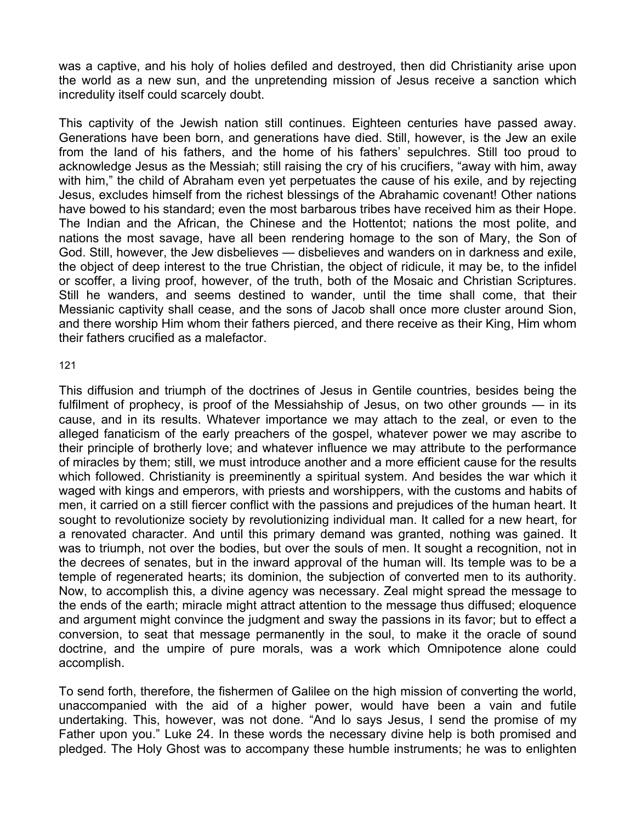was a captive, and his holy of holies defiled and destroyed, then did Christianity arise upon the world as a new sun, and the unpretending mission of Jesus receive a sanction which incredulity itself could scarcely doubt.

This captivity of the Jewish nation still continues. Eighteen centuries have passed away. Generations have been born, and generations have died. Still, however, is the Jew an exile from the land of his fathers, and the home of his fathers' sepulchres. Still too proud to acknowledge Jesus as the Messiah; still raising the cry of his crucifiers, "away with him, away with him," the child of Abraham even yet perpetuates the cause of his exile, and by rejecting Jesus, excludes himself from the richest blessings of the Abrahamic covenant! Other nations have bowed to his standard; even the most barbarous tribes have received him as their Hope. The Indian and the African, the Chinese and the Hottentot; nations the most polite, and nations the most savage, have all been rendering homage to the son of Mary, the Son of God. Still, however, the Jew disbelieves — disbelieves and wanders on in darkness and exile, the object of deep interest to the true Christian, the object of ridicule, it may be, to the infidel or scoffer, a living proof, however, of the truth, both of the Mosaic and Christian Scriptures. Still he wanders, and seems destined to wander, until the time shall come, that their Messianic captivity shall cease, and the sons of Jacob shall once more cluster around Sion, and there worship Him whom their fathers pierced, and there receive as their King, Him whom their fathers crucified as a malefactor.

### 121

This diffusion and triumph of the doctrines of Jesus in Gentile countries, besides being the fulfilment of prophecy, is proof of the Messiahship of Jesus, on two other grounds — in its cause, and in its results. Whatever importance we may attach to the zeal, or even to the alleged fanaticism of the early preachers of the gospel, whatever power we may ascribe to their principle of brotherly love; and whatever influence we may attribute to the performance of miracles by them; still, we must introduce another and a more efficient cause for the results which followed. Christianity is preeminently a spiritual system. And besides the war which it waged with kings and emperors, with priests and worshippers, with the customs and habits of men, it carried on a still fiercer conflict with the passions and prejudices of the human heart. It sought to revolutionize society by revolutionizing individual man. It called for a new heart, for a renovated character. And until this primary demand was granted, nothing was gained. It was to triumph, not over the bodies, but over the souls of men. It sought a recognition, not in the decrees of senates, but in the inward approval of the human will. Its temple was to be a temple of regenerated hearts; its dominion, the subjection of converted men to its authority. Now, to accomplish this, a divine agency was necessary. Zeal might spread the message to the ends of the earth; miracle might attract attention to the message thus diffused; eloquence and argument might convince the judgment and sway the passions in its favor; but to effect a conversion, to seat that message permanently in the soul, to make it the oracle of sound doctrine, and the umpire of pure morals, was a work which Omnipotence alone could accomplish.

To send forth, therefore, the fishermen of Galilee on the high mission of converting the world, unaccompanied with the aid of a higher power, would have been a vain and futile undertaking. This, however, was not done. "And lo says Jesus, I send the promise of my Father upon you." Luke 24. In these words the necessary divine help is both promised and pledged. The Holy Ghost was to accompany these humble instruments; he was to enlighten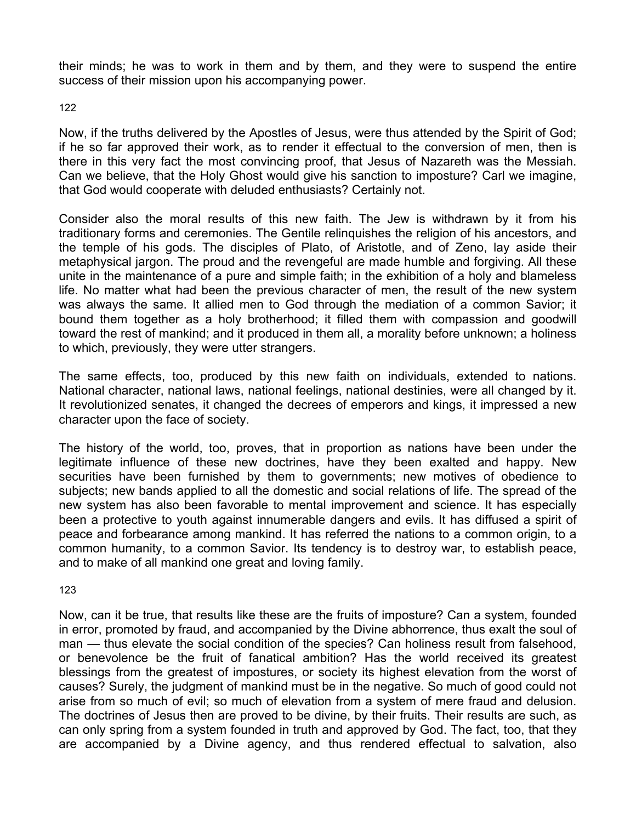their minds; he was to work in them and by them, and they were to suspend the entire success of their mission upon his accompanying power.

122

Now, if the truths delivered by the Apostles of Jesus, were thus attended by the Spirit of God; if he so far approved their work, as to render it effectual to the conversion of men, then is there in this very fact the most convincing proof, that Jesus of Nazareth was the Messiah. Can we believe, that the Holy Ghost would give his sanction to imposture? Carl we imagine, that God would cooperate with deluded enthusiasts? Certainly not.

Consider also the moral results of this new faith. The Jew is withdrawn by it from his traditionary forms and ceremonies. The Gentile relinquishes the religion of his ancestors, and the temple of his gods. The disciples of Plato, of Aristotle, and of Zeno, lay aside their metaphysical jargon. The proud and the revengeful are made humble and forgiving. All these unite in the maintenance of a pure and simple faith; in the exhibition of a holy and blameless life. No matter what had been the previous character of men, the result of the new system was always the same. It allied men to God through the mediation of a common Savior; it bound them together as a holy brotherhood; it filled them with compassion and goodwill toward the rest of mankind; and it produced in them all, a morality before unknown; a holiness to which, previously, they were utter strangers.

The same effects, too, produced by this new faith on individuals, extended to nations. National character, national laws, national feelings, national destinies, were all changed by it. It revolutionized senates, it changed the decrees of emperors and kings, it impressed a new character upon the face of society.

The history of the world, too, proves, that in proportion as nations have been under the legitimate influence of these new doctrines, have they been exalted and happy. New securities have been furnished by them to governments; new motives of obedience to subjects; new bands applied to all the domestic and social relations of life. The spread of the new system has also been favorable to mental improvement and science. It has especially been a protective to youth against innumerable dangers and evils. It has diffused a spirit of peace and forbearance among mankind. It has referred the nations to a common origin, to a common humanity, to a common Savior. Its tendency is to destroy war, to establish peace, and to make of all mankind one great and loving family.

123

Now, can it be true, that results like these are the fruits of imposture? Can a system, founded in error, promoted by fraud, and accompanied by the Divine abhorrence, thus exalt the soul of man — thus elevate the social condition of the species? Can holiness result from falsehood, or benevolence be the fruit of fanatical ambition? Has the world received its greatest blessings from the greatest of impostures, or society its highest elevation from the worst of causes? Surely, the judgment of mankind must be in the negative. So much of good could not arise from so much of evil; so much of elevation from a system of mere fraud and delusion. The doctrines of Jesus then are proved to be divine, by their fruits. Their results are such, as can only spring from a system founded in truth and approved by God. The fact, too, that they are accompanied by a Divine agency, and thus rendered effectual to salvation, also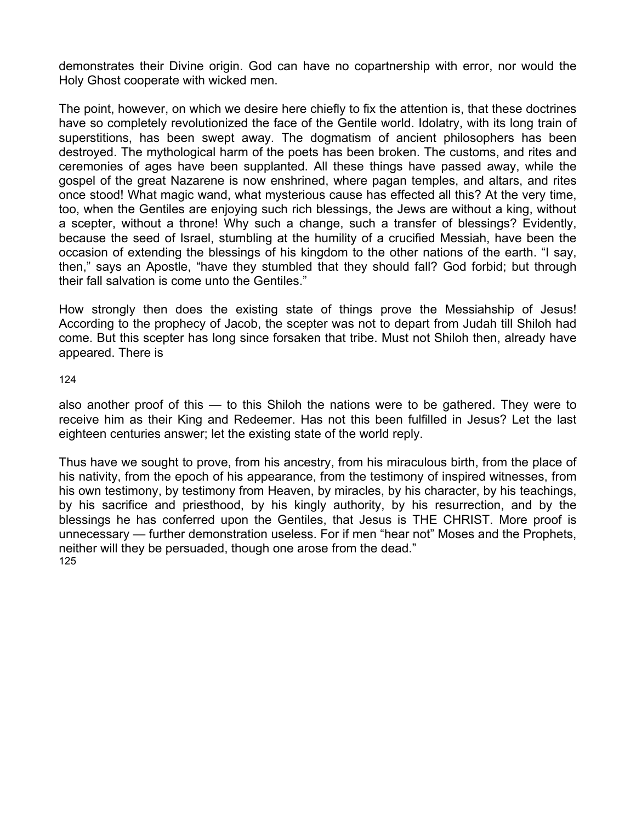demonstrates their Divine origin. God can have no copartnership with error, nor would the Holy Ghost cooperate with wicked men.

The point, however, on which we desire here chiefly to fix the attention is, that these doctrines have so completely revolutionized the face of the Gentile world. Idolatry, with its long train of superstitions, has been swept away. The dogmatism of ancient philosophers has been destroyed. The mythological harm of the poets has been broken. The customs, and rites and ceremonies of ages have been supplanted. All these things have passed away, while the gospel of the great Nazarene is now enshrined, where pagan temples, and altars, and rites once stood! What magic wand, what mysterious cause has effected all this? At the very time, too, when the Gentiles are enjoying such rich blessings, the Jews are without a king, without a scepter, without a throne! Why such a change, such a transfer of blessings? Evidently, because the seed of Israel, stumbling at the humility of a crucified Messiah, have been the occasion of extending the blessings of his kingdom to the other nations of the earth. "I say, then," says an Apostle, "have they stumbled that they should fall? God forbid; but through their fall salvation is come unto the Gentiles."

How strongly then does the existing state of things prove the Messiahship of Jesus! According to the prophecy of Jacob, the scepter was not to depart from Judah till Shiloh had come. But this scepter has long since forsaken that tribe. Must not Shiloh then, already have appeared. There is

124

also another proof of this — to this Shiloh the nations were to be gathered. They were to receive him as their King and Redeemer. Has not this been fulfilled in Jesus? Let the last eighteen centuries answer; let the existing state of the world reply.

Thus have we sought to prove, from his ancestry, from his miraculous birth, from the place of his nativity, from the epoch of his appearance, from the testimony of inspired witnesses, from his own testimony, by testimony from Heaven, by miracles, by his character, by his teachings, by his sacrifice and priesthood, by his kingly authority, by his resurrection, and by the blessings he has conferred upon the Gentiles, that Jesus is THE CHRIST. More proof is unnecessary — further demonstration useless. For if men "hear not" Moses and the Prophets, neither will they be persuaded, though one arose from the dead." 125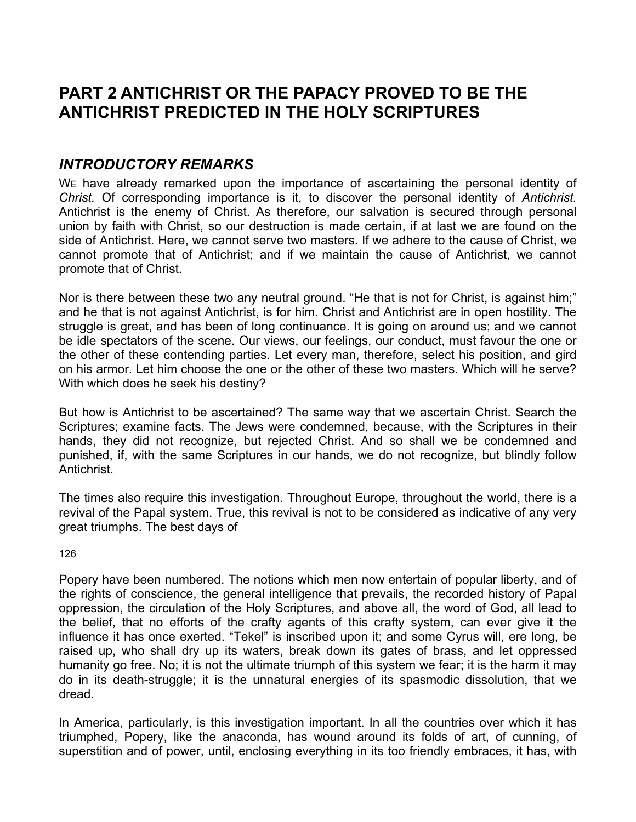# **PART 2 ANTICHRIST OR THE PAPACY PROVED TO BE THE ANTICHRIST PREDICTED IN THE HOLY SCRIPTURES**

# *INTRODUCTORY REMARKS*

We have already remarked upon the importance of ascertaining the personal identity of *Christ.* Of corresponding importance is it, to discover the personal identity of *Antichrist.*  Antichrist is the enemy of Christ. As therefore, our salvation is secured through personal union by faith with Christ, so our destruction is made certain, if at last we are found on the side of Antichrist. Here, we cannot serve two masters. If we adhere to the cause of Christ, we cannot promote that of Antichrist; and if we maintain the cause of Antichrist, we cannot promote that of Christ.

Nor is there between these two any neutral ground. "He that is not for Christ, is against him;" and he that is not against Antichrist, is for him. Christ and Antichrist are in open hostility. The struggle is great, and has been of long continuance. It is going on around us; and we cannot be idle spectators of the scene. Our views, our feelings, our conduct, must favour the one or the other of these contending parties. Let every man, therefore, select his position, and gird on his armor. Let him choose the one or the other of these two masters. Which will he serve? With which does he seek his destiny?

But how is Antichrist to be ascertained? The same way that we ascertain Christ. Search the Scriptures; examine facts. The Jews were condemned, because, with the Scriptures in their hands, they did not recognize, but rejected Christ. And so shall we be condemned and punished, if, with the same Scriptures in our hands, we do not recognize, but blindly follow Antichrist.

The times also require this investigation. Throughout Europe, throughout the world, there is a revival of the Papal system. True, this revival is not to be considered as indicative of any very great triumphs. The best days of

126

Popery have been numbered. The notions which men now entertain of popular liberty, and of the rights of conscience, the general intelligence that prevails, the recorded history of Papal oppression, the circulation of the Holy Scriptures, and above all, the word of God, all lead to the belief, that no efforts of the crafty agents of this crafty system, can ever give it the influence it has once exerted. "Tekel" is inscribed upon it; and some Cyrus will, ere long, be raised up, who shall dry up its waters, break down its gates of brass, and let oppressed humanity go free. No; it is not the ultimate triumph of this system we fear; it is the harm it may do in its death-struggle; it is the unnatural energies of its spasmodic dissolution, that we dread.

In America, particularly, is this investigation important. In all the countries over which it has triumphed, Popery, like the anaconda, has wound around its folds of art, of cunning, of superstition and of power, until, enclosing everything in its too friendly embraces, it has, with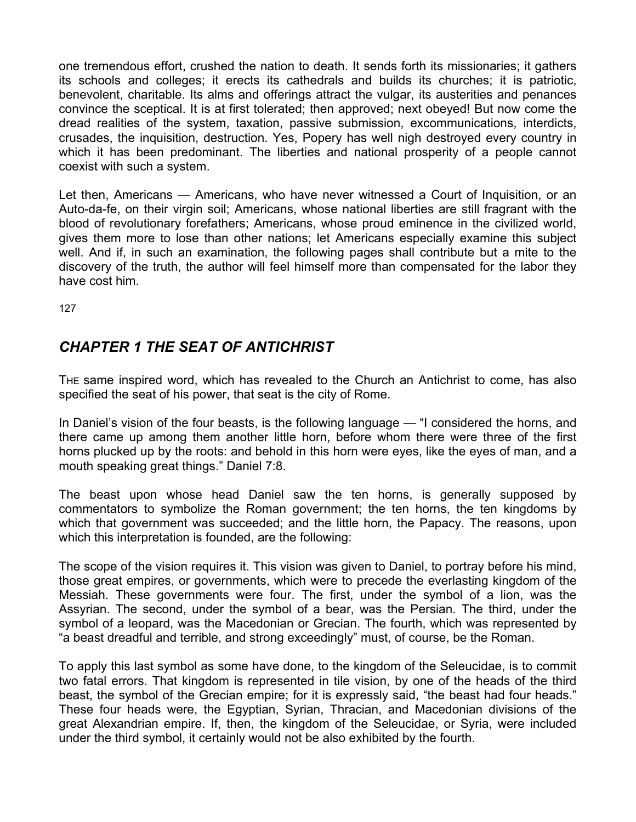one tremendous effort, crushed the nation to death. It sends forth its missionaries; it gathers its schools and colleges; it erects its cathedrals and builds its churches; it is patriotic, benevolent, charitable. Its alms and offerings attract the vulgar, its austerities and penances convince the sceptical. It is at first tolerated; then approved; next obeyed! But now come the dread realities of the system, taxation, passive submission, excommunications, interdicts, crusades, the inquisition, destruction. Yes, Popery has well nigh destroyed every country in which it has been predominant. The liberties and national prosperity of a people cannot coexist with such a system.

Let then, Americans — Americans, who have never witnessed a Court of Inquisition, or an Auto-da-fe, on their virgin soil; Americans, whose national liberties are still fragrant with the blood of revolutionary forefathers; Americans, whose proud eminence in the civilized world, gives them more to lose than other nations; let Americans especially examine this subject well. And if, in such an examination, the following pages shall contribute but a mite to the discovery of the truth, the author will feel himself more than compensated for the labor they have cost him.

127

# *CHAPTER 1 THE SEAT OF ANTICHRIST*

THE same inspired word, which has revealed to the Church an Antichrist to come, has also specified the seat of his power, that seat is the city of Rome.

In Daniel's vision of the four beasts, is the following language — "I considered the horns, and there came up among them another little horn, before whom there were three of the first horns plucked up by the roots: and behold in this horn were eyes, like the eyes of man, and a mouth speaking great things." Daniel 7:8.

The beast upon whose head Daniel saw the ten horns, is generally supposed by commentators to symbolize the Roman government; the ten horns, the ten kingdoms by which that government was succeeded; and the little horn, the Papacy. The reasons, upon which this interpretation is founded, are the following:

The scope of the vision requires it. This vision was given to Daniel, to portray before his mind, those great empires, or governments, which were to precede the everlasting kingdom of the Messiah. These governments were four. The first, under the symbol of a lion, was the Assyrian. The second, under the symbol of a bear, was the Persian. The third, under the symbol of a leopard, was the Macedonian or Grecian. The fourth, which was represented by "a beast dreadful and terrible, and strong exceedingly" must, of course, be the Roman.

To apply this last symbol as some have done, to the kingdom of the Seleucidae, is to commit two fatal errors. That kingdom is represented in tile vision, by one of the heads of the third beast, the symbol of the Grecian empire; for it is expressly said, "the beast had four heads." These four heads were, the Egyptian, Syrian, Thracian, and Macedonian divisions of the great Alexandrian empire. If, then, the kingdom of the Seleucidae, or Syria, were included under the third symbol, it certainly would not be also exhibited by the fourth.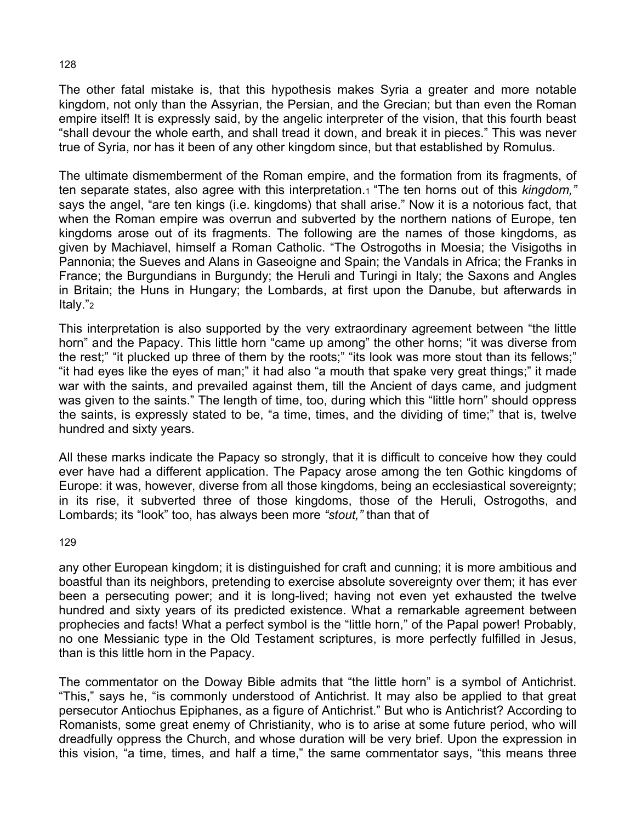The other fatal mistake is, that this hypothesis makes Syria a greater and more notable kingdom, not only than the Assyrian, the Persian, and the Grecian; but than even the Roman empire itself! It is expressly said, by the angelic interpreter of the vision, that this fourth beast "shall devour the whole earth, and shall tread it down, and break it in pieces." This was never true of Syria, nor has it been of any other kingdom since, but that established by Romulus.

The ultimate dismemberment of the Roman empire, and the formation from its fragments, of ten separate states, also agree with this interpretation.1 "The ten horns out of this *kingdom,"*  says the angel, "are ten kings (i.e. kingdoms) that shall arise." Now it is a notorious fact, that when the Roman empire was overrun and subverted by the northern nations of Europe, ten kingdoms arose out of its fragments. The following are the names of those kingdoms, as given by Machiavel, himself a Roman Catholic. "The Ostrogoths in Moesia; the Visigoths in Pannonia; the Sueves and Alans in Gaseoigne and Spain; the Vandals in Africa; the Franks in France; the Burgundians in Burgundy; the Heruli and Turingi in Italy; the Saxons and Angles in Britain; the Huns in Hungary; the Lombards, at first upon the Danube, but afterwards in Italy."2

This interpretation is also supported by the very extraordinary agreement between "the little horn" and the Papacy. This little horn "came up among" the other horns; "it was diverse from the rest;" "it plucked up three of them by the roots;" "its look was more stout than its fellows;" "it had eyes like the eyes of man;" it had also "a mouth that spake very great things;" it made war with the saints, and prevailed against them, till the Ancient of days came, and judgment was given to the saints." The length of time, too, during which this "little horn" should oppress the saints, is expressly stated to be, "a time, times, and the dividing of time;" that is, twelve hundred and sixty years.

All these marks indicate the Papacy so strongly, that it is difficult to conceive how they could ever have had a different application. The Papacy arose among the ten Gothic kingdoms of Europe: it was, however, diverse from all those kingdoms, being an ecclesiastical sovereignty; in its rise, it subverted three of those kingdoms, those of the Heruli, Ostrogoths, and Lombards; its "look" too, has always been more *"stout,"* than that of

129

any other European kingdom; it is distinguished for craft and cunning; it is more ambitious and boastful than its neighbors, pretending to exercise absolute sovereignty over them; it has ever been a persecuting power; and it is long-lived; having not even yet exhausted the twelve hundred and sixty years of its predicted existence. What a remarkable agreement between prophecies and facts! What a perfect symbol is the "little horn," of the Papal power! Probably, no one Messianic type in the Old Testament scriptures, is more perfectly fulfilled in Jesus, than is this little horn in the Papacy.

The commentator on the Doway Bible admits that "the little horn" is a symbol of Antichrist. "This," says he, "is commonly understood of Antichrist. It may also be applied to that great persecutor Antiochus Epiphanes, as a figure of Antichrist." But who is Antichrist? According to Romanists, some great enemy of Christianity, who is to arise at some future period, who will dreadfully oppress the Church, and whose duration will be very brief. Upon the expression in this vision, "a time, times, and half a time," the same commentator says, "this means three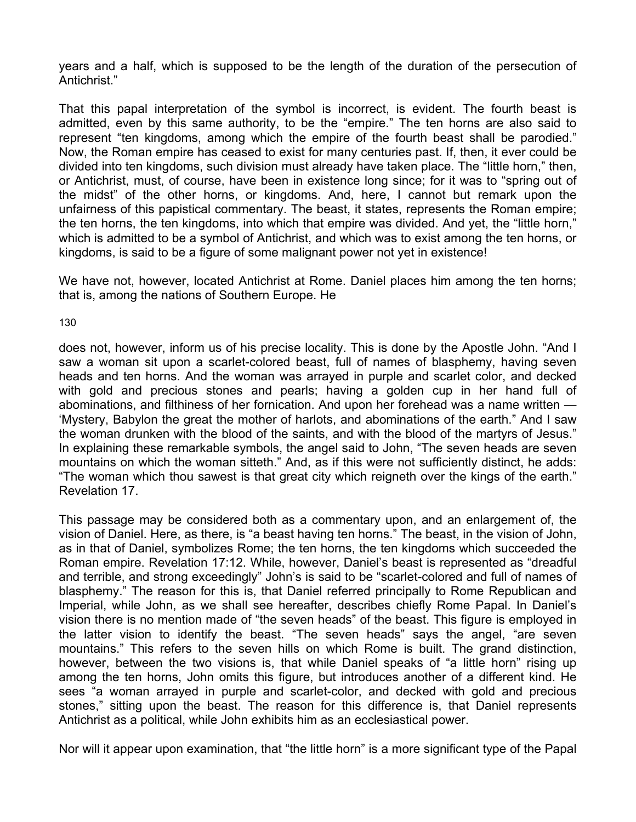years and a half, which is supposed to be the length of the duration of the persecution of Antichrist."

That this papal interpretation of the symbol is incorrect, is evident. The fourth beast is admitted, even by this same authority, to be the "empire." The ten horns are also said to represent "ten kingdoms, among which the empire of the fourth beast shall be parodied." Now, the Roman empire has ceased to exist for many centuries past. If, then, it ever could be divided into ten kingdoms, such division must already have taken place. The "little horn," then, or Antichrist, must, of course, have been in existence long since; for it was to "spring out of the midst" of the other horns, or kingdoms. And, here, I cannot but remark upon the unfairness of this papistical commentary. The beast, it states, represents the Roman empire; the ten horns, the ten kingdoms, into which that empire was divided. And yet, the "little horn," which is admitted to be a symbol of Antichrist, and which was to exist among the ten horns, or kingdoms, is said to be a figure of some malignant power not yet in existence!

We have not, however, located Antichrist at Rome. Daniel places him among the ten horns; that is, among the nations of Southern Europe. He

130

does not, however, inform us of his precise locality. This is done by the Apostle John. "And I saw a woman sit upon a scarlet-colored beast, full of names of blasphemy, having seven heads and ten horns. And the woman was arrayed in purple and scarlet color, and decked with gold and precious stones and pearls; having a golden cup in her hand full of abominations, and filthiness of her fornication. And upon her forehead was a name written — 'Mystery, Babylon the great the mother of harlots, and abominations of the earth." And I saw the woman drunken with the blood of the saints, and with the blood of the martyrs of Jesus." In explaining these remarkable symbols, the angel said to John, "The seven heads are seven mountains on which the woman sitteth." And, as if this were not sufficiently distinct, he adds: "The woman which thou sawest is that great city which reigneth over the kings of the earth." Revelation 17.

This passage may be considered both as a commentary upon, and an enlargement of, the vision of Daniel. Here, as there, is "a beast having ten horns." The beast, in the vision of John, as in that of Daniel, symbolizes Rome; the ten horns, the ten kingdoms which succeeded the Roman empire. Revelation 17:12. While, however, Daniel's beast is represented as "dreadful and terrible, and strong exceedingly" John's is said to be "scarlet-colored and full of names of blasphemy." The reason for this is, that Daniel referred principally to Rome Republican and Imperial, while John, as we shall see hereafter, describes chiefly Rome Papal. In Daniel's vision there is no mention made of "the seven heads" of the beast. This figure is employed in the latter vision to identify the beast. "The seven heads" says the angel, "are seven mountains." This refers to the seven hills on which Rome is built. The grand distinction, however, between the two visions is, that while Daniel speaks of "a little horn" rising up among the ten horns, John omits this figure, but introduces another of a different kind. He sees "a woman arrayed in purple and scarlet-color, and decked with gold and precious stones," sitting upon the beast. The reason for this difference is, that Daniel represents Antichrist as a political, while John exhibits him as an ecclesiastical power.

Nor will it appear upon examination, that "the little horn" is a more significant type of the Papal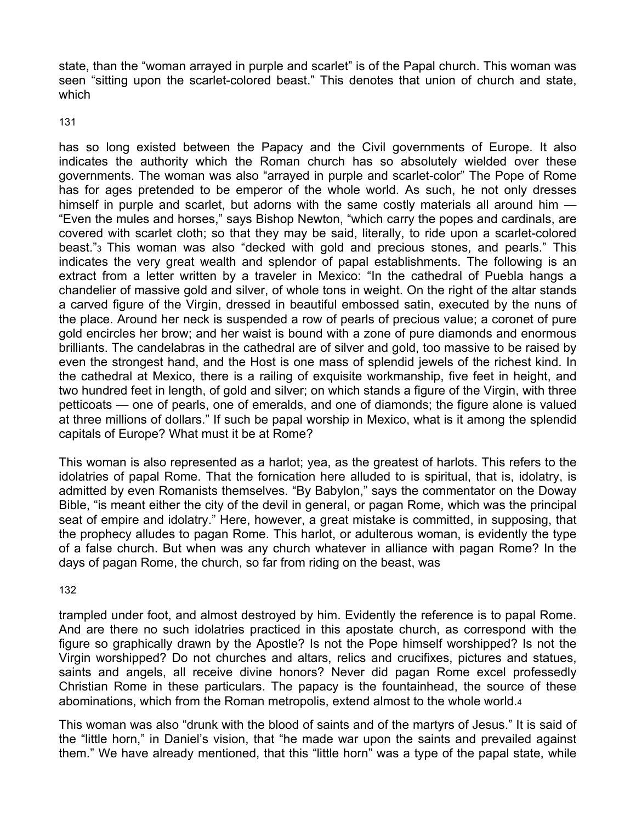state, than the "woman arrayed in purple and scarlet" is of the Papal church. This woman was seen "sitting upon the scarlet-colored beast." This denotes that union of church and state, which

131

has so long existed between the Papacy and the Civil governments of Europe. It also indicates the authority which the Roman church has so absolutely wielded over these governments. The woman was also "arrayed in purple and scarlet-color" The Pope of Rome has for ages pretended to be emperor of the whole world. As such, he not only dresses himself in purple and scarlet, but adorns with the same costly materials all around him — "Even the mules and horses," says Bishop Newton, "which carry the popes and cardinals, are covered with scarlet cloth; so that they may be said, literally, to ride upon a scarlet-colored beast."3 This woman was also "decked with gold and precious stones, and pearls." This indicates the very great wealth and splendor of papal establishments. The following is an extract from a letter written by a traveler in Mexico: "In the cathedral of Puebla hangs a chandelier of massive gold and silver, of whole tons in weight. On the right of the altar stands a carved figure of the Virgin, dressed in beautiful embossed satin, executed by the nuns of the place. Around her neck is suspended a row of pearls of precious value; a coronet of pure gold encircles her brow; and her waist is bound with a zone of pure diamonds and enormous brilliants. The candelabras in the cathedral are of silver and gold, too massive to be raised by even the strongest hand, and the Host is one mass of splendid jewels of the richest kind. In the cathedral at Mexico, there is a railing of exquisite workmanship, five feet in height, and two hundred feet in length, of gold and silver; on which stands a figure of the Virgin, with three petticoats — one of pearls, one of emeralds, and one of diamonds; the figure alone is valued at three millions of dollars." If such be papal worship in Mexico, what is it among the splendid capitals of Europe? What must it be at Rome?

This woman is also represented as a harlot; yea, as the greatest of harlots. This refers to the idolatries of papal Rome. That the fornication here alluded to is spiritual, that is, idolatry, is admitted by even Romanists themselves. "By Babylon," says the commentator on the Doway Bible, "is meant either the city of the devil in general, or pagan Rome, which was the principal seat of empire and idolatry." Here, however, a great mistake is committed, in supposing, that the prophecy alludes to pagan Rome. This harlot, or adulterous woman, is evidently the type of a false church. But when was any church whatever in alliance with pagan Rome? In the days of pagan Rome, the church, so far from riding on the beast, was

132

trampled under foot, and almost destroyed by him. Evidently the reference is to papal Rome. And are there no such idolatries practiced in this apostate church, as correspond with the figure so graphically drawn by the Apostle? Is not the Pope himself worshipped? Is not the Virgin worshipped? Do not churches and altars, relics and crucifixes, pictures and statues, saints and angels, all receive divine honors? Never did pagan Rome excel professedly Christian Rome in these particulars. The papacy is the fountainhead, the source of these abominations, which from the Roman metropolis, extend almost to the whole world.4

This woman was also "drunk with the blood of saints and of the martyrs of Jesus." It is said of the "little horn," in Daniel's vision, that "he made war upon the saints and prevailed against them." We have already mentioned, that this "little horn" was a type of the papal state, while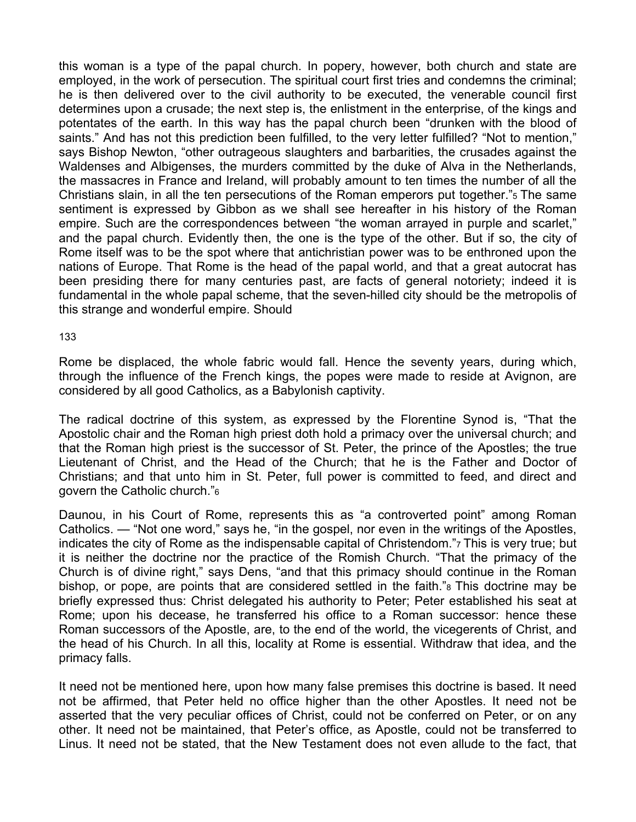this woman is a type of the papal church. In popery, however, both church and state are employed, in the work of persecution. The spiritual court first tries and condemns the criminal; he is then delivered over to the civil authority to be executed, the venerable council first determines upon a crusade; the next step is, the enlistment in the enterprise, of the kings and potentates of the earth. In this way has the papal church been "drunken with the blood of saints." And has not this prediction been fulfilled, to the very letter fulfilled? "Not to mention," says Bishop Newton, "other outrageous slaughters and barbarities, the crusades against the Waldenses and Albigenses, the murders committed by the duke of Alva in the Netherlands, the massacres in France and Ireland, will probably amount to ten times the number of all the Christians slain, in all the ten persecutions of the Roman emperors put together."5 The same sentiment is expressed by Gibbon as we shall see hereafter in his history of the Roman empire. Such are the correspondences between "the woman arrayed in purple and scarlet," and the papal church. Evidently then, the one is the type of the other. But if so, the city of Rome itself was to be the spot where that antichristian power was to be enthroned upon the nations of Europe. That Rome is the head of the papal world, and that a great autocrat has been presiding there for many centuries past, are facts of general notoriety; indeed it is fundamental in the whole papal scheme, that the seven-hilled city should be the metropolis of this strange and wonderful empire. Should

133

Rome be displaced, the whole fabric would fall. Hence the seventy years, during which, through the influence of the French kings, the popes were made to reside at Avignon, are considered by all good Catholics, as a Babylonish captivity.

The radical doctrine of this system, as expressed by the Florentine Synod is, "That the Apostolic chair and the Roman high priest doth hold a primacy over the universal church; and that the Roman high priest is the successor of St. Peter, the prince of the Apostles; the true Lieutenant of Christ, and the Head of the Church; that he is the Father and Doctor of Christians; and that unto him in St. Peter, full power is committed to feed, and direct and govern the Catholic church."6

Daunou, in his Court of Rome, represents this as "a controverted point" among Roman Catholics. — "Not one word," says he, "in the gospel, nor even in the writings of the Apostles, indicates the city of Rome as the indispensable capital of Christendom."7 This is very true; but it is neither the doctrine nor the practice of the Romish Church. "That the primacy of the Church is of divine right," says Dens, "and that this primacy should continue in the Roman bishop, or pope, are points that are considered settled in the faith."8 This doctrine may be briefly expressed thus: Christ delegated his authority to Peter; Peter established his seat at Rome; upon his decease, he transferred his office to a Roman successor: hence these Roman successors of the Apostle, are, to the end of the world, the vicegerents of Christ, and the head of his Church. In all this, locality at Rome is essential. Withdraw that idea, and the primacy falls.

It need not be mentioned here, upon how many false premises this doctrine is based. It need not be affirmed, that Peter held no office higher than the other Apostles. It need not be asserted that the very peculiar offices of Christ, could not be conferred on Peter, or on any other. It need not be maintained, that Peter's office, as Apostle, could not be transferred to Linus. It need not be stated, that the New Testament does not even allude to the fact, that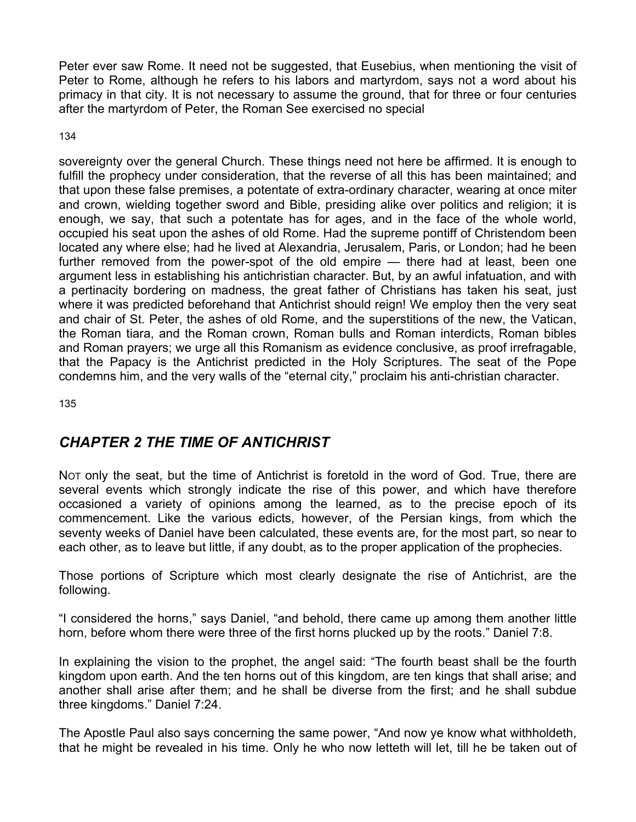Peter ever saw Rome. It need not be suggested, that Eusebius, when mentioning the visit of Peter to Rome, although he refers to his labors and martyrdom, says not a word about his primacy in that city. It is not necessary to assume the ground, that for three or four centuries after the martyrdom of Peter, the Roman See exercised no special

134

sovereignty over the general Church. These things need not here be affirmed. It is enough to fulfill the prophecy under consideration, that the reverse of all this has been maintained; and that upon these false premises, a potentate of extra-ordinary character, wearing at once miter and crown, wielding together sword and Bible, presiding alike over politics and religion; it is enough, we say, that such a potentate has for ages, and in the face of the whole world, occupied his seat upon the ashes of old Rome. Had the supreme pontiff of Christendom been located any where else; had he lived at Alexandria, Jerusalem, Paris, or London; had he been further removed from the power-spot of the old empire — there had at least, been one argument less in establishing his antichristian character. But, by an awful infatuation, and with a pertinacity bordering on madness, the great father of Christians has taken his seat, just where it was predicted beforehand that Antichrist should reign! We employ then the very seat and chair of St. Peter, the ashes of old Rome, and the superstitions of the new, the Vatican, the Roman tiara, and the Roman crown, Roman bulls and Roman interdicts, Roman bibles and Roman prayers; we urge all this Romanism as evidence conclusive, as proof irrefragable, that the Papacy is the Antichrist predicted in the Holy Scriptures. The seat of the Pope condemns him, and the very walls of the "eternal city," proclaim his anti-christian character.

135

# *CHAPTER 2 THE TIME OF ANTICHRIST*

NOT only the seat, but the time of Antichrist is foretold in the word of God. True, there are several events which strongly indicate the rise of this power, and which have therefore occasioned a variety of opinions among the learned, as to the precise epoch of its commencement. Like the various edicts, however, of the Persian kings, from which the seventy weeks of Daniel have been calculated, these events are, for the most part, so near to each other, as to leave but little, if any doubt, as to the proper application of the prophecies.

Those portions of Scripture which most clearly designate the rise of Antichrist, are the following.

"I considered the horns," says Daniel, "and behold, there came up among them another little horn, before whom there were three of the first horns plucked up by the roots." Daniel 7:8.

In explaining the vision to the prophet, the angel said: "The fourth beast shall be the fourth kingdom upon earth. And the ten horns out of this kingdom, are ten kings that shall arise; and another shall arise after them; and he shall be diverse from the first; and he shall subdue three kingdoms." Daniel 7:24.

The Apostle Paul also says concerning the same power, "And now ye know what withholdeth, that he might be revealed in his time. Only he who now letteth will let, till he be taken out of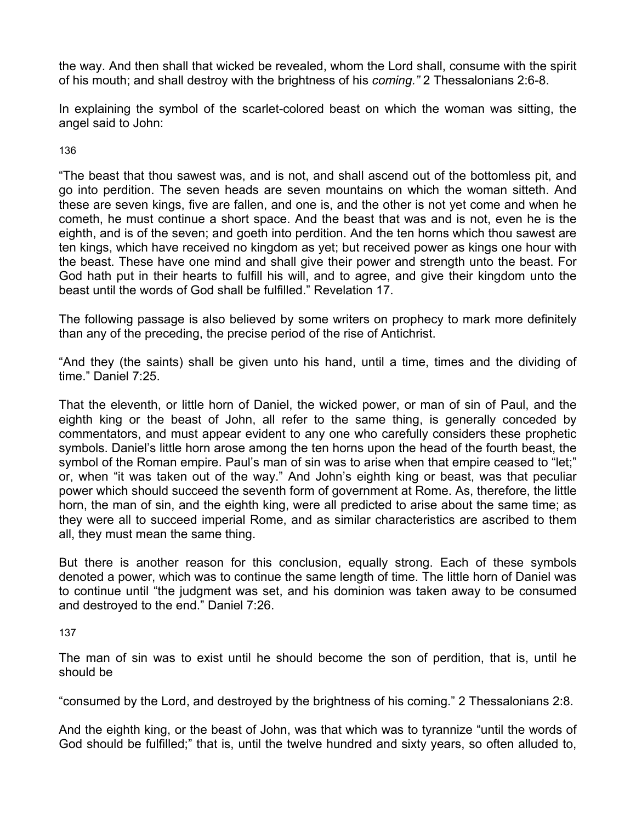the way. And then shall that wicked be revealed, whom the Lord shall, consume with the spirit of his mouth; and shall destroy with the brightness of his *coming."* 2 Thessalonians 2:6-8.

In explaining the symbol of the scarlet-colored beast on which the woman was sitting, the angel said to John:

136

"The beast that thou sawest was, and is not, and shall ascend out of the bottomless pit, and go into perdition. The seven heads are seven mountains on which the woman sitteth. And these are seven kings, five are fallen, and one is, and the other is not yet come and when he cometh, he must continue a short space. And the beast that was and is not, even he is the eighth, and is of the seven; and goeth into perdition. And the ten horns which thou sawest are ten kings, which have received no kingdom as yet; but received power as kings one hour with the beast. These have one mind and shall give their power and strength unto the beast. For God hath put in their hearts to fulfill his will, and to agree, and give their kingdom unto the beast until the words of God shall be fulfilled." Revelation 17.

The following passage is also believed by some writers on prophecy to mark more definitely than any of the preceding, the precise period of the rise of Antichrist.

"And they (the saints) shall be given unto his hand, until a time, times and the dividing of time." Daniel 7:25.

That the eleventh, or little horn of Daniel, the wicked power, or man of sin of Paul, and the eighth king or the beast of John, all refer to the same thing, is generally conceded by commentators, and must appear evident to any one who carefully considers these prophetic symbols. Daniel's little horn arose among the ten horns upon the head of the fourth beast, the symbol of the Roman empire. Paul's man of sin was to arise when that empire ceased to "let;" or, when "it was taken out of the way." And John's eighth king or beast, was that peculiar power which should succeed the seventh form of government at Rome. As, therefore, the little horn, the man of sin, and the eighth king, were all predicted to arise about the same time; as they were all to succeed imperial Rome, and as similar characteristics are ascribed to them all, they must mean the same thing.

But there is another reason for this conclusion, equally strong. Each of these symbols denoted a power, which was to continue the same length of time. The little horn of Daniel was to continue until "the judgment was set, and his dominion was taken away to be consumed and destroyed to the end." Daniel 7:26.

137

The man of sin was to exist until he should become the son of perdition, that is, until he should be

"consumed by the Lord, and destroyed by the brightness of his coming." 2 Thessalonians 2:8.

And the eighth king, or the beast of John, was that which was to tyrannize "until the words of God should be fulfilled;" that is, until the twelve hundred and sixty years, so often alluded to,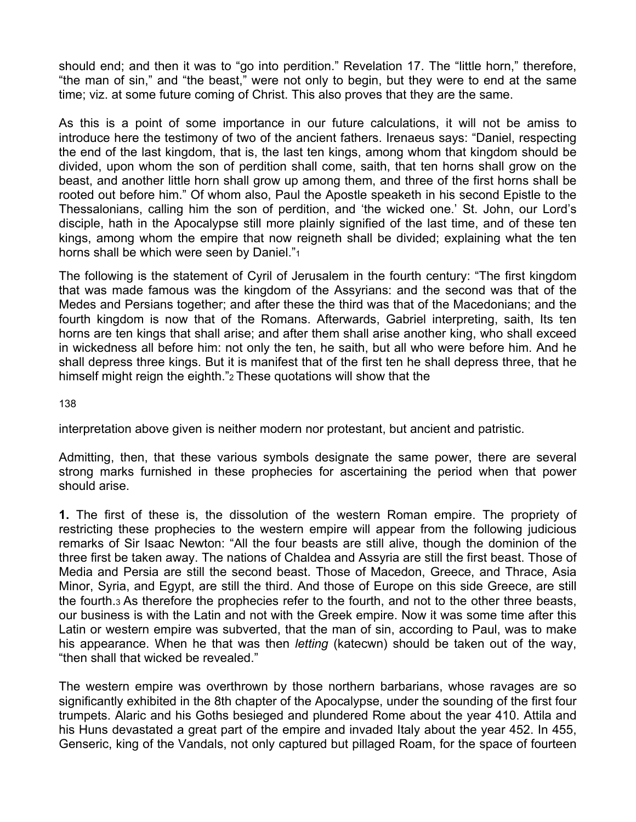should end; and then it was to "go into perdition." Revelation 17. The "little horn," therefore, "the man of sin," and "the beast," were not only to begin, but they were to end at the same time; viz. at some future coming of Christ. This also proves that they are the same.

As this is a point of some importance in our future calculations, it will not be amiss to introduce here the testimony of two of the ancient fathers. Irenaeus says: "Daniel, respecting the end of the last kingdom, that is, the last ten kings, among whom that kingdom should be divided, upon whom the son of perdition shall come, saith, that ten horns shall grow on the beast, and another little horn shall grow up among them, and three of the first horns shall be rooted out before him." Of whom also, Paul the Apostle speaketh in his second Epistle to the Thessalonians, calling him the son of perdition, and 'the wicked one.' St. John, our Lord's disciple, hath in the Apocalypse still more plainly signified of the last time, and of these ten kings, among whom the empire that now reigneth shall be divided; explaining what the ten horns shall be which were seen by Daniel."<sup>1</sup>

The following is the statement of Cyril of Jerusalem in the fourth century: "The first kingdom that was made famous was the kingdom of the Assyrians: and the second was that of the Medes and Persians together; and after these the third was that of the Macedonians; and the fourth kingdom is now that of the Romans. Afterwards, Gabriel interpreting, saith, Its ten horns are ten kings that shall arise; and after them shall arise another king, who shall exceed in wickedness all before him: not only the ten, he saith, but all who were before him. And he shall depress three kings. But it is manifest that of the first ten he shall depress three, that he himself might reign the eighth."2 These quotations will show that the

138

interpretation above given is neither modern nor protestant, but ancient and patristic.

Admitting, then, that these various symbols designate the same power, there are several strong marks furnished in these prophecies for ascertaining the period when that power should arise.

**1.** The first of these is, the dissolution of the western Roman empire. The propriety of restricting these prophecies to the western empire will appear from the following judicious remarks of Sir Isaac Newton: "All the four beasts are still alive, though the dominion of the three first be taken away. The nations of Chaldea and Assyria are still the first beast. Those of Media and Persia are still the second beast. Those of Macedon, Greece, and Thrace, Asia Minor, Syria, and Egypt, are still the third. And those of Europe on this side Greece, are still the fourth.3 As therefore the prophecies refer to the fourth, and not to the other three beasts, our business is with the Latin and not with the Greek empire. Now it was some time after this Latin or western empire was subverted, that the man of sin, according to Paul, was to make his appearance. When he that was then *letting* (katecwn) should be taken out of the way, "then shall that wicked be revealed."

The western empire was overthrown by those northern barbarians, whose ravages are so significantly exhibited in the 8th chapter of the Apocalypse, under the sounding of the first four trumpets. Alaric and his Goths besieged and plundered Rome about the year 410. Attila and his Huns devastated a great part of the empire and invaded Italy about the year 452. In 455, Genseric, king of the Vandals, not only captured but pillaged Roam, for the space of fourteen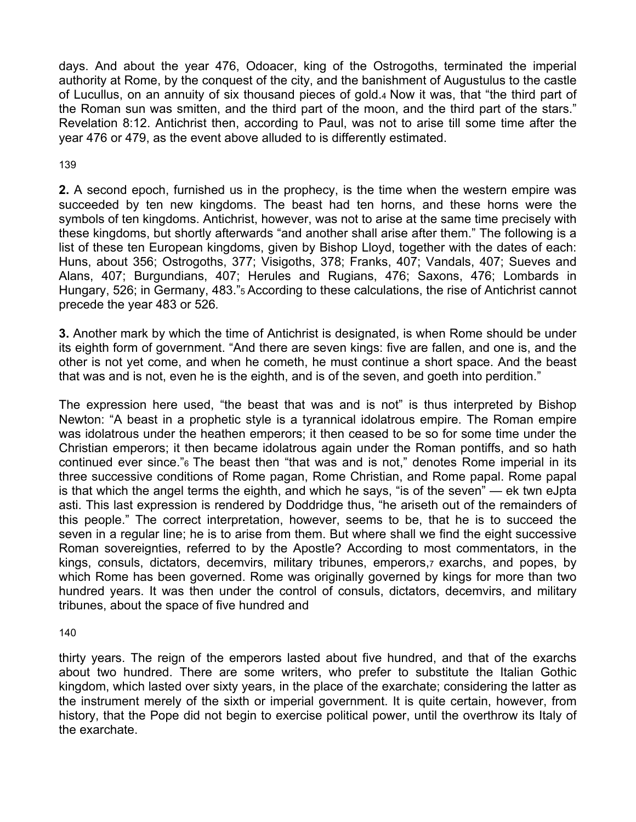days. And about the year 476, Odoacer, king of the Ostrogoths, terminated the imperial authority at Rome, by the conquest of the city, and the banishment of Augustulus to the castle of Lucullus, on an annuity of six thousand pieces of gold.4 Now it was, that "the third part of the Roman sun was smitten, and the third part of the moon, and the third part of the stars." Revelation 8:12. Antichrist then, according to Paul, was not to arise till some time after the year 476 or 479, as the event above alluded to is differently estimated.

# 139

**2.** A second epoch, furnished us in the prophecy, is the time when the western empire was succeeded by ten new kingdoms. The beast had ten horns, and these horns were the symbols of ten kingdoms. Antichrist, however, was not to arise at the same time precisely with these kingdoms, but shortly afterwards "and another shall arise after them." The following is a list of these ten European kingdoms, given by Bishop Lloyd, together with the dates of each: Huns, about 356; Ostrogoths, 377; Visigoths, 378; Franks, 407; Vandals, 407; Sueves and Alans, 407; Burgundians, 407; Herules and Rugians, 476; Saxons, 476; Lombards in Hungary, 526; in Germany, 483."5 According to these calculations, the rise of Antichrist cannot precede the year 483 or 526*.* 

**3.** Another mark by which the time of Antichrist is designated, is when Rome should be under its eighth form of government. "And there are seven kings: five are fallen, and one is, and the other is not yet come, and when he cometh, he must continue a short space. And the beast that was and is not, even he is the eighth, and is of the seven, and goeth into perdition."

The expression here used, "the beast that was and is not" is thus interpreted by Bishop Newton: "A beast in a prophetic style is a tyrannical idolatrous empire. The Roman empire was idolatrous under the heathen emperors; it then ceased to be so for some time under the Christian emperors; it then became idolatrous again under the Roman pontiffs, and so hath continued ever since."6 The beast then "that was and is not," denotes Rome imperial in its three successive conditions of Rome pagan, Rome Christian, and Rome papal. Rome papal is that which the angel terms the eighth, and which he says, "is of the seven" — ek twn eJpta asti. This last expression is rendered by Doddridge thus, "he ariseth out of the remainders of this people." The correct interpretation, however, seems to be, that he is to succeed the seven in a regular line; he is to arise from them. But where shall we find the eight successive Roman sovereignties, referred to by the Apostle? According to most commentators, in the kings, consuls, dictators, decemvirs, military tribunes, emperors,7 exarchs, and popes, by which Rome has been governed. Rome was originally governed by kings for more than two hundred years. It was then under the control of consuls, dictators, decemvirs, and military tribunes, about the space of five hundred and

140

thirty years. The reign of the emperors lasted about five hundred, and that of the exarchs about two hundred. There are some writers, who prefer to substitute the Italian Gothic kingdom, which lasted over sixty years, in the place of the exarchate; considering the latter as the instrument merely of the sixth or imperial government. It is quite certain, however, from history, that the Pope did not begin to exercise political power, until the overthrow its Italy of the exarchate.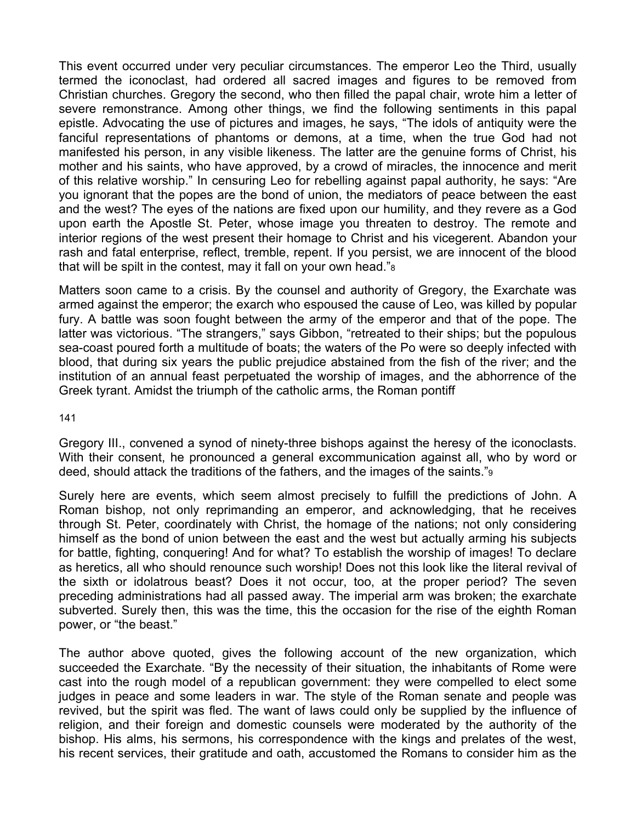This event occurred under very peculiar circumstances. The emperor Leo the Third, usually termed the iconoclast, had ordered all sacred images and figures to be removed from Christian churches. Gregory the second, who then filled the papal chair, wrote him a letter of severe remonstrance. Among other things, we find the following sentiments in this papal epistle. Advocating the use of pictures and images, he says, "The idols of antiquity were the fanciful representations of phantoms or demons, at a time, when the true God had not manifested his person, in any visible likeness. The latter are the genuine forms of Christ, his mother and his saints, who have approved, by a crowd of miracles, the innocence and merit of this relative worship." In censuring Leo for rebelling against papal authority, he says: "Are you ignorant that the popes are the bond of union, the mediators of peace between the east and the west? The eyes of the nations are fixed upon our humility, and they revere as a God upon earth the Apostle St. Peter, whose image you threaten to destroy. The remote and interior regions of the west present their homage to Christ and his vicegerent. Abandon your rash and fatal enterprise, reflect, tremble, repent. If you persist, we are innocent of the blood that will be spilt in the contest, may it fall on your own head."8

Matters soon came to a crisis. By the counsel and authority of Gregory, the Exarchate was armed against the emperor; the exarch who espoused the cause of Leo, was killed by popular fury. A battle was soon fought between the army of the emperor and that of the pope. The latter was victorious. "The strangers," says Gibbon, "retreated to their ships; but the populous sea-coast poured forth a multitude of boats; the waters of the Po were so deeply infected with blood, that during six years the public prejudice abstained from the fish of the river; and the institution of an annual feast perpetuated the worship of images, and the abhorrence of the Greek tyrant. Amidst the triumph of the catholic arms, the Roman pontiff

#### 141

Gregory III., convened a synod of ninety-three bishops against the heresy of the iconoclasts. With their consent, he pronounced a general excommunication against all, who by word or deed, should attack the traditions of the fathers, and the images of the saints."9

Surely here are events, which seem almost precisely to fulfill the predictions of John. A Roman bishop, not only reprimanding an emperor, and acknowledging, that he receives through St. Peter, coordinately with Christ, the homage of the nations; not only considering himself as the bond of union between the east and the west but actually arming his subjects for battle, fighting, conquering! And for what? To establish the worship of images! To declare as heretics, all who should renounce such worship! Does not this look like the literal revival of the sixth or idolatrous beast? Does it not occur, too, at the proper period? The seven preceding administrations had all passed away. The imperial arm was broken; the exarchate subverted. Surely then, this was the time, this the occasion for the rise of the eighth Roman power, or "the beast."

The author above quoted, gives the following account of the new organization, which succeeded the Exarchate. "By the necessity of their situation, the inhabitants of Rome were cast into the rough model of a republican government: they were compelled to elect some judges in peace and some leaders in war. The style of the Roman senate and people was revived, but the spirit was fled. The want of laws could only be supplied by the influence of religion, and their foreign and domestic counsels were moderated by the authority of the bishop. His alms, his sermons, his correspondence with the kings and prelates of the west, his recent services, their gratitude and oath, accustomed the Romans to consider him as the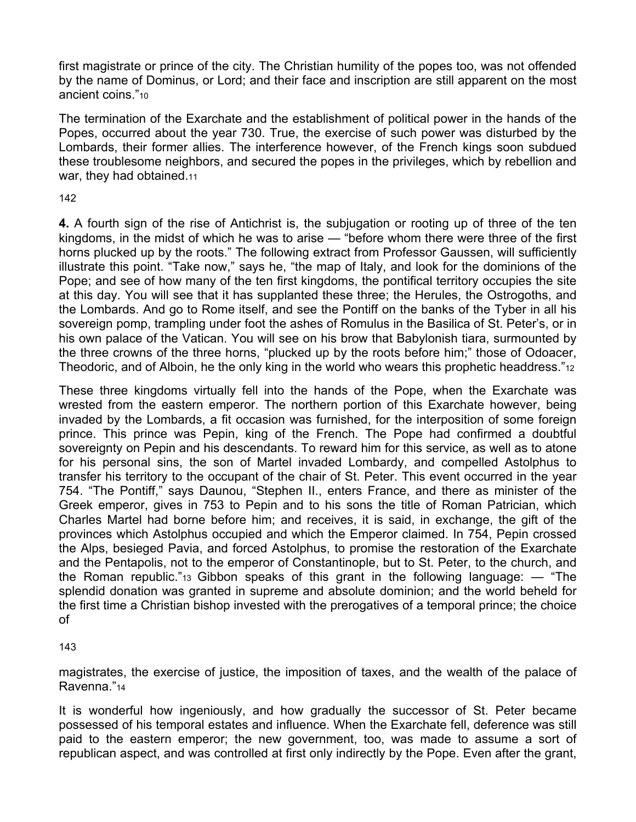first magistrate or prince of the city. The Christian humility of the popes too, was not offended by the name of Dominus, or Lord; and their face and inscription are still apparent on the most ancient coins."10

The termination of the Exarchate and the establishment of political power in the hands of the Popes, occurred about the year 730. True, the exercise of such power was disturbed by the Lombards, their former allies. The interference however, of the French kings soon subdued these troublesome neighbors, and secured the popes in the privileges, which by rebellion and war, they had obtained.11

# 142

**4.** A fourth sign of the rise of Antichrist is, the subjugation or rooting up of three of the ten kingdoms, in the midst of which he was to arise — "before whom there were three of the first horns plucked up by the roots." The following extract from Professor Gaussen, will sufficiently illustrate this point. "Take now," says he, "the map of Italy, and look for the dominions of the Pope; and see of how many of the ten first kingdoms, the pontifical territory occupies the site at this day. You will see that it has supplanted these three; the Herules, the Ostrogoths, and the Lombards. And go to Rome itself, and see the Pontiff on the banks of the Tyber in all his sovereign pomp, trampling under foot the ashes of Romulus in the Basilica of St. Peter's, or in his own palace of the Vatican. You will see on his brow that Babylonish tiara, surmounted by the three crowns of the three horns, "plucked up by the roots before him;" those of Odoacer, Theodoric, and of Alboin, he the only king in the world who wears this prophetic headdress."<sup>12</sup>

These three kingdoms virtually fell into the hands of the Pope, when the Exarchate was wrested from the eastern emperor. The northern portion of this Exarchate however, being invaded by the Lombards, a fit occasion was furnished, for the interposition of some foreign prince. This prince was Pepin, king of the French. The Pope had confirmed a doubtful sovereignty on Pepin and his descendants. To reward him for this service, as well as to atone for his personal sins, the son of Martel invaded Lombardy, and compelled Astolphus to transfer his territory to the occupant of the chair of St. Peter. This event occurred in the year 754. "The Pontiff," says Daunou, "Stephen II., enters France, and there as minister of the Greek emperor, gives in 753 to Pepin and to his sons the title of Roman Patrician, which Charles Martel had borne before him; and receives, it is said, in exchange, the gift of the provinces which Astolphus occupied and which the Emperor claimed. In 754, Pepin crossed the Alps, besieged Pavia, and forced Astolphus, to promise the restoration of the Exarchate and the Pentapolis, not to the emperor of Constantinople, but to St. Peter, to the church, and the Roman republic."13 Gibbon speaks of this grant in the following language: — "The splendid donation was granted in supreme and absolute dominion; and the world beheld for the first time a Christian bishop invested with the prerogatives of a temporal prince; the choice of

### 143

magistrates, the exercise of justice, the imposition of taxes, and the wealth of the palace of Ravenna."14

It is wonderful how ingeniously, and how gradually the successor of St. Peter became possessed of his temporal estates and influence. When the Exarchate fell, deference was still paid to the eastern emperor; the new government, too, was made to assume a sort of republican aspect, and was controlled at first only indirectly by the Pope. Even after the grant,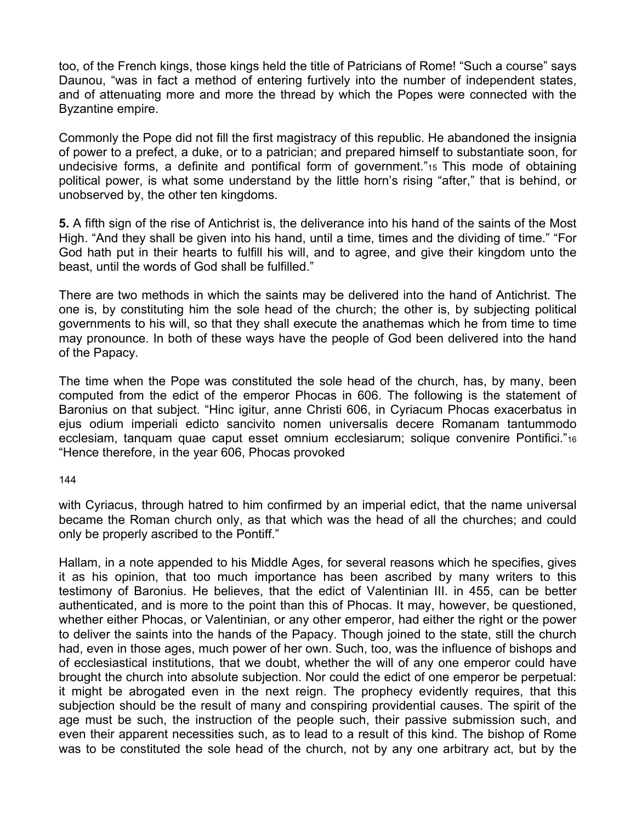too, of the French kings, those kings held the title of Patricians of Rome! "Such a course" says Daunou, "was in fact a method of entering furtively into the number of independent states, and of attenuating more and more the thread by which the Popes were connected with the Byzantine empire.

Commonly the Pope did not fill the first magistracy of this republic. He abandoned the insignia of power to a prefect, a duke, or to a patrician; and prepared himself to substantiate soon, for undecisive forms, a definite and pontifical form of government."15 This mode of obtaining political power, is what some understand by the little horn's rising "after," that is behind, or unobserved by, the other ten kingdoms.

**5.** A fifth sign of the rise of Antichrist is, the deliverance into his hand of the saints of the Most High. "And they shall be given into his hand, until a time, times and the dividing of time." "For God hath put in their hearts to fulfill his will, and to agree, and give their kingdom unto the beast, until the words of God shall be fulfilled."

There are two methods in which the saints may be delivered into the hand of Antichrist. The one is, by constituting him the sole head of the church; the other is, by subjecting political governments to his will, so that they shall execute the anathemas which he from time to time may pronounce. In both of these ways have the people of God been delivered into the hand of the Papacy.

The time when the Pope was constituted the sole head of the church, has, by many, been computed from the edict of the emperor Phocas in 606. The following is the statement of Baronius on that subject. "Hinc igitur, anne Christi 606, in Cyriacum Phocas exacerbatus in ejus odium imperiali edicto sancivito nomen universalis decere Romanam tantummodo ecclesiam, tanquam quae caput esset omnium ecclesiarum; solique convenire Pontifici."16 "Hence therefore, in the year 606, Phocas provoked

144

with Cyriacus, through hatred to him confirmed by an imperial edict, that the name universal became the Roman church only, as that which was the head of all the churches; and could only be properly ascribed to the Pontiff."

Hallam, in a note appended to his Middle Ages, for several reasons which he specifies, gives it as his opinion, that too much importance has been ascribed by many writers to this testimony of Baronius. He believes, that the edict of Valentinian III. in 455, can be better authenticated, and is more to the point than this of Phocas. It may, however, be questioned, whether either Phocas, or Valentinian, or any other emperor, had either the right or the power to deliver the saints into the hands of the Papacy. Though joined to the state, still the church had, even in those ages, much power of her own. Such, too, was the influence of bishops and of ecclesiastical institutions, that we doubt, whether the will of any one emperor could have brought the church into absolute subjection. Nor could the edict of one emperor be perpetual: it might be abrogated even in the next reign. The prophecy evidently requires, that this subjection should be the result of many and conspiring providential causes. The spirit of the age must be such, the instruction of the people such, their passive submission such, and even their apparent necessities such, as to lead to a result of this kind. The bishop of Rome was to be constituted the sole head of the church, not by any one arbitrary act, but by the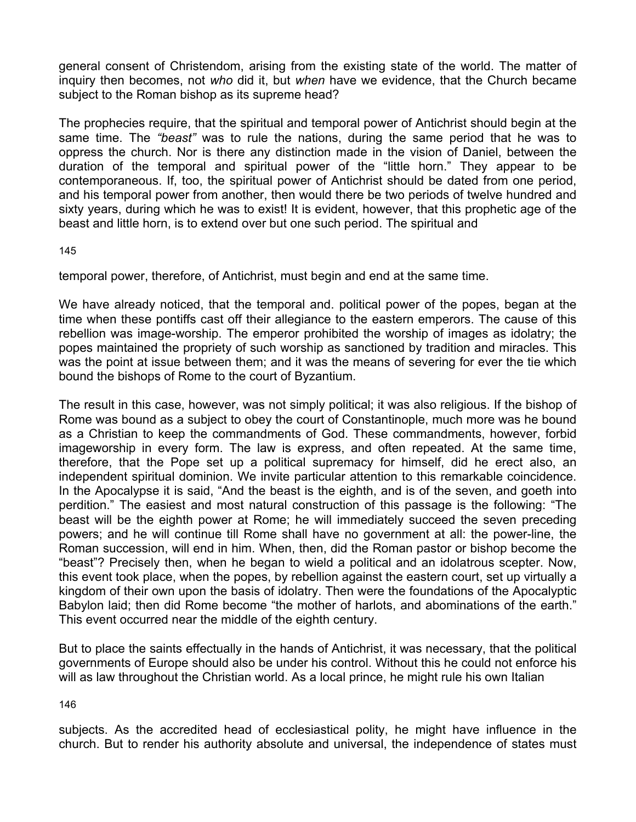general consent of Christendom, arising from the existing state of the world. The matter of inquiry then becomes, not *who* did it, but *when* have we evidence, that the Church became subject to the Roman bishop as its supreme head?

The prophecies require, that the spiritual and temporal power of Antichrist should begin at the same time. The *"beast"* was to rule the nations, during the same period that he was to oppress the church. Nor is there any distinction made in the vision of Daniel, between the duration of the temporal and spiritual power of the "little horn." They appear to be contemporaneous. If, too, the spiritual power of Antichrist should be dated from one period, and his temporal power from another, then would there be two periods of twelve hundred and sixty years, during which he was to exist! It is evident, however, that this prophetic age of the beast and little horn, is to extend over but one such period. The spiritual and

145

temporal power, therefore, of Antichrist, must begin and end at the same time.

We have already noticed, that the temporal and. political power of the popes, began at the time when these pontiffs cast off their allegiance to the eastern emperors. The cause of this rebellion was image-worship. The emperor prohibited the worship of images as idolatry; the popes maintained the propriety of such worship as sanctioned by tradition and miracles. This was the point at issue between them; and it was the means of severing for ever the tie which bound the bishops of Rome to the court of Byzantium.

The result in this case, however, was not simply political; it was also religious. If the bishop of Rome was bound as a subject to obey the court of Constantinople, much more was he bound as a Christian to keep the commandments of God. These commandments, however, forbid imageworship in every form. The law is express, and often repeated. At the same time, therefore, that the Pope set up a political supremacy for himself, did he erect also, an independent spiritual dominion. We invite particular attention to this remarkable coincidence. In the Apocalypse it is said, "And the beast is the eighth, and is of the seven, and goeth into perdition." The easiest and most natural construction of this passage is the following: "The beast will be the eighth power at Rome; he will immediately succeed the seven preceding powers; and he will continue till Rome shall have no government at all: the power-line, the Roman succession, will end in him. When, then, did the Roman pastor or bishop become the "beast"? Precisely then, when he began to wield a political and an idolatrous scepter. Now, this event took place, when the popes, by rebellion against the eastern court, set up virtually a kingdom of their own upon the basis of idolatry. Then were the foundations of the Apocalyptic Babylon laid; then did Rome become "the mother of harlots, and abominations of the earth." This event occurred near the middle of the eighth century.

But to place the saints effectually in the hands of Antichrist, it was necessary, that the political governments of Europe should also be under his control. Without this he could not enforce his will as law throughout the Christian world. As a local prince, he might rule his own Italian

146

subjects. As the accredited head of ecclesiastical polity, he might have influence in the church. But to render his authority absolute and universal, the independence of states must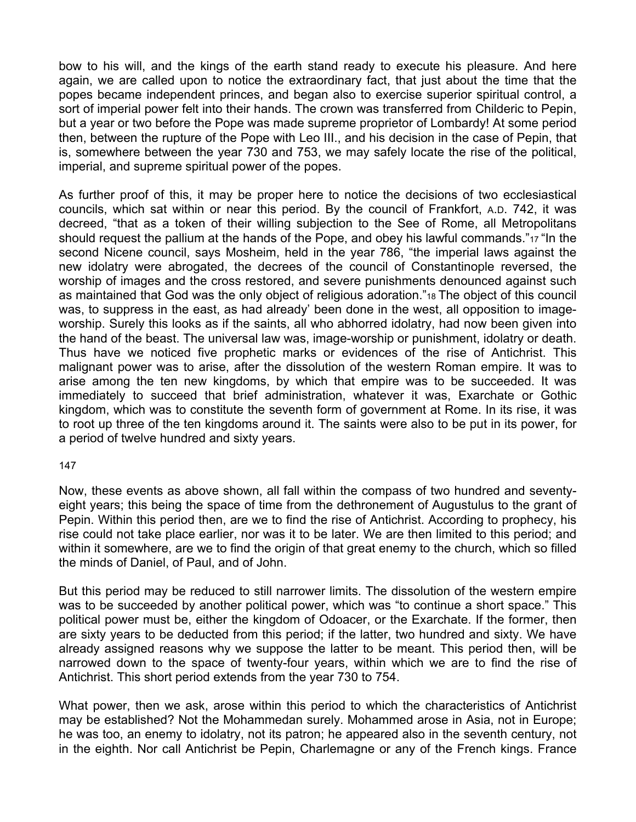bow to his will, and the kings of the earth stand ready to execute his pleasure. And here again, we are called upon to notice the extraordinary fact, that just about the time that the popes became independent princes, and began also to exercise superior spiritual control, a sort of imperial power felt into their hands. The crown was transferred from Childeric to Pepin, but a year or two before the Pope was made supreme proprietor of Lombardy! At some period then, between the rupture of the Pope with Leo III., and his decision in the case of Pepin, that is, somewhere between the year 730 and 753, we may safely locate the rise of the political, imperial, and supreme spiritual power of the popes.

As further proof of this, it may be proper here to notice the decisions of two ecclesiastical councils, which sat within or near this period. By the council of Frankfort, A.D. 742, it was decreed, "that as a token of their willing subjection to the See of Rome, all Metropolitans should request the pallium at the hands of the Pope, and obey his lawful commands."<sup>17</sup> "In the second Nicene council, says Mosheim, held in the year 786, "the imperial laws against the new idolatry were abrogated, the decrees of the council of Constantinople reversed, the worship of images and the cross restored, and severe punishments denounced against such as maintained that God was the only object of religious adoration."18 The object of this council was, to suppress in the east, as had already' been done in the west, all opposition to imageworship. Surely this looks as if the saints, all who abhorred idolatry, had now been given into the hand of the beast. The universal law was, image-worship or punishment, idolatry or death. Thus have we noticed five prophetic marks or evidences of the rise of Antichrist. This malignant power was to arise, after the dissolution of the western Roman empire. It was to arise among the ten new kingdoms, by which that empire was to be succeeded. It was immediately to succeed that brief administration, whatever it was, Exarchate or Gothic kingdom, which was to constitute the seventh form of government at Rome. In its rise, it was to root up three of the ten kingdoms around it. The saints were also to be put in its power, for a period of twelve hundred and sixty years.

#### 147

Now, these events as above shown, all fall within the compass of two hundred and seventyeight years; this being the space of time from the dethronement of Augustulus to the grant of Pepin. Within this period then, are we to find the rise of Antichrist. According to prophecy, his rise could not take place earlier, nor was it to be later. We are then limited to this period; and within it somewhere, are we to find the origin of that great enemy to the church, which so filled the minds of Daniel, of Paul, and of John.

But this period may be reduced to still narrower limits. The dissolution of the western empire was to be succeeded by another political power, which was "to continue a short space." This political power must be, either the kingdom of Odoacer, or the Exarchate. If the former, then are sixty years to be deducted from this period; if the latter, two hundred and sixty. We have already assigned reasons why we suppose the latter to be meant. This period then, will be narrowed down to the space of twenty-four years, within which we are to find the rise of Antichrist. This short period extends from the year 730 to 754.

What power, then we ask, arose within this period to which the characteristics of Antichrist may be established? Not the Mohammedan surely. Mohammed arose in Asia, not in Europe; he was too, an enemy to idolatry, not its patron; he appeared also in the seventh century, not in the eighth. Nor call Antichrist be Pepin, Charlemagne or any of the French kings. France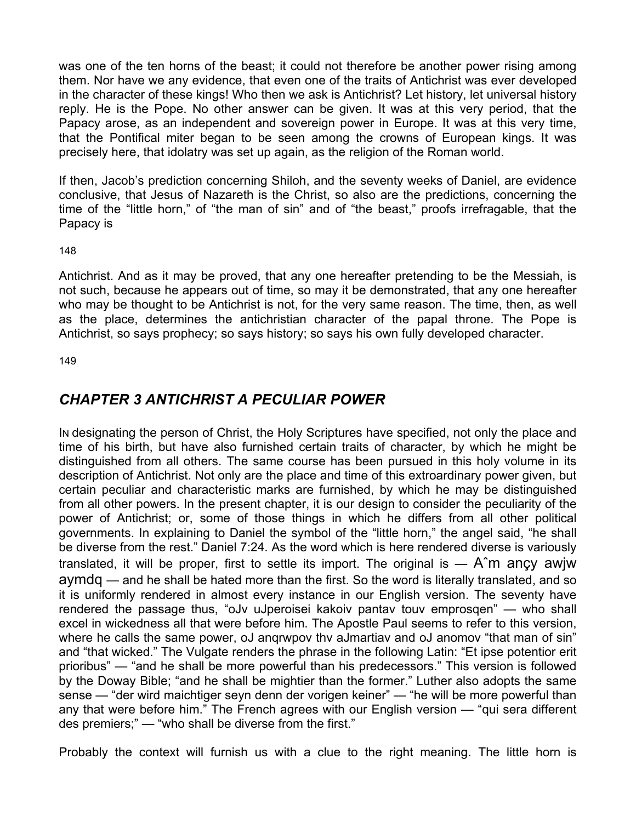was one of the ten horns of the beast; it could not therefore be another power rising among them. Nor have we any evidence, that even one of the traits of Antichrist was ever developed in the character of these kings! Who then we ask is Antichrist? Let history, let universal history reply. He is the Pope. No other answer can be given. It was at this very period, that the Papacy arose, as an independent and sovereign power in Europe. It was at this very time, that the Pontifical miter began to be seen among the crowns of European kings. It was precisely here, that idolatry was set up again, as the religion of the Roman world.

If then, Jacob's prediction concerning Shiloh, and the seventy weeks of Daniel, are evidence conclusive, that Jesus of Nazareth is the Christ, so also are the predictions, concerning the time of the "little horn," of "the man of sin" and of "the beast," proofs irrefragable, that the Papacy is

148

Antichrist. And as it may be proved, that any one hereafter pretending to be the Messiah, is not such, because he appears out of time, so may it be demonstrated, that any one hereafter who may be thought to be Antichrist is not, for the very same reason. The time, then, as well as the place, determines the antichristian character of the papal throne. The Pope is Antichrist, so says prophecy; so says history; so says his own fully developed character.

149

# *CHAPTER 3 ANTICHRIST A PECULIAR POWER*

IN designating the person of Christ, the Holy Scriptures have specified, not only the place and time of his birth, but have also furnished certain traits of character, by which he might be distinguished from all others. The same course has been pursued in this holy volume in its description of Antichrist. Not only are the place and time of this extroardinary power given, but certain peculiar and characteristic marks are furnished, by which he may be distinguished from all other powers. In the present chapter, it is our design to consider the peculiarity of the power of Antichrist; or, some of those things in which he differs from all other political governments. In explaining to Daniel the symbol of the "little horn," the angel said, "he shall be diverse from the rest." Daniel 7:24. As the word which is here rendered diverse is variously translated, it will be proper, first to settle its import. The original is  $-$  A $\hat{m}$  ancy awjw aymdq — and he shall be hated more than the first. So the word is literally translated, and so it is uniformly rendered in almost every instance in our English version. The seventy have rendered the passage thus, "oJv uJperoisei kakoiv pantav touv emprosqen" — who shall excel in wickedness all that were before him. The Apostle Paul seems to refer to this version, where he calls the same power, oJ angrwpov thy aJmartiav and oJ anomov "that man of sin" and "that wicked." The Vulgate renders the phrase in the following Latin: "Et ipse potentior erit prioribus" — "and he shall be more powerful than his predecessors." This version is followed by the Doway Bible; "and he shall be mightier than the former." Luther also adopts the same sense — "der wird maichtiger seyn denn der vorigen keiner" — "he will be more powerful than any that were before him." The French agrees with our English version — "qui sera different des premiers;" — "who shall be diverse from the first."

Probably the context will furnish us with a clue to the right meaning. The little horn is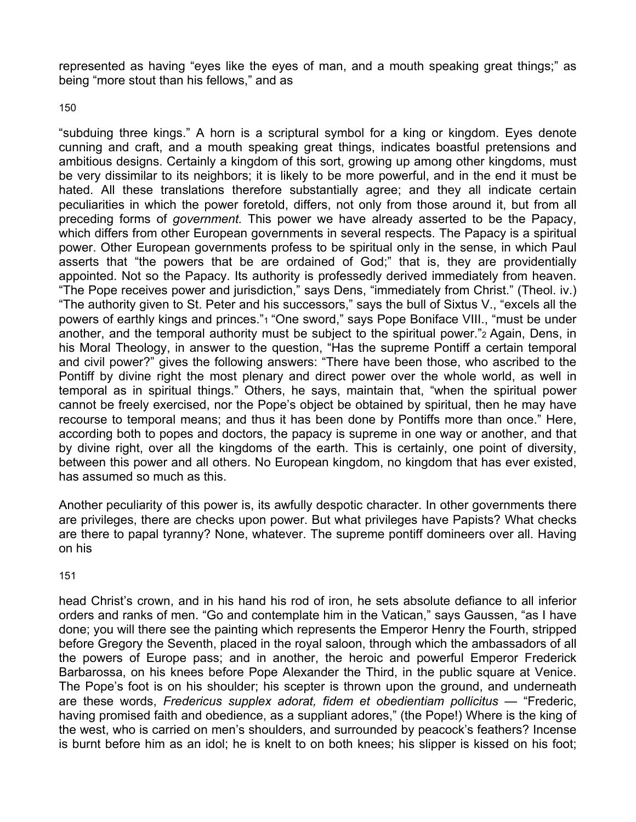represented as having "eyes like the eyes of man, and a mouth speaking great things;" as being "more stout than his fellows," and as

150

"subduing three kings." A horn is a scriptural symbol for a king or kingdom. Eyes denote cunning and craft, and a mouth speaking great things, indicates boastful pretensions and ambitious designs. Certainly a kingdom of this sort, growing up among other kingdoms, must be very dissimilar to its neighbors; it is likely to be more powerful, and in the end it must be hated. All these translations therefore substantially agree; and they all indicate certain peculiarities in which the power foretold, differs, not only from those around it, but from all preceding forms of *government.* This power we have already asserted to be the Papacy, which differs from other European governments in several respects. The Papacy is a spiritual power. Other European governments profess to be spiritual only in the sense, in which Paul asserts that "the powers that be are ordained of God;" that is, they are providentially appointed. Not so the Papacy. Its authority is professedly derived immediately from heaven. "The Pope receives power and jurisdiction," says Dens, "immediately from Christ." (Theol. iv.) "The authority given to St. Peter and his successors," says the bull of Sixtus V., "excels all the powers of earthly kings and princes."1 "One sword," says Pope Boniface VIII., "must be under another, and the temporal authority must be subject to the spiritual power."2 Again, Dens, in his Moral Theology, in answer to the question, "Has the supreme Pontiff a certain temporal and civil power?" gives the following answers: "There have been those, who ascribed to the Pontiff by divine right the most plenary and direct power over the whole world, as well in temporal as in spiritual things." Others, he says, maintain that, "when the spiritual power cannot be freely exercised, nor the Pope's object be obtained by spiritual, then he may have recourse to temporal means; and thus it has been done by Pontiffs more than once." Here, according both to popes and doctors, the papacy is supreme in one way or another, and that by divine right, over all the kingdoms of the earth. This is certainly, one point of diversity, between this power and all others. No European kingdom, no kingdom that has ever existed, has assumed so much as this.

Another peculiarity of this power is, its awfully despotic character. In other governments there are privileges, there are checks upon power. But what privileges have Papists? What checks are there to papal tyranny? None, whatever. The supreme pontiff domineers over all. Having on his

151

head Christ's crown, and in his hand his rod of iron, he sets absolute defiance to all inferior orders and ranks of men. "Go and contemplate him in the Vatican," says Gaussen, "as I have done; you will there see the painting which represents the Emperor Henry the Fourth, stripped before Gregory the Seventh, placed in the royal saloon, through which the ambassadors of all the powers of Europe pass; and in another, the heroic and powerful Emperor Frederick Barbarossa, on his knees before Pope Alexander the Third, in the public square at Venice. The Pope's foot is on his shoulder; his scepter is thrown upon the ground, and underneath are these words, *Fredericus supplex adorat, fidem et obedientiam pollicitus* — "Frederic, having promised faith and obedience, as a suppliant adores," (the Pope!) Where is the king of the west, who is carried on men's shoulders, and surrounded by peacock's feathers? Incense is burnt before him as an idol; he is knelt to on both knees; his slipper is kissed on his foot;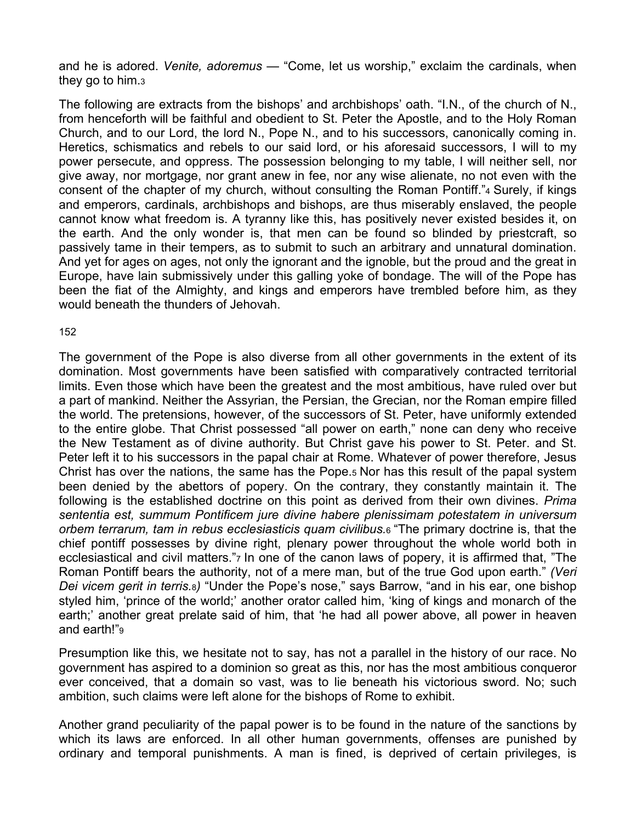and he is adored. *Venite, adoremus* — "Come, let us worship," exclaim the cardinals, when they go to him.3

The following are extracts from the bishops' and archbishops' oath. "I.N., of the church of N., from henceforth will be faithful and obedient to St. Peter the Apostle, and to the Holy Roman Church, and to our Lord, the lord N., Pope N., and to his successors, canonically coming in. Heretics, schismatics and rebels to our said lord, or his aforesaid successors, I will to my power persecute, and oppress. The possession belonging to my table, I will neither sell, nor give away, nor mortgage, nor grant anew in fee, nor any wise alienate, no not even with the consent of the chapter of my church, without consulting the Roman Pontiff."4 Surely, if kings and emperors, cardinals, archbishops and bishops, are thus miserably enslaved, the people cannot know what freedom is. A tyranny like this, has positively never existed besides it, on the earth. And the only wonder is, that men can be found so blinded by priestcraft, so passively tame in their tempers, as to submit to such an arbitrary and unnatural domination. And yet for ages on ages, not only the ignorant and the ignoble, but the proud and the great in Europe, have lain submissively under this galling yoke of bondage. The will of the Pope has been the fiat of the Almighty, and kings and emperors have trembled before him, as they would beneath the thunders of Jehovah.

#### 152

The government of the Pope is also diverse from all other governments in the extent of its domination. Most governments have been satisfied with comparatively contracted territorial limits. Even those which have been the greatest and the most ambitious, have ruled over but a part of mankind. Neither the Assyrian, the Persian, the Grecian, nor the Roman empire filled the world. The pretensions, however, of the successors of St. Peter, have uniformly extended to the entire globe. That Christ possessed "all power on earth," none can deny who receive the New Testament as of divine authority. But Christ gave his power to St. Peter. and St. Peter left it to his successors in the papal chair at Rome. Whatever of power therefore, Jesus Christ has over the nations, the same has the Pope.5 Nor has this result of the papal system been denied by the abettors of popery. On the contrary, they constantly maintain it. The following is the established doctrine on this point as derived from their own divines. *Prima sententia est, summum Pontificem jure divine habere plenissimam potestatem in universum orbem terrarum, tam in rebus ecclesiasticis quam civilibus.*6 "The primary doctrine is, that the chief pontiff possesses by divine right, plenary power throughout the whole world both in ecclesiastical and civil matters.", In one of the canon laws of popery, it is affirmed that, "The Roman Pontiff bears the authority, not of a mere man, but of the true God upon earth." *(Veri Dei vicem gerit in terris.*8*)* "Under the Pope's nose," says Barrow, "and in his ear, one bishop styled him, 'prince of the world;' another orator called him, 'king of kings and monarch of the earth;' another great prelate said of him, that 'he had all power above, all power in heaven and earth!"9

Presumption like this, we hesitate not to say, has not a parallel in the history of our race. No government has aspired to a dominion so great as this, nor has the most ambitious conqueror ever conceived, that a domain so vast, was to lie beneath his victorious sword. No; such ambition, such claims were left alone for the bishops of Rome to exhibit.

Another grand peculiarity of the papal power is to be found in the nature of the sanctions by which its laws are enforced. In all other human governments, offenses are punished by ordinary and temporal punishments. A man is fined, is deprived of certain privileges, is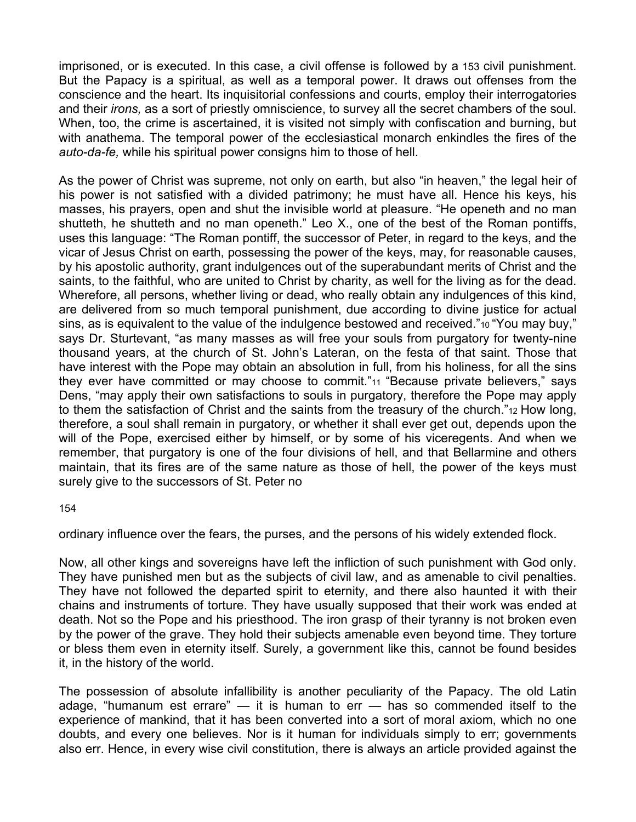imprisoned, or is executed. In this case, a civil offense is followed by a 153 civil punishment. But the Papacy is a spiritual, as well as a temporal power. It draws out offenses from the conscience and the heart. Its inquisitorial confessions and courts, employ their interrogatories and their *irons,* as a sort of priestly omniscience, to survey all the secret chambers of the soul. When, too, the crime is ascertained, it is visited not simply with confiscation and burning, but with anathema. The temporal power of the ecclesiastical monarch enkindles the fires of the *auto-da-fe,* while his spiritual power consigns him to those of hell.

As the power of Christ was supreme, not only on earth, but also "in heaven," the legal heir of his power is not satisfied with a divided patrimony; he must have all. Hence his keys, his masses, his prayers, open and shut the invisible world at pleasure. "He openeth and no man shutteth, he shutteth and no man openeth." Leo X., one of the best of the Roman pontiffs, uses this language: "The Roman pontiff, the successor of Peter, in regard to the keys, and the vicar of Jesus Christ on earth, possessing the power of the keys, may, for reasonable causes, by his apostolic authority, grant indulgences out of the superabundant merits of Christ and the saints, to the faithful, who are united to Christ by charity, as well for the living as for the dead. Wherefore, all persons, whether living or dead, who really obtain any indulgences of this kind, are delivered from so much temporal punishment, due according to divine justice for actual sins, as is equivalent to the value of the indulgence bestowed and received."<sup>10</sup> "You may buy," says Dr. Sturtevant, "as many masses as will free your souls from purgatory for twenty-nine thousand years, at the church of St. John's Lateran, on the festa of that saint. Those that have interest with the Pope may obtain an absolution in full, from his holiness, for all the sins they ever have committed or may choose to commit."11 "Because private believers," says Dens, "may apply their own satisfactions to souls in purgatory, therefore the Pope may apply to them the satisfaction of Christ and the saints from the treasury of the church."12 How long, therefore, a soul shall remain in purgatory, or whether it shall ever get out, depends upon the will of the Pope, exercised either by himself, or by some of his viceregents. And when we remember, that purgatory is one of the four divisions of hell, and that Bellarmine and others maintain, that its fires are of the same nature as those of hell, the power of the keys must surely give to the successors of St. Peter no

154

ordinary influence over the fears, the purses, and the persons of his widely extended flock.

Now, all other kings and sovereigns have left the infliction of such punishment with God only. They have punished men but as the subjects of civil law, and as amenable to civil penalties. They have not followed the departed spirit to eternity, and there also haunted it with their chains and instruments of torture. They have usually supposed that their work was ended at death. Not so the Pope and his priesthood. The iron grasp of their tyranny is not broken even by the power of the grave. They hold their subjects amenable even beyond time. They torture or bless them even in eternity itself. Surely, a government like this, cannot be found besides it, in the history of the world.

The possession of absolute infallibility is another peculiarity of the Papacy. The old Latin adage, "humanum est errare" — it is human to err — has so commended itself to the experience of mankind, that it has been converted into a sort of moral axiom, which no one doubts, and every one believes. Nor is it human for individuals simply to err; governments also err. Hence, in every wise civil constitution, there is always an article provided against the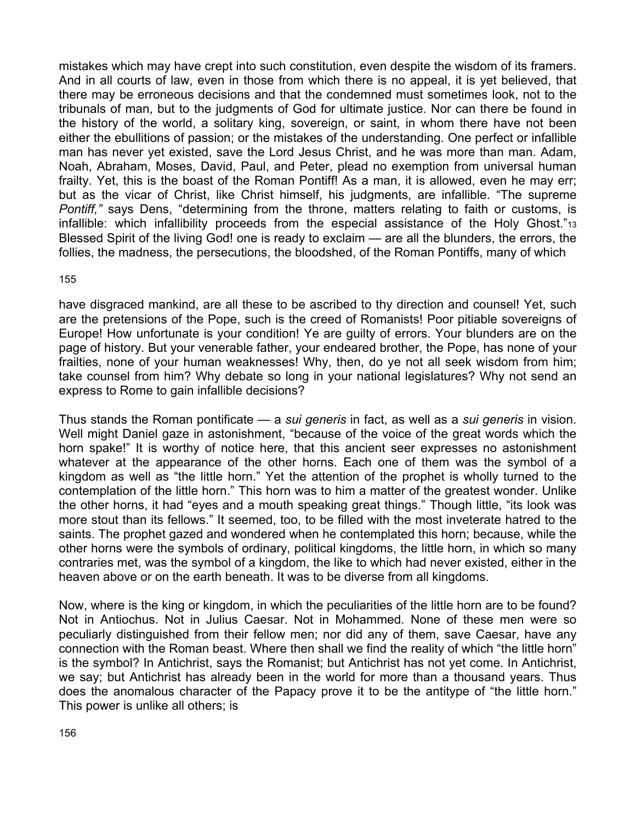mistakes which may have crept into such constitution, even despite the wisdom of its framers. And in all courts of law, even in those from which there is no appeal, it is yet believed, that there may be erroneous decisions and that the condemned must sometimes look, not to the tribunals of man, but to the judgments of God for ultimate justice. Nor can there be found in the history of the world, a solitary king, sovereign, or saint, in whom there have not been either the ebullitions of passion; or the mistakes of the understanding. One perfect or infallible man has never yet existed, save the Lord Jesus Christ, and he was more than man. Adam, Noah, Abraham, Moses, David, Paul, and Peter, plead no exemption from universal human frailty. Yet, this is the boast of the Roman Pontiff! As a man, it is allowed, even he may err; but as the vicar of Christ, like Christ himself, his judgments, are infallible. "The supreme *Pontiff,"* says Dens, "determining from the throne, matters relating to faith or customs, is infallible: which infallibility proceeds from the especial assistance of the Holy Ghost."13 Blessed Spirit of the living God! one is ready to exclaim — are all the blunders, the errors, the follies, the madness, the persecutions, the bloodshed, of the Roman Pontiffs, many of which

155

have disgraced mankind, are all these to be ascribed to thy direction and counsel! Yet, such are the pretensions of the Pope, such is the creed of Romanists! Poor pitiable sovereigns of Europe! How unfortunate is your condition! Ye are guilty of errors. Your blunders are on the page of history. But your venerable father, your endeared brother, the Pope, has none of your frailties, none of your human weaknesses! Why, then, do ye not all seek wisdom from him; take counsel from him? Why debate so long in your national legislatures? Why not send an express to Rome to gain infallible decisions?

Thus stands the Roman pontificate — a *sui generis* in fact, as well as a *sui generis* in vision. Well might Daniel gaze in astonishment, "because of the voice of the great words which the horn spake!" It is worthy of notice here, that this ancient seer expresses no astonishment whatever at the appearance of the other horns. Each one of them was the symbol of a kingdom as well as "the little horn." Yet the attention of the prophet is wholly turned to the contemplation of the little horn." This horn was to him a matter of the greatest wonder. Unlike the other horns, it had "eyes and a mouth speaking great things." Though little, "its look was more stout than its fellows." It seemed, too, to be filled with the most inveterate hatred to the saints. The prophet gazed and wondered when he contemplated this horn; because, while the other horns were the symbols of ordinary, political kingdoms, the little horn, in which so many contraries met, was the symbol of a kingdom, the like to which had never existed, either in the heaven above or on the earth beneath. It was to be diverse from all kingdoms.

Now, where is the king or kingdom, in which the peculiarities of the little horn are to be found? Not in Antiochus. Not in Julius Caesar. Not in Mohammed. None of these men were so peculiarly distinguished from their fellow men; nor did any of them, save Caesar, have any connection with the Roman beast. Where then shall we find the reality of which "the little horn" is the symbol? In Antichrist, says the Romanist; but Antichrist has not yet come. In Antichrist, we say; but Antichrist has already been in the world for more than a thousand years. Thus does the anomalous character of the Papacy prove it to be the antitype of "the little horn." This power is unlike all others; is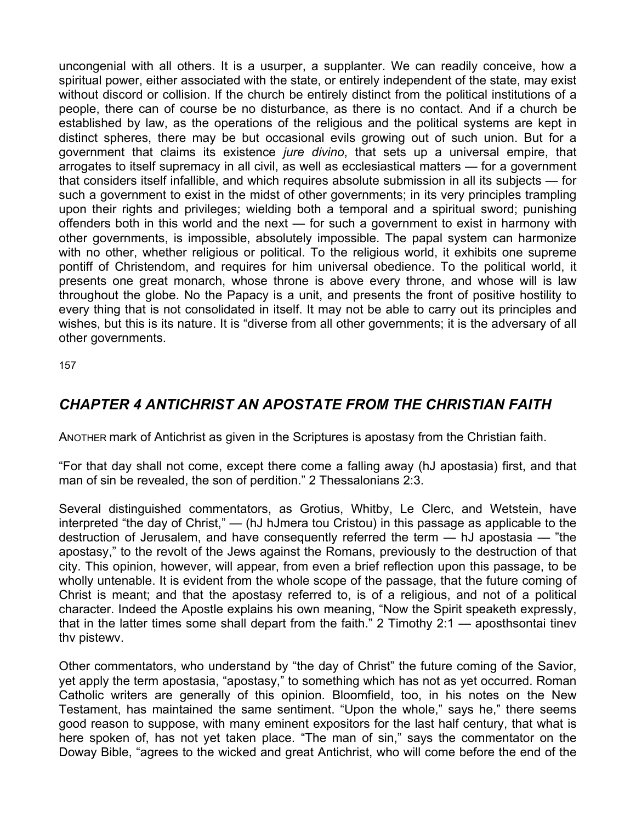uncongenial with all others. It is a usurper, a supplanter. We can readily conceive, how a spiritual power, either associated with the state, or entirely independent of the state, may exist without discord or collision. If the church be entirely distinct from the political institutions of a people, there can of course be no disturbance, as there is no contact. And if a church be established by law, as the operations of the religious and the political systems are kept in distinct spheres, there may be but occasional evils growing out of such union. But for a government that claims its existence *jure divino*, that sets up a universal empire, that arrogates to itself supremacy in all civil, as well as ecclesiastical matters — for a government that considers itself infallible, and which requires absolute submission in all its subjects — for such a government to exist in the midst of other governments; in its very principles trampling upon their rights and privileges; wielding both a temporal and a spiritual sword; punishing offenders both in this world and the next — for such a government to exist in harmony with other governments, is impossible, absolutely impossible. The papal system can harmonize with no other, whether religious or political. To the religious world, it exhibits one supreme pontiff of Christendom, and requires for him universal obedience. To the political world, it presents one great monarch, whose throne is above every throne, and whose will is law throughout the globe. No the Papacy is a unit, and presents the front of positive hostility to every thing that is not consolidated in itself. It may not be able to carry out its principles and wishes, but this is its nature. It is "diverse from all other governments; it is the adversary of all other governments.

157

# *CHAPTER 4 ANTICHRIST AN APOSTATE FROM THE CHRISTIAN FAITH*

ANOTHER mark of Antichrist as given in the Scriptures is apostasy from the Christian faith.

"For that day shall not come, except there come a falling away (hJ apostasia) first, and that man of sin be revealed, the son of perdition." 2 Thessalonians 2:3.

Several distinguished commentators, as Grotius, Whitby, Le Clerc, and Wetstein, have interpreted "the day of Christ," — (hJ hJmera tou Cristou) in this passage as applicable to the destruction of Jerusalem, and have consequently referred the term — hJ apostasia — "the apostasy," to the revolt of the Jews against the Romans, previously to the destruction of that city. This opinion, however, will appear, from even a brief reflection upon this passage, to be wholly untenable. It is evident from the whole scope of the passage, that the future coming of Christ is meant; and that the apostasy referred to, is of a religious, and not of a political character. Indeed the Apostle explains his own meaning, "Now the Spirit speaketh expressly, that in the latter times some shall depart from the faith." 2 Timothy 2:1 — aposthsontai tinev thv pistewv.

Other commentators, who understand by "the day of Christ" the future coming of the Savior, yet apply the term apostasia, "apostasy," to something which has not as yet occurred. Roman Catholic writers are generally of this opinion. Bloomfield, too, in his notes on the New Testament, has maintained the same sentiment. "Upon the whole," says he," there seems good reason to suppose, with many eminent expositors for the last half century, that what is here spoken of, has not yet taken place. "The man of sin," says the commentator on the Doway Bible, "agrees to the wicked and great Antichrist, who will come before the end of the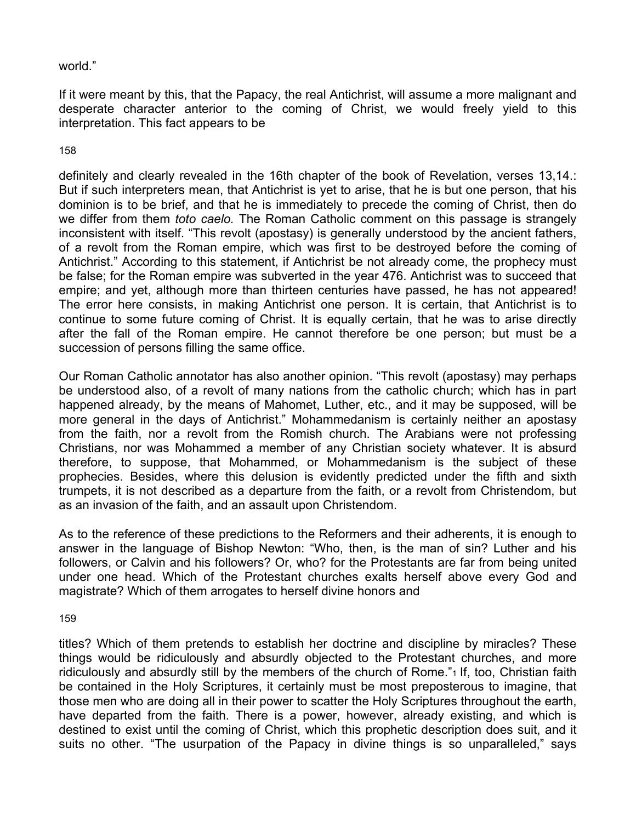# world."

If it were meant by this, that the Papacy, the real Antichrist, will assume a more malignant and desperate character anterior to the coming of Christ, we would freely yield to this interpretation. This fact appears to be

### 158

definitely and clearly revealed in the 16th chapter of the book of Revelation, verses 13,14.: But if such interpreters mean, that Antichrist is yet to arise, that he is but one person, that his dominion is to be brief, and that he is immediately to precede the coming of Christ, then do we differ from them *toto caelo.* The Roman Catholic comment on this passage is strangely inconsistent with itself. "This revolt (apostasy) is generally understood by the ancient fathers, of a revolt from the Roman empire, which was first to be destroyed before the coming of Antichrist." According to this statement, if Antichrist be not already come, the prophecy must be false; for the Roman empire was subverted in the year 476. Antichrist was to succeed that empire; and yet, although more than thirteen centuries have passed, he has not appeared! The error here consists, in making Antichrist one person. It is certain, that Antichrist is to continue to some future coming of Christ. It is equally certain, that he was to arise directly after the fall of the Roman empire. He cannot therefore be one person; but must be a succession of persons filling the same office.

Our Roman Catholic annotator has also another opinion. "This revolt (apostasy) may perhaps be understood also, of a revolt of many nations from the catholic church; which has in part happened already, by the means of Mahomet, Luther, etc., and it may be supposed, will be more general in the days of Antichrist." Mohammedanism is certainly neither an apostasy from the faith, nor a revolt from the Romish church. The Arabians were not professing Christians, nor was Mohammed a member of any Christian society whatever. It is absurd therefore, to suppose, that Mohammed, or Mohammedanism is the subject of these prophecies. Besides, where this delusion is evidently predicted under the fifth and sixth trumpets, it is not described as a departure from the faith, or a revolt from Christendom, but as an invasion of the faith, and an assault upon Christendom.

As to the reference of these predictions to the Reformers and their adherents, it is enough to answer in the language of Bishop Newton: "Who, then, is the man of sin? Luther and his followers, or Calvin and his followers? Or, who? for the Protestants are far from being united under one head. Which of the Protestant churches exalts herself above every God and magistrate? Which of them arrogates to herself divine honors and

### 159

titles? Which of them pretends to establish her doctrine and discipline by miracles? These things would be ridiculously and absurdly objected to the Protestant churches, and more ridiculously and absurdly still by the members of the church of Rome."1 If, too, Christian faith be contained in the Holy Scriptures, it certainly must be most preposterous to imagine, that those men who are doing all in their power to scatter the Holy Scriptures throughout the earth, have departed from the faith. There is a power, however, already existing, and which is destined to exist until the coming of Christ, which this prophetic description does suit, and it suits no other. "The usurpation of the Papacy in divine things is so unparalleled," says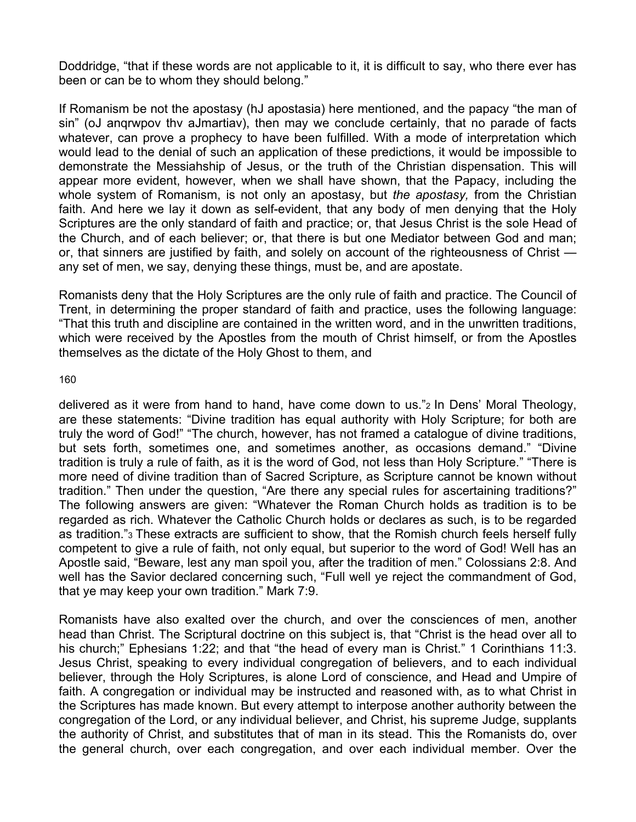Doddridge, "that if these words are not applicable to it, it is difficult to say, who there ever has been or can be to whom they should belong."

If Romanism be not the apostasy (hJ apostasia) here mentioned, and the papacy "the man of sin" (oJ anqrwpov thv aJmartiav), then may we conclude certainly, that no parade of facts whatever, can prove a prophecy to have been fulfilled. With a mode of interpretation which would lead to the denial of such an application of these predictions, it would be impossible to demonstrate the Messiahship of Jesus, or the truth of the Christian dispensation. This will appear more evident, however, when we shall have shown, that the Papacy, including the whole system of Romanism, is not only an apostasy, but *the apostasy,* from the Christian faith. And here we lay it down as self-evident, that any body of men denying that the Holy Scriptures are the only standard of faith and practice; or, that Jesus Christ is the sole Head of the Church, and of each believer; or, that there is but one Mediator between God and man; or, that sinners are justified by faith, and solely on account of the righteousness of Christ any set of men, we say, denying these things, must be, and are apostate.

Romanists deny that the Holy Scriptures are the only rule of faith and practice. The Council of Trent, in determining the proper standard of faith and practice, uses the following language: "That this truth and discipline are contained in the written word, and in the unwritten traditions, which were received by the Apostles from the mouth of Christ himself, or from the Apostles themselves as the dictate of the Holy Ghost to them, and

160

delivered as it were from hand to hand, have come down to us."2 In Dens' Moral Theology, are these statements: "Divine tradition has equal authority with Holy Scripture; for both are truly the word of God!" "The church, however, has not framed a catalogue of divine traditions, but sets forth, sometimes one, and sometimes another, as occasions demand." "Divine tradition is truly a rule of faith, as it is the word of God, not less than Holy Scripture." "There is more need of divine tradition than of Sacred Scripture, as Scripture cannot be known without tradition." Then under the question, "Are there any special rules for ascertaining traditions?" The following answers are given: "Whatever the Roman Church holds as tradition is to be regarded as rich. Whatever the Catholic Church holds or declares as such, is to be regarded as tradition."3 These extracts are sufficient to show, that the Romish church feels herself fully competent to give a rule of faith, not only equal, but superior to the word of God! Well has an Apostle said, "Beware, lest any man spoil you, after the tradition of men." Colossians 2:8. And well has the Savior declared concerning such, "Full well ye reject the commandment of God, that ye may keep your own tradition." Mark 7:9.

Romanists have also exalted over the church, and over the consciences of men, another head than Christ. The Scriptural doctrine on this subject is, that "Christ is the head over all to his church;" Ephesians 1:22; and that "the head of every man is Christ." 1 Corinthians 11:3. Jesus Christ, speaking to every individual congregation of believers, and to each individual believer, through the Holy Scriptures, is alone Lord of conscience, and Head and Umpire of faith. A congregation or individual may be instructed and reasoned with, as to what Christ in the Scriptures has made known. But every attempt to interpose another authority between the congregation of the Lord, or any individual believer, and Christ, his supreme Judge, supplants the authority of Christ, and substitutes that of man in its stead. This the Romanists do, over the general church, over each congregation, and over each individual member. Over the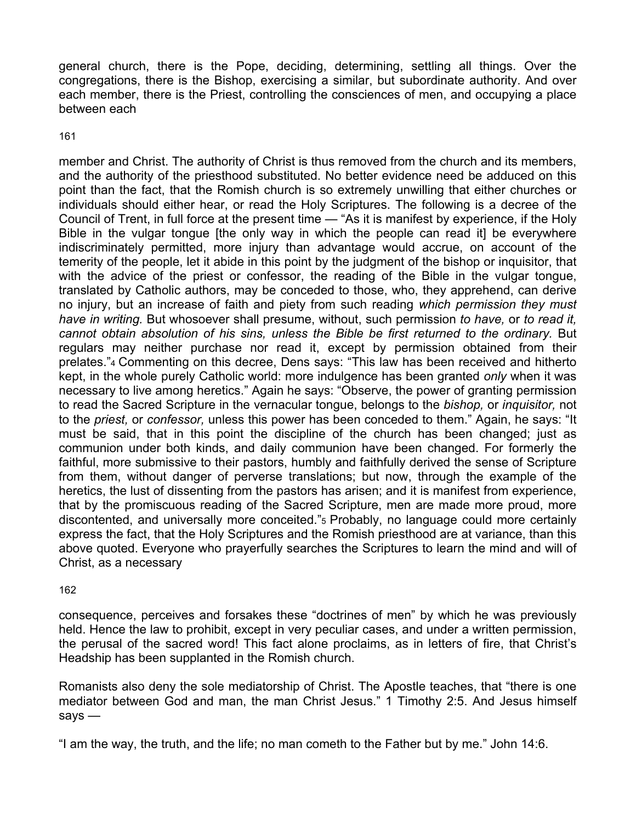general church, there is the Pope, deciding, determining, settling all things. Over the congregations, there is the Bishop, exercising a similar, but subordinate authority. And over each member, there is the Priest, controlling the consciences of men, and occupying a place between each

161

member and Christ. The authority of Christ is thus removed from the church and its members, and the authority of the priesthood substituted. No better evidence need be adduced on this point than the fact, that the Romish church is so extremely unwilling that either churches or individuals should either hear, or read the Holy Scriptures. The following is a decree of the Council of Trent, in full force at the present time — "As it is manifest by experience, if the Holy Bible in the vulgar tongue [the only way in which the people can read it] be everywhere indiscriminately permitted, more injury than advantage would accrue, on account of the temerity of the people, let it abide in this point by the judgment of the bishop or inquisitor, that with the advice of the priest or confessor, the reading of the Bible in the vulgar tongue, translated by Catholic authors, may be conceded to those, who, they apprehend, can derive no injury, but an increase of faith and piety from such reading *which permission they must have in writing.* But whosoever shall presume, without, such permission *to have,* or *to read it, cannot obtain absolution of his sins, unless the Bible be first returned to the ordinary.* But regulars may neither purchase nor read it, except by permission obtained from their prelates."4 Commenting on this decree, Dens says: "This law has been received and hitherto kept, in the whole purely Catholic world: more indulgence has been granted *only* when it was necessary to live among heretics." Again he says: "Observe, the power of granting permission to read the Sacred Scripture in the vernacular tongue, belongs to the *bishop,* or *inquisitor,* not to the *priest,* or *confessor,* unless this power has been conceded to them." Again, he says: "It must be said, that in this point the discipline of the church has been changed; just as communion under both kinds, and daily communion have been changed. For formerly the faithful, more submissive to their pastors, humbly and faithfully derived the sense of Scripture from them, without danger of perverse translations; but now, through the example of the heretics, the lust of dissenting from the pastors has arisen; and it is manifest from experience, that by the promiscuous reading of the Sacred Scripture, men are made more proud, more discontented, and universally more conceited."5 Probably, no language could more certainly express the fact, that the Holy Scriptures and the Romish priesthood are at variance, than this above quoted. Everyone who prayerfully searches the Scriptures to learn the mind and will of Christ, as a necessary

162

consequence, perceives and forsakes these "doctrines of men" by which he was previously held. Hence the law to prohibit, except in very peculiar cases, and under a written permission, the perusal of the sacred word! This fact alone proclaims, as in letters of fire, that Christ's Headship has been supplanted in the Romish church.

Romanists also deny the sole mediatorship of Christ. The Apostle teaches, that "there is one mediator between God and man, the man Christ Jesus." 1 Timothy 2:5. And Jesus himself says —

"I am the way, the truth, and the life; no man cometh to the Father but by me." John 14:6.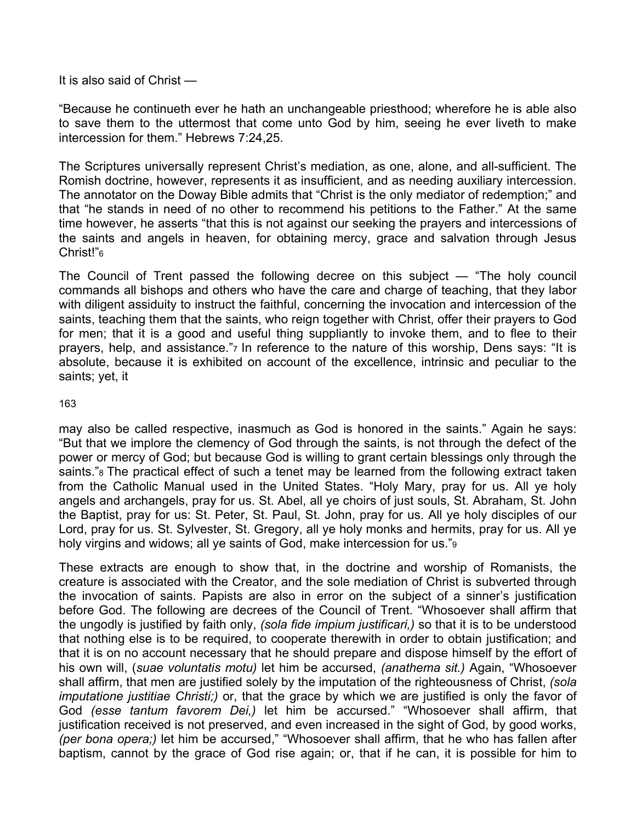It is also said of Christ —

"Because he continueth ever he hath an unchangeable priesthood; wherefore he is able also to save them to the uttermost that come unto God by him, seeing he ever liveth to make intercession for them." Hebrews 7:24,25.

The Scriptures universally represent Christ's mediation, as one, alone, and all-sufficient. The Romish doctrine, however, represents it as insufficient, and as needing auxiliary intercession. The annotator on the Doway Bible admits that "Christ is the only mediator of redemption;" and that "he stands in need of no other to recommend his petitions to the Father." At the same time however, he asserts "that this is not against our seeking the prayers and intercessions of the saints and angels in heaven, for obtaining mercy, grace and salvation through Jesus Christ!"6

The Council of Trent passed the following decree on this subject — "The holy council commands all bishops and others who have the care and charge of teaching, that they labor with diligent assiduity to instruct the faithful, concerning the invocation and intercession of the saints, teaching them that the saints, who reign together with Christ, offer their prayers to God for men; that it is a good and useful thing suppliantly to invoke them, and to flee to their prayers, help, and assistance."7 In reference to the nature of this worship, Dens says: "It is absolute, because it is exhibited on account of the excellence, intrinsic and peculiar to the saints; yet, it

### 163

may also be called respective, inasmuch as God is honored in the saints." Again he says: "But that we implore the clemency of God through the saints, is not through the defect of the power or mercy of God; but because God is willing to grant certain blessings only through the saints."<sup>8</sup> The practical effect of such a tenet may be learned from the following extract taken from the Catholic Manual used in the United States. "Holy Mary, pray for us. All ye holy angels and archangels, pray for us. St. Abel, all ye choirs of just souls, St. Abraham, St. John the Baptist, pray for us: St. Peter, St. Paul, St. John, pray for us. All ye holy disciples of our Lord, pray for us. St. Sylvester, St. Gregory, all ye holy monks and hermits, pray for us. All ye holy virgins and widows; all ye saints of God, make intercession for us."9

These extracts are enough to show that, in the doctrine and worship of Romanists, the creature is associated with the Creator, and the sole mediation of Christ is subverted through the invocation of saints. Papists are also in error on the subject of a sinner's justification before God. The following are decrees of the Council of Trent. "Whosoever shall affirm that the ungodly is justified by faith only, *(sola fide impium justificari,)* so that it is to be understood that nothing else is to be required, to cooperate therewith in order to obtain justification; and that it is on no account necessary that he should prepare and dispose himself by the effort of his own will, (*suae voluntatis motu)* let him be accursed, *(anathema sit.)* Again, "Whosoever shall affirm, that men are justified solely by the imputation of the righteousness of Christ, *(sola imputatione justitiae Christi;)* or, that the grace by which we are justified is only the favor of God *(esse tantum favorem Dei,)* let him be accursed." "Whosoever shall affirm, that justification received is not preserved, and even increased in the sight of God, by good works, *(per bona opera;)* let him be accursed," "Whosoever shall affirm, that he who has fallen after baptism, cannot by the grace of God rise again; or, that if he can, it is possible for him to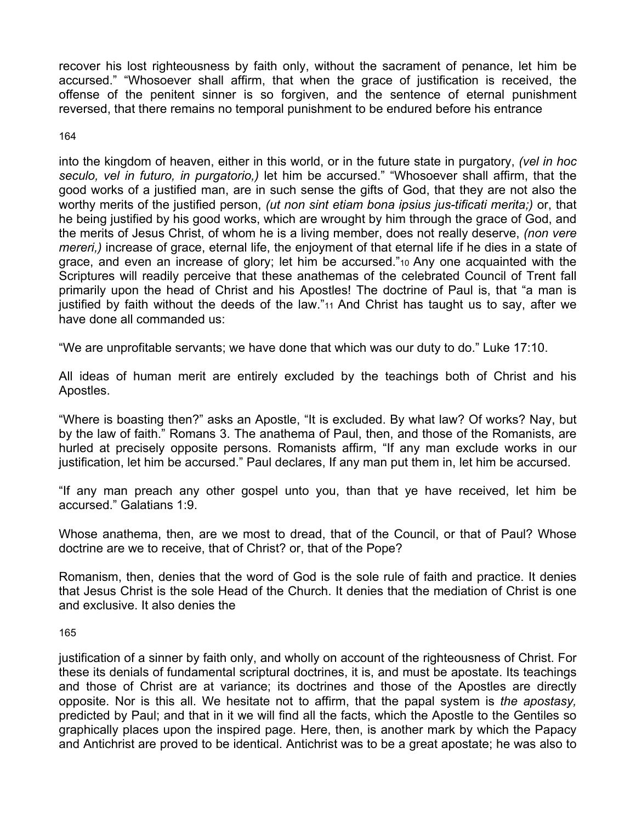recover his lost righteousness by faith only, without the sacrament of penance, let him be accursed." "Whosoever shall affirm, that when the grace of justification is received, the offense of the penitent sinner is so forgiven, and the sentence of eternal punishment reversed, that there remains no temporal punishment to be endured before his entrance

# 164

into the kingdom of heaven, either in this world, or in the future state in purgatory, *(vel in hoc seculo, vel in futuro, in purgatorio,)* let him be accursed." "Whosoever shall affirm, that the good works of a justified man, are in such sense the gifts of God, that they are not also the worthy merits of the justified person, *(ut non sint etiam bona ipsius jus-tificati merita;)* or, that he being justified by his good works, which are wrought by him through the grace of God, and the merits of Jesus Christ, of whom he is a living member, does not really deserve, *(non vere mereri,)* increase of grace, eternal life, the enjoyment of that eternal life if he dies in a state of grace, and even an increase of glory; let him be accursed."10 Any one acquainted with the Scriptures will readily perceive that these anathemas of the celebrated Council of Trent fall primarily upon the head of Christ and his Apostles! The doctrine of Paul is, that "a man is justified by faith without the deeds of the law."11 And Christ has taught us to say, after we have done all commanded us:

"We are unprofitable servants; we have done that which was our duty to do." Luke 17:10.

All ideas of human merit are entirely excluded by the teachings both of Christ and his Apostles.

"Where is boasting then?" asks an Apostle, "It is excluded. By what law? Of works? Nay, but by the law of faith." Romans 3. The anathema of Paul, then, and those of the Romanists, are hurled at precisely opposite persons. Romanists affirm, "If any man exclude works in our justification, let him be accursed." Paul declares, If any man put them in, let him be accursed.

"If any man preach any other gospel unto you, than that ye have received, let him be accursed." Galatians 1:9.

Whose anathema, then, are we most to dread, that of the Council, or that of Paul? Whose doctrine are we to receive, that of Christ? or, that of the Pope?

Romanism, then, denies that the word of God is the sole rule of faith and practice. It denies that Jesus Christ is the sole Head of the Church. It denies that the mediation of Christ is one and exclusive. It also denies the

165

justification of a sinner by faith only, and wholly on account of the righteousness of Christ. For these its denials of fundamental scriptural doctrines, it is, and must be apostate. Its teachings and those of Christ are at variance; its doctrines and those of the Apostles are directly opposite. Nor is this all. We hesitate not to affirm, that the papal system is *the apostasy,*  predicted by Paul; and that in it we will find all the facts, which the Apostle to the Gentiles so graphically places upon the inspired page. Here, then, is another mark by which the Papacy and Antichrist are proved to be identical. Antichrist was to be a great apostate; he was also to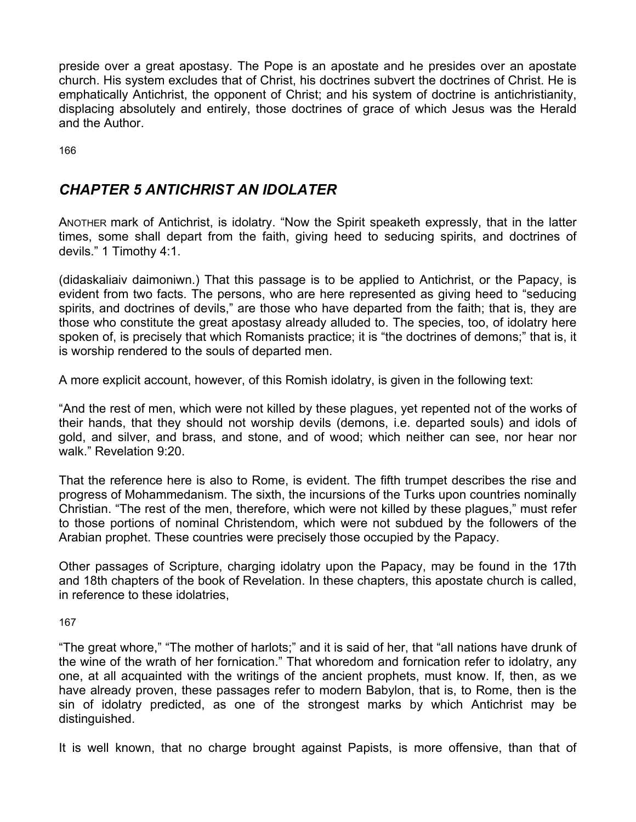preside over a great apostasy. The Pope is an apostate and he presides over an apostate church. His system excludes that of Christ, his doctrines subvert the doctrines of Christ. He is emphatically Antichrist, the opponent of Christ; and his system of doctrine is antichristianity, displacing absolutely and entirely, those doctrines of grace of which Jesus was the Herald and the Author.

166

# *CHAPTER 5 ANTICHRIST AN IDOLATER*

ANOTHER mark of Antichrist, is idolatry. "Now the Spirit speaketh expressly, that in the latter times, some shall depart from the faith, giving heed to seducing spirits, and doctrines of devils." 1 Timothy 4:1.

(didaskaliaiv daimoniwn.) That this passage is to be applied to Antichrist, or the Papacy, is evident from two facts. The persons, who are here represented as giving heed to "seducing spirits, and doctrines of devils," are those who have departed from the faith; that is, they are those who constitute the great apostasy already alluded to. The species, too, of idolatry here spoken of, is precisely that which Romanists practice; it is "the doctrines of demons;" that is, it is worship rendered to the souls of departed men.

A more explicit account, however, of this Romish idolatry, is given in the following text:

"And the rest of men, which were not killed by these plagues, yet repented not of the works of their hands, that they should not worship devils (demons, i.e. departed souls) and idols of gold, and silver, and brass, and stone, and of wood; which neither can see, nor hear nor walk." Revelation 9:20.

That the reference here is also to Rome, is evident. The fifth trumpet describes the rise and progress of Mohammedanism. The sixth, the incursions of the Turks upon countries nominally Christian. "The rest of the men, therefore, which were not killed by these plagues," must refer to those portions of nominal Christendom, which were not subdued by the followers of the Arabian prophet. These countries were precisely those occupied by the Papacy.

Other passages of Scripture, charging idolatry upon the Papacy, may be found in the 17th and 18th chapters of the book of Revelation. In these chapters, this apostate church is called, in reference to these idolatries,

167

"The great whore," "The mother of harlots;" and it is said of her, that "all nations have drunk of the wine of the wrath of her fornication." That whoredom and fornication refer to idolatry, any one, at all acquainted with the writings of the ancient prophets, must know. If, then, as we have already proven, these passages refer to modern Babylon, that is, to Rome, then is the sin of idolatry predicted, as one of the strongest marks by which Antichrist may be distinguished.

It is well known, that no charge brought against Papists, is more offensive, than that of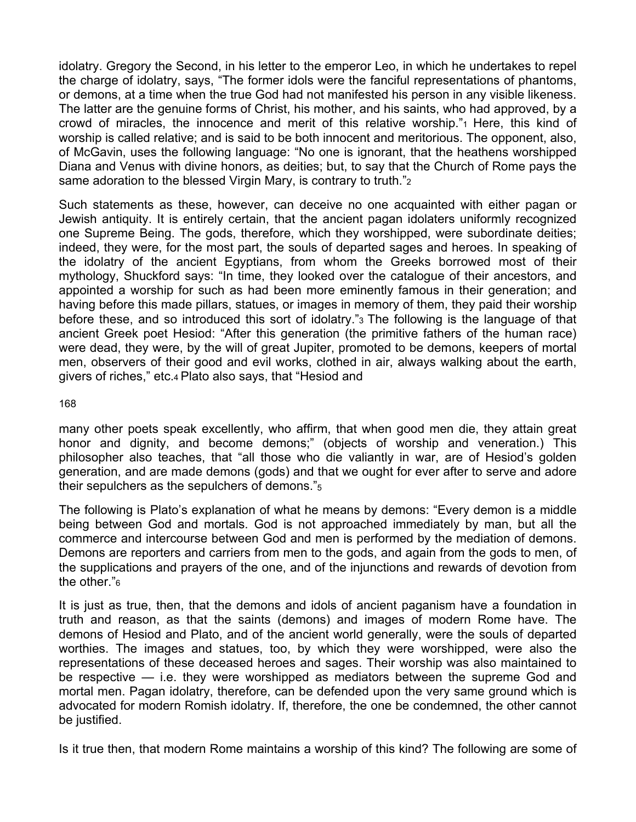idolatry. Gregory the Second, in his letter to the emperor Leo, in which he undertakes to repel the charge of idolatry, says, "The former idols were the fanciful representations of phantoms, or demons, at a time when the true God had not manifested his person in any visible likeness. The latter are the genuine forms of Christ, his mother, and his saints, who had approved, by a crowd of miracles, the innocence and merit of this relative worship."1 Here, this kind of worship is called relative; and is said to be both innocent and meritorious. The opponent, also, of McGavin, uses the following language: "No one is ignorant, that the heathens worshipped Diana and Venus with divine honors, as deities; but, to say that the Church of Rome pays the same adoration to the blessed Virgin Mary, is contrary to truth."2

Such statements as these, however, can deceive no one acquainted with either pagan or Jewish antiquity. It is entirely certain, that the ancient pagan idolaters uniformly recognized one Supreme Being. The gods, therefore, which they worshipped, were subordinate deities; indeed, they were, for the most part, the souls of departed sages and heroes. In speaking of the idolatry of the ancient Egyptians, from whom the Greeks borrowed most of their mythology, Shuckford says: "In time, they looked over the catalogue of their ancestors, and appointed a worship for such as had been more eminently famous in their generation; and having before this made pillars, statues, or images in memory of them, they paid their worship before these, and so introduced this sort of idolatry."3 The following is the language of that ancient Greek poet Hesiod: "After this generation (the primitive fathers of the human race) were dead, they were, by the will of great Jupiter, promoted to be demons, keepers of mortal men, observers of their good and evil works, clothed in air, always walking about the earth, givers of riches," etc.4 Plato also says, that "Hesiod and

168

many other poets speak excellently, who affirm, that when good men die, they attain great honor and dignity, and become demons;" (objects of worship and veneration.) This philosopher also teaches, that "all those who die valiantly in war, are of Hesiod's golden generation, and are made demons (gods) and that we ought for ever after to serve and adore their sepulchers as the sepulchers of demons."5

The following is Plato's explanation of what he means by demons: "Every demon is a middle being between God and mortals. God is not approached immediately by man, but all the commerce and intercourse between God and men is performed by the mediation of demons. Demons are reporters and carriers from men to the gods, and again from the gods to men, of the supplications and prayers of the one, and of the injunctions and rewards of devotion from the other."6

It is just as true, then, that the demons and idols of ancient paganism have a foundation in truth and reason, as that the saints (demons) and images of modern Rome have. The demons of Hesiod and Plato, and of the ancient world generally, were the souls of departed worthies. The images and statues, too, by which they were worshipped, were also the representations of these deceased heroes and sages. Their worship was also maintained to be respective — i.e. they were worshipped as mediators between the supreme God and mortal men. Pagan idolatry, therefore, can be defended upon the very same ground which is advocated for modern Romish idolatry. If, therefore, the one be condemned, the other cannot be justified.

Is it true then, that modern Rome maintains a worship of this kind? The following are some of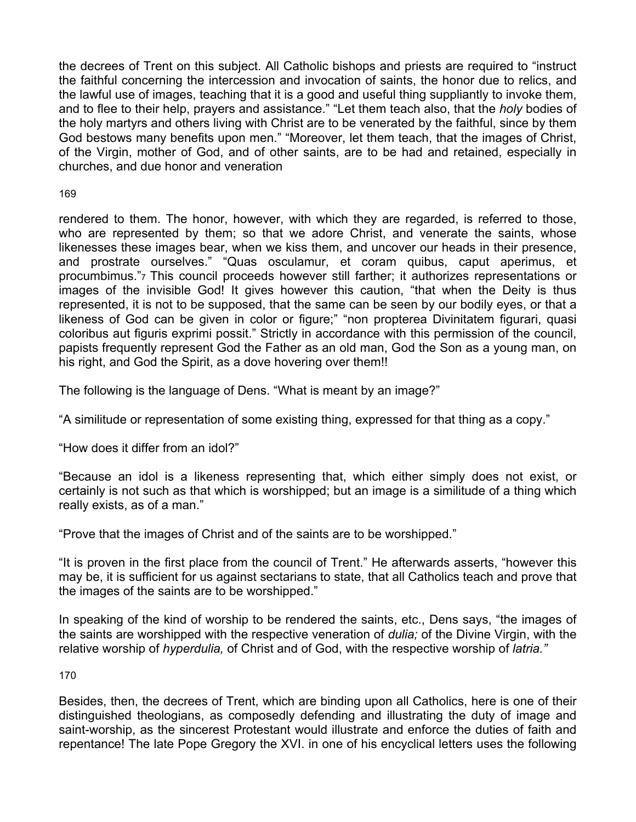the decrees of Trent on this subject. All Catholic bishops and priests are required to "instruct the faithful concerning the intercession and invocation of saints, the honor due to relics, and the lawful use of images, teaching that it is a good and useful thing suppliantly to invoke them, and to flee to their help, prayers and assistance." "Let them teach also, that the *holy* bodies of the holy martyrs and others living with Christ are to be venerated by the faithful, since by them God bestows many benefits upon men." "Moreover, let them teach, that the images of Christ, of the Virgin, mother of God, and of other saints, are to be had and retained, especially in churches, and due honor and veneration

# 169

rendered to them. The honor, however, with which they are regarded, is referred to those, who are represented by them; so that we adore Christ, and venerate the saints, whose likenesses these images bear, when we kiss them, and uncover our heads in their presence, and prostrate ourselves." "Quas osculamur, et coram quibus, caput aperimus, et procumbimus."7 This council proceeds however still farther; it authorizes representations or images of the invisible God! It gives however this caution, "that when the Deity is thus represented, it is not to be supposed, that the same can be seen by our bodily eyes, or that a likeness of God can be given in color or figure;" "non propterea Divinitatem figurari, quasi coloribus aut figuris exprimi possit." Strictly in accordance with this permission of the council, papists frequently represent God the Father as an old man, God the Son as a young man, on his right, and God the Spirit, as a dove hovering over them!!

The following is the language of Dens. "What is meant by an image?"

"A similitude or representation of some existing thing, expressed for that thing as a copy."

"How does it differ from an idol?"

"Because an idol is a likeness representing that, which either simply does not exist, or certainly is not such as that which is worshipped; but an image is a similitude of a thing which really exists, as of a man."

"Prove that the images of Christ and of the saints are to be worshipped."

"It is proven in the first place from the council of Trent." He afterwards asserts, "however this may be, it is sufficient for us against sectarians to state, that all Catholics teach and prove that the images of the saints are to be worshipped."

In speaking of the kind of worship to be rendered the saints, etc., Dens says, "the images of the saints are worshipped with the respective veneration of *dulia;* of the Divine Virgin, with the relative worship of *hyperdulia,* of Christ and of God, with the respective worship of *latria."* 

170

Besides, then, the decrees of Trent, which are binding upon all Catholics, here is one of their distinguished theologians, as composedly defending and illustrating the duty of image and saint-worship, as the sincerest Protestant would illustrate and enforce the duties of faith and repentance! The late Pope Gregory the XVI. in one of his encyclical letters uses the following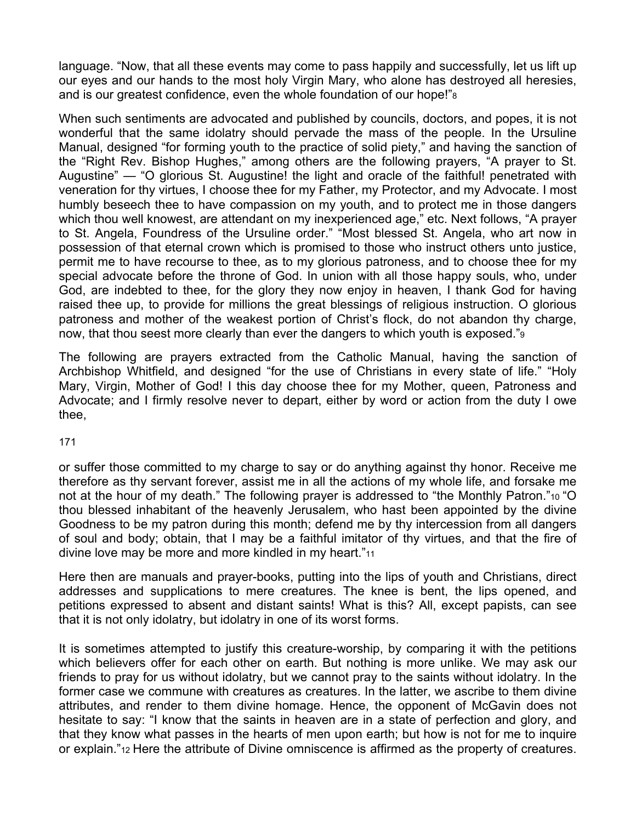language. "Now, that all these events may come to pass happily and successfully, let us lift up our eyes and our hands to the most holy Virgin Mary, who alone has destroyed all heresies, and is our greatest confidence, even the whole foundation of our hope!"8

When such sentiments are advocated and published by councils, doctors, and popes, it is not wonderful that the same idolatry should pervade the mass of the people. In the Ursuline Manual, designed "for forming youth to the practice of solid piety," and having the sanction of the "Right Rev. Bishop Hughes," among others are the following prayers, "A prayer to St. Augustine" — "O glorious St. Augustine! the light and oracle of the faithful! penetrated with veneration for thy virtues, I choose thee for my Father, my Protector, and my Advocate. I most humbly beseech thee to have compassion on my youth, and to protect me in those dangers which thou well knowest, are attendant on my inexperienced age," etc. Next follows, "A prayer to St. Angela, Foundress of the Ursuline order." "Most blessed St. Angela, who art now in possession of that eternal crown which is promised to those who instruct others unto justice, permit me to have recourse to thee, as to my glorious patroness, and to choose thee for my special advocate before the throne of God. In union with all those happy souls, who, under God, are indebted to thee, for the glory they now enjoy in heaven, I thank God for having raised thee up, to provide for millions the great blessings of religious instruction. O glorious patroness and mother of the weakest portion of Christ's flock, do not abandon thy charge, now, that thou seest more clearly than ever the dangers to which youth is exposed."9

The following are prayers extracted from the Catholic Manual, having the sanction of Archbishop Whitfield, and designed "for the use of Christians in every state of life." "Holy Mary, Virgin, Mother of God! I this day choose thee for my Mother, queen, Patroness and Advocate; and I firmly resolve never to depart, either by word or action from the duty I owe thee,

### 171

or suffer those committed to my charge to say or do anything against thy honor. Receive me therefore as thy servant forever, assist me in all the actions of my whole life, and forsake me not at the hour of my death." The following prayer is addressed to "the Monthly Patron."10 "O thou blessed inhabitant of the heavenly Jerusalem, who hast been appointed by the divine Goodness to be my patron during this month; defend me by thy intercession from all dangers of soul and body; obtain, that I may be a faithful imitator of thy virtues, and that the fire of divine love may be more and more kindled in my heart."11

Here then are manuals and prayer-books, putting into the lips of youth and Christians, direct addresses and supplications to mere creatures. The knee is bent, the lips opened, and petitions expressed to absent and distant saints! What is this? All, except papists, can see that it is not only idolatry, but idolatry in one of its worst forms.

It is sometimes attempted to justify this creature-worship, by comparing it with the petitions which believers offer for each other on earth. But nothing is more unlike. We may ask our friends to pray for us without idolatry, but we cannot pray to the saints without idolatry. In the former case we commune with creatures as creatures. In the latter, we ascribe to them divine attributes, and render to them divine homage. Hence, the opponent of McGavin does not hesitate to say: "I know that the saints in heaven are in a state of perfection and glory, and that they know what passes in the hearts of men upon earth; but how is not for me to inquire or explain."12 Here the attribute of Divine omniscence is affirmed as the property of creatures.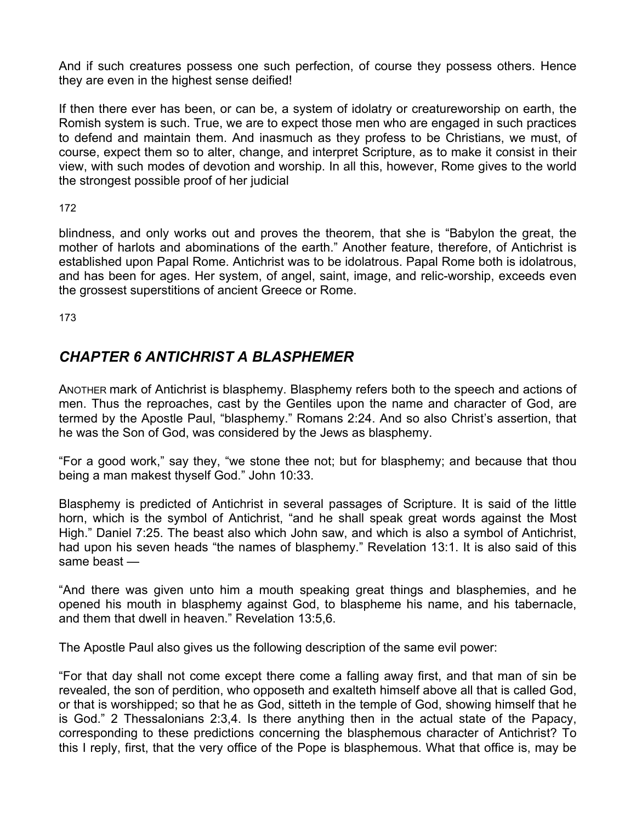And if such creatures possess one such perfection, of course they possess others. Hence they are even in the highest sense deified!

If then there ever has been, or can be, a system of idolatry or creatureworship on earth, the Romish system is such. True, we are to expect those men who are engaged in such practices to defend and maintain them. And inasmuch as they profess to be Christians, we must, of course, expect them so to alter, change, and interpret Scripture, as to make it consist in their view, with such modes of devotion and worship. In all this, however, Rome gives to the world the strongest possible proof of her judicial

172

blindness, and only works out and proves the theorem, that she is "Babylon the great, the mother of harlots and abominations of the earth." Another feature, therefore, of Antichrist is established upon Papal Rome. Antichrist was to be idolatrous. Papal Rome both is idolatrous, and has been for ages. Her system, of angel, saint, image, and relic-worship, exceeds even the grossest superstitions of ancient Greece or Rome.

173

# *CHAPTER 6 ANTICHRIST A BLASPHEMER*

ANOTHER mark of Antichrist is blasphemy. Blasphemy refers both to the speech and actions of men. Thus the reproaches, cast by the Gentiles upon the name and character of God, are termed by the Apostle Paul, "blasphemy." Romans 2:24. And so also Christ's assertion, that he was the Son of God, was considered by the Jews as blasphemy.

"For a good work," say they, "we stone thee not; but for blasphemy; and because that thou being a man makest thyself God." John 10:33.

Blasphemy is predicted of Antichrist in several passages of Scripture. It is said of the little horn, which is the symbol of Antichrist, "and he shall speak great words against the Most High." Daniel 7:25. The beast also which John saw, and which is also a symbol of Antichrist, had upon his seven heads "the names of blasphemy." Revelation 13:1. It is also said of this same beast —

"And there was given unto him a mouth speaking great things and blasphemies, and he opened his mouth in blasphemy against God, to blaspheme his name, and his tabernacle, and them that dwell in heaven." Revelation 13:5,6.

The Apostle Paul also gives us the following description of the same evil power:

"For that day shall not come except there come a falling away first, and that man of sin be revealed, the son of perdition, who opposeth and exalteth himself above all that is called God, or that is worshipped; so that he as God, sitteth in the temple of God, showing himself that he is God." 2 Thessalonians 2:3,4. Is there anything then in the actual state of the Papacy, corresponding to these predictions concerning the blasphemous character of Antichrist? To this I reply, first, that the very office of the Pope is blasphemous. What that office is, may be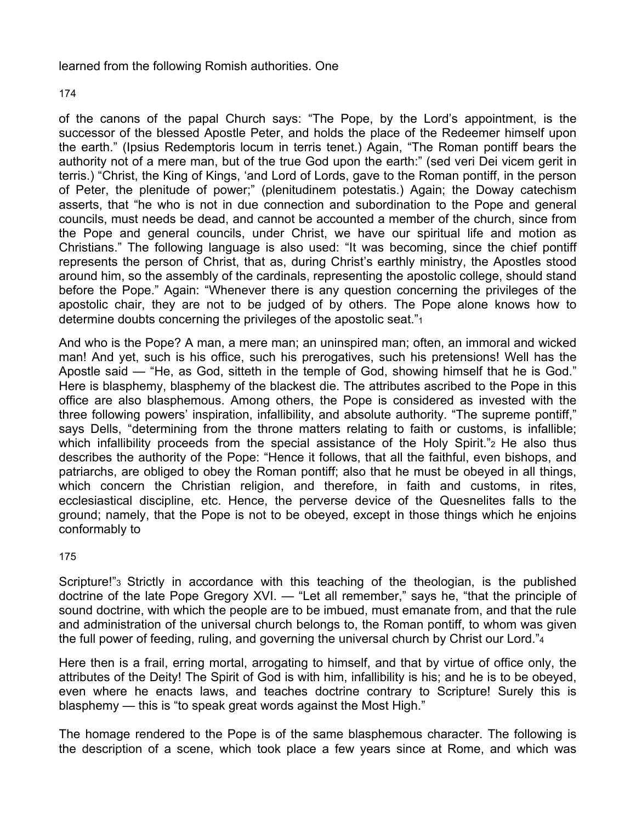## learned from the following Romish authorities. One

174

of the canons of the papal Church says: "The Pope, by the Lord's appointment, is the successor of the blessed Apostle Peter, and holds the place of the Redeemer himself upon the earth." (Ipsius Redemptoris locum in terris tenet.) Again, "The Roman pontiff bears the authority not of a mere man, but of the true God upon the earth:" (sed veri Dei vicem gerit in terris.) "Christ, the King of Kings, 'and Lord of Lords, gave to the Roman pontiff, in the person of Peter, the plenitude of power;" (plenitudinem potestatis.) Again; the Doway catechism asserts, that "he who is not in due connection and subordination to the Pope and general councils, must needs be dead, and cannot be accounted a member of the church, since from the Pope and general councils, under Christ, we have our spiritual life and motion as Christians." The following language is also used: "It was becoming, since the chief pontiff represents the person of Christ, that as, during Christ's earthly ministry, the Apostles stood around him, so the assembly of the cardinals, representing the apostolic college, should stand before the Pope." Again: "Whenever there is any question concerning the privileges of the apostolic chair, they are not to be judged of by others. The Pope alone knows how to determine doubts concerning the privileges of the apostolic seat."1

And who is the Pope? A man, a mere man; an uninspired man; often, an immoral and wicked man! And yet, such is his office, such his prerogatives, such his pretensions! Well has the Apostle said — "He, as God, sitteth in the temple of God, showing himself that he is God." Here is blasphemy, blasphemy of the blackest die. The attributes ascribed to the Pope in this office are also blasphemous. Among others, the Pope is considered as invested with the three following powers' inspiration, infallibility, and absolute authority. "The supreme pontiff," says Dells, "determining from the throne matters relating to faith or customs, is infallible; which infallibility proceeds from the special assistance of the Holy Spirit." 2 He also thus describes the authority of the Pope: "Hence it follows, that all the faithful, even bishops, and patriarchs, are obliged to obey the Roman pontiff; also that he must be obeyed in all things, which concern the Christian religion, and therefore, in faith and customs, in rites, ecclesiastical discipline, etc. Hence, the perverse device of the Quesnelites falls to the ground; namely, that the Pope is not to be obeyed, except in those things which he enjoins conformably to

175

Scripture!"3 Strictly in accordance with this teaching of the theologian, is the published doctrine of the late Pope Gregory XVI. — "Let all remember," says he, "that the principle of sound doctrine, with which the people are to be imbued, must emanate from, and that the rule and administration of the universal church belongs to, the Roman pontiff, to whom was given the full power of feeding, ruling, and governing the universal church by Christ our Lord."4

Here then is a frail, erring mortal, arrogating to himself, and that by virtue of office only, the attributes of the Deity! The Spirit of God is with him, infallibility is his; and he is to be obeyed, even where he enacts laws, and teaches doctrine contrary to Scripture! Surely this is blasphemy — this is "to speak great words against the Most High."

The homage rendered to the Pope is of the same blasphemous character. The following is the description of a scene, which took place a few years since at Rome, and which was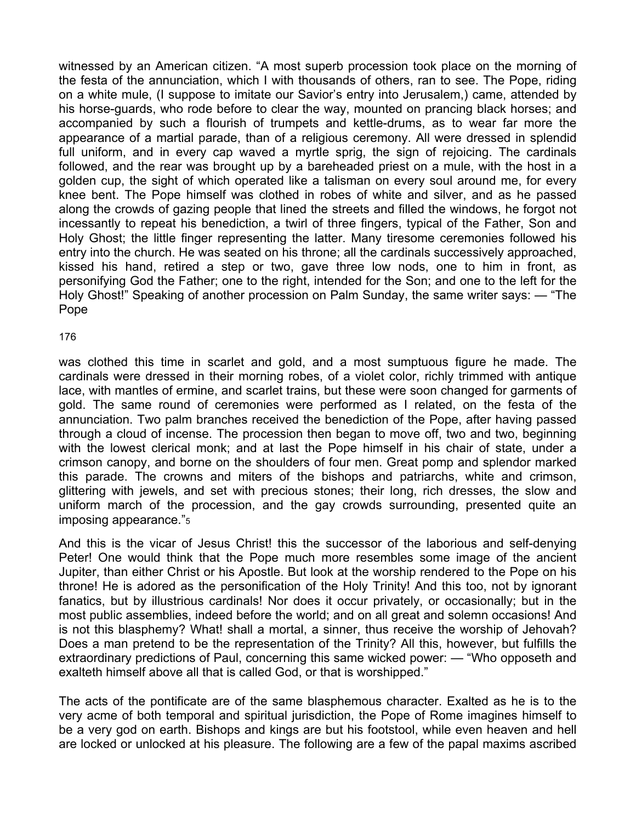witnessed by an American citizen. "A most superb procession took place on the morning of the festa of the annunciation, which I with thousands of others, ran to see. The Pope, riding on a white mule, (I suppose to imitate our Savior's entry into Jerusalem,) came, attended by his horse-guards, who rode before to clear the way, mounted on prancing black horses; and accompanied by such a flourish of trumpets and kettle-drums, as to wear far more the appearance of a martial parade, than of a religious ceremony. All were dressed in splendid full uniform, and in every cap waved a myrtle sprig, the sign of rejoicing. The cardinals followed, and the rear was brought up by a bareheaded priest on a mule, with the host in a golden cup, the sight of which operated like a talisman on every soul around me, for every knee bent. The Pope himself was clothed in robes of white and silver, and as he passed along the crowds of gazing people that lined the streets and filled the windows, he forgot not incessantly to repeat his benediction, a twirl of three fingers, typical of the Father, Son and Holy Ghost; the little finger representing the latter. Many tiresome ceremonies followed his entry into the church. He was seated on his throne; all the cardinals successively approached, kissed his hand, retired a step or two, gave three low nods, one to him in front, as personifying God the Father; one to the right, intended for the Son; and one to the left for the Holy Ghost!" Speaking of another procession on Palm Sunday, the same writer says: — "The Pope

#### 176

was clothed this time in scarlet and gold, and a most sumptuous figure he made. The cardinals were dressed in their morning robes, of a violet color, richly trimmed with antique lace, with mantles of ermine, and scarlet trains, but these were soon changed for garments of gold. The same round of ceremonies were performed as I related, on the festa of the annunciation. Two palm branches received the benediction of the Pope, after having passed through a cloud of incense. The procession then began to move off, two and two, beginning with the lowest clerical monk; and at last the Pope himself in his chair of state, under a crimson canopy, and borne on the shoulders of four men. Great pomp and splendor marked this parade. The crowns and miters of the bishops and patriarchs, white and crimson, glittering with jewels, and set with precious stones; their long, rich dresses, the slow and uniform march of the procession, and the gay crowds surrounding, presented quite an imposing appearance."5

And this is the vicar of Jesus Christ! this the successor of the laborious and self-denying Peter! One would think that the Pope much more resembles some image of the ancient Jupiter, than either Christ or his Apostle. But look at the worship rendered to the Pope on his throne! He is adored as the personification of the Holy Trinity! And this too, not by ignorant fanatics, but by illustrious cardinals! Nor does it occur privately, or occasionally; but in the most public assemblies, indeed before the world; and on all great and solemn occasions! And is not this blasphemy? What! shall a mortal, a sinner, thus receive the worship of Jehovah? Does a man pretend to be the representation of the Trinity? All this, however, but fulfills the extraordinary predictions of Paul, concerning this same wicked power: — "Who opposeth and exalteth himself above all that is called God, or that is worshipped."

The acts of the pontificate are of the same blasphemous character. Exalted as he is to the very acme of both temporal and spiritual jurisdiction, the Pope of Rome imagines himself to be a very god on earth. Bishops and kings are but his footstool, while even heaven and hell are locked or unlocked at his pleasure. The following are a few of the papal maxims ascribed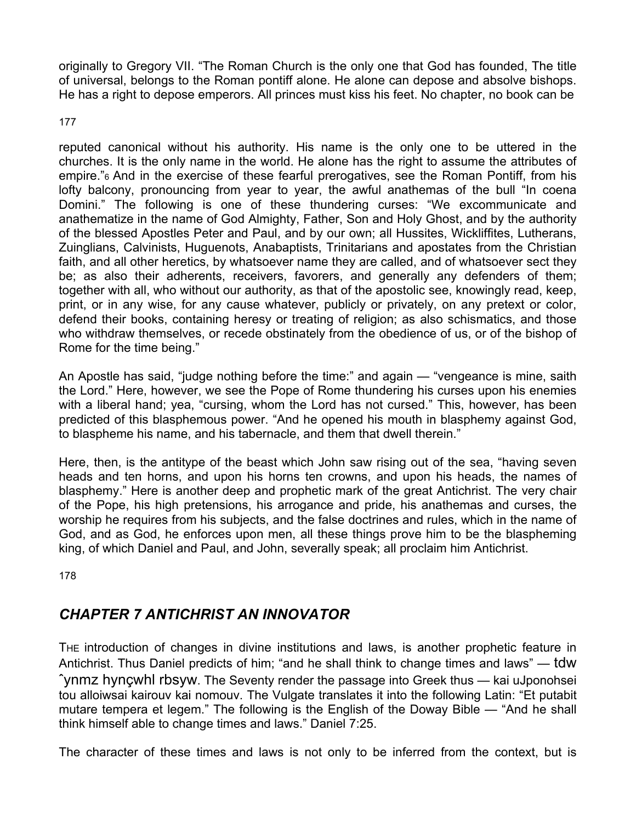originally to Gregory VII. "The Roman Church is the only one that God has founded, The title of universal, belongs to the Roman pontiff alone. He alone can depose and absolve bishops. He has a right to depose emperors. All princes must kiss his feet. No chapter, no book can be

177

reputed canonical without his authority. His name is the only one to be uttered in the churches. It is the only name in the world. He alone has the right to assume the attributes of empire."6 And in the exercise of these fearful prerogatives, see the Roman Pontiff, from his lofty balcony, pronouncing from year to year, the awful anathemas of the bull "In coena Domini." The following is one of these thundering curses: "We excommunicate and anathematize in the name of God Almighty, Father, Son and Holy Ghost, and by the authority of the blessed Apostles Peter and Paul, and by our own; all Hussites, Wickliffites, Lutherans, Zuinglians, Calvinists, Huguenots, Anabaptists, Trinitarians and apostates from the Christian faith, and all other heretics, by whatsoever name they are called, and of whatsoever sect they be; as also their adherents, receivers, favorers, and generally any defenders of them; together with all, who without our authority, as that of the apostolic see, knowingly read, keep, print, or in any wise, for any cause whatever, publicly or privately, on any pretext or color, defend their books, containing heresy or treating of religion; as also schismatics, and those who withdraw themselves, or recede obstinately from the obedience of us, or of the bishop of Rome for the time being."

An Apostle has said, "judge nothing before the time:" and again — "vengeance is mine, saith the Lord." Here, however, we see the Pope of Rome thundering his curses upon his enemies with a liberal hand; yea, "cursing, whom the Lord has not cursed." This, however, has been predicted of this blasphemous power. "And he opened his mouth in blasphemy against God, to blaspheme his name, and his tabernacle, and them that dwell therein."

Here, then, is the antitype of the beast which John saw rising out of the sea, "having seven heads and ten horns, and upon his horns ten crowns, and upon his heads, the names of blasphemy." Here is another deep and prophetic mark of the great Antichrist. The very chair of the Pope, his high pretensions, his arrogance and pride, his anathemas and curses, the worship he requires from his subjects, and the false doctrines and rules, which in the name of God, and as God, he enforces upon men, all these things prove him to be the blaspheming king, of which Daniel and Paul, and John, severally speak; all proclaim him Antichrist.

178

# *CHAPTER 7 ANTICHRIST AN INNOVATOR*

THE introduction of changes in divine institutions and laws, is another prophetic feature in Antichrist. Thus Daniel predicts of him; "and he shall think to change times and laws" — tdw ˆynmz hynçwhl rbsyw. The Seventy render the passage into Greek thus — kai uJponohsei tou alloiwsai kairouv kai nomouv. The Vulgate translates it into the following Latin: "Et putabit mutare tempera et legem." The following is the English of the Doway Bible — "And he shall think himself able to change times and laws." Daniel 7:25.

The character of these times and laws is not only to be inferred from the context, but is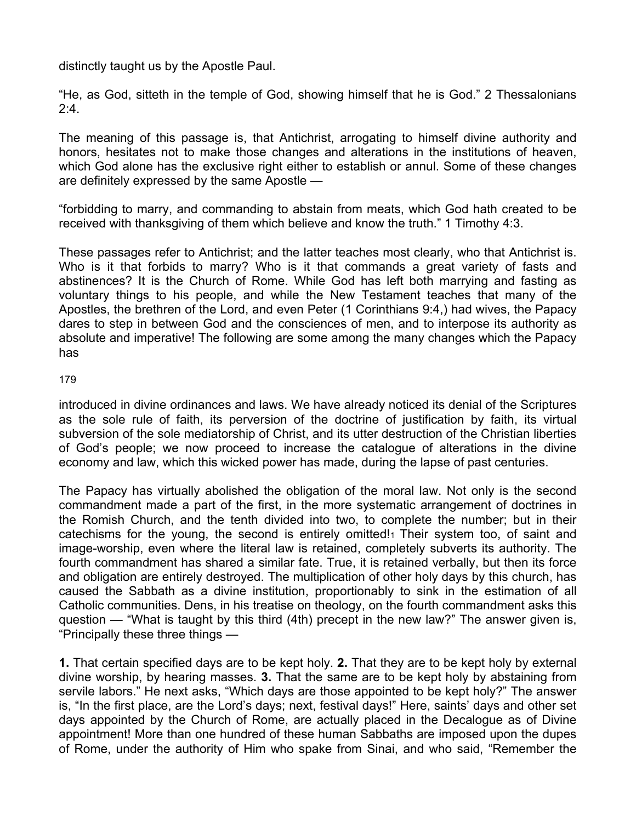distinctly taught us by the Apostle Paul.

"He, as God, sitteth in the temple of God, showing himself that he is God." 2 Thessalonians  $2:4.$ 

The meaning of this passage is, that Antichrist, arrogating to himself divine authority and honors, hesitates not to make those changes and alterations in the institutions of heaven, which God alone has the exclusive right either to establish or annul. Some of these changes are definitely expressed by the same Apostle —

"forbidding to marry, and commanding to abstain from meats, which God hath created to be received with thanksgiving of them which believe and know the truth." 1 Timothy 4:3.

These passages refer to Antichrist; and the latter teaches most clearly, who that Antichrist is. Who is it that forbids to marry? Who is it that commands a great variety of fasts and abstinences? It is the Church of Rome. While God has left both marrying and fasting as voluntary things to his people, and while the New Testament teaches that many of the Apostles, the brethren of the Lord, and even Peter (1 Corinthians 9:4,) had wives, the Papacy dares to step in between God and the consciences of men, and to interpose its authority as absolute and imperative! The following are some among the many changes which the Papacy has

## 179

introduced in divine ordinances and laws. We have already noticed its denial of the Scriptures as the sole rule of faith, its perversion of the doctrine of justification by faith, its virtual subversion of the sole mediatorship of Christ, and its utter destruction of the Christian liberties of God's people; we now proceed to increase the catalogue of alterations in the divine economy and law, which this wicked power has made, during the lapse of past centuries.

The Papacy has virtually abolished the obligation of the moral law. Not only is the second commandment made a part of the first, in the more systematic arrangement of doctrines in the Romish Church, and the tenth divided into two, to complete the number; but in their catechisms for the young, the second is entirely omitted! Their system too, of saint and image-worship, even where the literal law is retained, completely subverts its authority. The fourth commandment has shared a similar fate. True, it is retained verbally, but then its force and obligation are entirely destroyed. The multiplication of other holy days by this church, has caused the Sabbath as a divine institution, proportionably to sink in the estimation of all Catholic communities. Dens, in his treatise on theology, on the fourth commandment asks this question — "What is taught by this third (4th) precept in the new law?" The answer given is, "Principally these three things —

**1.** That certain specified days are to be kept holy. **2.** That they are to be kept holy by external divine worship, by hearing masses. **3.** That the same are to be kept holy by abstaining from servile labors." He next asks, "Which days are those appointed to be kept holy?" The answer is, "In the first place, are the Lord's days; next, festival days!" Here, saints' days and other set days appointed by the Church of Rome, are actually placed in the Decalogue as of Divine appointment! More than one hundred of these human Sabbaths are imposed upon the dupes of Rome, under the authority of Him who spake from Sinai, and who said, "Remember the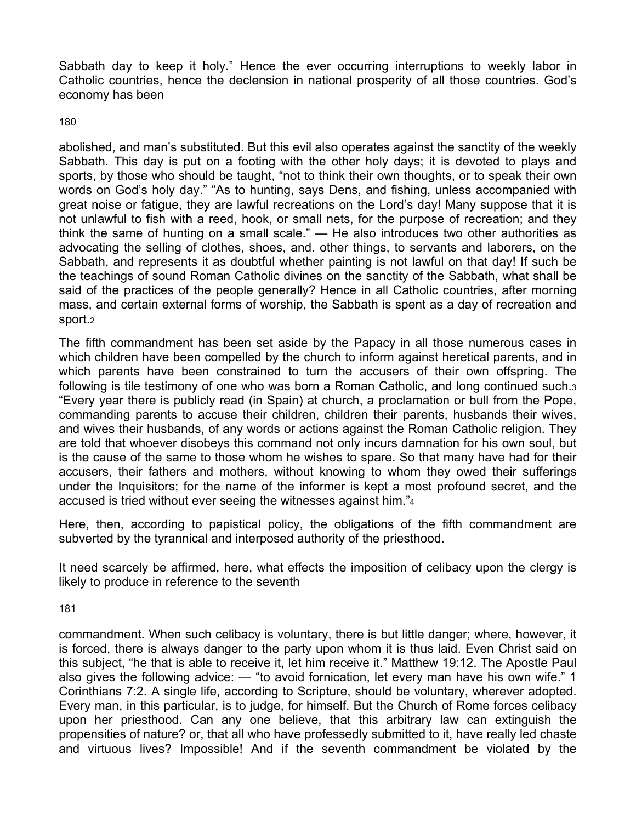Sabbath day to keep it holy." Hence the ever occurring interruptions to weekly labor in Catholic countries, hence the declension in national prosperity of all those countries. God's economy has been

180

abolished, and man's substituted. But this evil also operates against the sanctity of the weekly Sabbath. This day is put on a footing with the other holy days; it is devoted to plays and sports, by those who should be taught, "not to think their own thoughts, or to speak their own words on God's holy day." "As to hunting, says Dens, and fishing, unless accompanied with great noise or fatigue, they are lawful recreations on the Lord's day! Many suppose that it is not unlawful to fish with a reed, hook, or small nets, for the purpose of recreation; and they think the same of hunting on a small scale." — He also introduces two other authorities as advocating the selling of clothes, shoes, and. other things, to servants and laborers, on the Sabbath, and represents it as doubtful whether painting is not lawful on that day! If such be the teachings of sound Roman Catholic divines on the sanctity of the Sabbath, what shall be said of the practices of the people generally? Hence in all Catholic countries, after morning mass, and certain external forms of worship, the Sabbath is spent as a day of recreation and sport.2

The fifth commandment has been set aside by the Papacy in all those numerous cases in which children have been compelled by the church to inform against heretical parents, and in which parents have been constrained to turn the accusers of their own offspring. The following is tile testimony of one who was born a Roman Catholic, and long continued such.3 "Every year there is publicly read (in Spain) at church, a proclamation or bull from the Pope, commanding parents to accuse their children, children their parents, husbands their wives, and wives their husbands, of any words or actions against the Roman Catholic religion. They are told that whoever disobeys this command not only incurs damnation for his own soul, but is the cause of the same to those whom he wishes to spare. So that many have had for their accusers, their fathers and mothers, without knowing to whom they owed their sufferings under the Inquisitors; for the name of the informer is kept a most profound secret, and the accused is tried without ever seeing the witnesses against him."4

Here, then, according to papistical policy, the obligations of the fifth commandment are subverted by the tyrannical and interposed authority of the priesthood.

It need scarcely be affirmed, here, what effects the imposition of celibacy upon the clergy is likely to produce in reference to the seventh

181

commandment. When such celibacy is voluntary, there is but little danger; where, however, it is forced, there is always danger to the party upon whom it is thus laid. Even Christ said on this subject, "he that is able to receive it, let him receive it." Matthew 19:12. The Apostle Paul also gives the following advice: — "to avoid fornication, let every man have his own wife." 1 Corinthians 7:2. A single life, according to Scripture, should be voluntary, wherever adopted. Every man, in this particular, is to judge, for himself. But the Church of Rome forces celibacy upon her priesthood. Can any one believe, that this arbitrary law can extinguish the propensities of nature? or, that all who have professedly submitted to it, have really led chaste and virtuous lives? Impossible! And if the seventh commandment be violated by the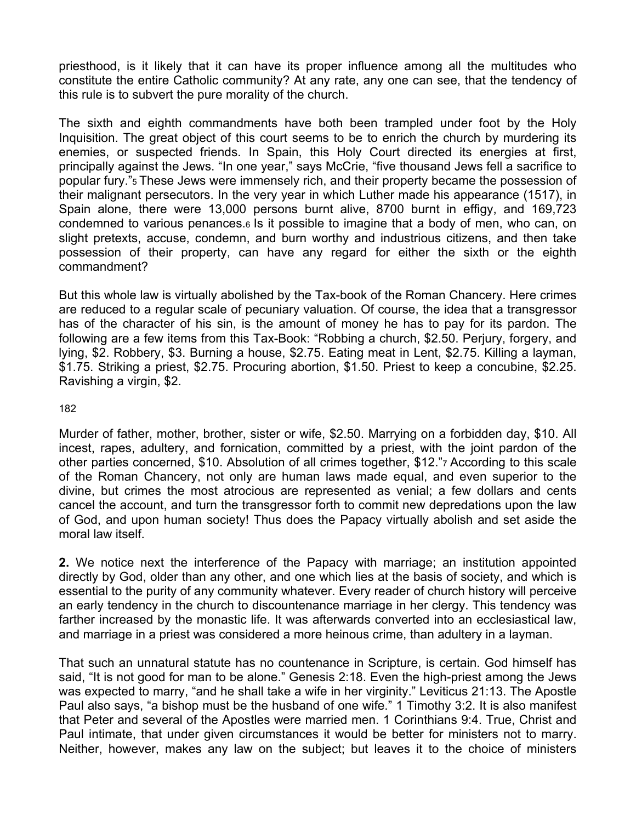priesthood, is it likely that it can have its proper influence among all the multitudes who constitute the entire Catholic community? At any rate, any one can see, that the tendency of this rule is to subvert the pure morality of the church.

The sixth and eighth commandments have both been trampled under foot by the Holy Inquisition. The great object of this court seems to be to enrich the church by murdering its enemies, or suspected friends. In Spain, this Holy Court directed its energies at first, principally against the Jews. "In one year," says McCrie, "five thousand Jews fell a sacrifice to popular fury."5 These Jews were immensely rich, and their property became the possession of their malignant persecutors. In the very year in which Luther made his appearance (1517), in Spain alone, there were 13,000 persons burnt alive, 8700 burnt in effigy, and 169,723 condemned to various penances.6 Is it possible to imagine that a body of men, who can, on slight pretexts, accuse, condemn, and burn worthy and industrious citizens, and then take possession of their property, can have any regard for either the sixth or the eighth commandment?

But this whole law is virtually abolished by the Tax-book of the Roman Chancery. Here crimes are reduced to a regular scale of pecuniary valuation. Of course, the idea that a transgressor has of the character of his sin, is the amount of money he has to pay for its pardon. The following are a few items from this Tax-Book: "Robbing a church, \$2.50. Perjury, forgery, and lying, \$2. Robbery, \$3. Burning a house, \$2.75. Eating meat in Lent, \$2.75. Killing a layman, \$1.75. Striking a priest, \$2.75. Procuring abortion, \$1.50. Priest to keep a concubine, \$2.25. Ravishing a virgin, \$2.

#### 182

Murder of father, mother, brother, sister or wife, \$2.50. Marrying on a forbidden day, \$10. All incest, rapes, adultery, and fornication, committed by a priest, with the joint pardon of the other parties concerned, \$10. Absolution of all crimes together, \$12."7 According to this scale of the Roman Chancery, not only are human laws made equal, and even superior to the divine, but crimes the most atrocious are represented as venial; a few dollars and cents cancel the account, and turn the transgressor forth to commit new depredations upon the law of God, and upon human society! Thus does the Papacy virtually abolish and set aside the moral law itself.

**2.** We notice next the interference of the Papacy with marriage; an institution appointed directly by God, older than any other, and one which lies at the basis of society, and which is essential to the purity of any community whatever. Every reader of church history will perceive an early tendency in the church to discountenance marriage in her clergy. This tendency was farther increased by the monastic life. It was afterwards converted into an ecclesiastical law, and marriage in a priest was considered a more heinous crime, than adultery in a layman.

That such an unnatural statute has no countenance in Scripture, is certain. God himself has said, "It is not good for man to be alone." Genesis 2:18. Even the high-priest among the Jews was expected to marry, "and he shall take a wife in her virginity." Leviticus 21:13. The Apostle Paul also says, "a bishop must be the husband of one wife." 1 Timothy 3:2. It is also manifest that Peter and several of the Apostles were married men. 1 Corinthians 9:4. True, Christ and Paul intimate, that under given circumstances it would be better for ministers not to marry. Neither, however, makes any law on the subject; but leaves it to the choice of ministers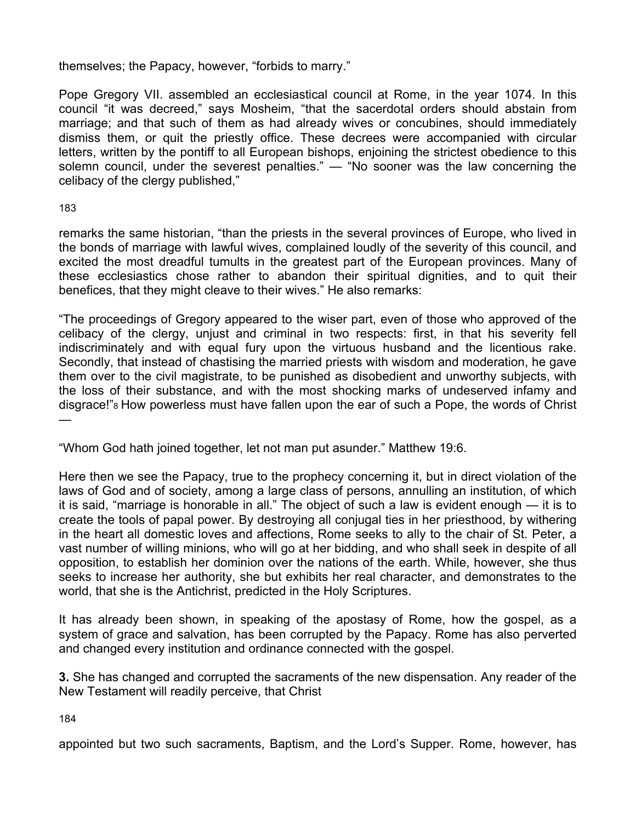themselves; the Papacy, however, "forbids to marry."

Pope Gregory VII. assembled an ecclesiastical council at Rome, in the year 1074. In this council "it was decreed," says Mosheim, "that the sacerdotal orders should abstain from marriage; and that such of them as had already wives or concubines, should immediately dismiss them, or quit the priestly office. These decrees were accompanied with circular letters, written by the pontiff to all European bishops, enjoining the strictest obedience to this solemn council, under the severest penalties." — "No sooner was the law concerning the celibacy of the clergy published,"

183

remarks the same historian, "than the priests in the several provinces of Europe, who lived in the bonds of marriage with lawful wives, complained loudly of the severity of this council, and excited the most dreadful tumults in the greatest part of the European provinces. Many of these ecclesiastics chose rather to abandon their spiritual dignities, and to quit their benefices, that they might cleave to their wives." He also remarks:

"The proceedings of Gregory appeared to the wiser part, even of those who approved of the celibacy of the clergy, unjust and criminal in two respects: first, in that his severity fell indiscriminately and with equal fury upon the virtuous husband and the licentious rake. Secondly, that instead of chastising the married priests with wisdom and moderation, he gave them over to the civil magistrate, to be punished as disobedient and unworthy subjects, with the loss of their substance, and with the most shocking marks of undeserved infamy and disgrace!"8 How powerless must have fallen upon the ear of such a Pope, the words of Christ —

"Whom God hath joined together, let not man put asunder." Matthew 19:6.

Here then we see the Papacy, true to the prophecy concerning it, but in direct violation of the laws of God and of society, among a large class of persons, annulling an institution, of which it is said, "marriage is honorable in all." The object of such a law is evident enough — it is to create the tools of papal power. By destroying all conjugal ties in her priesthood, by withering in the heart all domestic loves and affections, Rome seeks to ally to the chair of St. Peter, a vast number of willing minions, who will go at her bidding, and who shall seek in despite of all opposition, to establish her dominion over the nations of the earth. While, however, she thus seeks to increase her authority, she but exhibits her real character, and demonstrates to the world, that she is the Antichrist, predicted in the Holy Scriptures.

It has already been shown, in speaking of the apostasy of Rome, how the gospel, as a system of grace and salvation, has been corrupted by the Papacy. Rome has also perverted and changed every institution and ordinance connected with the gospel.

**3.** She has changed and corrupted the sacraments of the new dispensation. Any reader of the New Testament will readily perceive, that Christ

184

appointed but two such sacraments, Baptism, and the Lord's Supper. Rome, however, has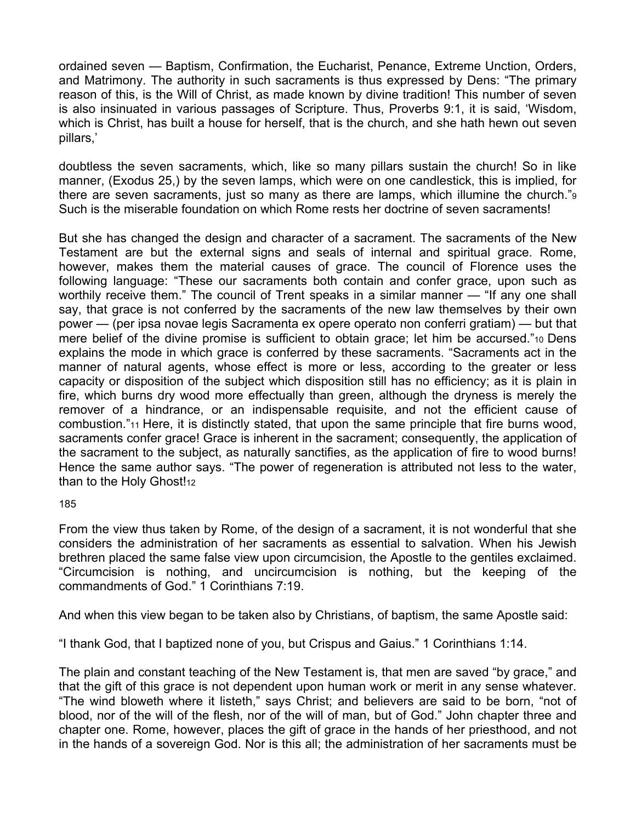ordained seven — Baptism, Confirmation, the Eucharist, Penance, Extreme Unction, Orders, and Matrimony. The authority in such sacraments is thus expressed by Dens: "The primary reason of this, is the Will of Christ, as made known by divine tradition! This number of seven is also insinuated in various passages of Scripture. Thus, Proverbs 9:1, it is said, 'Wisdom, which is Christ, has built a house for herself, that is the church, and she hath hewn out seven pillars,'

doubtless the seven sacraments, which, like so many pillars sustain the church! So in like manner, (Exodus 25,) by the seven lamps, which were on one candlestick, this is implied, for there are seven sacraments, just so many as there are lamps, which illumine the church."9 Such is the miserable foundation on which Rome rests her doctrine of seven sacraments!

But she has changed the design and character of a sacrament. The sacraments of the New Testament are but the external signs and seals of internal and spiritual grace. Rome, however, makes them the material causes of grace. The council of Florence uses the following language: "These our sacraments both contain and confer grace, upon such as worthily receive them." The council of Trent speaks in a similar manner — "If any one shall say, that grace is not conferred by the sacraments of the new law themselves by their own power — (per ipsa novae legis Sacramenta ex opere operato non conferri gratiam) — but that mere belief of the divine promise is sufficient to obtain grace; let him be accursed."10 Dens explains the mode in which grace is conferred by these sacraments. "Sacraments act in the manner of natural agents, whose effect is more or less, according to the greater or less capacity or disposition of the subject which disposition still has no efficiency; as it is plain in fire, which burns dry wood more effectually than green, although the dryness is merely the remover of a hindrance, or an indispensable requisite, and not the efficient cause of combustion."11 Here, it is distinctly stated, that upon the same principle that fire burns wood, sacraments confer grace! Grace is inherent in the sacrament; consequently, the application of the sacrament to the subject, as naturally sanctifies, as the application of fire to wood burns! Hence the same author says. "The power of regeneration is attributed not less to the water, than to the Holy Ghost!12

185

From the view thus taken by Rome, of the design of a sacrament, it is not wonderful that she considers the administration of her sacraments as essential to salvation. When his Jewish brethren placed the same false view upon circumcision, the Apostle to the gentiles exclaimed. "Circumcision is nothing, and uncircumcision is nothing, but the keeping of the commandments of God." 1 Corinthians 7:19.

And when this view began to be taken also by Christians, of baptism, the same Apostle said:

"I thank God, that I baptized none of you, but Crispus and Gaius." 1 Corinthians 1:14.

The plain and constant teaching of the New Testament is, that men are saved "by grace," and that the gift of this grace is not dependent upon human work or merit in any sense whatever. "The wind bloweth where it listeth," says Christ; and believers are said to be born, "not of blood, nor of the will of the flesh, nor of the will of man, but of God." John chapter three and chapter one. Rome, however, places the gift of grace in the hands of her priesthood, and not in the hands of a sovereign God. Nor is this all; the administration of her sacraments must be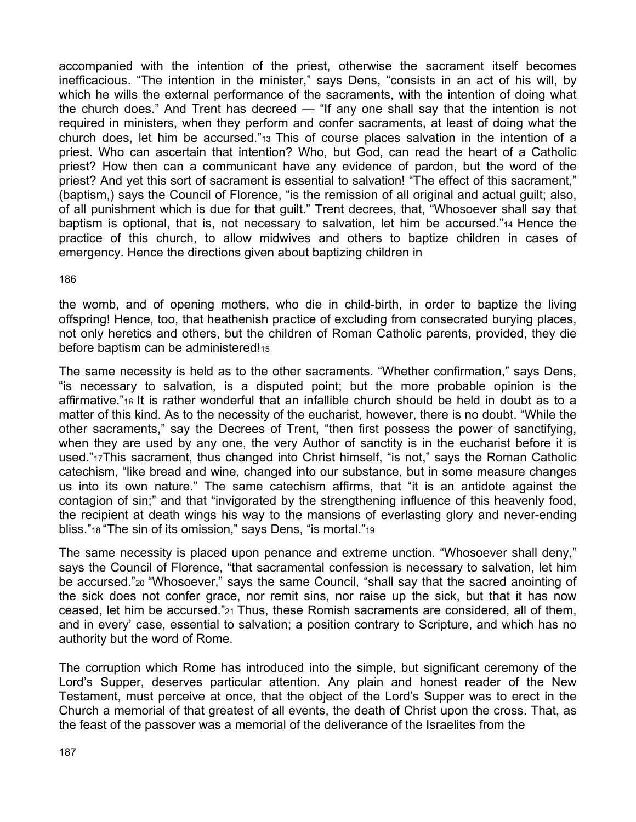accompanied with the intention of the priest, otherwise the sacrament itself becomes inefficacious. "The intention in the minister," says Dens, "consists in an act of his will, by which he wills the external performance of the sacraments, with the intention of doing what the church does." And Trent has decreed — "If any one shall say that the intention is not required in ministers, when they perform and confer sacraments, at least of doing what the church does, let him be accursed."13 This of course places salvation in the intention of a priest. Who can ascertain that intention? Who, but God, can read the heart of a Catholic priest? How then can a communicant have any evidence of pardon, but the word of the priest? And yet this sort of sacrament is essential to salvation! "The effect of this sacrament," (baptism,) says the Council of Florence, "is the remission of all original and actual guilt; also, of all punishment which is due for that guilt." Trent decrees, that, "Whosoever shall say that baptism is optional, that is, not necessary to salvation, let him be accursed."14 Hence the practice of this church, to allow midwives and others to baptize children in cases of emergency. Hence the directions given about baptizing children in

186

the womb, and of opening mothers, who die in child-birth, in order to baptize the living offspring! Hence, too, that heathenish practice of excluding from consecrated burying places, not only heretics and others, but the children of Roman Catholic parents, provided, they die before baptism can be administered!15

The same necessity is held as to the other sacraments. "Whether confirmation," says Dens, "is necessary to salvation, is a disputed point; but the more probable opinion is the affirmative."16 It is rather wonderful that an infallible church should be held in doubt as to a matter of this kind. As to the necessity of the eucharist, however, there is no doubt. "While the other sacraments," say the Decrees of Trent, "then first possess the power of sanctifying, when they are used by any one, the very Author of sanctity is in the eucharist before it is used."17This sacrament, thus changed into Christ himself, "is not," says the Roman Catholic catechism, "like bread and wine, changed into our substance, but in some measure changes us into its own nature." The same catechism affirms, that "it is an antidote against the contagion of sin;" and that "invigorated by the strengthening influence of this heavenly food, the recipient at death wings his way to the mansions of everlasting glory and never-ending bliss."18 "The sin of its omission," says Dens, "is mortal."19

The same necessity is placed upon penance and extreme unction. "Whosoever shall deny," says the Council of Florence, "that sacramental confession is necessary to salvation, let him be accursed."20 "Whosoever," says the same Council, "shall say that the sacred anointing of the sick does not confer grace, nor remit sins, nor raise up the sick, but that it has now ceased, let him be accursed."21 Thus, these Romish sacraments are considered, all of them, and in every' case, essential to salvation; a position contrary to Scripture, and which has no authority but the word of Rome.

The corruption which Rome has introduced into the simple, but significant ceremony of the Lord's Supper, deserves particular attention. Any plain and honest reader of the New Testament, must perceive at once, that the object of the Lord's Supper was to erect in the Church a memorial of that greatest of all events, the death of Christ upon the cross. That, as the feast of the passover was a memorial of the deliverance of the Israelites from the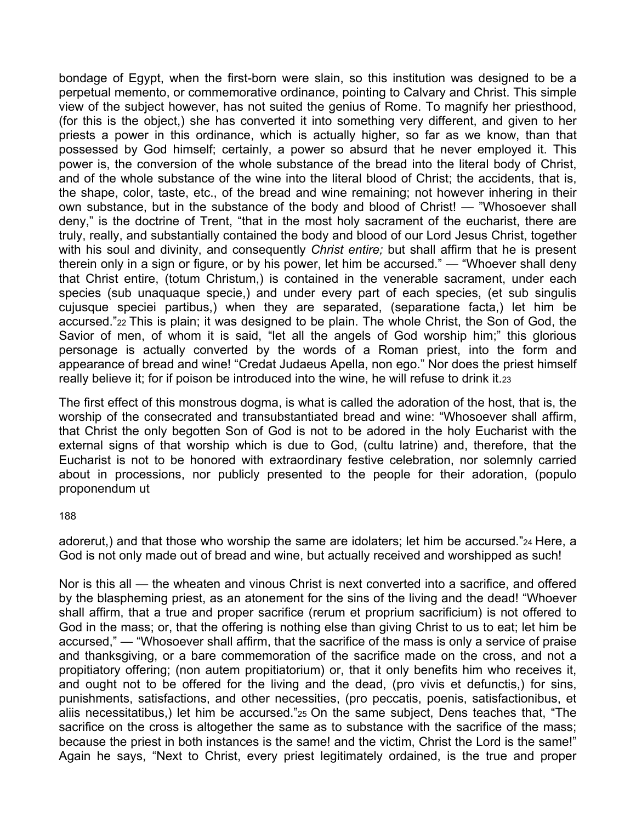bondage of Egypt, when the first-born were slain, so this institution was designed to be a perpetual memento, or commemorative ordinance, pointing to Calvary and Christ. This simple view of the subject however, has not suited the genius of Rome. To magnify her priesthood, (for this is the object,) she has converted it into something very different, and given to her priests a power in this ordinance, which is actually higher, so far as we know, than that possessed by God himself; certainly, a power so absurd that he never employed it. This power is, the conversion of the whole substance of the bread into the literal body of Christ, and of the whole substance of the wine into the literal blood of Christ; the accidents, that is, the shape, color, taste, etc., of the bread and wine remaining; not however inhering in their own substance, but in the substance of the body and blood of Christ! — "Whosoever shall deny," is the doctrine of Trent, "that in the most holy sacrament of the eucharist, there are truly, really, and substantially contained the body and blood of our Lord Jesus Christ, together with his soul and divinity, and consequently *Christ entire;* but shall affirm that he is present therein only in a sign or figure, or by his power, let him be accursed." — "Whoever shall deny that Christ entire, (totum Christum,) is contained in the venerable sacrament, under each species (sub unaquaque specie,) and under every part of each species, (et sub singulis cujusque speciei partibus,) when they are separated, (separatione facta,) let him be accursed."22 This is plain; it was designed to be plain. The whole Christ, the Son of God, the Savior of men, of whom it is said, "let all the angels of God worship him;" this glorious personage is actually converted by the words of a Roman priest, into the form and appearance of bread and wine! "Credat Judaeus Apella, non ego." Nor does the priest himself really believe it; for if poison be introduced into the wine, he will refuse to drink it.23

The first effect of this monstrous dogma, is what is called the adoration of the host, that is, the worship of the consecrated and transubstantiated bread and wine: "Whosoever shall affirm, that Christ the only begotten Son of God is not to be adored in the holy Eucharist with the external signs of that worship which is due to God, (cultu latrine) and, therefore, that the Eucharist is not to be honored with extraordinary festive celebration, nor solemnly carried about in processions, nor publicly presented to the people for their adoration, (populo proponendum ut

188

adorerut,) and that those who worship the same are idolaters; let him be accursed."24 Here, a God is not only made out of bread and wine, but actually received and worshipped as such!

Nor is this all — the wheaten and vinous Christ is next converted into a sacrifice, and offered by the blaspheming priest, as an atonement for the sins of the living and the dead! "Whoever shall affirm, that a true and proper sacrifice (rerum et proprium sacrificium) is not offered to God in the mass; or, that the offering is nothing else than giving Christ to us to eat; let him be accursed," — "Whosoever shall affirm, that the sacrifice of the mass is only a service of praise and thanksgiving, or a bare commemoration of the sacrifice made on the cross, and not a propitiatory offering; (non autem propitiatorium) or, that it only benefits him who receives it, and ought not to be offered for the living and the dead, (pro vivis et defunctis,) for sins, punishments, satisfactions, and other necessities, (pro peccatis, poenis, satisfactionibus, et aliis necessitatibus,) let him be accursed."25 On the same subject, Dens teaches that, "The sacrifice on the cross is altogether the same as to substance with the sacrifice of the mass; because the priest in both instances is the same! and the victim, Christ the Lord is the same!" Again he says, "Next to Christ, every priest legitimately ordained, is the true and proper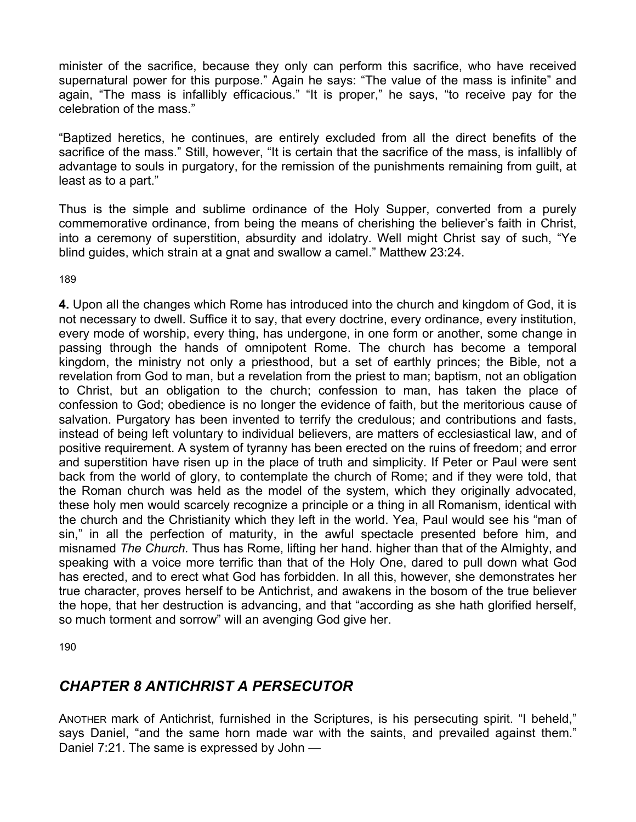minister of the sacrifice, because they only can perform this sacrifice, who have received supernatural power for this purpose." Again he says: "The value of the mass is infinite" and again, "The mass is infallibly efficacious." "It is proper," he says, "to receive pay for the celebration of the mass."

"Baptized heretics, he continues, are entirely excluded from all the direct benefits of the sacrifice of the mass." Still, however, "It is certain that the sacrifice of the mass, is infallibly of advantage to souls in purgatory, for the remission of the punishments remaining from guilt, at least as to a part."

Thus is the simple and sublime ordinance of the Holy Supper, converted from a purely commemorative ordinance, from being the means of cherishing the believer's faith in Christ, into a ceremony of superstition, absurdity and idolatry. Well might Christ say of such, "Ye blind guides, which strain at a gnat and swallow a camel." Matthew 23:24.

189

**4.** Upon all the changes which Rome has introduced into the church and kingdom of God, it is not necessary to dwell. Suffice it to say, that every doctrine, every ordinance, every institution, every mode of worship, every thing, has undergone, in one form or another, some change in passing through the hands of omnipotent Rome. The church has become a temporal kingdom, the ministry not only a priesthood, but a set of earthly princes; the Bible, not a revelation from God to man, but a revelation from the priest to man; baptism, not an obligation to Christ, but an obligation to the church; confession to man, has taken the place of confession to God; obedience is no longer the evidence of faith, but the meritorious cause of salvation. Purgatory has been invented to terrify the credulous; and contributions and fasts, instead of being left voluntary to individual believers, are matters of ecclesiastical law, and of positive requirement. A system of tyranny has been erected on the ruins of freedom; and error and superstition have risen up in the place of truth and simplicity. If Peter or Paul were sent back from the world of glory, to contemplate the church of Rome; and if they were told, that the Roman church was held as the model of the system, which they originally advocated, these holy men would scarcely recognize a principle or a thing in all Romanism, identical with the church and the Christianity which they left in the world. Yea, Paul would see his "man of sin," in all the perfection of maturity, in the awful spectacle presented before him, and misnamed *The Church.* Thus has Rome, lifting her hand. higher than that of the Almighty, and speaking with a voice more terrific than that of the Holy One, dared to pull down what God has erected, and to erect what God has forbidden. In all this, however, she demonstrates her true character, proves herself to be Antichrist, and awakens in the bosom of the true believer the hope, that her destruction is advancing, and that "according as she hath glorified herself, so much torment and sorrow" will an avenging God give her.

190

# *CHAPTER 8 ANTICHRIST A PERSECUTOR*

ANOTHER mark of Antichrist, furnished in the Scriptures, is his persecuting spirit. "I beheld," says Daniel, "and the same horn made war with the saints, and prevailed against them." Daniel 7:21. The same is expressed by John —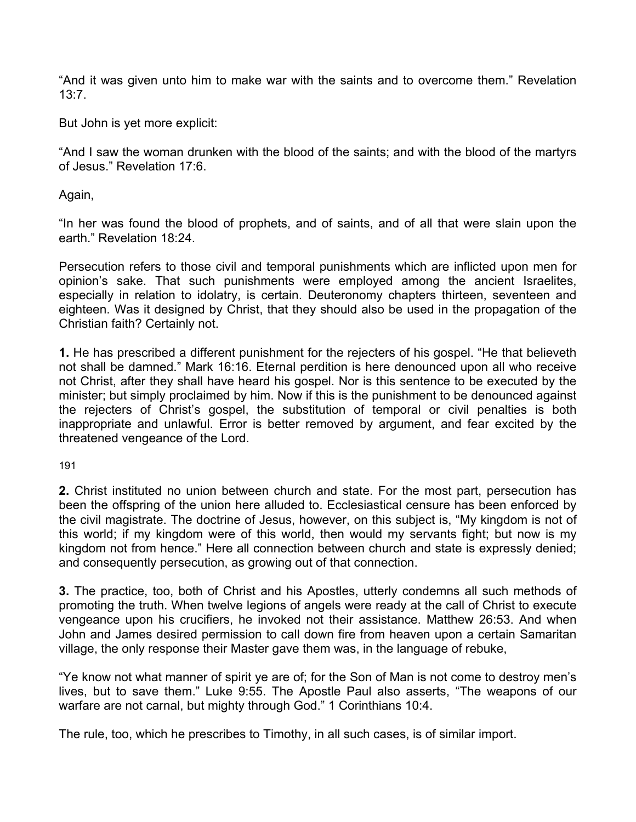"And it was given unto him to make war with the saints and to overcome them." Revelation 13:7.

But John is yet more explicit:

"And I saw the woman drunken with the blood of the saints; and with the blood of the martyrs of Jesus." Revelation 17:6.

Again,

"In her was found the blood of prophets, and of saints, and of all that were slain upon the earth." Revelation 18:24.

Persecution refers to those civil and temporal punishments which are inflicted upon men for opinion's sake. That such punishments were employed among the ancient Israelites, especially in relation to idolatry, is certain. Deuteronomy chapters thirteen, seventeen and eighteen. Was it designed by Christ, that they should also be used in the propagation of the Christian faith? Certainly not.

**1.** He has prescribed a different punishment for the rejecters of his gospel. "He that believeth not shall be damned." Mark 16:16. Eternal perdition is here denounced upon all who receive not Christ, after they shall have heard his gospel. Nor is this sentence to be executed by the minister; but simply proclaimed by him. Now if this is the punishment to be denounced against the rejecters of Christ's gospel, the substitution of temporal or civil penalties is both inappropriate and unlawful. Error is better removed by argument, and fear excited by the threatened vengeance of the Lord.

191

**2.** Christ instituted no union between church and state. For the most part, persecution has been the offspring of the union here alluded to. Ecclesiastical censure has been enforced by the civil magistrate. The doctrine of Jesus, however, on this subject is, "My kingdom is not of this world; if my kingdom were of this world, then would my servants fight; but now is my kingdom not from hence." Here all connection between church and state is expressly denied; and consequently persecution, as growing out of that connection.

**3.** The practice, too, both of Christ and his Apostles, utterly condemns all such methods of promoting the truth. When twelve legions of angels were ready at the call of Christ to execute vengeance upon his crucifiers, he invoked not their assistance. Matthew 26:53. And when John and James desired permission to call down fire from heaven upon a certain Samaritan village, the only response their Master gave them was, in the language of rebuke,

"Ye know not what manner of spirit ye are of; for the Son of Man is not come to destroy men's lives, but to save them." Luke 9:55. The Apostle Paul also asserts, "The weapons of our warfare are not carnal, but mighty through God." 1 Corinthians 10:4.

The rule, too, which he prescribes to Timothy, in all such cases, is of similar import.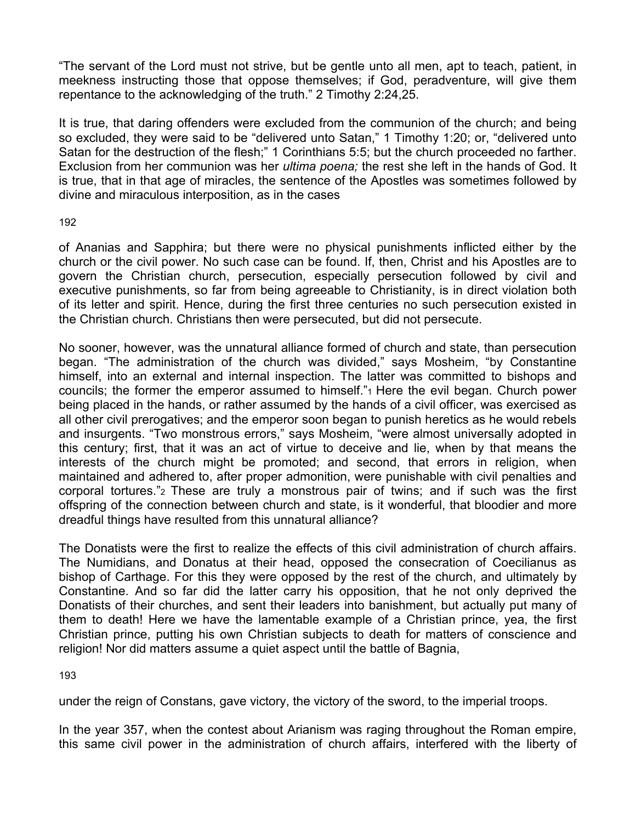"The servant of the Lord must not strive, but be gentle unto all men, apt to teach, patient, in meekness instructing those that oppose themselves; if God, peradventure, will give them repentance to the acknowledging of the truth." 2 Timothy 2:24,25.

It is true, that daring offenders were excluded from the communion of the church; and being so excluded, they were said to be "delivered unto Satan," 1 Timothy 1:20; or, "delivered unto Satan for the destruction of the flesh;" 1 Corinthians 5:5; but the church proceeded no farther. Exclusion from her communion was her *ultima poena;* the rest she left in the hands of God. It is true, that in that age of miracles, the sentence of the Apostles was sometimes followed by divine and miraculous interposition, as in the cases

192

of Ananias and Sapphira; but there were no physical punishments inflicted either by the church or the civil power. No such case can be found. If, then, Christ and his Apostles are to govern the Christian church, persecution, especially persecution followed by civil and executive punishments, so far from being agreeable to Christianity, is in direct violation both of its letter and spirit. Hence, during the first three centuries no such persecution existed in the Christian church. Christians then were persecuted, but did not persecute.

No sooner, however, was the unnatural alliance formed of church and state, than persecution began. "The administration of the church was divided," says Mosheim, "by Constantine himself, into an external and internal inspection. The latter was committed to bishops and councils; the former the emperor assumed to himself."1 Here the evil began. Church power being placed in the hands, or rather assumed by the hands of a civil officer, was exercised as all other civil prerogatives; and the emperor soon began to punish heretics as he would rebels and insurgents. "Two monstrous errors," says Mosheim, "were almost universally adopted in this century; first, that it was an act of virtue to deceive and lie, when by that means the interests of the church might be promoted; and second, that errors in religion, when maintained and adhered to, after proper admonition, were punishable with civil penalties and corporal tortures."2 These are truly a monstrous pair of twins; and if such was the first offspring of the connection between church and state, is it wonderful, that bloodier and more dreadful things have resulted from this unnatural alliance?

The Donatists were the first to realize the effects of this civil administration of church affairs. The Numidians, and Donatus at their head, opposed the consecration of Coecilianus as bishop of Carthage. For this they were opposed by the rest of the church, and ultimately by Constantine. And so far did the latter carry his opposition, that he not only deprived the Donatists of their churches, and sent their leaders into banishment, but actually put many of them to death! Here we have the lamentable example of a Christian prince, yea, the first Christian prince, putting his own Christian subjects to death for matters of conscience and religion! Nor did matters assume a quiet aspect until the battle of Bagnia,

193

under the reign of Constans, gave victory, the victory of the sword, to the imperial troops.

In the year 357, when the contest about Arianism was raging throughout the Roman empire, this same civil power in the administration of church affairs, interfered with the liberty of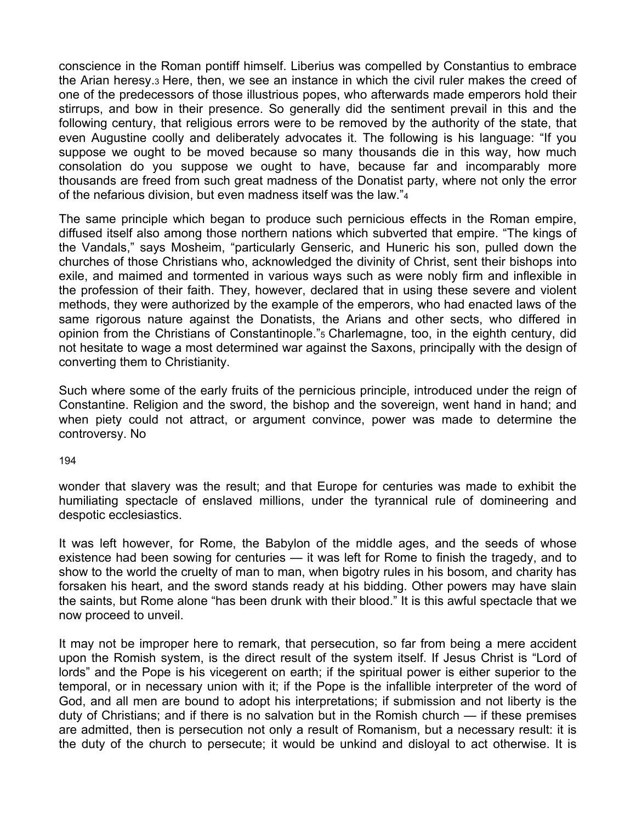conscience in the Roman pontiff himself. Liberius was compelled by Constantius to embrace the Arian heresy.3 Here, then, we see an instance in which the civil ruler makes the creed of one of the predecessors of those illustrious popes, who afterwards made emperors hold their stirrups, and bow in their presence. So generally did the sentiment prevail in this and the following century, that religious errors were to be removed by the authority of the state, that even Augustine coolly and deliberately advocates it. The following is his language: "If you suppose we ought to be moved because so many thousands die in this way, how much consolation do you suppose we ought to have, because far and incomparably more thousands are freed from such great madness of the Donatist party, where not only the error of the nefarious division, but even madness itself was the law."4

The same principle which began to produce such pernicious effects in the Roman empire, diffused itself also among those northern nations which subverted that empire. "The kings of the Vandals," says Mosheim, "particularly Genseric, and Huneric his son, pulled down the churches of those Christians who, acknowledged the divinity of Christ, sent their bishops into exile, and maimed and tormented in various ways such as were nobly firm and inflexible in the profession of their faith. They, however, declared that in using these severe and violent methods, they were authorized by the example of the emperors, who had enacted laws of the same rigorous nature against the Donatists, the Arians and other sects, who differed in opinion from the Christians of Constantinople."5 Charlemagne, too, in the eighth century, did not hesitate to wage a most determined war against the Saxons, principally with the design of converting them to Christianity.

Such where some of the early fruits of the pernicious principle, introduced under the reign of Constantine. Religion and the sword, the bishop and the sovereign, went hand in hand; and when piety could not attract, or argument convince, power was made to determine the controversy. No

194

wonder that slavery was the result; and that Europe for centuries was made to exhibit the humiliating spectacle of enslaved millions, under the tyrannical rule of domineering and despotic ecclesiastics.

It was left however, for Rome, the Babylon of the middle ages, and the seeds of whose existence had been sowing for centuries — it was left for Rome to finish the tragedy, and to show to the world the cruelty of man to man, when bigotry rules in his bosom, and charity has forsaken his heart, and the sword stands ready at his bidding. Other powers may have slain the saints, but Rome alone "has been drunk with their blood." It is this awful spectacle that we now proceed to unveil.

It may not be improper here to remark, that persecution, so far from being a mere accident upon the Romish system, is the direct result of the system itself. If Jesus Christ is "Lord of lords" and the Pope is his vicegerent on earth; if the spiritual power is either superior to the temporal, or in necessary union with it; if the Pope is the infallible interpreter of the word of God, and all men are bound to adopt his interpretations; if submission and not liberty is the duty of Christians; and if there is no salvation but in the Romish church — if these premises are admitted, then is persecution not only a result of Romanism, but a necessary result: it is the duty of the church to persecute; it would be unkind and disloyal to act otherwise. It is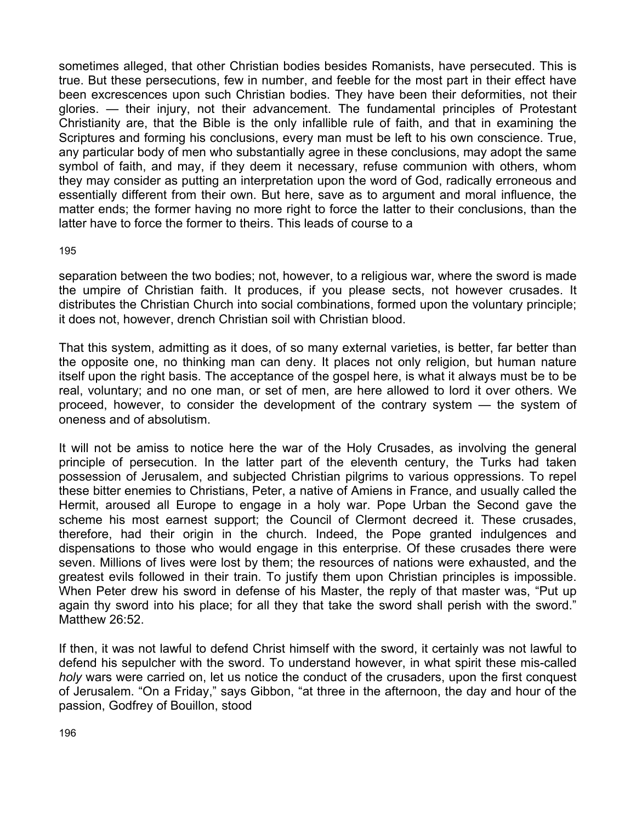sometimes alleged, that other Christian bodies besides Romanists, have persecuted. This is true. But these persecutions, few in number, and feeble for the most part in their effect have been excrescences upon such Christian bodies. They have been their deformities, not their glories. — their injury, not their advancement. The fundamental principles of Protestant Christianity are, that the Bible is the only infallible rule of faith, and that in examining the Scriptures and forming his conclusions, every man must be left to his own conscience. True, any particular body of men who substantially agree in these conclusions, may adopt the same symbol of faith, and may, if they deem it necessary, refuse communion with others, whom they may consider as putting an interpretation upon the word of God, radically erroneous and essentially different from their own. But here, save as to argument and moral influence, the matter ends; the former having no more right to force the latter to their conclusions, than the latter have to force the former to theirs. This leads of course to a

#### 195

separation between the two bodies; not, however, to a religious war, where the sword is made the umpire of Christian faith. It produces, if you please sects, not however crusades. It distributes the Christian Church into social combinations, formed upon the voluntary principle; it does not, however, drench Christian soil with Christian blood.

That this system, admitting as it does, of so many external varieties, is better, far better than the opposite one, no thinking man can deny. It places not only religion, but human nature itself upon the right basis. The acceptance of the gospel here, is what it always must be to be real, voluntary; and no one man, or set of men, are here allowed to lord it over others. We proceed, however, to consider the development of the contrary system — the system of oneness and of absolutism.

It will not be amiss to notice here the war of the Holy Crusades, as involving the general principle of persecution. In the latter part of the eleventh century, the Turks had taken possession of Jerusalem, and subjected Christian pilgrims to various oppressions. To repel these bitter enemies to Christians, Peter, a native of Amiens in France, and usually called the Hermit, aroused all Europe to engage in a holy war. Pope Urban the Second gave the scheme his most earnest support; the Council of Clermont decreed it. These crusades, therefore, had their origin in the church. Indeed, the Pope granted indulgences and dispensations to those who would engage in this enterprise. Of these crusades there were seven. Millions of lives were lost by them; the resources of nations were exhausted, and the greatest evils followed in their train. To justify them upon Christian principles is impossible. When Peter drew his sword in defense of his Master, the reply of that master was, "Put up again thy sword into his place; for all they that take the sword shall perish with the sword." Matthew 26:52.

If then, it was not lawful to defend Christ himself with the sword, it certainly was not lawful to defend his sepulcher with the sword. To understand however, in what spirit these mis-called *holy* wars were carried on, let us notice the conduct of the crusaders, upon the first conquest of Jerusalem. "On a Friday," says Gibbon, "at three in the afternoon, the day and hour of the passion, Godfrey of Bouillon, stood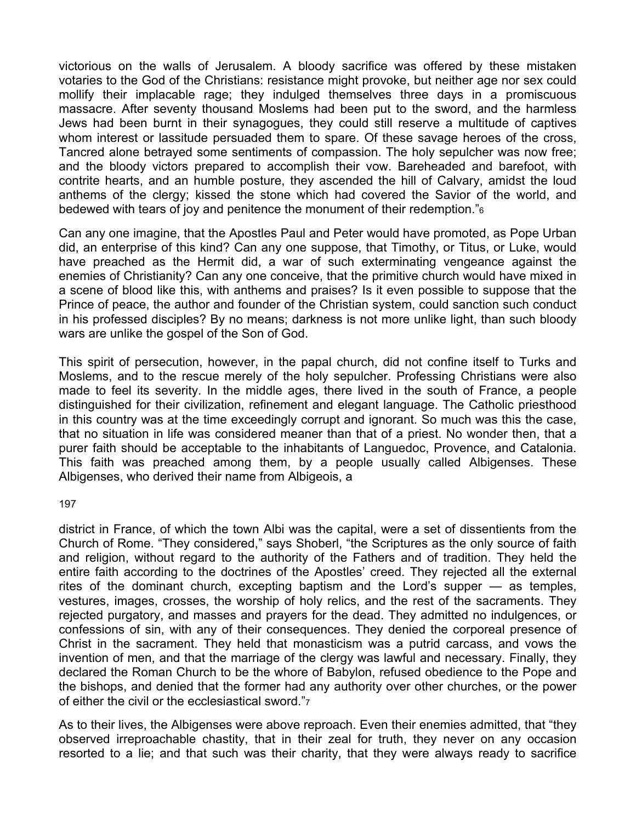victorious on the walls of Jerusalem. A bloody sacrifice was offered by these mistaken votaries to the God of the Christians: resistance might provoke, but neither age nor sex could mollify their implacable rage; they indulged themselves three days in a promiscuous massacre. After seventy thousand Moslems had been put to the sword, and the harmless Jews had been burnt in their synagogues, they could still reserve a multitude of captives whom interest or lassitude persuaded them to spare. Of these savage heroes of the cross, Tancred alone betrayed some sentiments of compassion. The holy sepulcher was now free; and the bloody victors prepared to accomplish their vow. Bareheaded and barefoot, with contrite hearts, and an humble posture, they ascended the hill of Calvary, amidst the loud anthems of the clergy; kissed the stone which had covered the Savior of the world, and bedewed with tears of joy and penitence the monument of their redemption."6

Can any one imagine, that the Apostles Paul and Peter would have promoted, as Pope Urban did, an enterprise of this kind? Can any one suppose, that Timothy, or Titus, or Luke, would have preached as the Hermit did, a war of such exterminating vengeance against the enemies of Christianity? Can any one conceive, that the primitive church would have mixed in a scene of blood like this, with anthems and praises? Is it even possible to suppose that the Prince of peace, the author and founder of the Christian system, could sanction such conduct in his professed disciples? By no means; darkness is not more unlike light, than such bloody wars are unlike the gospel of the Son of God.

This spirit of persecution, however, in the papal church, did not confine itself to Turks and Moslems, and to the rescue merely of the holy sepulcher. Professing Christians were also made to feel its severity. In the middle ages, there lived in the south of France, a people distinguished for their civilization, refinement and elegant language. The Catholic priesthood in this country was at the time exceedingly corrupt and ignorant. So much was this the case, that no situation in life was considered meaner than that of a priest. No wonder then, that a purer faith should be acceptable to the inhabitants of Languedoc, Provence, and Catalonia. This faith was preached among them, by a people usually called Albigenses. These Albigenses, who derived their name from Albigeois, a

197

district in France, of which the town Albi was the capital, were a set of dissentients from the Church of Rome. "They considered," says Shoberl, "the Scriptures as the only source of faith and religion, without regard to the authority of the Fathers and of tradition. They held the entire faith according to the doctrines of the Apostles' creed. They rejected all the external rites of the dominant church, excepting baptism and the Lord's supper — as temples, vestures, images, crosses, the worship of holy relics, and the rest of the sacraments. They rejected purgatory, and masses and prayers for the dead. They admitted no indulgences, or confessions of sin, with any of their consequences. They denied the corporeal presence of Christ in the sacrament. They held that monasticism was a putrid carcass, and vows the invention of men, and that the marriage of the clergy was lawful and necessary. Finally, they declared the Roman Church to be the whore of Babylon, refused obedience to the Pope and the bishops, and denied that the former had any authority over other churches, or the power of either the civil or the ecclesiastical sword."7

As to their lives, the Albigenses were above reproach. Even their enemies admitted, that "they observed irreproachable chastity, that in their zeal for truth, they never on any occasion resorted to a lie; and that such was their charity, that they were always ready to sacrifice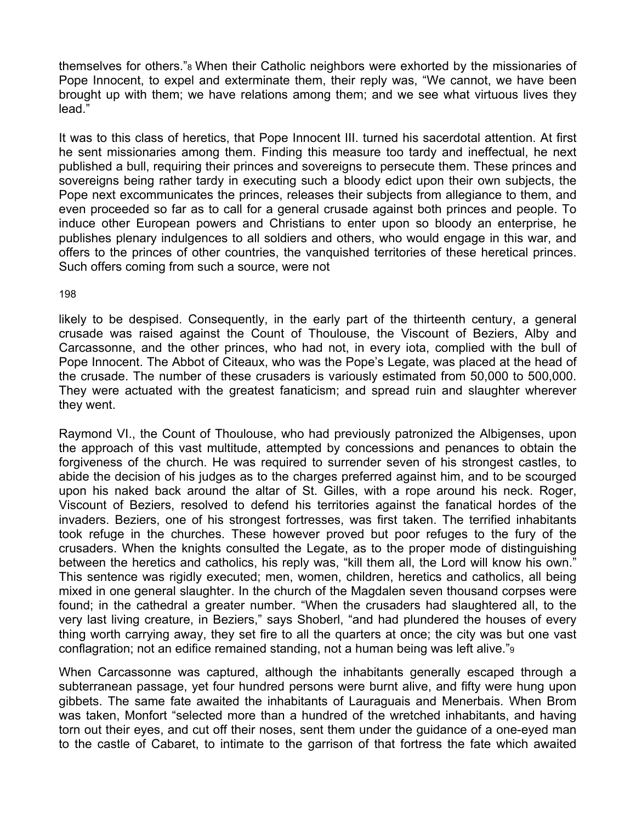themselves for others."8 When their Catholic neighbors were exhorted by the missionaries of Pope Innocent, to expel and exterminate them, their reply was, "We cannot, we have been brought up with them; we have relations among them; and we see what virtuous lives they lead."

It was to this class of heretics, that Pope Innocent III. turned his sacerdotal attention. At first he sent missionaries among them. Finding this measure too tardy and ineffectual, he next published a bull, requiring their princes and sovereigns to persecute them. These princes and sovereigns being rather tardy in executing such a bloody edict upon their own subjects, the Pope next excommunicates the princes, releases their subjects from allegiance to them, and even proceeded so far as to call for a general crusade against both princes and people. To induce other European powers and Christians to enter upon so bloody an enterprise, he publishes plenary indulgences to all soldiers and others, who would engage in this war, and offers to the princes of other countries, the vanquished territories of these heretical princes. Such offers coming from such a source, were not

198

likely to be despised. Consequently, in the early part of the thirteenth century, a general crusade was raised against the Count of Thoulouse, the Viscount of Beziers, Alby and Carcassonne, and the other princes, who had not, in every iota, complied with the bull of Pope Innocent. The Abbot of Citeaux, who was the Pope's Legate, was placed at the head of the crusade. The number of these crusaders is variously estimated from 50,000 to 500,000. They were actuated with the greatest fanaticism; and spread ruin and slaughter wherever they went.

Raymond VI., the Count of Thoulouse, who had previously patronized the Albigenses, upon the approach of this vast multitude, attempted by concessions and penances to obtain the forgiveness of the church. He was required to surrender seven of his strongest castles, to abide the decision of his judges as to the charges preferred against him, and to be scourged upon his naked back around the altar of St. Gilles, with a rope around his neck. Roger, Viscount of Beziers, resolved to defend his territories against the fanatical hordes of the invaders. Beziers, one of his strongest fortresses, was first taken. The terrified inhabitants took refuge in the churches. These however proved but poor refuges to the fury of the crusaders. When the knights consulted the Legate, as to the proper mode of distinguishing between the heretics and catholics, his reply was, "kill them all, the Lord will know his own." This sentence was rigidly executed; men, women, children, heretics and catholics, all being mixed in one general slaughter. In the church of the Magdalen seven thousand corpses were found; in the cathedral a greater number. "When the crusaders had slaughtered all, to the very last living creature, in Beziers," says Shoberl, "and had plundered the houses of every thing worth carrying away, they set fire to all the quarters at once; the city was but one vast conflagration; not an edifice remained standing, not a human being was left alive."9

When Carcassonne was captured, although the inhabitants generally escaped through a subterranean passage, yet four hundred persons were burnt alive, and fifty were hung upon gibbets. The same fate awaited the inhabitants of Lauraguais and Menerbais. When Brom was taken, Monfort "selected more than a hundred of the wretched inhabitants, and having torn out their eyes, and cut off their noses, sent them under the guidance of a one-eyed man to the castle of Cabaret, to intimate to the garrison of that fortress the fate which awaited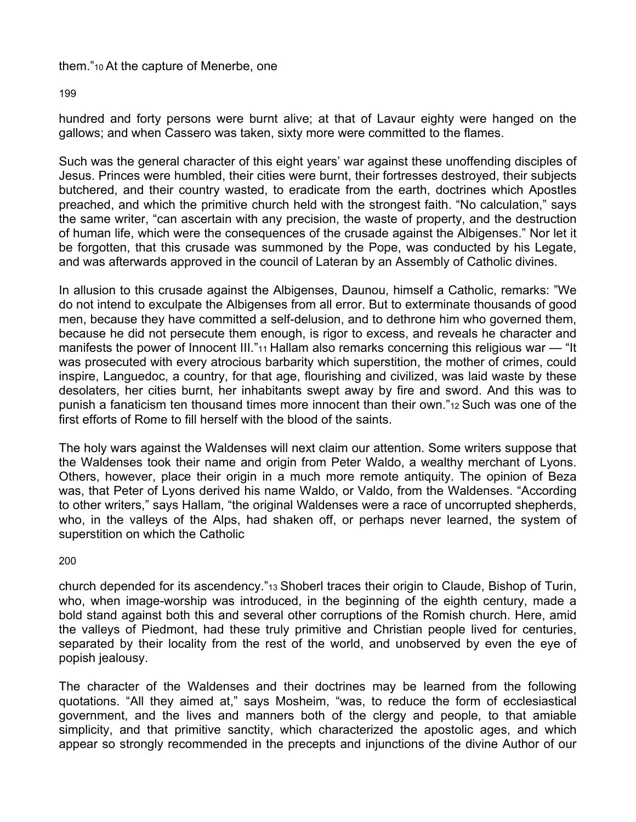## them."10 At the capture of Menerbe, one

### 199

hundred and forty persons were burnt alive; at that of Lavaur eighty were hanged on the gallows; and when Cassero was taken, sixty more were committed to the flames.

Such was the general character of this eight years' war against these unoffending disciples of Jesus. Princes were humbled, their cities were burnt, their fortresses destroyed, their subjects butchered, and their country wasted, to eradicate from the earth, doctrines which Apostles preached, and which the primitive church held with the strongest faith. "No calculation," says the same writer, "can ascertain with any precision, the waste of property, and the destruction of human life, which were the consequences of the crusade against the Albigenses." Nor let it be forgotten, that this crusade was summoned by the Pope, was conducted by his Legate, and was afterwards approved in the council of Lateran by an Assembly of Catholic divines.

In allusion to this crusade against the Albigenses, Daunou, himself a Catholic, remarks: "We do not intend to exculpate the Albigenses from all error. But to exterminate thousands of good men, because they have committed a self-delusion, and to dethrone him who governed them, because he did not persecute them enough, is rigor to excess, and reveals he character and manifests the power of Innocent III."<sup>11</sup> Hallam also remarks concerning this religious war — "It was prosecuted with every atrocious barbarity which superstition, the mother of crimes, could inspire, Languedoc, a country, for that age, flourishing and civilized, was laid waste by these desolaters, her cities burnt, her inhabitants swept away by fire and sword. And this was to punish a fanaticism ten thousand times more innocent than their own."12 Such was one of the first efforts of Rome to fill herself with the blood of the saints.

The holy wars against the Waldenses will next claim our attention. Some writers suppose that the Waldenses took their name and origin from Peter Waldo, a wealthy merchant of Lyons. Others, however, place their origin in a much more remote antiquity. The opinion of Beza was, that Peter of Lyons derived his name Waldo, or Valdo, from the Waldenses. "According to other writers," says Hallam, "the original Waldenses were a race of uncorrupted shepherds, who, in the valleys of the Alps, had shaken off, or perhaps never learned, the system of superstition on which the Catholic

### 200

church depended for its ascendency."13 Shoberl traces their origin to Claude, Bishop of Turin, who, when image-worship was introduced, in the beginning of the eighth century, made a bold stand against both this and several other corruptions of the Romish church. Here, amid the valleys of Piedmont, had these truly primitive and Christian people lived for centuries, separated by their locality from the rest of the world, and unobserved by even the eye of popish jealousy.

The character of the Waldenses and their doctrines may be learned from the following quotations. "All they aimed at," says Mosheim, "was, to reduce the form of ecclesiastical government, and the lives and manners both of the clergy and people, to that amiable simplicity, and that primitive sanctity, which characterized the apostolic ages, and which appear so strongly recommended in the precepts and injunctions of the divine Author of our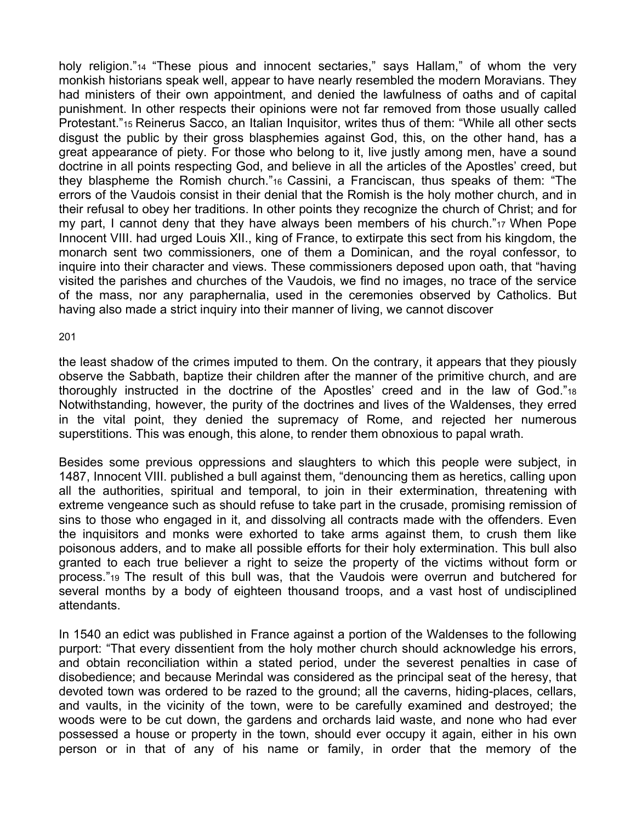holy religion."14 "These pious and innocent sectaries," says Hallam," of whom the very monkish historians speak well, appear to have nearly resembled the modern Moravians. They had ministers of their own appointment, and denied the lawfulness of oaths and of capital punishment. In other respects their opinions were not far removed from those usually called Protestant."15 Reinerus Sacco, an Italian Inquisitor, writes thus of them: "While all other sects disgust the public by their gross blasphemies against God, this, on the other hand, has a great appearance of piety. For those who belong to it, live justly among men, have a sound doctrine in all points respecting God, and believe in all the articles of the Apostles' creed, but they blaspheme the Romish church."16 Cassini, a Franciscan, thus speaks of them: "The errors of the Vaudois consist in their denial that the Romish is the holy mother church, and in their refusal to obey her traditions. In other points they recognize the church of Christ; and for my part, I cannot deny that they have always been members of his church."17 When Pope Innocent VIII. had urged Louis XII., king of France, to extirpate this sect from his kingdom, the monarch sent two commissioners, one of them a Dominican, and the royal confessor, to inquire into their character and views. These commissioners deposed upon oath, that "having visited the parishes and churches of the Vaudois, we find no images, no trace of the service of the mass, nor any paraphernalia, used in the ceremonies observed by Catholics. But having also made a strict inquiry into their manner of living, we cannot discover

#### 201

the least shadow of the crimes imputed to them. On the contrary, it appears that they piously observe the Sabbath, baptize their children after the manner of the primitive church, and are thoroughly instructed in the doctrine of the Apostles' creed and in the law of God."18 Notwithstanding, however, the purity of the doctrines and lives of the Waldenses, they erred in the vital point, they denied the supremacy of Rome, and rejected her numerous superstitions. This was enough, this alone, to render them obnoxious to papal wrath.

Besides some previous oppressions and slaughters to which this people were subject, in 1487, Innocent VIII. published a bull against them, "denouncing them as heretics, calling upon all the authorities, spiritual and temporal, to join in their extermination, threatening with extreme vengeance such as should refuse to take part in the crusade, promising remission of sins to those who engaged in it, and dissolving all contracts made with the offenders. Even the inquisitors and monks were exhorted to take arms against them, to crush them like poisonous adders, and to make all possible efforts for their holy extermination. This bull also granted to each true believer a right to seize the property of the victims without form or process."19 The result of this bull was, that the Vaudois were overrun and butchered for several months by a body of eighteen thousand troops, and a vast host of undisciplined attendants.

In 1540 an edict was published in France against a portion of the Waldenses to the following purport: "That every dissentient from the holy mother church should acknowledge his errors, and obtain reconciliation within a stated period, under the severest penalties in case of disobedience; and because Merindal was considered as the principal seat of the heresy, that devoted town was ordered to be razed to the ground; all the caverns, hiding-places, cellars, and vaults, in the vicinity of the town, were to be carefully examined and destroyed; the woods were to be cut down, the gardens and orchards laid waste, and none who had ever possessed a house or property in the town, should ever occupy it again, either in his own person or in that of any of his name or family, in order that the memory of the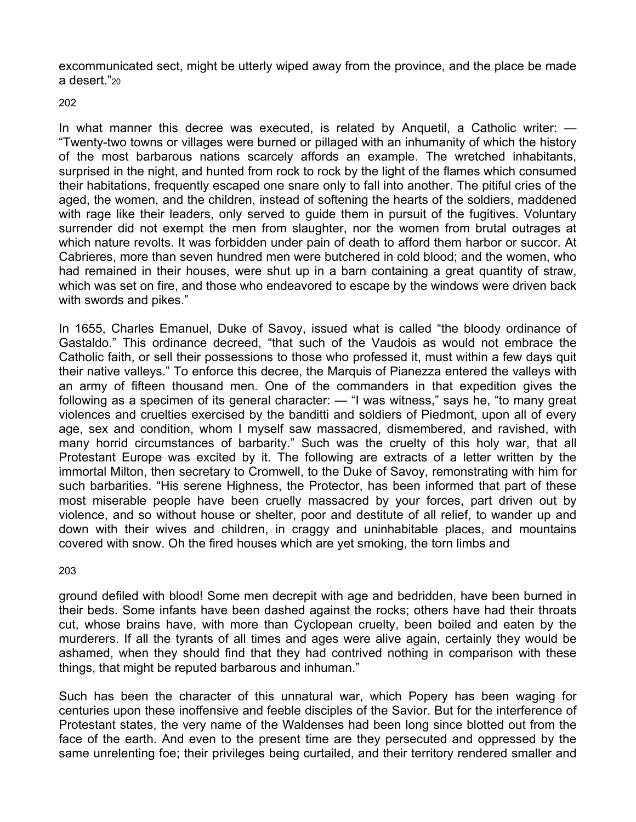excommunicated sect, might be utterly wiped away from the province, and the place be made a desert."20

### 202

In what manner this decree was executed, is related by Anquetil, a Catholic writer: — "Twenty-two towns or villages were burned or pillaged with an inhumanity of which the history of the most barbarous nations scarcely affords an example. The wretched inhabitants, surprised in the night, and hunted from rock to rock by the light of the flames which consumed their habitations, frequently escaped one snare only to fall into another. The pitiful cries of the aged, the women, and the children, instead of softening the hearts of the soldiers, maddened with rage like their leaders, only served to quide them in pursuit of the fugitives. Voluntary surrender did not exempt the men from slaughter, nor the women from brutal outrages at which nature revolts. It was forbidden under pain of death to afford them harbor or succor. At Cabrieres, more than seven hundred men were butchered in cold blood; and the women, who had remained in their houses, were shut up in a barn containing a great quantity of straw, which was set on fire, and those who endeavored to escape by the windows were driven back with swords and pikes."

In 1655, Charles Emanuel, Duke of Savoy, issued what is called "the bloody ordinance of Gastaldo." This ordinance decreed, "that such of the Vaudois as would not embrace the Catholic faith, or sell their possessions to those who professed it, must within a few days quit their native valleys." To enforce this decree, the Marquis of Pianezza entered the valleys with an army of fifteen thousand men. One of the commanders in that expedition gives the following as a specimen of its general character: — "I was witness," says he, "to many great violences and cruelties exercised by the banditti and soldiers of Piedmont, upon all of every age, sex and condition, whom I myself saw massacred, dismembered, and ravished, with many horrid circumstances of barbarity." Such was the cruelty of this holy war, that all Protestant Europe was excited by it. The following are extracts of a letter written by the immortal Milton, then secretary to Cromwell, to the Duke of Savoy, remonstrating with him for such barbarities. "His serene Highness, the Protector, has been informed that part of these most miserable people have been cruelly massacred by your forces, part driven out by violence, and so without house or shelter, poor and destitute of all relief, to wander up and down with their wives and children, in craggy and uninhabitable places, and mountains covered with snow. Oh the fired houses which are yet smoking, the torn limbs and

### 203

ground defiled with blood! Some men decrepit with age and bedridden, have been burned in their beds. Some infants have been dashed against the rocks; others have had their throats cut, whose brains have, with more than Cyclopean cruelty, been boiled and eaten by the murderers. If all the tyrants of all times and ages were alive again, certainly they would be ashamed, when they should find that they had contrived nothing in comparison with these things, that might be reputed barbarous and inhuman."

Such has been the character of this unnatural war, which Popery has been waging for centuries upon these inoffensive and feeble disciples of the Savior. But for the interference of Protestant states, the very name of the Waldenses had been long since blotted out from the face of the earth. And even to the present time are they persecuted and oppressed by the same unrelenting foe; their privileges being curtailed, and their territory rendered smaller and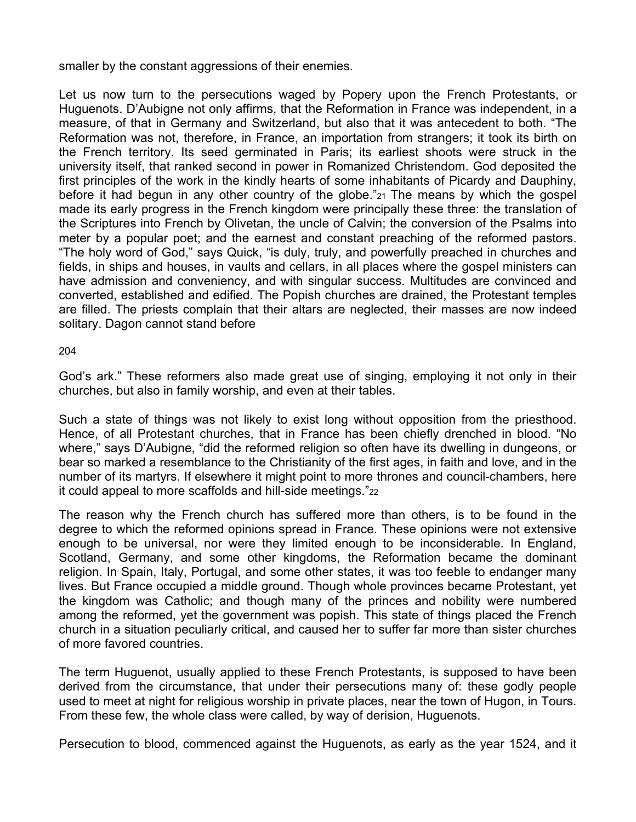smaller by the constant aggressions of their enemies.

Let us now turn to the persecutions waged by Popery upon the French Protestants, or Huguenots. D'Aubigne not only affirms, that the Reformation in France was independent, in a measure, of that in Germany and Switzerland, but also that it was antecedent to both. "The Reformation was not, therefore, in France, an importation from strangers; it took its birth on the French territory. Its seed germinated in Paris; its earliest shoots were struck in the university itself, that ranked second in power in Romanized Christendom. God deposited the first principles of the work in the kindly hearts of some inhabitants of Picardy and Dauphiny, before it had begun in any other country of the globe."21 The means by which the gospel made its early progress in the French kingdom were principally these three: the translation of the Scriptures into French by Olivetan, the uncle of Calvin; the conversion of the Psalms into meter by a popular poet; and the earnest and constant preaching of the reformed pastors. "The holy word of God," says Quick, "is duly, truly, and powerfully preached in churches and fields, in ships and houses, in vaults and cellars, in all places where the gospel ministers can have admission and conveniency, and with singular success. Multitudes are convinced and converted, established and edified. The Popish churches are drained, the Protestant temples are filled. The priests complain that their altars are neglected, their masses are now indeed solitary. Dagon cannot stand before

204

God's ark." These reformers also made great use of singing, employing it not only in their churches, but also in family worship, and even at their tables.

Such a state of things was not likely to exist long without opposition from the priesthood. Hence, of all Protestant churches, that in France has been chiefly drenched in blood. "No where," says D'Aubigne, "did the reformed religion so often have its dwelling in dungeons, or bear so marked a resemblance to the Christianity of the first ages, in faith and love, and in the number of its martyrs. If elsewhere it might point to more thrones and council-chambers, here it could appeal to more scaffolds and hill-side meetings."22

The reason why the French church has suffered more than others, is to be found in the degree to which the reformed opinions spread in France. These opinions were not extensive enough to be universal, nor were they limited enough to be inconsiderable. In England, Scotland, Germany, and some other kingdoms, the Reformation became the dominant religion. In Spain, Italy, Portugal, and some other states, it was too feeble to endanger many lives. But France occupied a middle ground. Though whole provinces became Protestant, yet the kingdom was Catholic; and though many of the princes and nobility were numbered among the reformed, yet the government was popish. This state of things placed the French church in a situation peculiarly critical, and caused her to suffer far more than sister churches of more favored countries.

The term Huguenot, usually applied to these French Protestants, is supposed to have been derived from the circumstance, that under their persecutions many of: these godly people used to meet at night for religious worship in private places, near the town of Hugon, in Tours. From these few, the whole class were called, by way of derision, Huguenots.

Persecution to blood, commenced against the Huguenots, as early as the year 1524, and it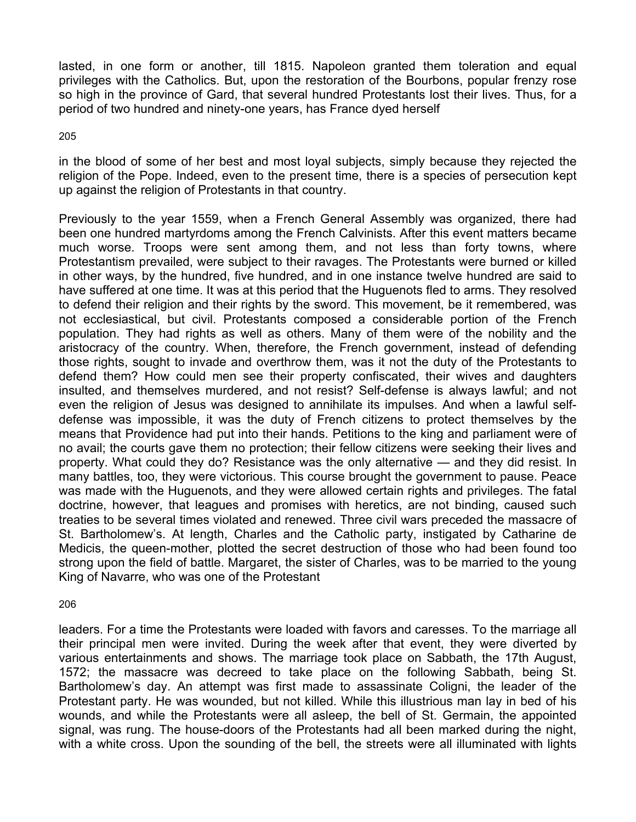lasted, in one form or another, till 1815. Napoleon granted them toleration and equal privileges with the Catholics. But, upon the restoration of the Bourbons, popular frenzy rose so high in the province of Gard, that several hundred Protestants lost their lives. Thus, for a period of two hundred and ninety-one years, has France dyed herself

205

in the blood of some of her best and most loyal subjects, simply because they rejected the religion of the Pope. Indeed, even to the present time, there is a species of persecution kept up against the religion of Protestants in that country.

Previously to the year 1559, when a French General Assembly was organized, there had been one hundred martyrdoms among the French Calvinists. After this event matters became much worse. Troops were sent among them, and not less than forty towns, where Protestantism prevailed, were subject to their ravages. The Protestants were burned or killed in other ways, by the hundred, five hundred, and in one instance twelve hundred are said to have suffered at one time. It was at this period that the Huguenots fled to arms. They resolved to defend their religion and their rights by the sword. This movement, be it remembered, was not ecclesiastical, but civil. Protestants composed a considerable portion of the French population. They had rights as well as others. Many of them were of the nobility and the aristocracy of the country. When, therefore, the French government, instead of defending those rights, sought to invade and overthrow them, was it not the duty of the Protestants to defend them? How could men see their property confiscated, their wives and daughters insulted, and themselves murdered, and not resist? Self-defense is always lawful; and not even the religion of Jesus was designed to annihilate its impulses. And when a lawful selfdefense was impossible, it was the duty of French citizens to protect themselves by the means that Providence had put into their hands. Petitions to the king and parliament were of no avail; the courts gave them no protection; their fellow citizens were seeking their lives and property. What could they do? Resistance was the only alternative — and they did resist. In many battles, too, they were victorious. This course brought the government to pause. Peace was made with the Huguenots, and they were allowed certain rights and privileges. The fatal doctrine, however, that leagues and promises with heretics, are not binding, caused such treaties to be several times violated and renewed. Three civil wars preceded the massacre of St. Bartholomew's. At length, Charles and the Catholic party, instigated by Catharine de Medicis, the queen-mother, plotted the secret destruction of those who had been found too strong upon the field of battle. Margaret, the sister of Charles, was to be married to the young King of Navarre, who was one of the Protestant

206

leaders. For a time the Protestants were loaded with favors and caresses. To the marriage all their principal men were invited. During the week after that event, they were diverted by various entertainments and shows. The marriage took place on Sabbath, the 17th August, 1572; the massacre was decreed to take place on the following Sabbath, being St. Bartholomew's day. An attempt was first made to assassinate Coligni, the leader of the Protestant party. He was wounded, but not killed. While this illustrious man lay in bed of his wounds, and while the Protestants were all asleep, the bell of St. Germain, the appointed signal, was rung. The house-doors of the Protestants had all been marked during the night, with a white cross. Upon the sounding of the bell, the streets were all illuminated with lights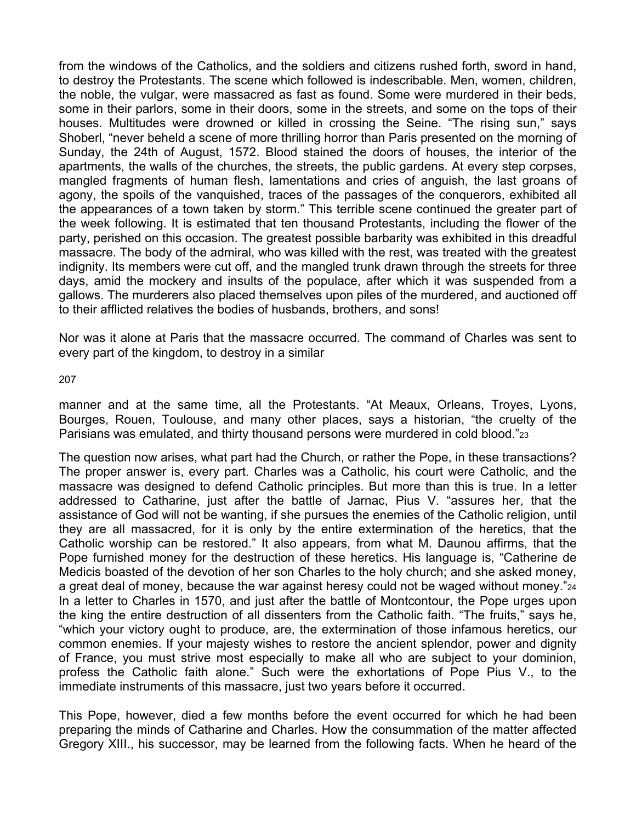from the windows of the Catholics, and the soldiers and citizens rushed forth, sword in hand, to destroy the Protestants. The scene which followed is indescribable. Men, women, children, the noble, the vulgar, were massacred as fast as found. Some were murdered in their beds, some in their parlors, some in their doors, some in the streets, and some on the tops of their houses. Multitudes were drowned or killed in crossing the Seine. "The rising sun," says Shoberl, "never beheld a scene of more thrilling horror than Paris presented on the morning of Sunday, the 24th of August, 1572. Blood stained the doors of houses, the interior of the apartments, the walls of the churches, the streets, the public gardens. At every step corpses, mangled fragments of human flesh, lamentations and cries of anguish, the last groans of agony, the spoils of the vanquished, traces of the passages of the conquerors, exhibited all the appearances of a town taken by storm." This terrible scene continued the greater part of the week following. It is estimated that ten thousand Protestants, including the flower of the party, perished on this occasion. The greatest possible barbarity was exhibited in this dreadful massacre. The body of the admiral, who was killed with the rest, was treated with the greatest indignity. Its members were cut off, and the mangled trunk drawn through the streets for three days, amid the mockery and insults of the populace, after which it was suspended from a gallows. The murderers also placed themselves upon piles of the murdered, and auctioned off to their afflicted relatives the bodies of husbands, brothers, and sons!

Nor was it alone at Paris that the massacre occurred. The command of Charles was sent to every part of the kingdom, to destroy in a similar

207

manner and at the same time, all the Protestants. "At Meaux, Orleans, Troyes, Lyons, Bourges, Rouen, Toulouse, and many other places, says a historian, "the cruelty of the Parisians was emulated, and thirty thousand persons were murdered in cold blood."23

The question now arises, what part had the Church, or rather the Pope, in these transactions? The proper answer is, every part. Charles was a Catholic, his court were Catholic, and the massacre was designed to defend Catholic principles. But more than this is true. In a letter addressed to Catharine, just after the battle of Jarnac, Pius V. "assures her, that the assistance of God will not be wanting, if she pursues the enemies of the Catholic religion, until they are all massacred, for it is only by the entire extermination of the heretics, that the Catholic worship can be restored." It also appears, from what M. Daunou affirms, that the Pope furnished money for the destruction of these heretics. His language is, "Catherine de Medicis boasted of the devotion of her son Charles to the holy church; and she asked money, a great deal of money, because the war against heresy could not be waged without money."24 In a letter to Charles in 1570, and just after the battle of Montcontour, the Pope urges upon the king the entire destruction of all dissenters from the Catholic faith. "The fruits," says he, "which your victory ought to produce, are, the extermination of those infamous heretics, our common enemies. If your majesty wishes to restore the ancient splendor, power and dignity of France, you must strive most especially to make all who are subject to your dominion, profess the Catholic faith alone." Such were the exhortations of Pope Pius V., to the immediate instruments of this massacre, just two years before it occurred.

This Pope, however, died a few months before the event occurred for which he had been preparing the minds of Catharine and Charles. How the consummation of the matter affected Gregory XIII., his successor, may be learned from the following facts. When he heard of the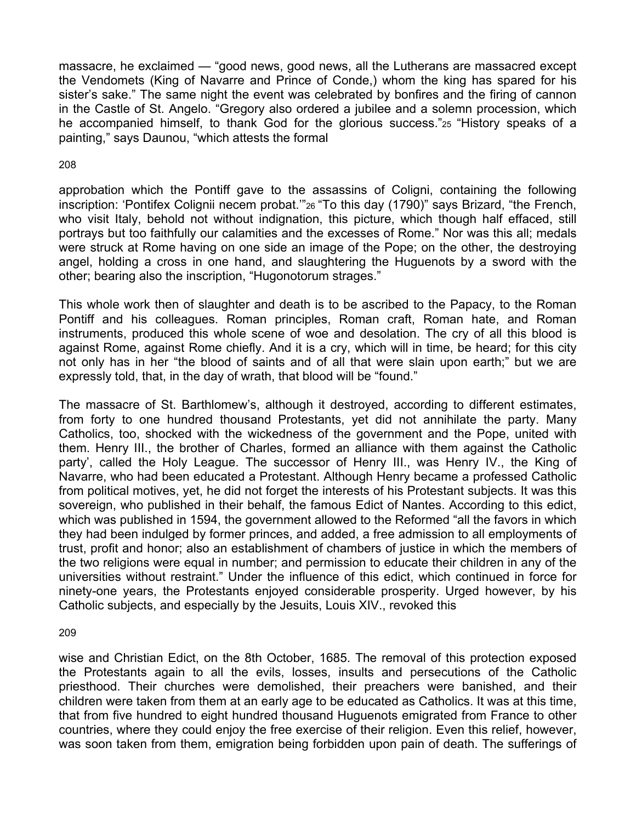massacre, he exclaimed — "good news, good news, all the Lutherans are massacred except the Vendomets (King of Navarre and Prince of Conde,) whom the king has spared for his sister's sake." The same night the event was celebrated by bonfires and the firing of cannon in the Castle of St. Angelo. "Gregory also ordered a jubilee and a solemn procession, which he accompanied himself, to thank God for the glorious success."25 "History speaks of a painting," says Daunou, "which attests the formal

### 208

approbation which the Pontiff gave to the assassins of Coligni, containing the following inscription: 'Pontifex Colignii necem probat.'"26 "To this day (1790)" says Brizard, "the French, who visit Italy, behold not without indignation, this picture, which though half effaced, still portrays but too faithfully our calamities and the excesses of Rome." Nor was this all; medals were struck at Rome having on one side an image of the Pope; on the other, the destroying angel, holding a cross in one hand, and slaughtering the Huguenots by a sword with the other; bearing also the inscription, "Hugonotorum strages."

This whole work then of slaughter and death is to be ascribed to the Papacy, to the Roman Pontiff and his colleagues. Roman principles, Roman craft, Roman hate, and Roman instruments, produced this whole scene of woe and desolation. The cry of all this blood is against Rome, against Rome chiefly. And it is a cry, which will in time, be heard; for this city not only has in her "the blood of saints and of all that were slain upon earth;" but we are expressly told, that, in the day of wrath, that blood will be "found."

The massacre of St. Barthlomew's, although it destroyed, according to different estimates, from forty to one hundred thousand Protestants, yet did not annihilate the party. Many Catholics, too, shocked with the wickedness of the government and the Pope, united with them. Henry III., the brother of Charles, formed an alliance with them against the Catholic party', called the Holy League. The successor of Henry III., was Henry IV., the King of Navarre, who had been educated a Protestant. Although Henry became a professed Catholic from political motives, yet, he did not forget the interests of his Protestant subjects. It was this sovereign, who published in their behalf, the famous Edict of Nantes. According to this edict, which was published in 1594, the government allowed to the Reformed "all the favors in which they had been indulged by former princes, and added, a free admission to all employments of trust, profit and honor; also an establishment of chambers of justice in which the members of the two religions were equal in number; and permission to educate their children in any of the universities without restraint." Under the influence of this edict, which continued in force for ninety-one years, the Protestants enjoyed considerable prosperity. Urged however, by his Catholic subjects, and especially by the Jesuits, Louis XIV., revoked this

209

wise and Christian Edict, on the 8th October, 1685. The removal of this protection exposed the Protestants again to all the evils, losses, insults and persecutions of the Catholic priesthood. Their churches were demolished, their preachers were banished, and their children were taken from them at an early age to be educated as Catholics. It was at this time, that from five hundred to eight hundred thousand Huguenots emigrated from France to other countries, where they could enjoy the free exercise of their religion. Even this relief, however, was soon taken from them, emigration being forbidden upon pain of death. The sufferings of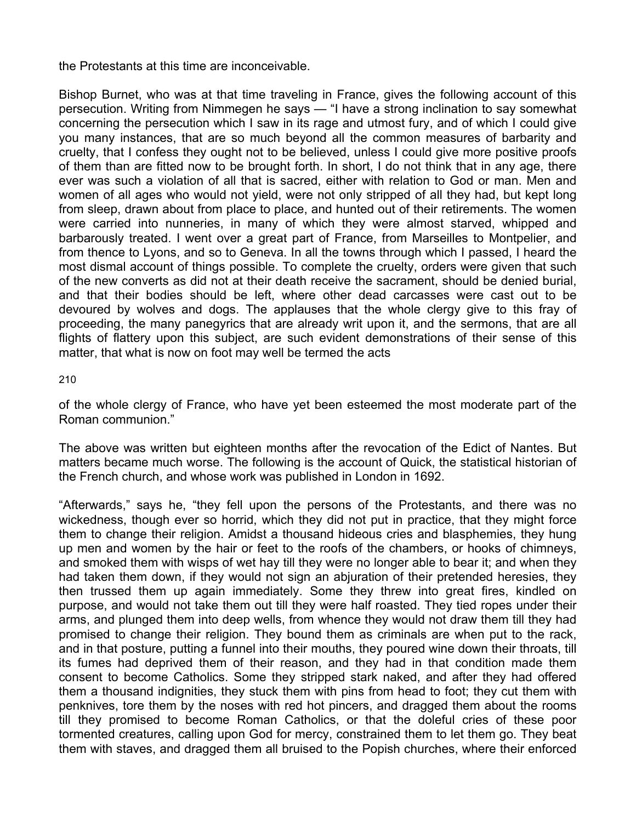the Protestants at this time are inconceivable.

Bishop Burnet, who was at that time traveling in France, gives the following account of this persecution. Writing from Nimmegen he says — "I have a strong inclination to say somewhat concerning the persecution which I saw in its rage and utmost fury, and of which I could give you many instances, that are so much beyond all the common measures of barbarity and cruelty, that I confess they ought not to be believed, unless I could give more positive proofs of them than are fitted now to be brought forth. In short, I do not think that in any age, there ever was such a violation of all that is sacred, either with relation to God or man. Men and women of all ages who would not yield, were not only stripped of all they had, but kept long from sleep, drawn about from place to place, and hunted out of their retirements. The women were carried into nunneries, in many of which they were almost starved, whipped and barbarously treated. I went over a great part of France, from Marseilles to Montpelier, and from thence to Lyons, and so to Geneva. In all the towns through which I passed, I heard the most dismal account of things possible. To complete the cruelty, orders were given that such of the new converts as did not at their death receive the sacrament, should be denied burial, and that their bodies should be left, where other dead carcasses were cast out to be devoured by wolves and dogs. The applauses that the whole clergy give to this fray of proceeding, the many panegyrics that are already writ upon it, and the sermons, that are all flights of flattery upon this subject, are such evident demonstrations of their sense of this matter, that what is now on foot may well be termed the acts

210

of the whole clergy of France, who have yet been esteemed the most moderate part of the Roman communion."

The above was written but eighteen months after the revocation of the Edict of Nantes. But matters became much worse. The following is the account of Quick, the statistical historian of the French church, and whose work was published in London in 1692.

"Afterwards," says he, "they fell upon the persons of the Protestants, and there was no wickedness, though ever so horrid, which they did not put in practice, that they might force them to change their religion. Amidst a thousand hideous cries and blasphemies, they hung up men and women by the hair or feet to the roofs of the chambers, or hooks of chimneys, and smoked them with wisps of wet hay till they were no longer able to bear it; and when they had taken them down, if they would not sign an abjuration of their pretended heresies, they then trussed them up again immediately. Some they threw into great fires, kindled on purpose, and would not take them out till they were half roasted. They tied ropes under their arms, and plunged them into deep wells, from whence they would not draw them till they had promised to change their religion. They bound them as criminals are when put to the rack, and in that posture, putting a funnel into their mouths, they poured wine down their throats, till its fumes had deprived them of their reason, and they had in that condition made them consent to become Catholics. Some they stripped stark naked, and after they had offered them a thousand indignities, they stuck them with pins from head to foot; they cut them with penknives, tore them by the noses with red hot pincers, and dragged them about the rooms till they promised to become Roman Catholics, or that the doleful cries of these poor tormented creatures, calling upon God for mercy, constrained them to let them go. They beat them with staves, and dragged them all bruised to the Popish churches, where their enforced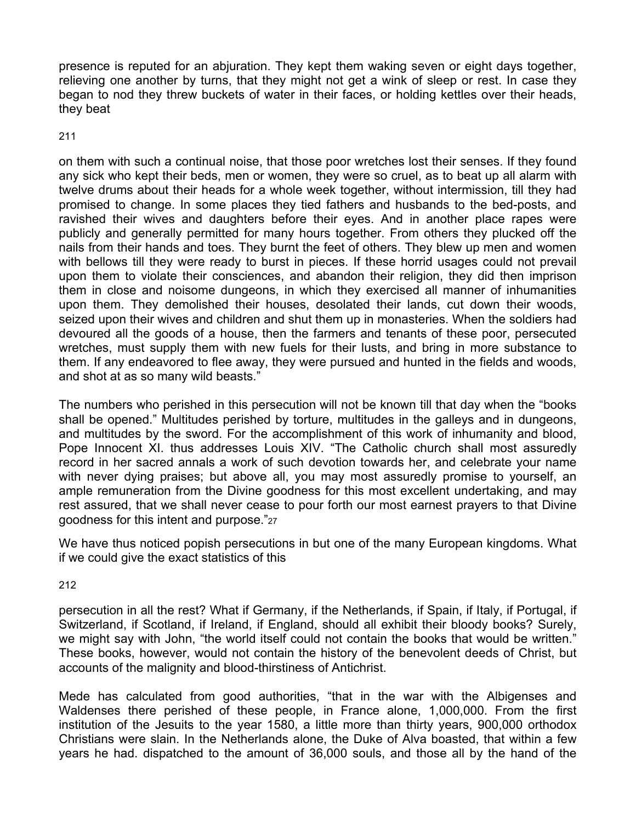presence is reputed for an abjuration. They kept them waking seven or eight days together, relieving one another by turns, that they might not get a wink of sleep or rest. In case they began to nod they threw buckets of water in their faces, or holding kettles over their heads, they beat

211

on them with such a continual noise, that those poor wretches lost their senses. If they found any sick who kept their beds, men or women, they were so cruel, as to beat up all alarm with twelve drums about their heads for a whole week together, without intermission, till they had promised to change. In some places they tied fathers and husbands to the bed-posts, and ravished their wives and daughters before their eyes. And in another place rapes were publicly and generally permitted for many hours together. From others they plucked off the nails from their hands and toes. They burnt the feet of others. They blew up men and women with bellows till they were ready to burst in pieces. If these horrid usages could not prevail upon them to violate their consciences, and abandon their religion, they did then imprison them in close and noisome dungeons, in which they exercised all manner of inhumanities upon them. They demolished their houses, desolated their lands, cut down their woods, seized upon their wives and children and shut them up in monasteries. When the soldiers had devoured all the goods of a house, then the farmers and tenants of these poor, persecuted wretches, must supply them with new fuels for their lusts, and bring in more substance to them. If any endeavored to flee away, they were pursued and hunted in the fields and woods, and shot at as so many wild beasts."

The numbers who perished in this persecution will not be known till that day when the "books shall be opened." Multitudes perished by torture, multitudes in the galleys and in dungeons, and multitudes by the sword. For the accomplishment of this work of inhumanity and blood, Pope Innocent XI. thus addresses Louis XIV. "The Catholic church shall most assuredly record in her sacred annals a work of such devotion towards her, and celebrate your name with never dying praises; but above all, you may most assuredly promise to yourself, an ample remuneration from the Divine goodness for this most excellent undertaking, and may rest assured, that we shall never cease to pour forth our most earnest prayers to that Divine goodness for this intent and purpose."27

We have thus noticed popish persecutions in but one of the many European kingdoms. What if we could give the exact statistics of this

212

persecution in all the rest? What if Germany, if the Netherlands, if Spain, if Italy, if Portugal, if Switzerland, if Scotland, if Ireland, if England, should all exhibit their bloody books? Surely, we might say with John, "the world itself could not contain the books that would be written." These books, however, would not contain the history of the benevolent deeds of Christ, but accounts of the malignity and blood-thirstiness of Antichrist.

Mede has calculated from good authorities, "that in the war with the Albigenses and Waldenses there perished of these people, in France alone, 1,000,000. From the first institution of the Jesuits to the year 1580, a little more than thirty years, 900,000 orthodox Christians were slain. In the Netherlands alone, the Duke of Alva boasted, that within a few years he had. dispatched to the amount of 36,000 souls, and those all by the hand of the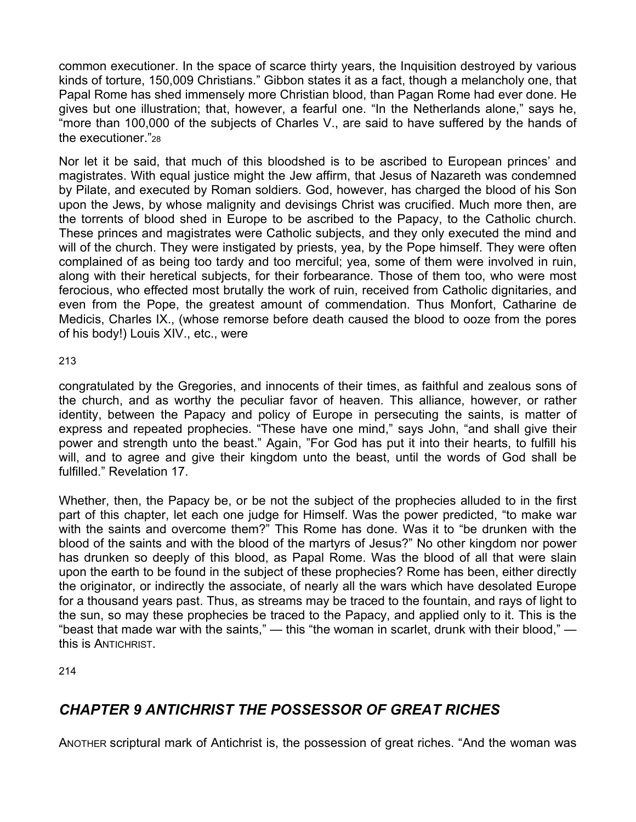common executioner. In the space of scarce thirty years, the Inquisition destroyed by various kinds of torture, 150,009 Christians." Gibbon states it as a fact, though a melancholy one, that Papal Rome has shed immensely more Christian blood, than Pagan Rome had ever done. He gives but one illustration; that, however, a fearful one. "In the Netherlands alone," says he, "more than 100,000 of the subjects of Charles V., are said to have suffered by the hands of the executioner."28

Nor let it be said, that much of this bloodshed is to be ascribed to European princes' and magistrates. With equal justice might the Jew affirm, that Jesus of Nazareth was condemned by Pilate, and executed by Roman soldiers. God, however, has charged the blood of his Son upon the Jews, by whose malignity and devisings Christ was crucified. Much more then, are the torrents of blood shed in Europe to be ascribed to the Papacy, to the Catholic church. These princes and magistrates were Catholic subjects, and they only executed the mind and will of the church. They were instigated by priests, yea, by the Pope himself. They were often complained of as being too tardy and too merciful; yea, some of them were involved in ruin, along with their heretical subjects, for their forbearance. Those of them too, who were most ferocious, who effected most brutally the work of ruin, received from Catholic dignitaries, and even from the Pope, the greatest amount of commendation. Thus Monfort, Catharine de Medicis, Charles IX., (whose remorse before death caused the blood to ooze from the pores of his body!) Louis XIV., etc., were

213

congratulated by the Gregories, and innocents of their times, as faithful and zealous sons of the church, and as worthy the peculiar favor of heaven. This alliance, however, or rather identity, between the Papacy and policy of Europe in persecuting the saints, is matter of express and repeated prophecies. "These have one mind," says John, "and shall give their power and strength unto the beast." Again, "For God has put it into their hearts, to fulfill his will, and to agree and give their kingdom unto the beast, until the words of God shall be fulfilled." Revelation 17.

Whether, then, the Papacy be, or be not the subject of the prophecies alluded to in the first part of this chapter, let each one judge for Himself. Was the power predicted, "to make war with the saints and overcome them?" This Rome has done. Was it to "be drunken with the blood of the saints and with the blood of the martyrs of Jesus?" No other kingdom nor power has drunken so deeply of this blood, as Papal Rome. Was the blood of all that were slain upon the earth to be found in the subject of these prophecies? Rome has been, either directly the originator, or indirectly the associate, of nearly all the wars which have desolated Europe for a thousand years past. Thus, as streams may be traced to the fountain, and rays of light to the sun, so may these prophecies be traced to the Papacy, and applied only to it. This is the "beast that made war with the saints,"  $-$  this "the woman in scarlet, drunk with their blood,"  $$ this is ANTICHRIST.

214

# *CHAPTER 9 ANTICHRIST THE POSSESSOR OF GREAT RICHES*

ANOTHER scriptural mark of Antichrist is, the possession of great riches. "And the woman was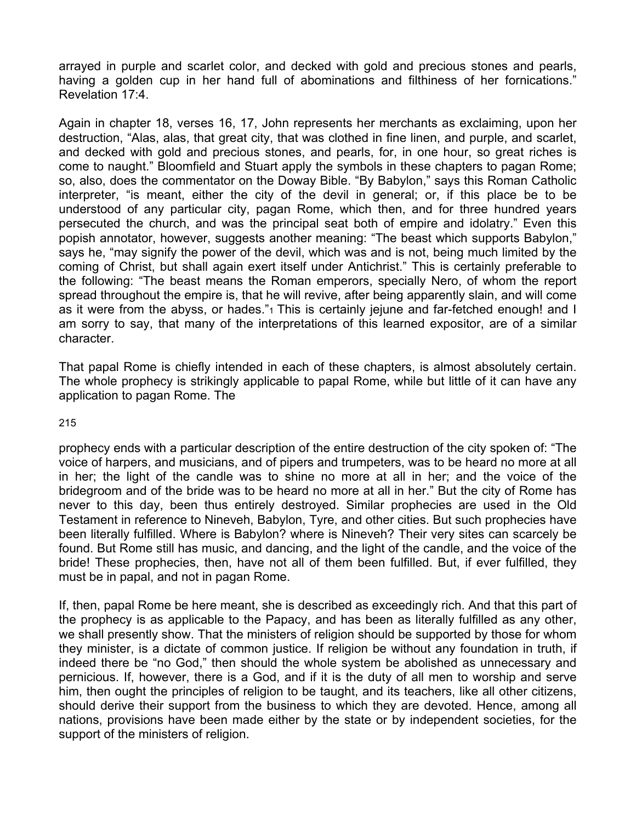arrayed in purple and scarlet color, and decked with gold and precious stones and pearls, having a golden cup in her hand full of abominations and filthiness of her fornications." Revelation 17:4.

Again in chapter 18, verses 16, 17, John represents her merchants as exclaiming, upon her destruction, "Alas, alas, that great city, that was clothed in fine linen, and purple, and scarlet, and decked with gold and precious stones, and pearls, for, in one hour, so great riches is come to naught." Bloomfield and Stuart apply the symbols in these chapters to pagan Rome; so, also, does the commentator on the Doway Bible. "By Babylon," says this Roman Catholic interpreter, "is meant, either the city of the devil in general; or, if this place be to be understood of any particular city, pagan Rome, which then, and for three hundred years persecuted the church, and was the principal seat both of empire and idolatry." Even this popish annotator, however, suggests another meaning: "The beast which supports Babylon," says he, "may signify the power of the devil, which was and is not, being much limited by the coming of Christ, but shall again exert itself under Antichrist." This is certainly preferable to the following: "The beast means the Roman emperors, specially Nero, of whom the report spread throughout the empire is, that he will revive, after being apparently slain, and will come as it were from the abyss, or hades."
I This is certainly jejune and far-fetched enough! and I am sorry to say, that many of the interpretations of this learned expositor, are of a similar character.

That papal Rome is chiefly intended in each of these chapters, is almost absolutely certain. The whole prophecy is strikingly applicable to papal Rome, while but little of it can have any application to pagan Rome. The

215

prophecy ends with a particular description of the entire destruction of the city spoken of: "The voice of harpers, and musicians, and of pipers and trumpeters, was to be heard no more at all in her; the light of the candle was to shine no more at all in her; and the voice of the bridegroom and of the bride was to be heard no more at all in her." But the city of Rome has never to this day, been thus entirely destroyed. Similar prophecies are used in the Old Testament in reference to Nineveh, Babylon, Tyre, and other cities. But such prophecies have been literally fulfilled. Where is Babylon? where is Nineveh? Their very sites can scarcely be found. But Rome still has music, and dancing, and the light of the candle, and the voice of the bride! These prophecies, then, have not all of them been fulfilled. But, if ever fulfilled, they must be in papal, and not in pagan Rome.

If, then, papal Rome be here meant, she is described as exceedingly rich. And that this part of the prophecy is as applicable to the Papacy, and has been as literally fulfilled as any other, we shall presently show. That the ministers of religion should be supported by those for whom they minister, is a dictate of common justice. If religion be without any foundation in truth, if indeed there be "no God," then should the whole system be abolished as unnecessary and pernicious. If, however, there is a God, and if it is the duty of all men to worship and serve him, then ought the principles of religion to be taught, and its teachers, like all other citizens, should derive their support from the business to which they are devoted. Hence, among all nations, provisions have been made either by the state or by independent societies, for the support of the ministers of religion.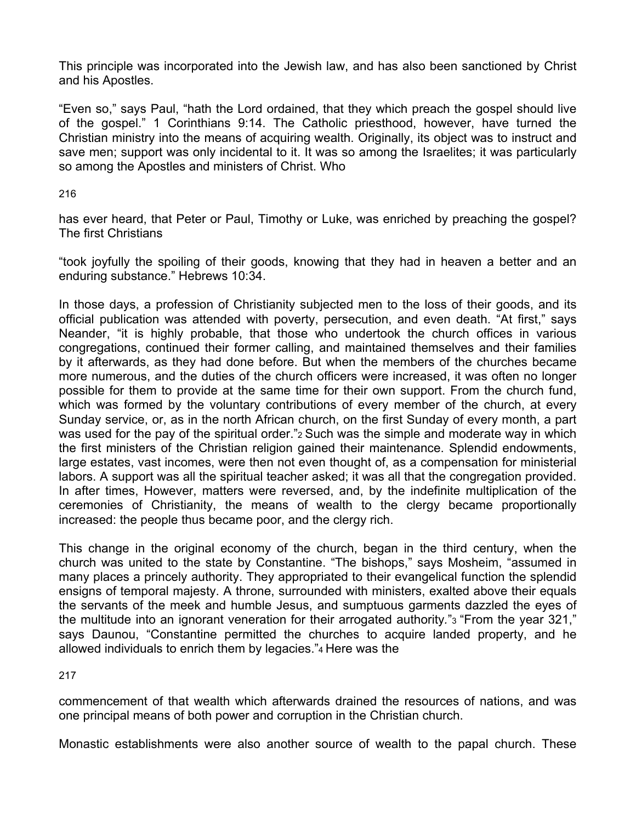This principle was incorporated into the Jewish law, and has also been sanctioned by Christ and his Apostles.

"Even so," says Paul, "hath the Lord ordained, that they which preach the gospel should live of the gospel." 1 Corinthians 9:14. The Catholic priesthood, however, have turned the Christian ministry into the means of acquiring wealth. Originally, its object was to instruct and save men; support was only incidental to it. It was so among the Israelites; it was particularly so among the Apostles and ministers of Christ. Who

216

has ever heard, that Peter or Paul, Timothy or Luke, was enriched by preaching the gospel? The first Christians

"took joyfully the spoiling of their goods, knowing that they had in heaven a better and an enduring substance." Hebrews 10:34.

In those days, a profession of Christianity subjected men to the loss of their goods, and its official publication was attended with poverty, persecution, and even death. "At first," says Neander, "it is highly probable, that those who undertook the church offices in various congregations, continued their former calling, and maintained themselves and their families by it afterwards, as they had done before. But when the members of the churches became more numerous, and the duties of the church officers were increased, it was often no longer possible for them to provide at the same time for their own support. From the church fund, which was formed by the voluntary contributions of every member of the church, at every Sunday service, or, as in the north African church, on the first Sunday of every month, a part was used for the pay of the spiritual order." a Such was the simple and moderate way in which the first ministers of the Christian religion gained their maintenance. Splendid endowments, large estates, vast incomes, were then not even thought of, as a compensation for ministerial labors. A support was all the spiritual teacher asked; it was all that the congregation provided. In after times, However, matters were reversed, and, by the indefinite multiplication of the ceremonies of Christianity, the means of wealth to the clergy became proportionally increased: the people thus became poor, and the clergy rich.

This change in the original economy of the church, began in the third century, when the church was united to the state by Constantine. "The bishops," says Mosheim, "assumed in many places a princely authority. They appropriated to their evangelical function the splendid ensigns of temporal majesty. A throne, surrounded with ministers, exalted above their equals the servants of the meek and humble Jesus, and sumptuous garments dazzled the eyes of the multitude into an ignorant veneration for their arrogated authority*.*"3 "From the year 321," says Daunou, "Constantine permitted the churches to acquire landed property, and he allowed individuals to enrich them by legacies."4 Here was the

217

commencement of that wealth which afterwards drained the resources of nations, and was one principal means of both power and corruption in the Christian church.

Monastic establishments were also another source of wealth to the papal church. These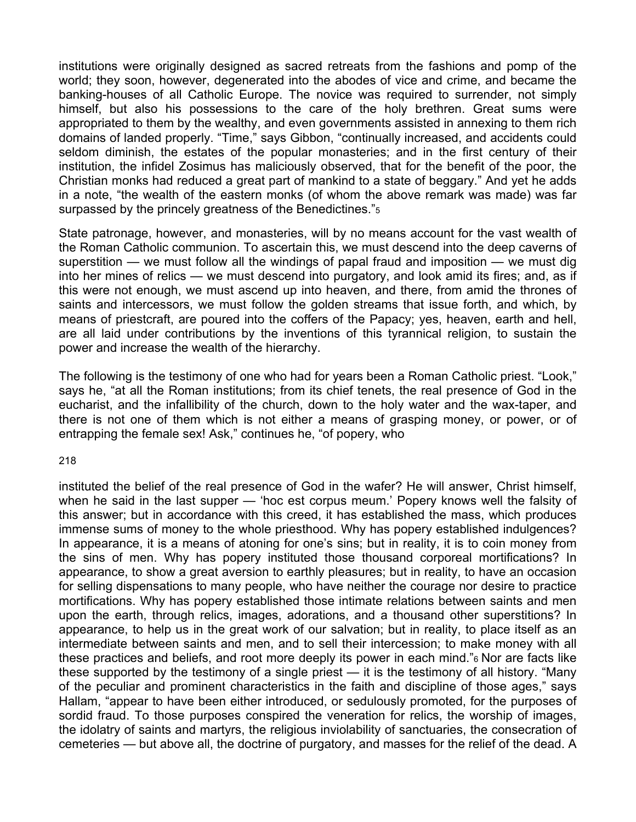institutions were originally designed as sacred retreats from the fashions and pomp of the world; they soon, however, degenerated into the abodes of vice and crime, and became the banking-houses of all Catholic Europe. The novice was required to surrender, not simply himself, but also his possessions to the care of the holy brethren. Great sums were appropriated to them by the wealthy, and even governments assisted in annexing to them rich domains of landed properly. "Time," says Gibbon, "continually increased, and accidents could seldom diminish, the estates of the popular monasteries; and in the first century of their institution, the infidel Zosimus has maliciously observed, that for the benefit of the poor, the Christian monks had reduced a great part of mankind to a state of beggary." And yet he adds in a note, "the wealth of the eastern monks (of whom the above remark was made) was far surpassed by the princely greatness of the Benedictines."5

State patronage, however, and monasteries, will by no means account for the vast wealth of the Roman Catholic communion. To ascertain this, we must descend into the deep caverns of superstition — we must follow all the windings of papal fraud and imposition — we must dig into her mines of relics — we must descend into purgatory, and look amid its fires; and, as if this were not enough, we must ascend up into heaven, and there, from amid the thrones of saints and intercessors, we must follow the golden streams that issue forth, and which, by means of priestcraft, are poured into the coffers of the Papacy; yes, heaven, earth and hell, are all laid under contributions by the inventions of this tyrannical religion, to sustain the power and increase the wealth of the hierarchy.

The following is the testimony of one who had for years been a Roman Catholic priest. "Look," says he, "at all the Roman institutions; from its chief tenets, the real presence of God in the eucharist, and the infallibility of the church, down to the holy water and the wax-taper, and there is not one of them which is not either a means of grasping money, or power, or of entrapping the female sex! Ask," continues he, "of popery, who

#### 218

instituted the belief of the real presence of God in the wafer? He will answer, Christ himself, when he said in the last supper — 'hoc est corpus meum.' Popery knows well the falsity of this answer; but in accordance with this creed, it has established the mass, which produces immense sums of money to the whole priesthood. Why has popery established indulgences? In appearance, it is a means of atoning for one's sins; but in reality, it is to coin money from the sins of men. Why has popery instituted those thousand corporeal mortifications? In appearance, to show a great aversion to earthly pleasures; but in reality, to have an occasion for selling dispensations to many people, who have neither the courage nor desire to practice mortifications. Why has popery established those intimate relations between saints and men upon the earth, through relics, images, adorations, and a thousand other superstitions? In appearance, to help us in the great work of our salvation; but in reality, to place itself as an intermediate between saints and men, and to sell their intercession; to make money with all these practices and beliefs, and root more deeply its power in each mind."6 Nor are facts like these supported by the testimony of a single priest — it is the testimony of all history. "Many of the peculiar and prominent characteristics in the faith and discipline of those ages," says Hallam, "appear to have been either introduced, or sedulously promoted, for the purposes of sordid fraud. To those purposes conspired the veneration for relics, the worship of images, the idolatry of saints and martyrs, the religious inviolability of sanctuaries, the consecration of cemeteries — but above all, the doctrine of purgatory, and masses for the relief of the dead. A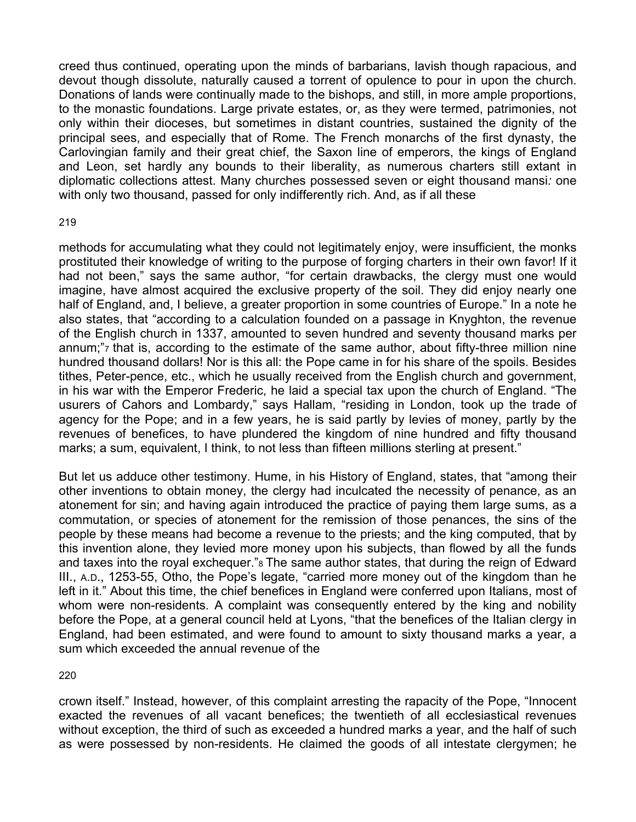creed thus continued, operating upon the minds of barbarians, lavish though rapacious, and devout though dissolute, naturally caused a torrent of opulence to pour in upon the church. Donations of lands were continually made to the bishops, and still, in more ample proportions, to the monastic foundations. Large private estates, or, as they were termed, patrimonies, not only within their dioceses, but sometimes in distant countries, sustained the dignity of the principal sees, and especially that of Rome. The French monarchs of the first dynasty, the Carlovingian family and their great chief, the Saxon line of emperors, the kings of England and Leon, set hardly any bounds to their liberality, as numerous charters still extant in diplomatic collections attest. Many churches possessed seven or eight thousand mansi*:* one with only two thousand, passed for only indifferently rich. And, as if all these

#### 219

methods for accumulating what they could not legitimately enjoy, were insufficient, the monks prostituted their knowledge of writing to the purpose of forging charters in their own favor! If it had not been," says the same author, "for certain drawbacks, the clergy must one would imagine, have almost acquired the exclusive property of the soil. They did enjoy nearly one half of England, and, I believe, a greater proportion in some countries of Europe." In a note he also states, that "according to a calculation founded on a passage in Knyghton, the revenue of the English church in 1337, amounted to seven hundred and seventy thousand marks per annum;"7 that is, according to the estimate of the same author, about fifty-three million nine hundred thousand dollars! Nor is this all: the Pope came in for his share of the spoils. Besides tithes, Peter-pence, etc., which he usually received from the English church and government, in his war with the Emperor Frederic, he laid a special tax upon the church of England. "The usurers of Cahors and Lombardy," says Hallam, "residing in London, took up the trade of agency for the Pope; and in a few years, he is said partly by levies of money, partly by the revenues of benefices, to have plundered the kingdom of nine hundred and fifty thousand marks; a sum, equivalent, I think, to not less than fifteen millions sterling at present."

But let us adduce other testimony. Hume, in his History of England, states, that "among their other inventions to obtain money, the clergy had inculcated the necessity of penance, as an atonement for sin; and having again introduced the practice of paying them large sums, as a commutation, or species of atonement for the remission of those penances, the sins of the people by these means had become a revenue to the priests; and the king computed, that by this invention alone, they levied more money upon his subjects, than flowed by all the funds and taxes into the royal exchequer."8 The same author states, that during the reign of Edward III., A.D., 1253-55, Otho, the Pope's legate, "carried more money out of the kingdom than he left in it." About this time, the chief benefices in England were conferred upon Italians, most of whom were non-residents. A complaint was consequently entered by the king and nobility before the Pope, at a general council held at Lyons, "that the benefices of the Italian clergy in England, had been estimated, and were found to amount to sixty thousand marks a year, a sum which exceeded the annual revenue of the

220

crown itself." Instead, however, of this complaint arresting the rapacity of the Pope, "Innocent exacted the revenues of all vacant benefices; the twentieth of all ecclesiastical revenues without exception, the third of such as exceeded a hundred marks a year, and the half of such as were possessed by non-residents. He claimed the goods of all intestate clergymen; he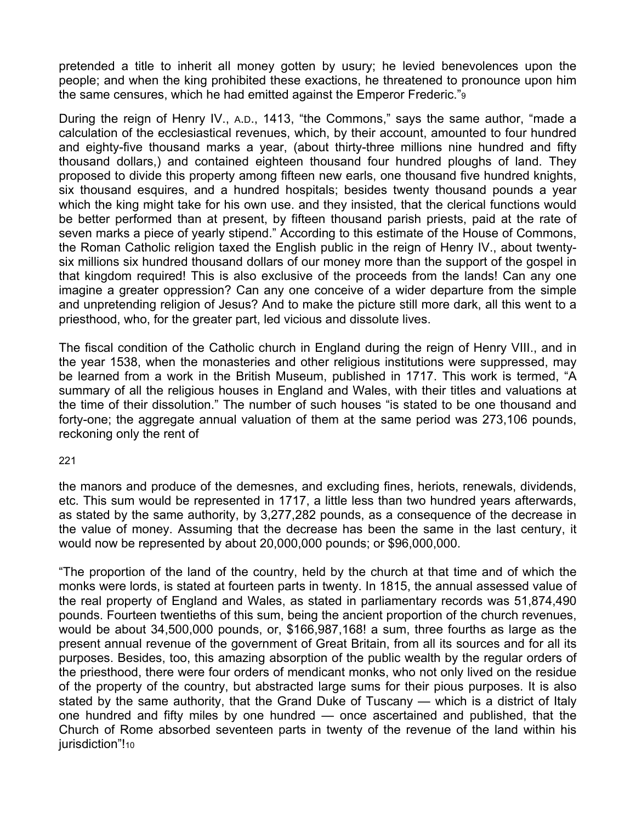pretended a title to inherit all money gotten by usury; he levied benevolences upon the people; and when the king prohibited these exactions, he threatened to pronounce upon him the same censures, which he had emitted against the Emperor Frederic."9

During the reign of Henry IV., A.D., 1413, "the Commons," says the same author, "made a calculation of the ecclesiastical revenues, which, by their account, amounted to four hundred and eighty-five thousand marks a year, (about thirty-three millions nine hundred and fifty thousand dollars,) and contained eighteen thousand four hundred ploughs of land. They proposed to divide this property among fifteen new earls, one thousand five hundred knights, six thousand esquires, and a hundred hospitals; besides twenty thousand pounds a year which the king might take for his own use. and they insisted, that the clerical functions would be better performed than at present, by fifteen thousand parish priests, paid at the rate of seven marks a piece of yearly stipend." According to this estimate of the House of Commons, the Roman Catholic religion taxed the English public in the reign of Henry IV., about twentysix millions six hundred thousand dollars of our money more than the support of the gospel in that kingdom required! This is also exclusive of the proceeds from the lands! Can any one imagine a greater oppression? Can any one conceive of a wider departure from the simple and unpretending religion of Jesus? And to make the picture still more dark, all this went to a priesthood, who, for the greater part, led vicious and dissolute lives.

The fiscal condition of the Catholic church in England during the reign of Henry VIII., and in the year 1538, when the monasteries and other religious institutions were suppressed, may be learned from a work in the British Museum, published in 1717. This work is termed, "A summary of all the religious houses in England and Wales, with their titles and valuations at the time of their dissolution." The number of such houses "is stated to be one thousand and forty-one; the aggregate annual valuation of them at the same period was 273,106 pounds, reckoning only the rent of

#### 221

the manors and produce of the demesnes, and excluding fines, heriots, renewals, dividends, etc. This sum would be represented in 1717, a little less than two hundred years afterwards, as stated by the same authority, by 3,277,282 pounds, as a consequence of the decrease in the value of money. Assuming that the decrease has been the same in the last century, it would now be represented by about 20,000,000 pounds; or \$96,000,000.

"The proportion of the land of the country, held by the church at that time and of which the monks were lords, is stated at fourteen parts in twenty. In 1815, the annual assessed value of the real property of England and Wales, as stated in parliamentary records was 51,874,490 pounds. Fourteen twentieths of this sum, being the ancient proportion of the church revenues, would be about 34,500,000 pounds, or, \$166,987,168! a sum, three fourths as large as the present annual revenue of the government of Great Britain, from all its sources and for all its purposes. Besides, too, this amazing absorption of the public wealth by the regular orders of the priesthood, there were four orders of mendicant monks, who not only lived on the residue of the property of the country, but abstracted large sums for their pious purposes. It is also stated by the same authority, that the Grand Duke of Tuscany — which is a district of Italy one hundred and fifty miles by one hundred — once ascertained and published, that the Church of Rome absorbed seventeen parts in twenty of the revenue of the land within his jurisdiction"!10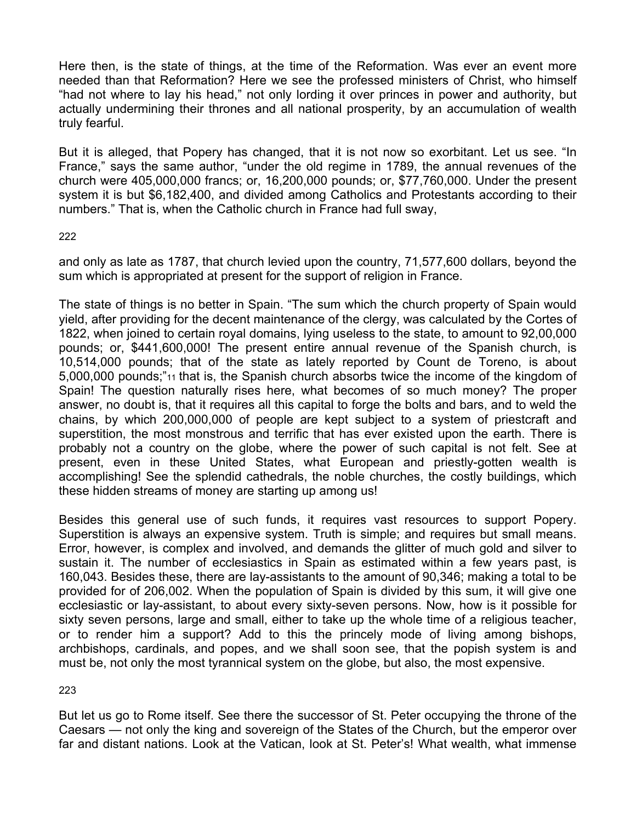Here then, is the state of things, at the time of the Reformation. Was ever an event more needed than that Reformation? Here we see the professed ministers of Christ, who himself "had not where to lay his head," not only lording it over princes in power and authority, but actually undermining their thrones and all national prosperity, by an accumulation of wealth truly fearful.

But it is alleged, that Popery has changed, that it is not now so exorbitant. Let us see. "In France," says the same author, "under the old regime in 1789, the annual revenues of the church were 405,000,000 francs; or, 16,200,000 pounds; or, \$77,760,000. Under the present system it is but \$6,182,400, and divided among Catholics and Protestants according to their numbers." That is, when the Catholic church in France had full sway,

## 222

and only as late as 1787, that church levied upon the country, 71,577,600 dollars, beyond the sum which is appropriated at present for the support of religion in France.

The state of things is no better in Spain. "The sum which the church property of Spain would yield, after providing for the decent maintenance of the clergy, was calculated by the Cortes of 1822, when joined to certain royal domains, lying useless to the state, to amount to 92,00,000 pounds; or, \$441,600,000! The present entire annual revenue of the Spanish church, is 10,514,000 pounds; that of the state as lately reported by Count de Toreno, is about 5,000,000 pounds;"11 that is, the Spanish church absorbs twice the income of the kingdom of Spain! The question naturally rises here, what becomes of so much money? The proper answer, no doubt is, that it requires all this capital to forge the bolts and bars, and to weld the chains, by which 200,000,000 of people are kept subject to a system of priestcraft and superstition, the most monstrous and terrific that has ever existed upon the earth. There is probably not a country on the globe, where the power of such capital is not felt. See at present, even in these United States, what European and priestly-gotten wealth is accomplishing! See the splendid cathedrals, the noble churches, the costly buildings, which these hidden streams of money are starting up among us!

Besides this general use of such funds, it requires vast resources to support Popery. Superstition is always an expensive system. Truth is simple; and requires but small means. Error, however, is complex and involved, and demands the glitter of much gold and silver to sustain it. The number of ecclesiastics in Spain as estimated within a few years past, is 160,043. Besides these, there are lay-assistants to the amount of 90,346; making a total to be provided for of 206,002. When the population of Spain is divided by this sum, it will give one ecclesiastic or lay-assistant, to about every sixty-seven persons. Now, how is it possible for sixty seven persons, large and small, either to take up the whole time of a religious teacher, or to render him a support? Add to this the princely mode of living among bishops, archbishops, cardinals, and popes, and we shall soon see, that the popish system is and must be, not only the most tyrannical system on the globe, but also, the most expensive.

223

But let us go to Rome itself. See there the successor of St. Peter occupying the throne of the Caesars — not only the king and sovereign of the States of the Church, but the emperor over far and distant nations. Look at the Vatican, look at St. Peter's! What wealth, what immense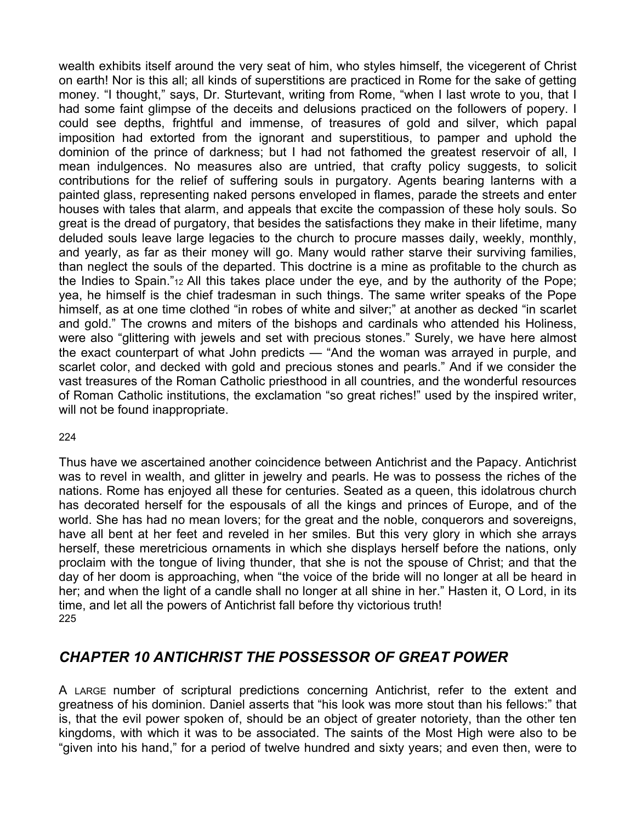wealth exhibits itself around the very seat of him, who styles himself, the vicegerent of Christ on earth! Nor is this all; all kinds of superstitions are practiced in Rome for the sake of getting money. "I thought," says, Dr. Sturtevant, writing from Rome, "when I last wrote to you, that I had some faint glimpse of the deceits and delusions practiced on the followers of popery. I could see depths, frightful and immense, of treasures of gold and silver, which papal imposition had extorted from the ignorant and superstitious, to pamper and uphold the dominion of the prince of darkness; but I had not fathomed the greatest reservoir of all, I mean indulgences. No measures also are untried, that crafty policy suggests, to solicit contributions for the relief of suffering souls in purgatory. Agents bearing lanterns with a painted glass, representing naked persons enveloped in flames, parade the streets and enter houses with tales that alarm, and appeals that excite the compassion of these holy souls. So great is the dread of purgatory, that besides the satisfactions they make in their lifetime, many deluded souls leave large legacies to the church to procure masses daily, weekly, monthly, and yearly, as far as their money will go. Many would rather starve their surviving families, than neglect the souls of the departed. This doctrine is a mine as profitable to the church as the Indies to Spain."12 All this takes place under the eye, and by the authority of the Pope; yea, he himself is the chief tradesman in such things. The same writer speaks of the Pope himself, as at one time clothed "in robes of white and silver;" at another as decked "in scarlet and gold." The crowns and miters of the bishops and cardinals who attended his Holiness, were also "glittering with jewels and set with precious stones." Surely, we have here almost the exact counterpart of what John predicts — "And the woman was arrayed in purple, and scarlet color, and decked with gold and precious stones and pearls." And if we consider the vast treasures of the Roman Catholic priesthood in all countries, and the wonderful resources of Roman Catholic institutions, the exclamation "so great riches!" used by the inspired writer, will not be found inappropriate.

### 224

Thus have we ascertained another coincidence between Antichrist and the Papacy. Antichrist was to revel in wealth, and glitter in jewelry and pearls. He was to possess the riches of the nations. Rome has enjoyed all these for centuries. Seated as a queen, this idolatrous church has decorated herself for the espousals of all the kings and princes of Europe, and of the world. She has had no mean lovers; for the great and the noble, conquerors and sovereigns, have all bent at her feet and reveled in her smiles. But this very glory in which she arrays herself, these meretricious ornaments in which she displays herself before the nations, only proclaim with the tongue of living thunder, that she is not the spouse of Christ; and that the day of her doom is approaching, when "the voice of the bride will no longer at all be heard in her; and when the light of a candle shall no longer at all shine in her." Hasten it, O Lord, in its time, and let all the powers of Antichrist fall before thy victorious truth! 225

## *CHAPTER 10 ANTICHRIST THE POSSESSOR OF GREAT POWER*

A LARGE number of scriptural predictions concerning Antichrist, refer to the extent and greatness of his dominion. Daniel asserts that "his look was more stout than his fellows:" that is, that the evil power spoken of, should be an object of greater notoriety, than the other ten kingdoms, with which it was to be associated. The saints of the Most High were also to be "given into his hand," for a period of twelve hundred and sixty years; and even then, were to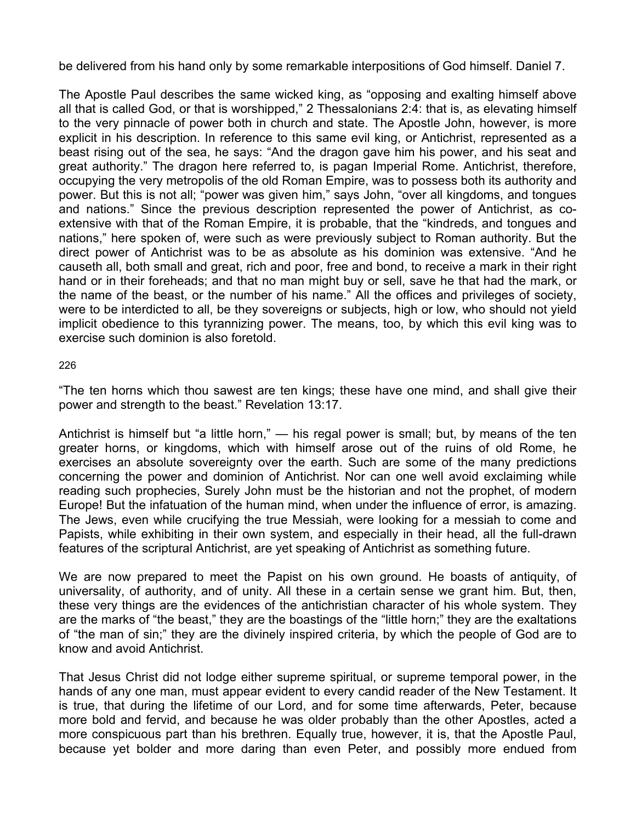be delivered from his hand only by some remarkable interpositions of God himself. Daniel 7.

The Apostle Paul describes the same wicked king, as "opposing and exalting himself above all that is called God, or that is worshipped," 2 Thessalonians 2:4: that is, as elevating himself to the very pinnacle of power both in church and state. The Apostle John, however, is more explicit in his description. In reference to this same evil king, or Antichrist, represented as a beast rising out of the sea, he says: "And the dragon gave him his power, and his seat and great authority." The dragon here referred to, is pagan Imperial Rome. Antichrist, therefore, occupying the very metropolis of the old Roman Empire, was to possess both its authority and power. But this is not all; "power was given him," says John, "over all kingdoms, and tongues and nations." Since the previous description represented the power of Antichrist, as coextensive with that of the Roman Empire, it is probable, that the "kindreds, and tongues and nations," here spoken of, were such as were previously subject to Roman authority. But the direct power of Antichrist was to be as absolute as his dominion was extensive. "And he causeth all, both small and great, rich and poor, free and bond, to receive a mark in their right hand or in their foreheads; and that no man might buy or sell, save he that had the mark, or the name of the beast, or the number of his name." All the offices and privileges of society, were to be interdicted to all, be they sovereigns or subjects, high or low, who should not yield implicit obedience to this tyrannizing power. The means, too, by which this evil king was to exercise such dominion is also foretold.

226

"The ten horns which thou sawest are ten kings; these have one mind, and shall give their power and strength to the beast." Revelation 13:17.

Antichrist is himself but "a little horn," — his regal power is small; but, by means of the ten greater horns, or kingdoms, which with himself arose out of the ruins of old Rome, he exercises an absolute sovereignty over the earth. Such are some of the many predictions concerning the power and dominion of Antichrist. Nor can one well avoid exclaiming while reading such prophecies, Surely John must be the historian and not the prophet, of modern Europe! But the infatuation of the human mind, when under the influence of error, is amazing. The Jews, even while crucifying the true Messiah, were looking for a messiah to come and Papists, while exhibiting in their own system, and especially in their head, all the full-drawn features of the scriptural Antichrist, are yet speaking of Antichrist as something future.

We are now prepared to meet the Papist on his own ground. He boasts of antiquity, of universality, of authority, and of unity. All these in a certain sense we grant him. But, then, these very things are the evidences of the antichristian character of his whole system. They are the marks of "the beast," they are the boastings of the "little horn;" they are the exaltations of "the man of sin;" they are the divinely inspired criteria, by which the people of God are to know and avoid Antichrist.

That Jesus Christ did not lodge either supreme spiritual, or supreme temporal power, in the hands of any one man, must appear evident to every candid reader of the New Testament. It is true, that during the lifetime of our Lord, and for some time afterwards, Peter, because more bold and fervid, and because he was older probably than the other Apostles, acted a more conspicuous part than his brethren. Equally true, however, it is, that the Apostle Paul, because yet bolder and more daring than even Peter, and possibly more endued from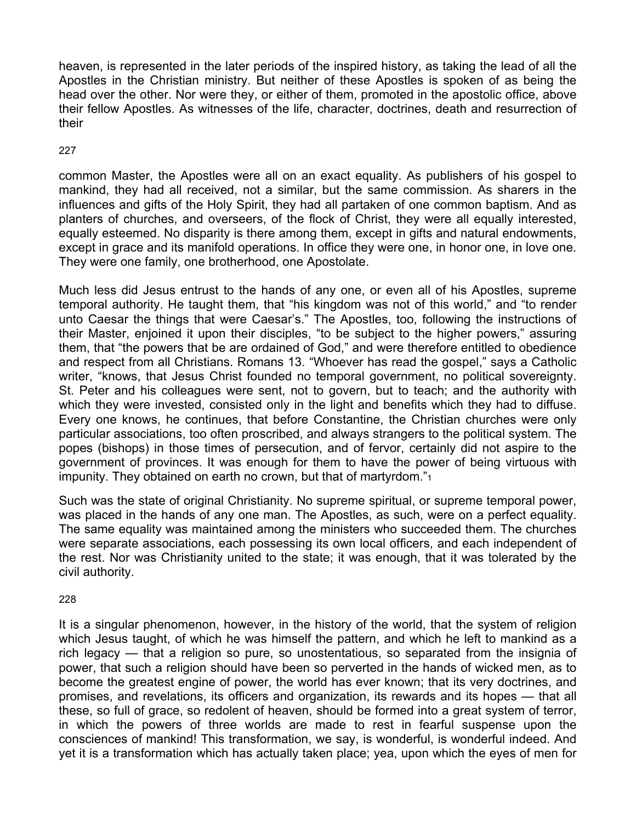heaven, is represented in the later periods of the inspired history, as taking the lead of all the Apostles in the Christian ministry. But neither of these Apostles is spoken of as being the head over the other. Nor were they, or either of them, promoted in the apostolic office, above their fellow Apostles. As witnesses of the life, character, doctrines, death and resurrection of their

227

common Master, the Apostles were all on an exact equality. As publishers of his gospel to mankind, they had all received, not a similar, but the same commission. As sharers in the influences and gifts of the Holy Spirit, they had all partaken of one common baptism. And as planters of churches, and overseers, of the flock of Christ, they were all equally interested, equally esteemed. No disparity is there among them, except in gifts and natural endowments, except in grace and its manifold operations. In office they were one, in honor one, in love one. They were one family, one brotherhood, one Apostolate.

Much less did Jesus entrust to the hands of any one, or even all of his Apostles, supreme temporal authority. He taught them, that "his kingdom was not of this world," and "to render unto Caesar the things that were Caesar's." The Apostles, too, following the instructions of their Master, enjoined it upon their disciples, "to be subject to the higher powers," assuring them, that "the powers that be are ordained of God," and were therefore entitled to obedience and respect from all Christians. Romans 13. "Whoever has read the gospel," says a Catholic writer, "knows, that Jesus Christ founded no temporal government, no political sovereignty. St. Peter and his colleagues were sent, not to govern, but to teach; and the authority with which they were invested, consisted only in the light and benefits which they had to diffuse. Every one knows, he continues, that before Constantine, the Christian churches were only particular associations, too often proscribed, and always strangers to the political system. The popes (bishops) in those times of persecution, and of fervor, certainly did not aspire to the government of provinces. It was enough for them to have the power of being virtuous with impunity. They obtained on earth no crown, but that of martyrdom."<sup>1</sup>

Such was the state of original Christianity. No supreme spiritual, or supreme temporal power, was placed in the hands of any one man. The Apostles, as such, were on a perfect equality. The same equality was maintained among the ministers who succeeded them. The churches were separate associations, each possessing its own local officers, and each independent of the rest. Nor was Christianity united to the state; it was enough, that it was tolerated by the civil authority.

228

It is a singular phenomenon, however, in the history of the world, that the system of religion which Jesus taught, of which he was himself the pattern, and which he left to mankind as a rich legacy — that a religion so pure, so unostentatious, so separated from the insignia of power, that such a religion should have been so perverted in the hands of wicked men, as to become the greatest engine of power, the world has ever known; that its very doctrines, and promises, and revelations, its officers and organization, its rewards and its hopes — that all these, so full of grace, so redolent of heaven, should be formed into a great system of terror, in which the powers of three worlds are made to rest in fearful suspense upon the consciences of mankind! This transformation, we say, is wonderful, is wonderful indeed. And yet it is a transformation which has actually taken place; yea, upon which the eyes of men for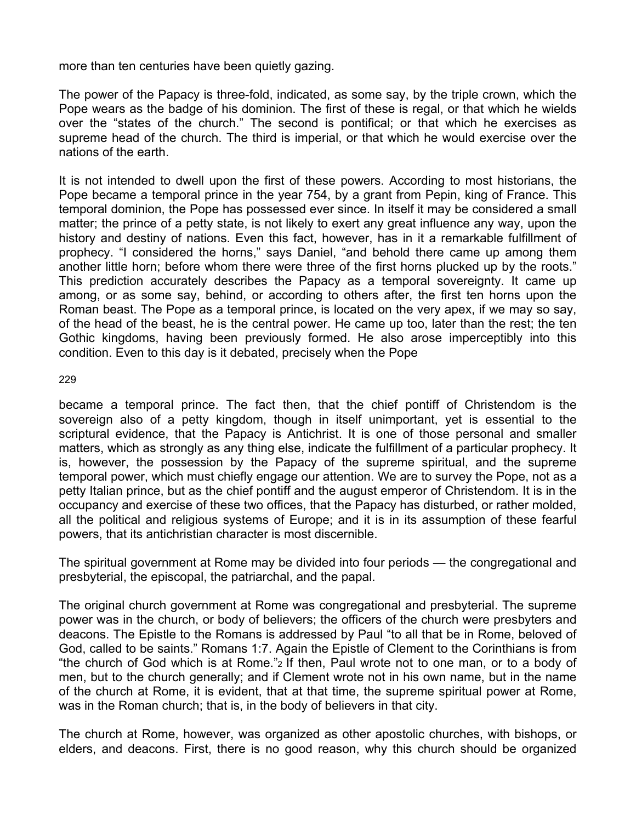more than ten centuries have been quietly gazing.

The power of the Papacy is three-fold, indicated, as some say, by the triple crown, which the Pope wears as the badge of his dominion. The first of these is regal, or that which he wields over the "states of the church." The second is pontifical; or that which he exercises as supreme head of the church. The third is imperial, or that which he would exercise over the nations of the earth.

It is not intended to dwell upon the first of these powers. According to most historians, the Pope became a temporal prince in the year 754, by a grant from Pepin, king of France. This temporal dominion, the Pope has possessed ever since. In itself it may be considered a small matter; the prince of a petty state, is not likely to exert any great influence any way, upon the history and destiny of nations. Even this fact, however, has in it a remarkable fulfillment of prophecy. "I considered the horns," says Daniel, "and behold there came up among them another little horn; before whom there were three of the first horns plucked up by the roots." This prediction accurately describes the Papacy as a temporal sovereignty. It came up among, or as some say, behind, or according to others after, the first ten horns upon the Roman beast. The Pope as a temporal prince, is located on the very apex, if we may so say, of the head of the beast, he is the central power. He came up too, later than the rest; the ten Gothic kingdoms, having been previously formed. He also arose imperceptibly into this condition. Even to this day is it debated, precisely when the Pope

229

became a temporal prince. The fact then, that the chief pontiff of Christendom is the sovereign also of a petty kingdom, though in itself unimportant, yet is essential to the scriptural evidence, that the Papacy is Antichrist. It is one of those personal and smaller matters, which as strongly as any thing else, indicate the fulfillment of a particular prophecy. It is, however, the possession by the Papacy of the supreme spiritual, and the supreme temporal power, which must chiefly engage our attention. We are to survey the Pope, not as a petty Italian prince, but as the chief pontiff and the august emperor of Christendom. It is in the occupancy and exercise of these two offices, that the Papacy has disturbed, or rather molded, all the political and religious systems of Europe; and it is in its assumption of these fearful powers, that its antichristian character is most discernible.

The spiritual government at Rome may be divided into four periods — the congregational and presbyterial, the episcopal, the patriarchal, and the papal.

The original church government at Rome was congregational and presbyterial. The supreme power was in the church, or body of believers; the officers of the church were presbyters and deacons. The Epistle to the Romans is addressed by Paul "to all that be in Rome, beloved of God, called to be saints." Romans 1:7. Again the Epistle of Clement to the Corinthians is from "the church of God which is at Rome."2 If then, Paul wrote not to one man, or to a body of men, but to the church generally; and if Clement wrote not in his own name, but in the name of the church at Rome, it is evident, that at that time, the supreme spiritual power at Rome, was in the Roman church; that is, in the body of believers in that city.

The church at Rome, however, was organized as other apostolic churches, with bishops, or elders, and deacons. First, there is no good reason, why this church should be organized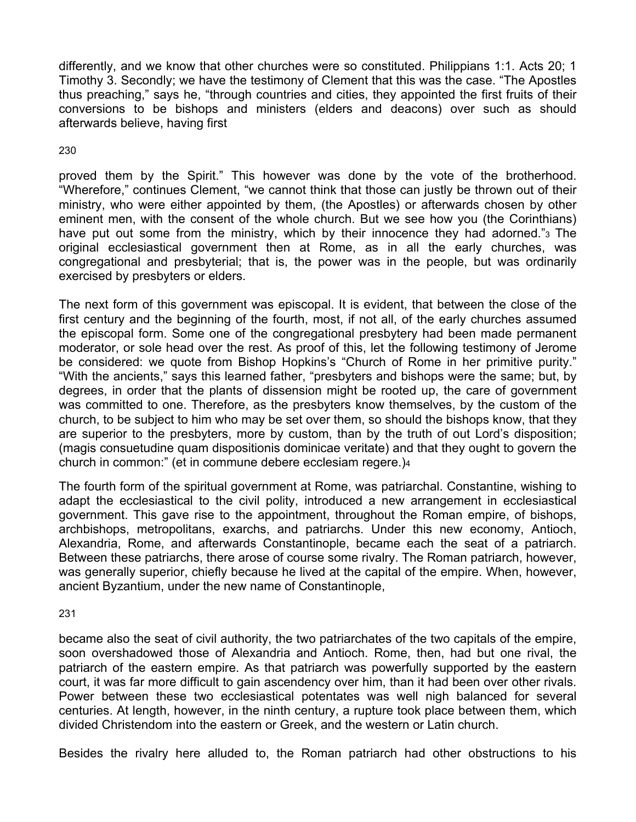differently, and we know that other churches were so constituted. Philippians 1:1. Acts 20; 1 Timothy 3. Secondly; we have the testimony of Clement that this was the case. "The Apostles thus preaching," says he, "through countries and cities, they appointed the first fruits of their conversions to be bishops and ministers (elders and deacons) over such as should afterwards believe, having first

230

proved them by the Spirit." This however was done by the vote of the brotherhood. "Wherefore," continues Clement, "we cannot think that those can justly be thrown out of their ministry, who were either appointed by them, (the Apostles) or afterwards chosen by other eminent men, with the consent of the whole church. But we see how you (the Corinthians) have put out some from the ministry, which by their innocence they had adorned."3 The original ecclesiastical government then at Rome, as in all the early churches, was congregational and presbyterial; that is, the power was in the people, but was ordinarily exercised by presbyters or elders.

The next form of this government was episcopal. It is evident, that between the close of the first century and the beginning of the fourth, most, if not all, of the early churches assumed the episcopal form. Some one of the congregational presbytery had been made permanent moderator, or sole head over the rest. As proof of this, let the following testimony of Jerome be considered: we quote from Bishop Hopkins's "Church of Rome in her primitive purity." "With the ancients," says this learned father, "presbyters and bishops were the same; but, by degrees, in order that the plants of dissension might be rooted up, the care of government was committed to one. Therefore, as the presbyters know themselves, by the custom of the church, to be subject to him who may be set over them, so should the bishops know, that they are superior to the presbyters, more by custom, than by the truth of out Lord's disposition; (magis consuetudine quam dispositionis dominicae veritate) and that they ought to govern the church in common:" (et in commune debere ecclesiam regere.)4

The fourth form of the spiritual government at Rome, was patriarchal. Constantine, wishing to adapt the ecclesiastical to the civil polity, introduced a new arrangement in ecclesiastical government. This gave rise to the appointment, throughout the Roman empire, of bishops, archbishops, metropolitans, exarchs, and patriarchs. Under this new economy, Antioch, Alexandria, Rome, and afterwards Constantinople, became each the seat of a patriarch. Between these patriarchs, there arose of course some rivalry. The Roman patriarch, however, was generally superior, chiefly because he lived at the capital of the empire. When, however, ancient Byzantium, under the new name of Constantinople,

231

became also the seat of civil authority, the two patriarchates of the two capitals of the empire, soon overshadowed those of Alexandria and Antioch. Rome, then, had but one rival, the patriarch of the eastern empire. As that patriarch was powerfully supported by the eastern court, it was far more difficult to gain ascendency over him, than it had been over other rivals. Power between these two ecclesiastical potentates was well nigh balanced for several centuries. At length, however, in the ninth century, a rupture took place between them, which divided Christendom into the eastern or Greek, and the western or Latin church.

Besides the rivalry here alluded to, the Roman patriarch had other obstructions to his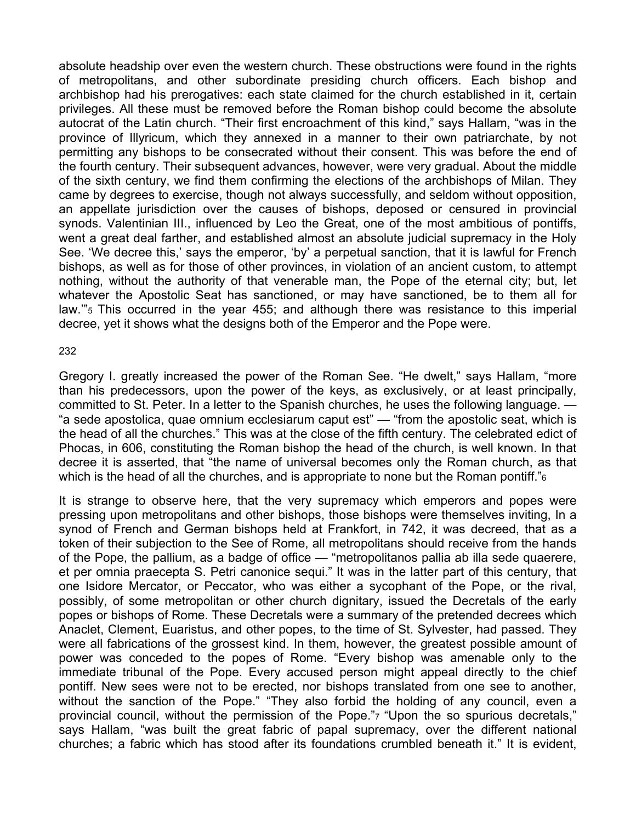absolute headship over even the western church. These obstructions were found in the rights of metropolitans, and other subordinate presiding church officers. Each bishop and archbishop had his prerogatives: each state claimed for the church established in it, certain privileges. All these must be removed before the Roman bishop could become the absolute autocrat of the Latin church. "Their first encroachment of this kind," says Hallam, "was in the province of Illyricum, which they annexed in a manner to their own patriarchate, by not permitting any bishops to be consecrated without their consent. This was before the end of the fourth century. Their subsequent advances, however, were very gradual. About the middle of the sixth century, we find them confirming the elections of the archbishops of Milan. They came by degrees to exercise, though not always successfully, and seldom without opposition, an appellate jurisdiction over the causes of bishops, deposed or censured in provincial synods. Valentinian III., influenced by Leo the Great, one of the most ambitious of pontiffs, went a great deal farther, and established almost an absolute judicial supremacy in the Holy See. 'We decree this,' says the emperor, 'by' a perpetual sanction, that it is lawful for French bishops, as well as for those of other provinces, in violation of an ancient custom, to attempt nothing, without the authority of that venerable man, the Pope of the eternal city; but, let whatever the Apostolic Seat has sanctioned, or may have sanctioned, be to them all for law.'"5 This occurred in the year 455; and although there was resistance to this imperial decree, yet it shows what the designs both of the Emperor and the Pope were.

232

Gregory I. greatly increased the power of the Roman See. "He dwelt," says Hallam, "more than his predecessors, upon the power of the keys, as exclusively, or at least principally, committed to St. Peter. In a letter to the Spanish churches, he uses the following language. — "a sede apostolica, quae omnium ecclesiarum caput est" — "from the apostolic seat, which is the head of all the churches." This was at the close of the fifth century. The celebrated edict of Phocas, in 606, constituting the Roman bishop the head of the church, is well known. In that decree it is asserted, that "the name of universal becomes only the Roman church, as that which is the head of all the churches, and is appropriate to none but the Roman pontiff.<sup>"</sup><sub>6</sub>

It is strange to observe here, that the very supremacy which emperors and popes were pressing upon metropolitans and other bishops, those bishops were themselves inviting, In a synod of French and German bishops held at Frankfort, in 742, it was decreed, that as a token of their subjection to the See of Rome, all metropolitans should receive from the hands of the Pope, the pallium, as a badge of office — "metropolitanos pallia ab illa sede quaerere, et per omnia praecepta S. Petri canonice sequi." It was in the latter part of this century, that one Isidore Mercator, or Peccator, who was either a sycophant of the Pope, or the rival, possibly, of some metropolitan or other church dignitary, issued the Decretals of the early popes or bishops of Rome. These Decretals were a summary of the pretended decrees which Anaclet, Clement, Euaristus, and other popes, to the time of St. Sylvester, had passed. They were all fabrications of the grossest kind. In them, however, the greatest possible amount of power was conceded to the popes of Rome. "Every bishop was amenable only to the immediate tribunal of the Pope. Every accused person might appeal directly to the chief pontiff. New sees were not to be erected, nor bishops translated from one see to another, without the sanction of the Pope." "They also forbid the holding of any council, even a provincial council, without the permission of the Pope."7 "Upon the so spurious decretals," says Hallam, "was built the great fabric of papal supremacy, over the different national churches; a fabric which has stood after its foundations crumbled beneath it." It is evident,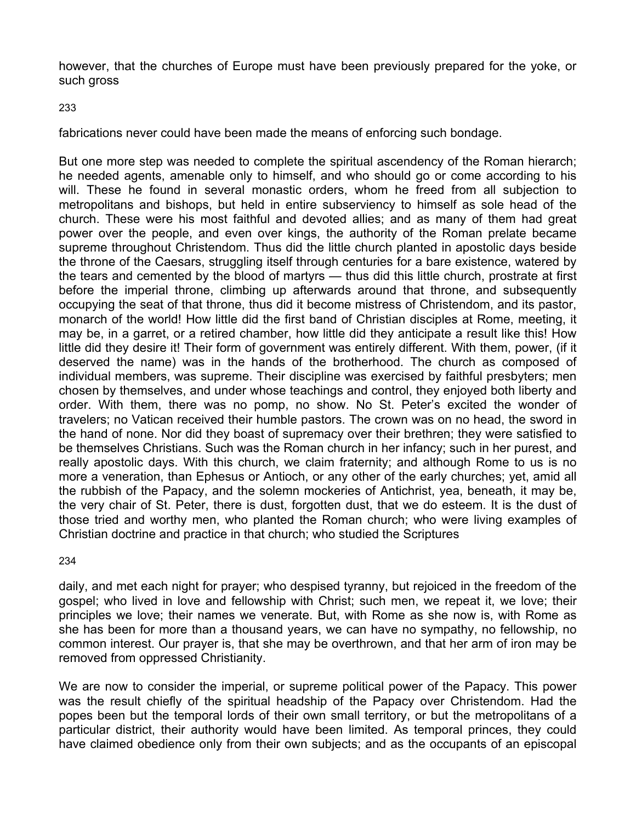however, that the churches of Europe must have been previously prepared for the yoke, or such gross

#### 233

fabrications never could have been made the means of enforcing such bondage.

But one more step was needed to complete the spiritual ascendency of the Roman hierarch; he needed agents, amenable only to himself, and who should go or come according to his will. These he found in several monastic orders, whom he freed from all subjection to metropolitans and bishops, but held in entire subserviency to himself as sole head of the church. These were his most faithful and devoted allies; and as many of them had great power over the people, and even over kings, the authority of the Roman prelate became supreme throughout Christendom. Thus did the little church planted in apostolic days beside the throne of the Caesars, struggling itself through centuries for a bare existence, watered by the tears and cemented by the blood of martyrs — thus did this little church, prostrate at first before the imperial throne, climbing up afterwards around that throne, and subsequently occupying the seat of that throne, thus did it become mistress of Christendom, and its pastor, monarch of the world! How little did the first band of Christian disciples at Rome, meeting, it may be, in a garret, or a retired chamber, how little did they anticipate a result like this! How little did they desire it! Their form of government was entirely different. With them, power, (if it deserved the name) was in the hands of the brotherhood. The church as composed of individual members, was supreme. Their discipline was exercised by faithful presbyters; men chosen by themselves, and under whose teachings and control, they enjoyed both liberty and order. With them, there was no pomp, no show. No St. Peter's excited the wonder of travelers; no Vatican received their humble pastors. The crown was on no head, the sword in the hand of none. Nor did they boast of supremacy over their brethren; they were satisfied to be themselves Christians. Such was the Roman church in her infancy; such in her purest, and really apostolic days. With this church, we claim fraternity; and although Rome to us is no more a veneration, than Ephesus or Antioch, or any other of the early churches; yet, amid all the rubbish of the Papacy, and the solemn mockeries of Antichrist, yea, beneath, it may be, the very chair of St. Peter, there is dust, forgotten dust, that we do esteem. It is the dust of those tried and worthy men, who planted the Roman church; who were living examples of Christian doctrine and practice in that church; who studied the Scriptures

#### 234

daily, and met each night for prayer; who despised tyranny, but rejoiced in the freedom of the gospel; who lived in love and fellowship with Christ; such men, we repeat it, we love; their principles we love; their names we venerate. But, with Rome as she now is, with Rome as she has been for more than a thousand years, we can have no sympathy, no fellowship, no common interest. Our prayer is, that she may be overthrown, and that her arm of iron may be removed from oppressed Christianity.

We are now to consider the imperial, or supreme political power of the Papacy. This power was the result chiefly of the spiritual headship of the Papacy over Christendom. Had the popes been but the temporal lords of their own small territory, or but the metropolitans of a particular district, their authority would have been limited. As temporal princes, they could have claimed obedience only from their own subjects; and as the occupants of an episcopal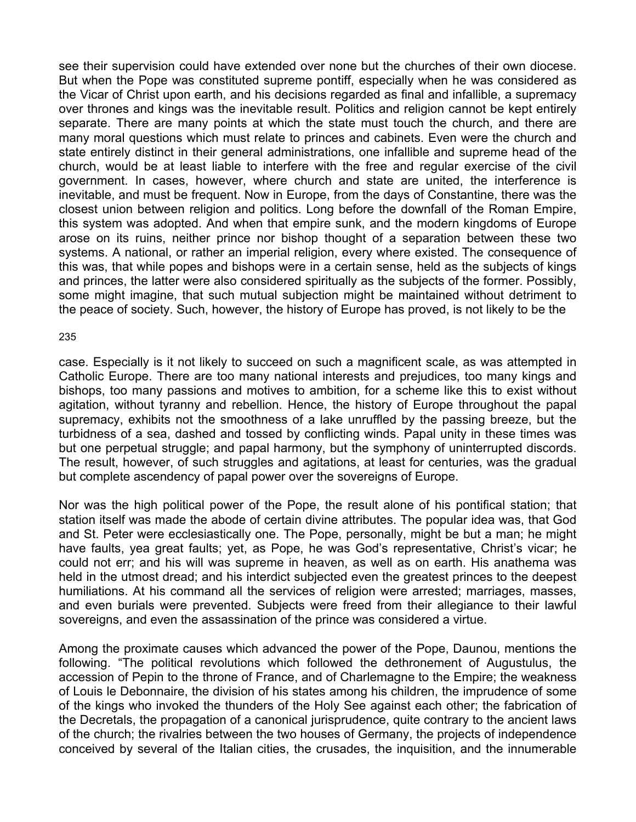see their supervision could have extended over none but the churches of their own diocese. But when the Pope was constituted supreme pontiff, especially when he was considered as the Vicar of Christ upon earth, and his decisions regarded as final and infallible, a supremacy over thrones and kings was the inevitable result. Politics and religion cannot be kept entirely separate. There are many points at which the state must touch the church, and there are many moral questions which must relate to princes and cabinets. Even were the church and state entirely distinct in their general administrations, one infallible and supreme head of the church, would be at least liable to interfere with the free and regular exercise of the civil government. In cases, however, where church and state are united, the interference is inevitable, and must be frequent. Now in Europe, from the days of Constantine, there was the closest union between religion and politics. Long before the downfall of the Roman Empire, this system was adopted. And when that empire sunk, and the modern kingdoms of Europe arose on its ruins, neither prince nor bishop thought of a separation between these two systems. A national, or rather an imperial religion, every where existed. The consequence of this was, that while popes and bishops were in a certain sense, held as the subjects of kings and princes, the latter were also considered spiritually as the subjects of the former. Possibly, some might imagine, that such mutual subjection might be maintained without detriment to the peace of society. Such, however, the history of Europe has proved, is not likely to be the

#### 235

case. Especially is it not likely to succeed on such a magnificent scale, as was attempted in Catholic Europe. There are too many national interests and prejudices, too many kings and bishops, too many passions and motives to ambition, for a scheme like this to exist without agitation, without tyranny and rebellion. Hence, the history of Europe throughout the papal supremacy, exhibits not the smoothness of a lake unruffled by the passing breeze, but the turbidness of a sea, dashed and tossed by conflicting winds. Papal unity in these times was but one perpetual struggle; and papal harmony, but the symphony of uninterrupted discords. The result, however, of such struggles and agitations, at least for centuries, was the gradual but complete ascendency of papal power over the sovereigns of Europe.

Nor was the high political power of the Pope, the result alone of his pontifical station; that station itself was made the abode of certain divine attributes. The popular idea was, that God and St. Peter were ecclesiastically one. The Pope, personally, might be but a man; he might have faults, yea great faults; yet, as Pope, he was God's representative, Christ's vicar; he could not err; and his will was supreme in heaven, as well as on earth. His anathema was held in the utmost dread; and his interdict subjected even the greatest princes to the deepest humiliations. At his command all the services of religion were arrested; marriages, masses, and even burials were prevented. Subjects were freed from their allegiance to their lawful sovereigns, and even the assassination of the prince was considered a virtue.

Among the proximate causes which advanced the power of the Pope, Daunou, mentions the following. "The political revolutions which followed the dethronement of Augustulus, the accession of Pepin to the throne of France, and of Charlemagne to the Empire; the weakness of Louis le Debonnaire, the division of his states among his children, the imprudence of some of the kings who invoked the thunders of the Holy See against each other; the fabrication of the Decretals, the propagation of a canonical jurisprudence, quite contrary to the ancient laws of the church; the rivalries between the two houses of Germany, the projects of independence conceived by several of the Italian cities, the crusades, the inquisition, and the innumerable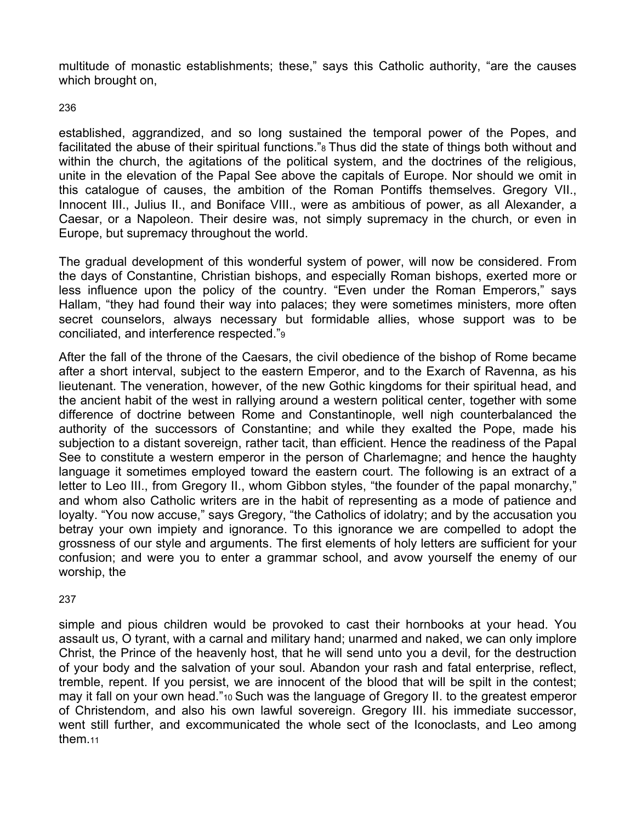multitude of monastic establishments; these," says this Catholic authority, "are the causes which brought on,

236

established, aggrandized, and so long sustained the temporal power of the Popes, and facilitated the abuse of their spiritual functions."8 Thus did the state of things both without and within the church, the agitations of the political system, and the doctrines of the religious, unite in the elevation of the Papal See above the capitals of Europe. Nor should we omit in this catalogue of causes, the ambition of the Roman Pontiffs themselves. Gregory VII., Innocent III., Julius II., and Boniface VIII., were as ambitious of power, as all Alexander, a Caesar, or a Napoleon. Their desire was, not simply supremacy in the church, or even in Europe, but supremacy throughout the world.

The gradual development of this wonderful system of power, will now be considered. From the days of Constantine, Christian bishops, and especially Roman bishops, exerted more or less influence upon the policy of the country. "Even under the Roman Emperors," says Hallam, "they had found their way into palaces; they were sometimes ministers, more often secret counselors, always necessary but formidable allies, whose support was to be conciliated, and interference respected."9

After the fall of the throne of the Caesars, the civil obedience of the bishop of Rome became after a short interval, subject to the eastern Emperor, and to the Exarch of Ravenna, as his lieutenant. The veneration, however, of the new Gothic kingdoms for their spiritual head, and the ancient habit of the west in rallying around a western political center, together with some difference of doctrine between Rome and Constantinople, well nigh counterbalanced the authority of the successors of Constantine; and while they exalted the Pope, made his subjection to a distant sovereign, rather tacit, than efficient. Hence the readiness of the Papal See to constitute a western emperor in the person of Charlemagne; and hence the haughty language it sometimes employed toward the eastern court. The following is an extract of a letter to Leo III., from Gregory II., whom Gibbon styles, "the founder of the papal monarchy," and whom also Catholic writers are in the habit of representing as a mode of patience and loyalty. "You now accuse," says Gregory, "the Catholics of idolatry; and by the accusation you betray your own impiety and ignorance. To this ignorance we are compelled to adopt the grossness of our style and arguments. The first elements of holy letters are sufficient for your confusion; and were you to enter a grammar school, and avow yourself the enemy of our worship, the

237

simple and pious children would be provoked to cast their hornbooks at your head. You assault us, O tyrant, with a carnal and military hand; unarmed and naked, we can only implore Christ, the Prince of the heavenly host, that he will send unto you a devil, for the destruction of your body and the salvation of your soul. Abandon your rash and fatal enterprise, reflect, tremble, repent. If you persist, we are innocent of the blood that will be spilt in the contest; may it fall on your own head."10 Such was the language of Gregory II. to the greatest emperor of Christendom, and also his own lawful sovereign. Gregory III. his immediate successor, went still further, and excommunicated the whole sect of the Iconoclasts, and Leo among them.11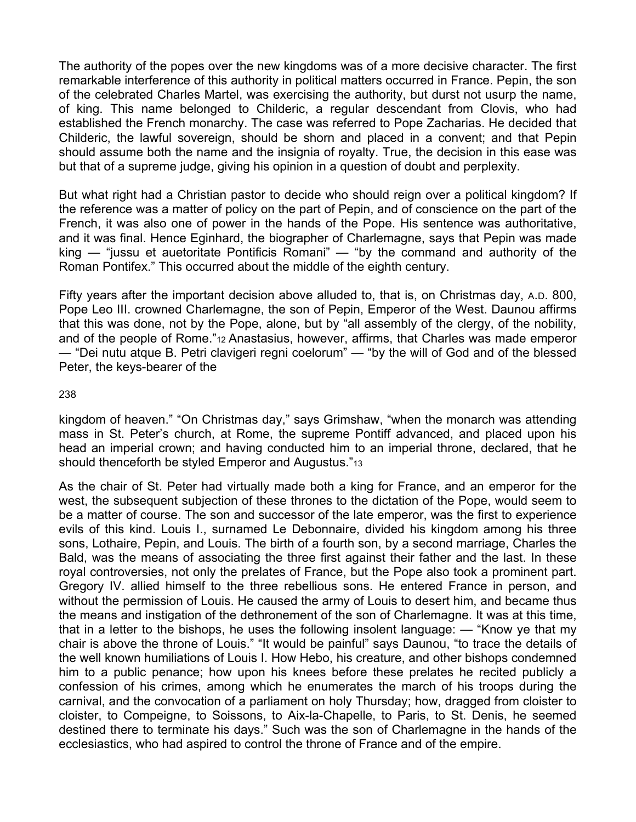The authority of the popes over the new kingdoms was of a more decisive character. The first remarkable interference of this authority in political matters occurred in France. Pepin, the son of the celebrated Charles Martel, was exercising the authority, but durst not usurp the name, of king. This name belonged to Childeric, a regular descendant from Clovis, who had established the French monarchy. The case was referred to Pope Zacharias. He decided that Childeric, the lawful sovereign, should be shorn and placed in a convent; and that Pepin should assume both the name and the insignia of royalty. True, the decision in this ease was but that of a supreme judge, giving his opinion in a question of doubt and perplexity.

But what right had a Christian pastor to decide who should reign over a political kingdom? If the reference was a matter of policy on the part of Pepin, and of conscience on the part of the French, it was also one of power in the hands of the Pope. His sentence was authoritative, and it was final. Hence Eginhard, the biographer of Charlemagne, says that Pepin was made king — "jussu et auetoritate Pontificis Romani" — "by the command and authority of the Roman Pontifex." This occurred about the middle of the eighth century.

Fifty years after the important decision above alluded to, that is, on Christmas day, A.D. 800, Pope Leo III. crowned Charlemagne, the son of Pepin, Emperor of the West. Daunou affirms that this was done, not by the Pope, alone, but by "all assembly of the clergy, of the nobility, and of the people of Rome."12 Anastasius, however, affirms, that Charles was made emperor — "Dei nutu atque B. Petri clavigeri regni coelorum" — "by the will of God and of the blessed Peter, the keys-bearer of the

238

kingdom of heaven." "On Christmas day," says Grimshaw, "when the monarch was attending mass in St. Peter's church, at Rome, the supreme Pontiff advanced, and placed upon his head an imperial crown; and having conducted him to an imperial throne, declared, that he should thenceforth be styled Emperor and Augustus."13

As the chair of St. Peter had virtually made both a king for France, and an emperor for the west, the subsequent subjection of these thrones to the dictation of the Pope, would seem to be a matter of course. The son and successor of the late emperor, was the first to experience evils of this kind. Louis I., surnamed Le Debonnaire, divided his kingdom among his three sons, Lothaire, Pepin, and Louis. The birth of a fourth son, by a second marriage, Charles the Bald, was the means of associating the three first against their father and the last. In these royal controversies, not only the prelates of France, but the Pope also took a prominent part. Gregory IV. allied himself to the three rebellious sons. He entered France in person, and without the permission of Louis. He caused the army of Louis to desert him, and became thus the means and instigation of the dethronement of the son of Charlemagne. It was at this time, that in a letter to the bishops, he uses the following insolent language: — "Know ye that my chair is above the throne of Louis." "It would be painful" says Daunou, "to trace the details of the well known humiliations of Louis I. How Hebo, his creature, and other bishops condemned him to a public penance; how upon his knees before these prelates he recited publicly a confession of his crimes, among which he enumerates the march of his troops during the carnival, and the convocation of a parliament on holy Thursday; how, dragged from cloister to cloister, to Compeigne, to Soissons, to Aix-la-Chapelle, to Paris, to St. Denis, he seemed destined there to terminate his days." Such was the son of Charlemagne in the hands of the ecclesiastics, who had aspired to control the throne of France and of the empire.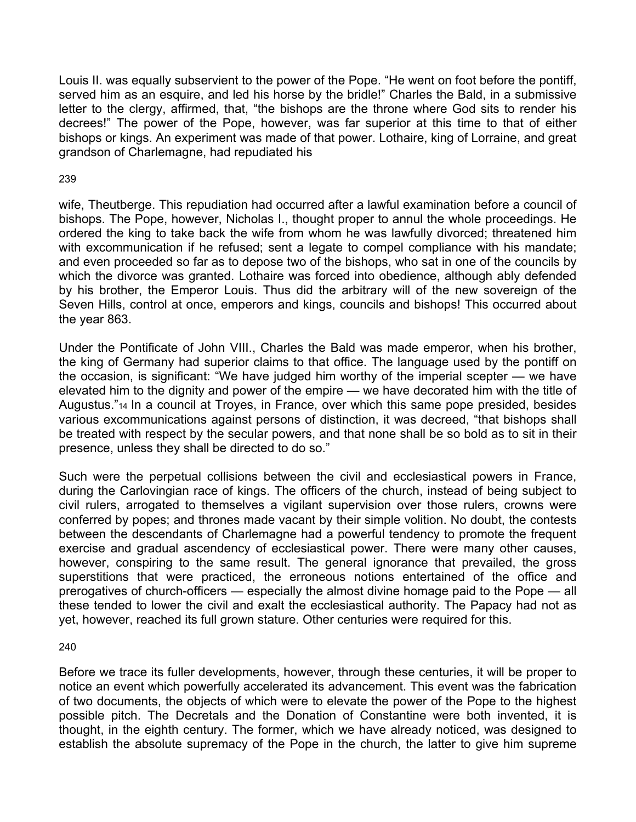Louis II. was equally subservient to the power of the Pope. "He went on foot before the pontiff, served him as an esquire, and led his horse by the bridle!" Charles the Bald, in a submissive letter to the clergy, affirmed, that, "the bishops are the throne where God sits to render his decrees!" The power of the Pope, however, was far superior at this time to that of either bishops or kings. An experiment was made of that power. Lothaire, king of Lorraine, and great grandson of Charlemagne, had repudiated his

## 239

wife, Theutberge. This repudiation had occurred after a lawful examination before a council of bishops. The Pope, however, Nicholas I., thought proper to annul the whole proceedings. He ordered the king to take back the wife from whom he was lawfully divorced; threatened him with excommunication if he refused; sent a legate to compel compliance with his mandate; and even proceeded so far as to depose two of the bishops, who sat in one of the councils by which the divorce was granted. Lothaire was forced into obedience, although ably defended by his brother, the Emperor Louis. Thus did the arbitrary will of the new sovereign of the Seven Hills, control at once, emperors and kings, councils and bishops! This occurred about the year 863.

Under the Pontificate of John VIII., Charles the Bald was made emperor, when his brother, the king of Germany had superior claims to that office. The language used by the pontiff on the occasion, is significant: "We have judged him worthy of the imperial scepter — we have elevated him to the dignity and power of the empire — we have decorated him with the title of Augustus."14 In a council at Troyes, in France, over which this same pope presided, besides various excommunications against persons of distinction, it was decreed, "that bishops shall be treated with respect by the secular powers, and that none shall be so bold as to sit in their presence, unless they shall be directed to do so."

Such were the perpetual collisions between the civil and ecclesiastical powers in France, during the Carlovingian race of kings. The officers of the church, instead of being subject to civil rulers, arrogated to themselves a vigilant supervision over those rulers, crowns were conferred by popes; and thrones made vacant by their simple volition. No doubt, the contests between the descendants of Charlemagne had a powerful tendency to promote the frequent exercise and gradual ascendency of ecclesiastical power. There were many other causes, however, conspiring to the same result. The general ignorance that prevailed, the gross superstitions that were practiced, the erroneous notions entertained of the office and prerogatives of church-officers — especially the almost divine homage paid to the Pope — all these tended to lower the civil and exalt the ecclesiastical authority. The Papacy had not as yet, however, reached its full grown stature. Other centuries were required for this.

### 240

Before we trace its fuller developments, however, through these centuries, it will be proper to notice an event which powerfully accelerated its advancement. This event was the fabrication of two documents, the objects of which were to elevate the power of the Pope to the highest possible pitch. The Decretals and the Donation of Constantine were both invented, it is thought, in the eighth century. The former, which we have already noticed, was designed to establish the absolute supremacy of the Pope in the church, the latter to give him supreme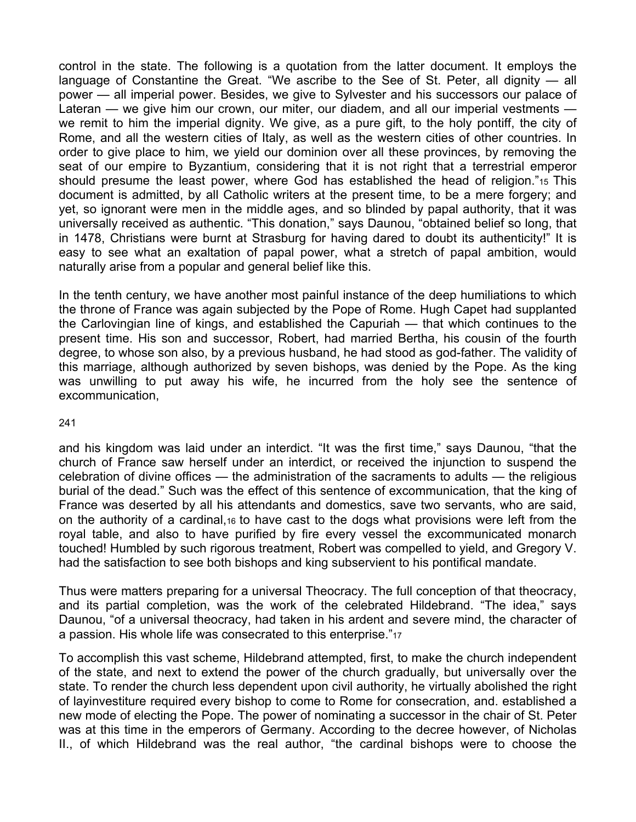control in the state. The following is a quotation from the latter document. It employs the language of Constantine the Great. "We ascribe to the See of St. Peter, all dignity — all power — all imperial power. Besides, we give to Sylvester and his successors our palace of Lateran — we give him our crown, our miter, our diadem, and all our imperial vestments we remit to him the imperial dignity. We give, as a pure gift, to the holy pontiff, the city of Rome, and all the western cities of Italy, as well as the western cities of other countries. In order to give place to him, we yield our dominion over all these provinces, by removing the seat of our empire to Byzantium, considering that it is not right that a terrestrial emperor should presume the least power, where God has established the head of religion."15 This document is admitted, by all Catholic writers at the present time, to be a mere forgery; and yet, so ignorant were men in the middle ages, and so blinded by papal authority, that it was universally received as authentic. "This donation," says Daunou, "obtained belief so long, that in 1478, Christians were burnt at Strasburg for having dared to doubt its authenticity!" It is easy to see what an exaltation of papal power, what a stretch of papal ambition, would naturally arise from a popular and general belief like this.

In the tenth century, we have another most painful instance of the deep humiliations to which the throne of France was again subjected by the Pope of Rome. Hugh Capet had supplanted the Carlovingian line of kings, and established the Capuriah — that which continues to the present time. His son and successor, Robert, had married Bertha, his cousin of the fourth degree, to whose son also, by a previous husband, he had stood as god-father. The validity of this marriage, although authorized by seven bishops, was denied by the Pope. As the king was unwilling to put away his wife, he incurred from the holy see the sentence of excommunication,

#### 241

and his kingdom was laid under an interdict. "It was the first time," says Daunou, "that the church of France saw herself under an interdict, or received the injunction to suspend the celebration of divine offices — the administration of the sacraments to adults — the religious burial of the dead." Such was the effect of this sentence of excommunication, that the king of France was deserted by all his attendants and domestics, save two servants, who are said, on the authority of a cardinal,16 to have cast to the dogs what provisions were left from the royal table, and also to have purified by fire every vessel the excommunicated monarch touched! Humbled by such rigorous treatment, Robert was compelled to yield, and Gregory V. had the satisfaction to see both bishops and king subservient to his pontifical mandate.

Thus were matters preparing for a universal Theocracy. The full conception of that theocracy, and its partial completion, was the work of the celebrated Hildebrand. "The idea," says Daunou, "of a universal theocracy, had taken in his ardent and severe mind, the character of a passion. His whole life was consecrated to this enterprise."17

To accomplish this vast scheme, Hildebrand attempted, first, to make the church independent of the state, and next to extend the power of the church gradually, but universally over the state. To render the church less dependent upon civil authority, he virtually abolished the right of layinvestiture required every bishop to come to Rome for consecration, and. established a new mode of electing the Pope. The power of nominating a successor in the chair of St. Peter was at this time in the emperors of Germany. According to the decree however, of Nicholas II., of which Hildebrand was the real author, "the cardinal bishops were to choose the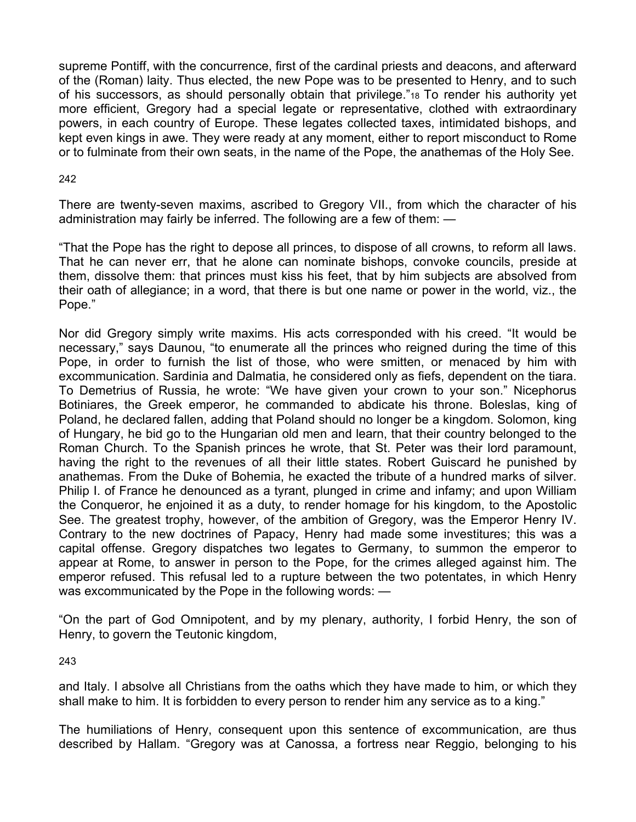supreme Pontiff, with the concurrence, first of the cardinal priests and deacons, and afterward of the (Roman) laity. Thus elected, the new Pope was to be presented to Henry, and to such of his successors, as should personally obtain that privilege."18 To render his authority yet more efficient, Gregory had a special legate or representative, clothed with extraordinary powers, in each country of Europe. These legates collected taxes, intimidated bishops, and kept even kings in awe. They were ready at any moment, either to report misconduct to Rome or to fulminate from their own seats, in the name of the Pope, the anathemas of the Holy See.

### 242

There are twenty-seven maxims, ascribed to Gregory VII., from which the character of his administration may fairly be inferred. The following are a few of them: —

"That the Pope has the right to depose all princes, to dispose of all crowns, to reform all laws. That he can never err, that he alone can nominate bishops, convoke councils, preside at them, dissolve them: that princes must kiss his feet, that by him subjects are absolved from their oath of allegiance; in a word, that there is but one name or power in the world, viz., the Pope."

Nor did Gregory simply write maxims. His acts corresponded with his creed. "It would be necessary," says Daunou, "to enumerate all the princes who reigned during the time of this Pope, in order to furnish the list of those, who were smitten, or menaced by him with excommunication. Sardinia and Dalmatia, he considered only as fiefs, dependent on the tiara. To Demetrius of Russia, he wrote: "We have given your crown to your son." Nicephorus Botiniares, the Greek emperor, he commanded to abdicate his throne. Boleslas, king of Poland, he declared fallen, adding that Poland should no longer be a kingdom. Solomon, king of Hungary, he bid go to the Hungarian old men and learn, that their country belonged to the Roman Church. To the Spanish princes he wrote, that St. Peter was their lord paramount, having the right to the revenues of all their little states. Robert Guiscard he punished by anathemas. From the Duke of Bohemia, he exacted the tribute of a hundred marks of silver. Philip I. of France he denounced as a tyrant, plunged in crime and infamy; and upon William the Conqueror, he enjoined it as a duty, to render homage for his kingdom, to the Apostolic See. The greatest trophy, however, of the ambition of Gregory, was the Emperor Henry IV. Contrary to the new doctrines of Papacy, Henry had made some investitures; this was a capital offense. Gregory dispatches two legates to Germany, to summon the emperor to appear at Rome, to answer in person to the Pope, for the crimes alleged against him. The emperor refused. This refusal led to a rupture between the two potentates, in which Henry was excommunicated by the Pope in the following words: —

"On the part of God Omnipotent, and by my plenary, authority, I forbid Henry, the son of Henry, to govern the Teutonic kingdom,

243

and Italy. I absolve all Christians from the oaths which they have made to him, or which they shall make to him. It is forbidden to every person to render him any service as to a king."

The humiliations of Henry, consequent upon this sentence of excommunication, are thus described by Hallam. "Gregory was at Canossa, a fortress near Reggio, belonging to his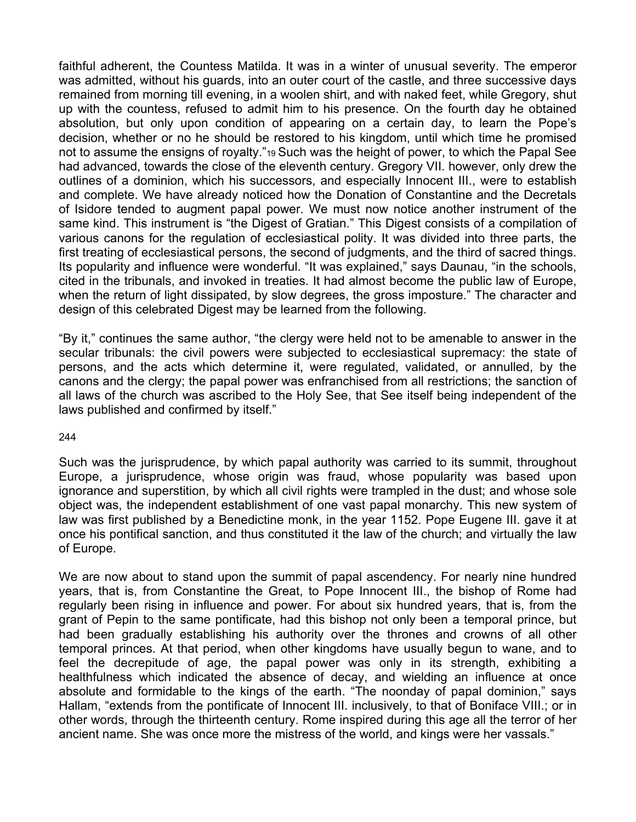faithful adherent, the Countess Matilda. It was in a winter of unusual severity. The emperor was admitted, without his guards, into an outer court of the castle, and three successive days remained from morning till evening, in a woolen shirt, and with naked feet, while Gregory, shut up with the countess, refused to admit him to his presence. On the fourth day he obtained absolution, but only upon condition of appearing on a certain day, to learn the Pope's decision, whether or no he should be restored to his kingdom, until which time he promised not to assume the ensigns of royalty."19 Such was the height of power, to which the Papal See had advanced, towards the close of the eleventh century. Gregory VII. however, only drew the outlines of a dominion, which his successors, and especially Innocent III., were to establish and complete. We have already noticed how the Donation of Constantine and the Decretals of Isidore tended to augment papal power. We must now notice another instrument of the same kind. This instrument is "the Digest of Gratian." This Digest consists of a compilation of various canons for the regulation of ecclesiastical polity. It was divided into three parts, the first treating of ecclesiastical persons, the second of judgments, and the third of sacred things. Its popularity and influence were wonderful. "It was explained," says Daunau, "in the schools, cited in the tribunals, and invoked in treaties. It had almost become the public law of Europe, when the return of light dissipated, by slow degrees, the gross imposture." The character and design of this celebrated Digest may be learned from the following.

"By it," continues the same author, "the clergy were held not to be amenable to answer in the secular tribunals: the civil powers were subjected to ecclesiastical supremacy: the state of persons, and the acts which determine it, were regulated, validated, or annulled, by the canons and the clergy; the papal power was enfranchised from all restrictions; the sanction of all laws of the church was ascribed to the Holy See, that See itself being independent of the laws published and confirmed by itself."

#### 244

Such was the jurisprudence, by which papal authority was carried to its summit, throughout Europe, a jurisprudence, whose origin was fraud, whose popularity was based upon ignorance and superstition, by which all civil rights were trampled in the dust; and whose sole object was, the independent establishment of one vast papal monarchy. This new system of law was first published by a Benedictine monk, in the year 1152. Pope Eugene III. gave it at once his pontifical sanction, and thus constituted it the law of the church; and virtually the law of Europe.

We are now about to stand upon the summit of papal ascendency. For nearly nine hundred years, that is, from Constantine the Great, to Pope Innocent III., the bishop of Rome had regularly been rising in influence and power. For about six hundred years, that is, from the grant of Pepin to the same pontificate, had this bishop not only been a temporal prince, but had been gradually establishing his authority over the thrones and crowns of all other temporal princes. At that period, when other kingdoms have usually begun to wane, and to feel the decrepitude of age, the papal power was only in its strength, exhibiting a healthfulness which indicated the absence of decay, and wielding an influence at once absolute and formidable to the kings of the earth. "The noonday of papal dominion," says Hallam, "extends from the pontificate of Innocent III. inclusively, to that of Boniface VIII.; or in other words, through the thirteenth century. Rome inspired during this age all the terror of her ancient name. She was once more the mistress of the world, and kings were her vassals."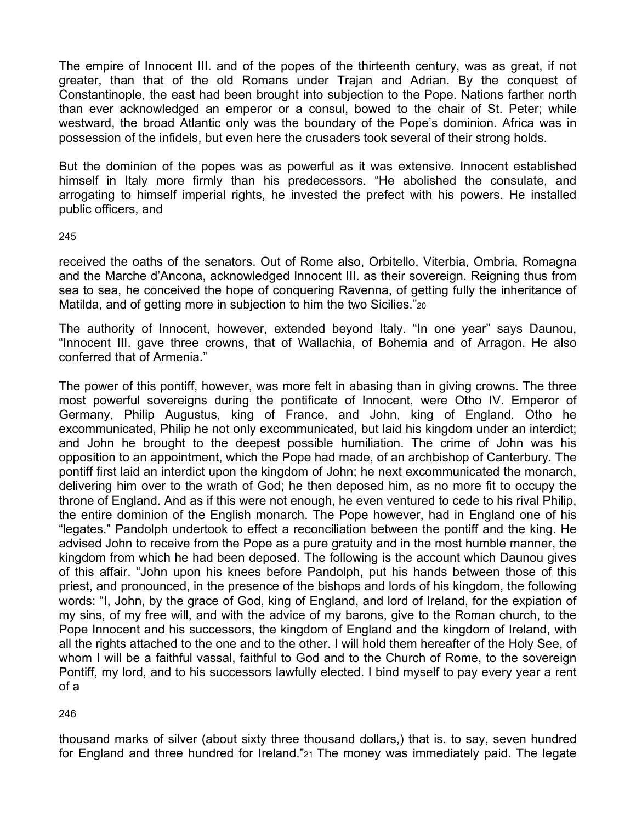The empire of Innocent III. and of the popes of the thirteenth century, was as great, if not greater, than that of the old Romans under Trajan and Adrian. By the conquest of Constantinople, the east had been brought into subjection to the Pope. Nations farther north than ever acknowledged an emperor or a consul, bowed to the chair of St. Peter; while westward, the broad Atlantic only was the boundary of the Pope's dominion. Africa was in possession of the infidels, but even here the crusaders took several of their strong holds.

But the dominion of the popes was as powerful as it was extensive. Innocent established himself in Italy more firmly than his predecessors. "He abolished the consulate, and arrogating to himself imperial rights, he invested the prefect with his powers. He installed public officers, and

#### 245

received the oaths of the senators. Out of Rome also, Orbitello, Viterbia, Ombria, Romagna and the Marche d'Ancona, acknowledged Innocent III. as their sovereign. Reigning thus from sea to sea, he conceived the hope of conquering Ravenna, of getting fully the inheritance of Matilda, and of getting more in subjection to him the two Sicilies."20

The authority of Innocent, however, extended beyond Italy. "In one year" says Daunou, "Innocent III. gave three crowns, that of Wallachia, of Bohemia and of Arragon. He also conferred that of Armenia."

The power of this pontiff, however, was more felt in abasing than in giving crowns. The three most powerful sovereigns during the pontificate of Innocent, were Otho IV. Emperor of Germany, Philip Augustus, king of France, and John, king of England. Otho he excommunicated, Philip he not only excommunicated, but laid his kingdom under an interdict; and John he brought to the deepest possible humiliation. The crime of John was his opposition to an appointment, which the Pope had made, of an archbishop of Canterbury. The pontiff first laid an interdict upon the kingdom of John; he next excommunicated the monarch, delivering him over to the wrath of God; he then deposed him, as no more fit to occupy the throne of England. And as if this were not enough, he even ventured to cede to his rival Philip, the entire dominion of the English monarch. The Pope however, had in England one of his "legates." Pandolph undertook to effect a reconciliation between the pontiff and the king. He advised John to receive from the Pope as a pure gratuity and in the most humble manner, the kingdom from which he had been deposed. The following is the account which Daunou gives of this affair. "John upon his knees before Pandolph, put his hands between those of this priest, and pronounced, in the presence of the bishops and lords of his kingdom, the following words: "I, John, by the grace of God, king of England, and lord of Ireland, for the expiation of my sins, of my free will, and with the advice of my barons, give to the Roman church, to the Pope Innocent and his successors, the kingdom of England and the kingdom of Ireland, with all the rights attached to the one and to the other. I will hold them hereafter of the Holy See, of whom I will be a faithful vassal, faithful to God and to the Church of Rome, to the sovereign Pontiff, my lord, and to his successors lawfully elected. I bind myself to pay every year a rent of a

### 246

thousand marks of silver (about sixty three thousand dollars,) that is. to say, seven hundred for England and three hundred for Ireland."21 The money was immediately paid. The legate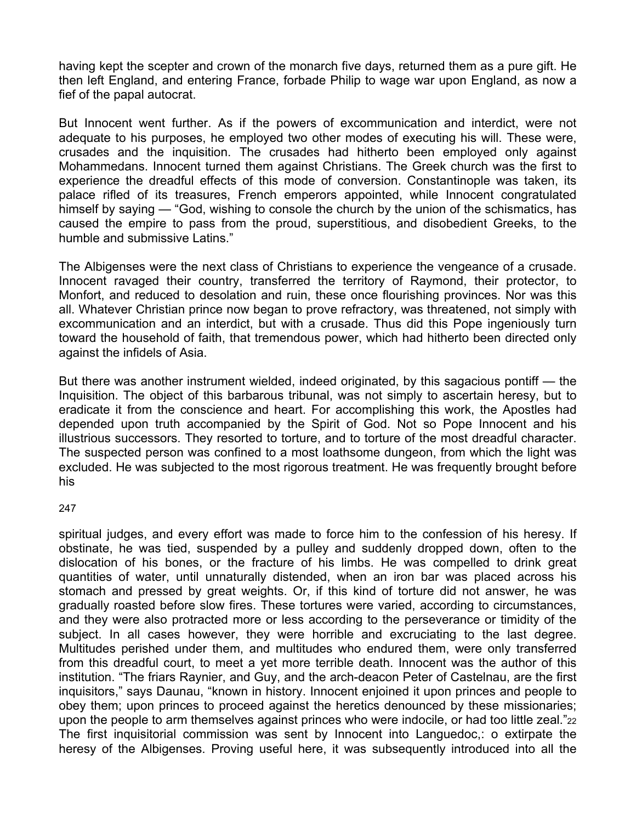having kept the scepter and crown of the monarch five days, returned them as a pure gift. He then left England, and entering France, forbade Philip to wage war upon England, as now a fief of the papal autocrat.

But Innocent went further. As if the powers of excommunication and interdict, were not adequate to his purposes, he employed two other modes of executing his will. These were, crusades and the inquisition. The crusades had hitherto been employed only against Mohammedans. Innocent turned them against Christians. The Greek church was the first to experience the dreadful effects of this mode of conversion. Constantinople was taken, its palace rifled of its treasures, French emperors appointed, while Innocent congratulated himself by saying — "God, wishing to console the church by the union of the schismatics, has caused the empire to pass from the proud, superstitious, and disobedient Greeks, to the humble and submissive Latins."

The Albigenses were the next class of Christians to experience the vengeance of a crusade. Innocent ravaged their country, transferred the territory of Raymond, their protector, to Monfort, and reduced to desolation and ruin, these once flourishing provinces. Nor was this all. Whatever Christian prince now began to prove refractory, was threatened, not simply with excommunication and an interdict, but with a crusade. Thus did this Pope ingeniously turn toward the household of faith, that tremendous power, which had hitherto been directed only against the infidels of Asia.

But there was another instrument wielded, indeed originated, by this sagacious pontiff — the Inquisition. The object of this barbarous tribunal, was not simply to ascertain heresy, but to eradicate it from the conscience and heart. For accomplishing this work, the Apostles had depended upon truth accompanied by the Spirit of God. Not so Pope Innocent and his illustrious successors. They resorted to torture, and to torture of the most dreadful character. The suspected person was confined to a most loathsome dungeon, from which the light was excluded. He was subjected to the most rigorous treatment. He was frequently brought before his

### 247

spiritual judges, and every effort was made to force him to the confession of his heresy. If obstinate, he was tied, suspended by a pulley and suddenly dropped down, often to the dislocation of his bones, or the fracture of his limbs. He was compelled to drink great quantities of water, until unnaturally distended, when an iron bar was placed across his stomach and pressed by great weights. Or, if this kind of torture did not answer, he was gradually roasted before slow fires. These tortures were varied, according to circumstances, and they were also protracted more or less according to the perseverance or timidity of the subject. In all cases however, they were horrible and excruciating to the last degree. Multitudes perished under them, and multitudes who endured them, were only transferred from this dreadful court, to meet a yet more terrible death. Innocent was the author of this institution. "The friars Raynier, and Guy, and the arch-deacon Peter of Castelnau, are the first inquisitors," says Daunau, "known in history. Innocent enjoined it upon princes and people to obey them; upon princes to proceed against the heretics denounced by these missionaries; upon the people to arm themselves against princes who were indocile, or had too little zeal."22 The first inquisitorial commission was sent by Innocent into Languedoc,: o extirpate the heresy of the Albigenses. Proving useful here, it was subsequently introduced into all the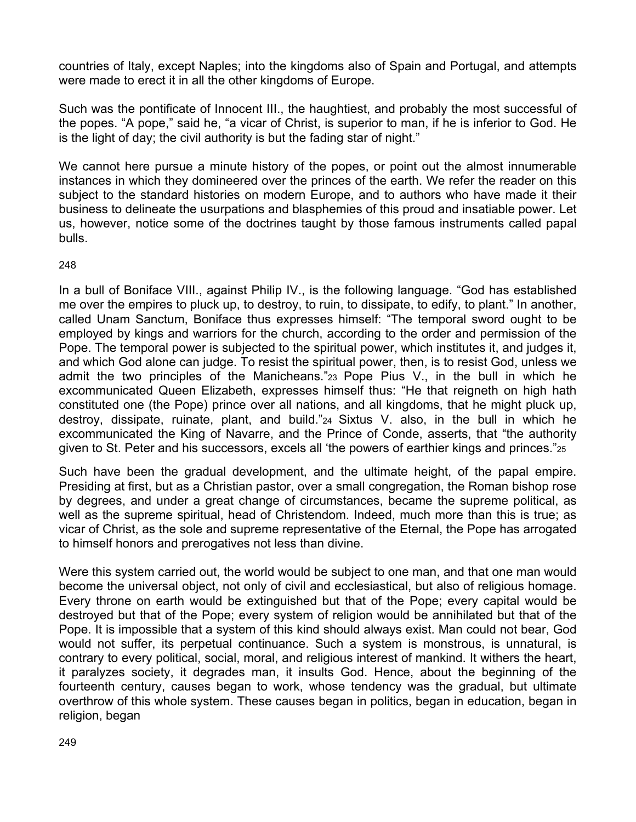countries of Italy, except Naples; into the kingdoms also of Spain and Portugal, and attempts were made to erect it in all the other kingdoms of Europe.

Such was the pontificate of Innocent III., the haughtiest, and probably the most successful of the popes. "A pope," said he, "a vicar of Christ, is superior to man, if he is inferior to God. He is the light of day; the civil authority is but the fading star of night."

We cannot here pursue a minute history of the popes, or point out the almost innumerable instances in which they domineered over the princes of the earth. We refer the reader on this subject to the standard histories on modern Europe, and to authors who have made it their business to delineate the usurpations and blasphemies of this proud and insatiable power. Let us, however, notice some of the doctrines taught by those famous instruments called papal bulls.

## 248

In a bull of Boniface VIII., against Philip IV., is the following language. "God has established me over the empires to pluck up, to destroy, to ruin, to dissipate, to edify, to plant." In another, called Unam Sanctum, Boniface thus expresses himself: "The temporal sword ought to be employed by kings and warriors for the church, according to the order and permission of the Pope. The temporal power is subjected to the spiritual power, which institutes it, and judges it, and which God alone can judge. To resist the spiritual power, then, is to resist God, unless we admit the two principles of the Manicheans."23 Pope Pius V., in the bull in which he excommunicated Queen Elizabeth, expresses himself thus: "He that reigneth on high hath constituted one (the Pope) prince over all nations, and all kingdoms, that he might pluck up, destroy, dissipate, ruinate, plant, and build."24 Sixtus V. also, in the bull in which he excommunicated the King of Navarre, and the Prince of Conde, asserts, that "the authority given to St. Peter and his successors, excels all 'the powers of earthier kings and princes."25

Such have been the gradual development, and the ultimate height, of the papal empire. Presiding at first, but as a Christian pastor, over a small congregation, the Roman bishop rose by degrees, and under a great change of circumstances, became the supreme political, as well as the supreme spiritual, head of Christendom. Indeed, much more than this is true; as vicar of Christ, as the sole and supreme representative of the Eternal, the Pope has arrogated to himself honors and prerogatives not less than divine.

Were this system carried out, the world would be subject to one man, and that one man would become the universal object, not only of civil and ecclesiastical, but also of religious homage. Every throne on earth would be extinguished but that of the Pope; every capital would be destroyed but that of the Pope; every system of religion would be annihilated but that of the Pope. It is impossible that a system of this kind should always exist. Man could not bear, God would not suffer, its perpetual continuance. Such a system is monstrous, is unnatural, is contrary to every political, social, moral, and religious interest of mankind. It withers the heart, it paralyzes society, it degrades man, it insults God. Hence, about the beginning of the fourteenth century, causes began to work, whose tendency was the gradual, but ultimate overthrow of this whole system. These causes began in politics, began in education, began in religion, began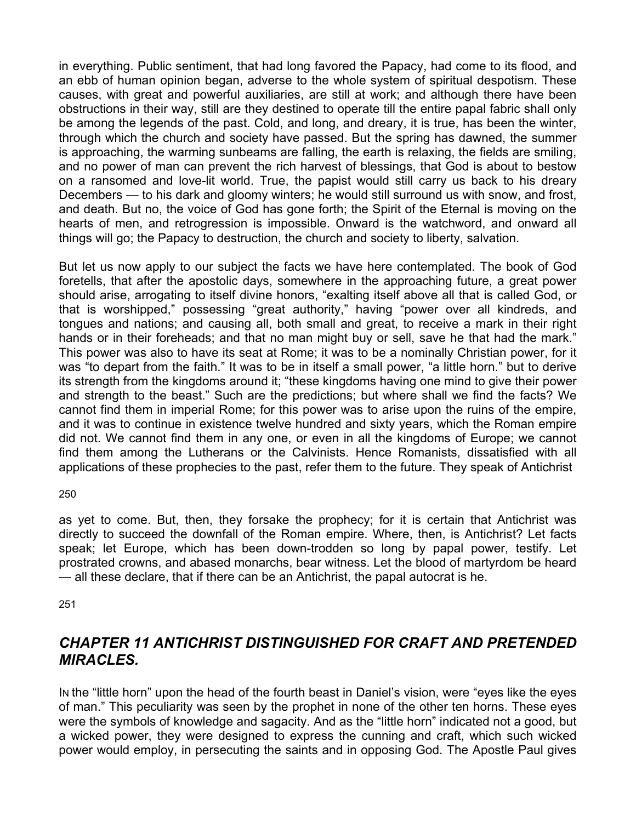in everything. Public sentiment, that had long favored the Papacy, had come to its flood, and an ebb of human opinion began, adverse to the whole system of spiritual despotism. These causes, with great and powerful auxiliaries, are still at work; and although there have been obstructions in their way, still are they destined to operate till the entire papal fabric shall only be among the legends of the past. Cold, and long, and dreary, it is true, has been the winter, through which the church and society have passed. But the spring has dawned, the summer is approaching, the warming sunbeams are falling, the earth is relaxing, the fields are smiling, and no power of man can prevent the rich harvest of blessings, that God is about to bestow on a ransomed and love-lit world. True, the papist would still carry us back to his dreary Decembers — to his dark and gloomy winters; he would still surround us with snow, and frost, and death. But no, the voice of God has gone forth; the Spirit of the Eternal is moving on the hearts of men, and retrogression is impossible. Onward is the watchword, and onward all things will go; the Papacy to destruction, the church and society to liberty, salvation.

But let us now apply to our subject the facts we have here contemplated. The book of God foretells, that after the apostolic days, somewhere in the approaching future, a great power should arise, arrogating to itself divine honors, "exalting itself above all that is called God, or that is worshipped," possessing "great authority," having "power over all kindreds, and tongues and nations; and causing all, both small and great, to receive a mark in their right hands or in their foreheads; and that no man might buy or sell, save he that had the mark." This power was also to have its seat at Rome; it was to be a nominally Christian power, for it was "to depart from the faith." It was to be in itself a small power, "a little horn." but to derive its strength from the kingdoms around it; "these kingdoms having one mind to give their power and strength to the beast." Such are the predictions; but where shall we find the facts? We cannot find them in imperial Rome; for this power was to arise upon the ruins of the empire, and it was to continue in existence twelve hundred and sixty years, which the Roman empire did not. We cannot find them in any one, or even in all the kingdoms of Europe; we cannot find them among the Lutherans or the Calvinists. Hence Romanists, dissatisfied with all applications of these prophecies to the past, refer them to the future. They speak of Antichrist

250

as yet to come. But, then, they forsake the prophecy; for it is certain that Antichrist was directly to succeed the downfall of the Roman empire. Where, then, is Antichrist? Let facts speak; let Europe, which has been down-trodden so long by papal power, testify. Let prostrated crowns, and abased monarchs, bear witness. Let the blood of martyrdom be heard — all these declare, that if there can be an Antichrist, the papal autocrat is he.

251

## *CHAPTER 11 ANTICHRIST DISTINGUISHED FOR CRAFT AND PRETENDED MIRACLES.*

IN the "little horn" upon the head of the fourth beast in Daniel's vision, were "eyes like the eyes of man." This peculiarity was seen by the prophet in none of the other ten horns. These eyes were the symbols of knowledge and sagacity. And as the "little horn" indicated not a good, but a wicked power, they were designed to express the cunning and craft, which such wicked power would employ, in persecuting the saints and in opposing God. The Apostle Paul gives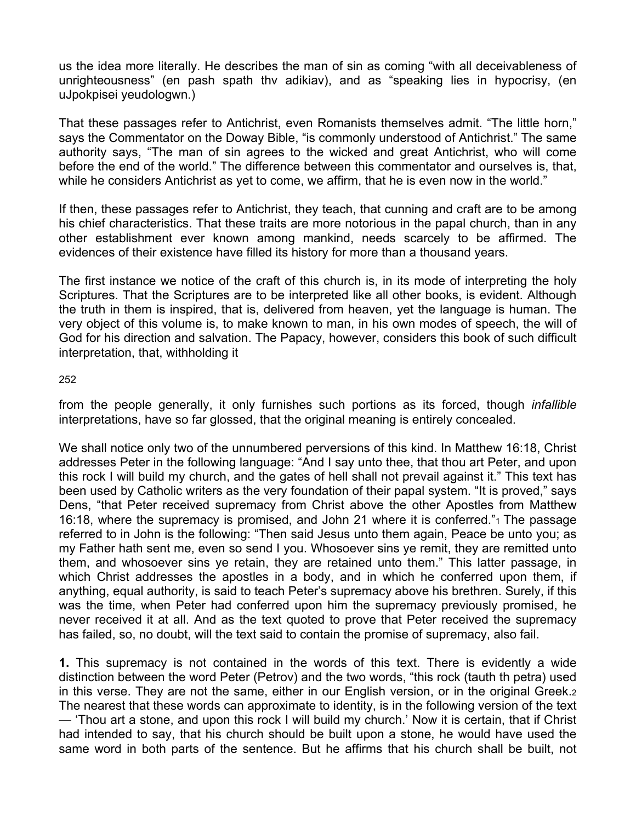us the idea more literally. He describes the man of sin as coming "with all deceivableness of unrighteousness" (en pash spath thv adikiav), and as "speaking lies in hypocrisy, (en uJpokpisei yeudologwn.)

That these passages refer to Antichrist, even Romanists themselves admit. "The little horn," says the Commentator on the Doway Bible, "is commonly understood of Antichrist." The same authority says, "The man of sin agrees to the wicked and great Antichrist, who will come before the end of the world." The difference between this commentator and ourselves is, that, while he considers Antichrist as yet to come, we affirm, that he is even now in the world."

If then, these passages refer to Antichrist, they teach, that cunning and craft are to be among his chief characteristics. That these traits are more notorious in the papal church, than in any other establishment ever known among mankind, needs scarcely to be affirmed. The evidences of their existence have filled its history for more than a thousand years.

The first instance we notice of the craft of this church is, in its mode of interpreting the holy Scriptures. That the Scriptures are to be interpreted like all other books, is evident. Although the truth in them is inspired, that is, delivered from heaven, yet the language is human. The very object of this volume is, to make known to man, in his own modes of speech, the will of God for his direction and salvation. The Papacy, however, considers this book of such difficult interpretation, that, withholding it

### 252

from the people generally, it only furnishes such portions as its forced, though *infallible*  interpretations, have so far glossed, that the original meaning is entirely concealed.

We shall notice only two of the unnumbered perversions of this kind. In Matthew 16:18, Christ addresses Peter in the following language: "And I say unto thee, that thou art Peter, and upon this rock I will build my church, and the gates of hell shall not prevail against it." This text has been used by Catholic writers as the very foundation of their papal system. "It is proved," says Dens, "that Peter received supremacy from Christ above the other Apostles from Matthew 16:18, where the supremacy is promised, and John 21 where it is conferred."1 The passage referred to in John is the following: "Then said Jesus unto them again, Peace be unto you; as my Father hath sent me, even so send I you. Whosoever sins ye remit, they are remitted unto them, and whosoever sins ye retain, they are retained unto them." This latter passage, in which Christ addresses the apostles in a body, and in which he conferred upon them, if anything, equal authority, is said to teach Peter's supremacy above his brethren. Surely, if this was the time, when Peter had conferred upon him the supremacy previously promised, he never received it at all. And as the text quoted to prove that Peter received the supremacy has failed, so, no doubt, will the text said to contain the promise of supremacy, also fail.

**1.** This supremacy is not contained in the words of this text. There is evidently a wide distinction between the word Peter (Petrov) and the two words, "this rock (tauth th petra) used in this verse. They are not the same, either in our English version, or in the original Greek.2 The nearest that these words can approximate to identity, is in the following version of the text — 'Thou art a stone, and upon this rock I will build my church.' Now it is certain, that if Christ had intended to say, that his church should be built upon a stone, he would have used the same word in both parts of the sentence. But he affirms that his church shall be built, not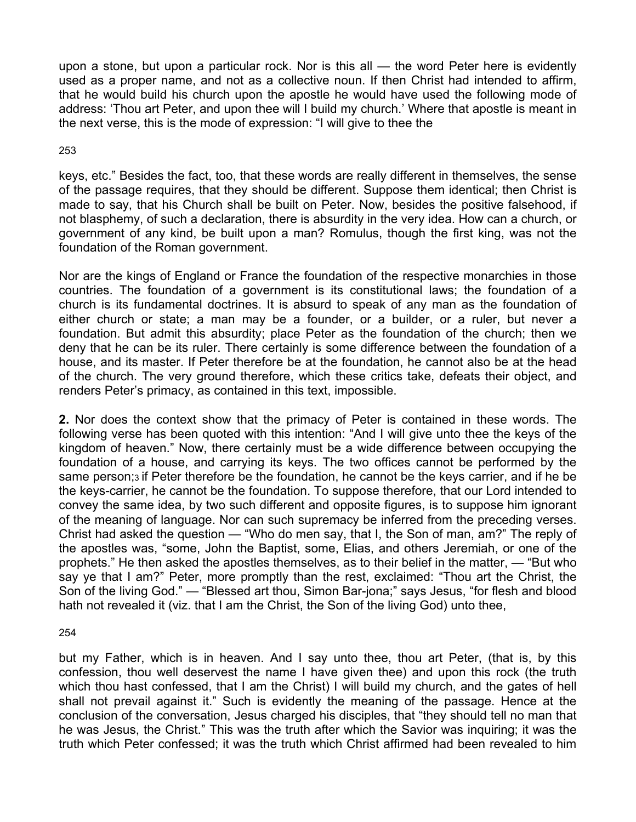upon a stone, but upon a particular rock. Nor is this all — the word Peter here is evidently used as a proper name, and not as a collective noun. If then Christ had intended to affirm, that he would build his church upon the apostle he would have used the following mode of address: 'Thou art Peter, and upon thee will I build my church.' Where that apostle is meant in the next verse, this is the mode of expression: "I will give to thee the

### 253

keys, etc." Besides the fact, too, that these words are really different in themselves, the sense of the passage requires, that they should be different. Suppose them identical; then Christ is made to say, that his Church shall be built on Peter. Now, besides the positive falsehood, if not blasphemy, of such a declaration, there is absurdity in the very idea. How can a church, or government of any kind, be built upon a man? Romulus, though the first king, was not the foundation of the Roman government.

Nor are the kings of England or France the foundation of the respective monarchies in those countries. The foundation of a government is its constitutional laws; the foundation of a church is its fundamental doctrines. It is absurd to speak of any man as the foundation of either church or state; a man may be a founder, or a builder, or a ruler, but never a foundation. But admit this absurdity; place Peter as the foundation of the church; then we deny that he can be its ruler. There certainly is some difference between the foundation of a house, and its master. If Peter therefore be at the foundation, he cannot also be at the head of the church. The very ground therefore, which these critics take, defeats their object, and renders Peter's primacy, as contained in this text, impossible.

**2.** Nor does the context show that the primacy of Peter is contained in these words. The following verse has been quoted with this intention: "And I will give unto thee the keys of the kingdom of heaven." Now, there certainly must be a wide difference between occupying the foundation of a house, and carrying its keys. The two offices cannot be performed by the same person;<sup>3</sup> if Peter therefore be the foundation, he cannot be the keys carrier, and if he be the keys-carrier, he cannot be the foundation. To suppose therefore, that our Lord intended to convey the same idea, by two such different and opposite figures, is to suppose him ignorant of the meaning of language. Nor can such supremacy be inferred from the preceding verses. Christ had asked the question — "Who do men say, that I, the Son of man, am?" The reply of the apostles was, "some, John the Baptist, some, Elias, and others Jeremiah, or one of the prophets." He then asked the apostles themselves, as to their belief in the matter, — "But who say ye that I am?" Peter, more promptly than the rest, exclaimed: "Thou art the Christ, the Son of the living God." — "Blessed art thou, Simon Bar-jona;" says Jesus, "for flesh and blood hath not revealed it (viz. that I am the Christ, the Son of the living God) unto thee,

### 254

but my Father, which is in heaven. And I say unto thee, thou art Peter, (that is, by this confession, thou well deservest the name I have given thee) and upon this rock (the truth which thou hast confessed, that I am the Christ) I will build my church, and the gates of hell shall not prevail against it." Such is evidently the meaning of the passage. Hence at the conclusion of the conversation, Jesus charged his disciples, that "they should tell no man that he was Jesus, the Christ." This was the truth after which the Savior was inquiring; it was the truth which Peter confessed; it was the truth which Christ affirmed had been revealed to him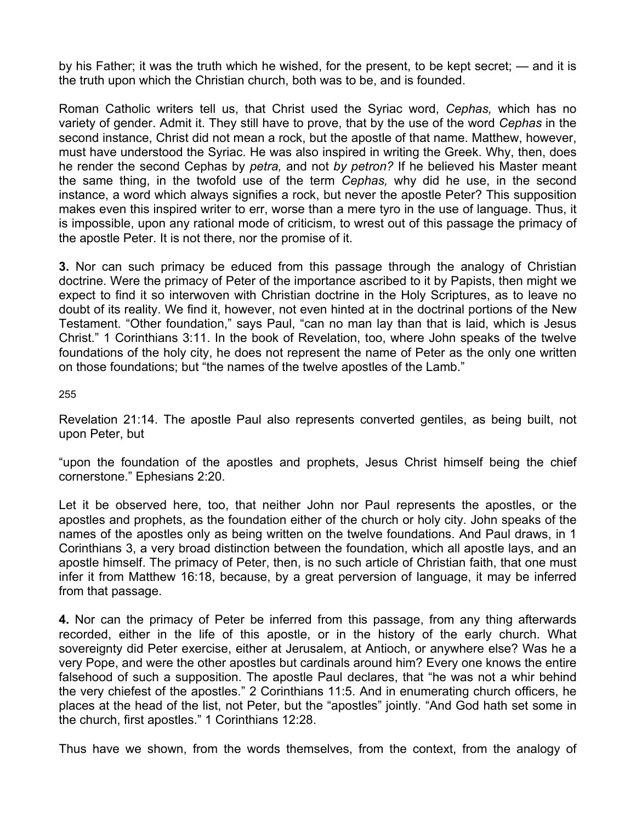by his Father; it was the truth which he wished, for the present, to be kept secret; — and it is the truth upon which the Christian church, both was to be, and is founded.

Roman Catholic writers tell us, that Christ used the Syriac word, *Cephas,* which has no variety of gender. Admit it. They still have to prove, that by the use of the word *Cephas* in the second instance, Christ did not mean a rock, but the apostle of that name. Matthew, however, must have understood the Syriac. He was also inspired in writing the Greek. Why, then, does he render the second Cephas by *petra,* and not *by petron?* If he believed his Master meant the same thing, in the twofold use of the term *Cephas,* why did he use, in the second instance, a word which always signifies a rock, but never the apostle Peter? This supposition makes even this inspired writer to err, worse than a mere tyro in the use of language. Thus, it is impossible, upon any rational mode of criticism, to wrest out of this passage the primacy of the apostle Peter. It is not there, nor the promise of it.

**3.** Nor can such primacy be educed from this passage through the analogy of Christian doctrine. Were the primacy of Peter of the importance ascribed to it by Papists, then might we expect to find it so interwoven with Christian doctrine in the Holy Scriptures, as to leave no doubt of its reality. We find it, however, not even hinted at in the doctrinal portions of the New Testament. "Other foundation," says Paul, "can no man lay than that is laid, which is Jesus Christ." 1 Corinthians 3:11. In the book of Revelation, too, where John speaks of the twelve foundations of the holy city, he does not represent the name of Peter as the only one written on those foundations; but "the names of the twelve apostles of the Lamb."

255

Revelation 21:14. The apostle Paul also represents converted gentiles, as being built, not upon Peter, but

"upon the foundation of the apostles and prophets, Jesus Christ himself being the chief cornerstone." Ephesians 2:20.

Let it be observed here, too, that neither John nor Paul represents the apostles, or the apostles and prophets, as the foundation either of the church or holy city. John speaks of the names of the apostles only as being written on the twelve foundations. And Paul draws, in 1 Corinthians 3, a very broad distinction between the foundation, which all apostle lays, and an apostle himself. The primacy of Peter, then, is no such article of Christian faith, that one must infer it from Matthew 16:18, because, by a great perversion of language, it may be inferred from that passage.

**4.** Nor can the primacy of Peter be inferred from this passage, from any thing afterwards recorded, either in the life of this apostle, or in the history of the early church. What sovereignty did Peter exercise, either at Jerusalem, at Antioch, or anywhere else? Was he a very Pope, and were the other apostles but cardinals around him? Every one knows the entire falsehood of such a supposition. The apostle Paul declares, that "he was not a whir behind the very chiefest of the apostles." 2 Corinthians 11:5. And in enumerating church officers, he places at the head of the list, not Peter, but the "apostles" jointly. "And God hath set some in the church, first apostles." 1 Corinthians 12:28.

Thus have we shown, from the words themselves, from the context, from the analogy of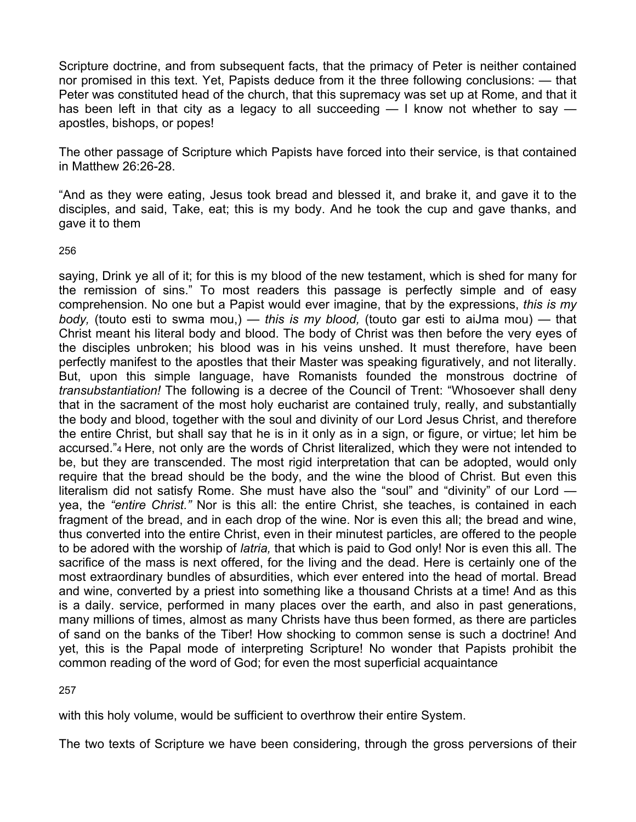Scripture doctrine, and from subsequent facts, that the primacy of Peter is neither contained nor promised in this text. Yet, Papists deduce from it the three following conclusions: — that Peter was constituted head of the church, that this supremacy was set up at Rome, and that it has been left in that city as a legacy to all succeeding  $-1$  know not whether to say  $$ apostles, bishops, or popes!

The other passage of Scripture which Papists have forced into their service, is that contained in Matthew 26:26-28.

"And as they were eating, Jesus took bread and blessed it, and brake it, and gave it to the disciples, and said, Take, eat; this is my body. And he took the cup and gave thanks, and gave it to them

### 256

saying, Drink ye all of it; for this is my blood of the new testament, which is shed for many for the remission of sins." To most readers this passage is perfectly simple and of easy comprehension. No one but a Papist would ever imagine, that by the expressions, *this is my body,* (touto esti to swma mou,) — *this is my blood,* (touto gar esti to aiJma mou) — that Christ meant his literal body and blood. The body of Christ was then before the very eyes of the disciples unbroken; his blood was in his veins unshed. It must therefore, have been perfectly manifest to the apostles that their Master was speaking figuratively, and not literally. But, upon this simple language, have Romanists founded the monstrous doctrine of *transubstantiation!* The following is a decree of the Council of Trent: "Whosoever shall deny that in the sacrament of the most holy eucharist are contained truly, really, and substantially the body and blood, together with the soul and divinity of our Lord Jesus Christ, and therefore the entire Christ, but shall say that he is in it only as in a sign, or figure, or virtue; let him be accursed."4 Here, not only are the words of Christ literalized, which they were not intended to be, but they are transcended. The most rigid interpretation that can be adopted, would only require that the bread should be the body, and the wine the blood of Christ. But even this literalism did not satisfy Rome. She must have also the "soul" and "divinity" of our Lord yea, the *"entire Christ."* Nor is this all: the entire Christ, she teaches, is contained in each fragment of the bread, and in each drop of the wine. Nor is even this all; the bread and wine, thus converted into the entire Christ, even in their minutest particles, are offered to the people to be adored with the worship of *latria,* that which is paid to God only! Nor is even this all. The sacrifice of the mass is next offered, for the living and the dead. Here is certainly one of the most extraordinary bundles of absurdities, which ever entered into the head of mortal. Bread and wine, converted by a priest into something like a thousand Christs at a time! And as this is a daily. service, performed in many places over the earth, and also in past generations, many millions of times, almost as many Christs have thus been formed, as there are particles of sand on the banks of the Tiber! How shocking to common sense is such a doctrine! And yet, this is the Papal mode of interpreting Scripture! No wonder that Papists prohibit the common reading of the word of God; for even the most superficial acquaintance

257

with this holy volume, would be sufficient to overthrow their entire System.

The two texts of Scripture we have been considering, through the gross perversions of their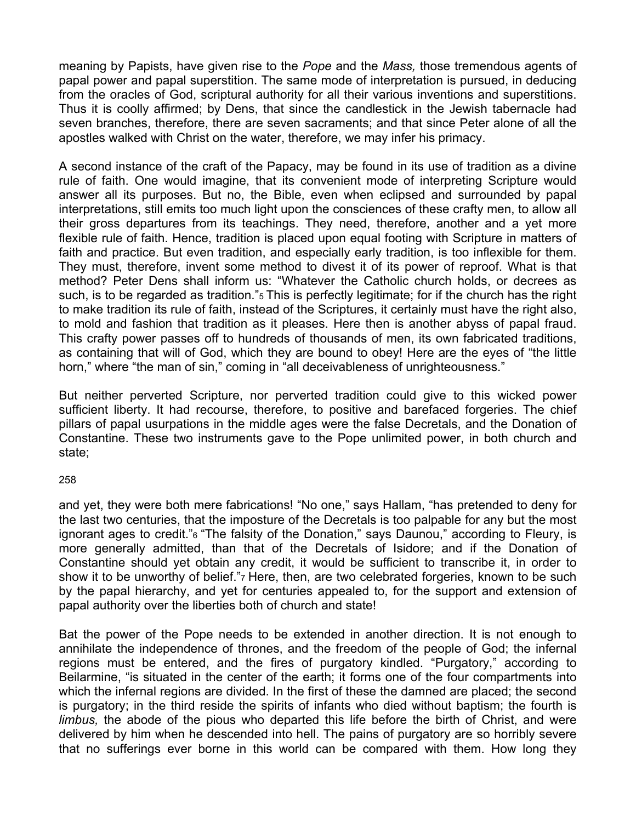meaning by Papists, have given rise to the *Pope* and the *Mass,* those tremendous agents of papal power and papal superstition. The same mode of interpretation is pursued, in deducing from the oracles of God, scriptural authority for all their various inventions and superstitions. Thus it is coolly affirmed; by Dens, that since the candlestick in the Jewish tabernacle had seven branches, therefore, there are seven sacraments; and that since Peter alone of all the apostles walked with Christ on the water, therefore, we may infer his primacy.

A second instance of the craft of the Papacy, may be found in its use of tradition as a divine rule of faith. One would imagine, that its convenient mode of interpreting Scripture would answer all its purposes. But no, the Bible, even when eclipsed and surrounded by papal interpretations, still emits too much light upon the consciences of these crafty men, to allow all their gross departures from its teachings. They need, therefore, another and a yet more flexible rule of faith. Hence, tradition is placed upon equal footing with Scripture in matters of faith and practice. But even tradition, and especially early tradition, is too inflexible for them. They must, therefore, invent some method to divest it of its power of reproof. What is that method? Peter Dens shall inform us: "Whatever the Catholic church holds, or decrees as such, is to be regarded as tradition."<sub>5</sub> This is perfectly legitimate; for if the church has the right to make tradition its rule of faith, instead of the Scriptures, it certainly must have the right also, to mold and fashion that tradition as it pleases. Here then is another abyss of papal fraud. This crafty power passes off to hundreds of thousands of men, its own fabricated traditions, as containing that will of God, which they are bound to obey! Here are the eyes of "the little horn," where "the man of sin," coming in "all deceivableness of unrighteousness."

But neither perverted Scripture, nor perverted tradition could give to this wicked power sufficient liberty. It had recourse, therefore, to positive and barefaced forgeries. The chief pillars of papal usurpations in the middle ages were the false Decretals, and the Donation of Constantine. These two instruments gave to the Pope unlimited power, in both church and state;

### 258

and yet, they were both mere fabrications! "No one," says Hallam, "has pretended to deny for the last two centuries, that the imposture of the Decretals is too palpable for any but the most ignorant ages to credit."6 "The falsity of the Donation," says Daunou," according to Fleury, is more generally admitted, than that of the Decretals of Isidore; and if the Donation of Constantine should yet obtain any credit, it would be sufficient to transcribe it, in order to show it to be unworthy of belief.", Here, then, are two celebrated forgeries, known to be such by the papal hierarchy, and yet for centuries appealed to, for the support and extension of papal authority over the liberties both of church and state!

Bat the power of the Pope needs to be extended in another direction. It is not enough to annihilate the independence of thrones, and the freedom of the people of God; the infernal regions must be entered, and the fires of purgatory kindled. "Purgatory," according to Beilarmine, "is situated in the center of the earth; it forms one of the four compartments into which the infernal regions are divided. In the first of these the damned are placed; the second is purgatory; in the third reside the spirits of infants who died without baptism; the fourth is *limbus,* the abode of the pious who departed this life before the birth of Christ, and were delivered by him when he descended into hell. The pains of purgatory are so horribly severe that no sufferings ever borne in this world can be compared with them. How long they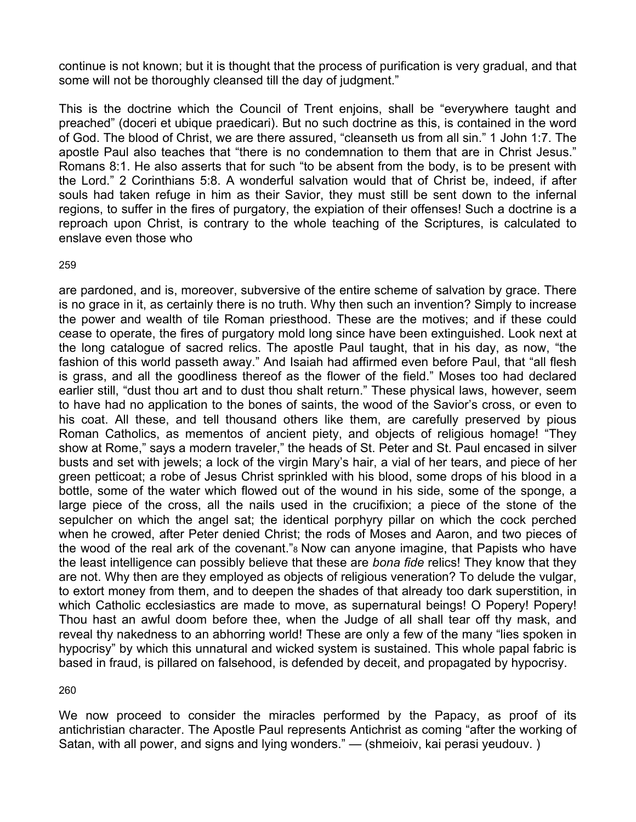continue is not known; but it is thought that the process of purification is very gradual, and that some will not be thoroughly cleansed till the day of judgment."

This is the doctrine which the Council of Trent enjoins, shall be "everywhere taught and preached" (doceri et ubique praedicari). But no such doctrine as this, is contained in the word of God. The blood of Christ, we are there assured, "cleanseth us from all sin." 1 John 1:7. The apostle Paul also teaches that "there is no condemnation to them that are in Christ Jesus." Romans 8:1. He also asserts that for such "to be absent from the body, is to be present with the Lord." 2 Corinthians 5:8. A wonderful salvation would that of Christ be, indeed, if after souls had taken refuge in him as their Savior, they must still be sent down to the infernal regions, to suffer in the fires of purgatory, the expiation of their offenses! Such a doctrine is a reproach upon Christ, is contrary to the whole teaching of the Scriptures, is calculated to enslave even those who

#### 259

are pardoned, and is, moreover, subversive of the entire scheme of salvation by grace. There is no grace in it, as certainly there is no truth. Why then such an invention? Simply to increase the power and wealth of tile Roman priesthood. These are the motives; and if these could cease to operate, the fires of purgatory mold long since have been extinguished. Look next at the long catalogue of sacred relics. The apostle Paul taught, that in his day, as now, "the fashion of this world passeth away." And Isaiah had affirmed even before Paul, that "all flesh is grass, and all the goodliness thereof as the flower of the field." Moses too had declared earlier still, "dust thou art and to dust thou shalt return." These physical laws, however, seem to have had no application to the bones of saints, the wood of the Savior's cross, or even to his coat. All these, and tell thousand others like them, are carefully preserved by pious Roman Catholics, as mementos of ancient piety, and objects of religious homage! "They show at Rome," says a modern traveler," the heads of St. Peter and St. Paul encased in silver busts and set with jewels; a lock of the virgin Mary's hair, a vial of her tears, and piece of her green petticoat; a robe of Jesus Christ sprinkled with his blood, some drops of his blood in a bottle, some of the water which flowed out of the wound in his side, some of the sponge, a large piece of the cross, all the nails used in the crucifixion; a piece of the stone of the sepulcher on which the angel sat; the identical porphyry pillar on which the cock perched when he crowed, after Peter denied Christ; the rods of Moses and Aaron, and two pieces of the wood of the real ark of the covenant."8 Now can anyone imagine, that Papists who have the least intelligence can possibly believe that these are *bona fide* relics! They know that they are not. Why then are they employed as objects of religious veneration? To delude the vulgar, to extort money from them, and to deepen the shades of that already too dark superstition, in which Catholic ecclesiastics are made to move, as supernatural beings! O Popery! Popery! Thou hast an awful doom before thee, when the Judge of all shall tear off thy mask, and reveal thy nakedness to an abhorring world! These are only a few of the many "lies spoken in hypocrisy" by which this unnatural and wicked system is sustained. This whole papal fabric is based in fraud, is pillared on falsehood, is defended by deceit, and propagated by hypocrisy.

260

We now proceed to consider the miracles performed by the Papacy, as proof of its antichristian character. The Apostle Paul represents Antichrist as coming "after the working of Satan, with all power, and signs and lying wonders." — (shmeioiv, kai perasi yeudouv.)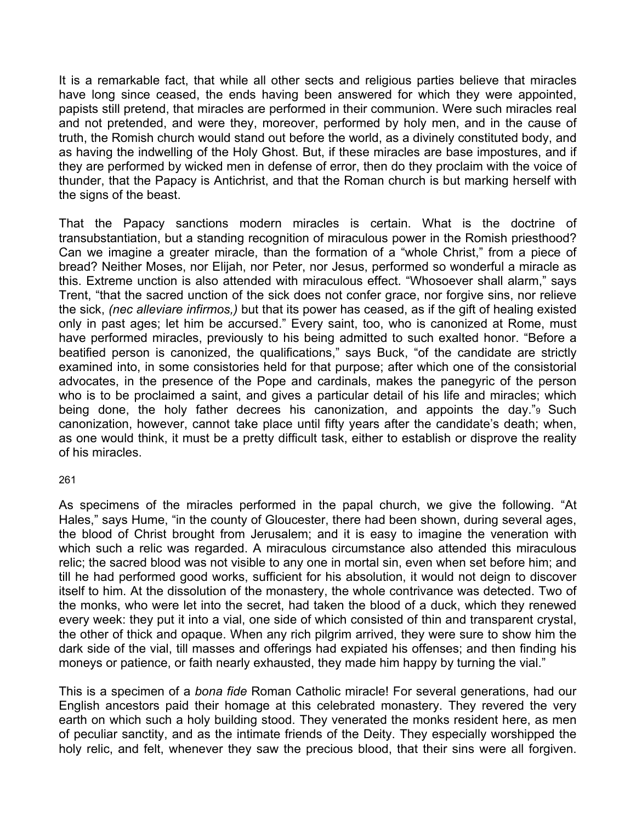It is a remarkable fact, that while all other sects and religious parties believe that miracles have long since ceased, the ends having been answered for which they were appointed, papists still pretend, that miracles are performed in their communion. Were such miracles real and not pretended, and were they, moreover, performed by holy men, and in the cause of truth, the Romish church would stand out before the world, as a divinely constituted body, and as having the indwelling of the Holy Ghost. But, if these miracles are base impostures, and if they are performed by wicked men in defense of error, then do they proclaim with the voice of thunder, that the Papacy is Antichrist, and that the Roman church is but marking herself with the signs of the beast.

That the Papacy sanctions modern miracles is certain. What is the doctrine of transubstantiation, but a standing recognition of miraculous power in the Romish priesthood? Can we imagine a greater miracle, than the formation of a "whole Christ," from a piece of bread? Neither Moses, nor Elijah, nor Peter, nor Jesus, performed so wonderful a miracle as this. Extreme unction is also attended with miraculous effect. "Whosoever shall alarm," says Trent, "that the sacred unction of the sick does not confer grace, nor forgive sins, nor relieve the sick, *(nec alleviare infirmos,)* but that its power has ceased, as if the gift of healing existed only in past ages; let him be accursed." Every saint, too, who is canonized at Rome, must have performed miracles, previously to his being admitted to such exalted honor. "Before a beatified person is canonized, the qualifications," says Buck, "of the candidate are strictly examined into, in some consistories held for that purpose; after which one of the consistorial advocates, in the presence of the Pope and cardinals, makes the panegyric of the person who is to be proclaimed a saint, and gives a particular detail of his life and miracles; which being done, the holy father decrees his canonization, and appoints the day."9 Such canonization, however, cannot take place until fifty years after the candidate's death; when, as one would think, it must be a pretty difficult task, either to establish or disprove the reality of his miracles.

### 261

As specimens of the miracles performed in the papal church, we give the following. "At Hales," says Hume, "in the county of Gloucester, there had been shown, during several ages, the blood of Christ brought from Jerusalem; and it is easy to imagine the veneration with which such a relic was regarded. A miraculous circumstance also attended this miraculous relic; the sacred blood was not visible to any one in mortal sin, even when set before him; and till he had performed good works, sufficient for his absolution, it would not deign to discover itself to him. At the dissolution of the monastery, the whole contrivance was detected. Two of the monks, who were let into the secret, had taken the blood of a duck, which they renewed every week: they put it into a vial, one side of which consisted of thin and transparent crystal, the other of thick and opaque. When any rich pilgrim arrived, they were sure to show him the dark side of the vial, till masses and offerings had expiated his offenses; and then finding his moneys or patience, or faith nearly exhausted, they made him happy by turning the vial."

This is a specimen of a *bona fide* Roman Catholic miracle! For several generations, had our English ancestors paid their homage at this celebrated monastery. They revered the very earth on which such a holy building stood. They venerated the monks resident here, as men of peculiar sanctity, and as the intimate friends of the Deity. They especially worshipped the holy relic, and felt, whenever they saw the precious blood, that their sins were all forgiven.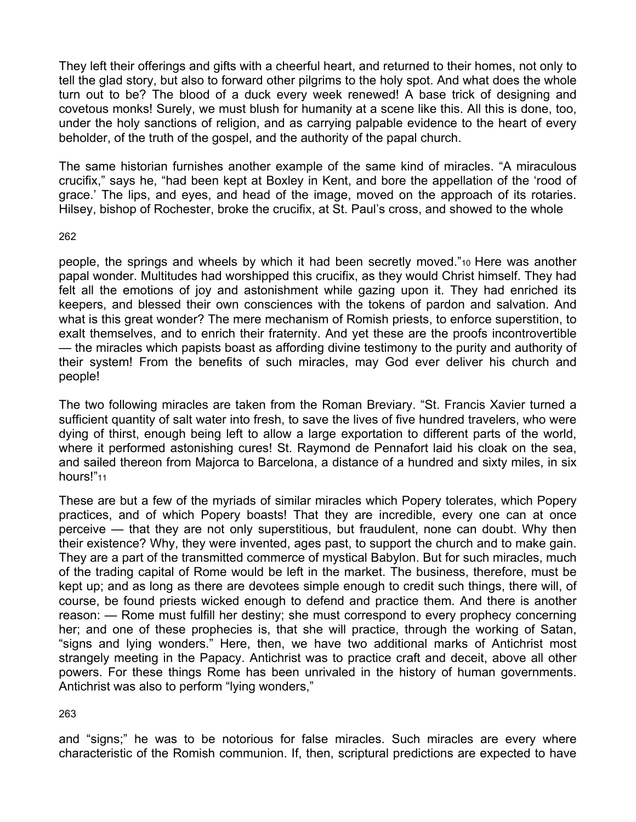They left their offerings and gifts with a cheerful heart, and returned to their homes, not only to tell the glad story, but also to forward other pilgrims to the holy spot. And what does the whole turn out to be? The blood of a duck every week renewed! A base trick of designing and covetous monks! Surely, we must blush for humanity at a scene like this. All this is done, too, under the holy sanctions of religion, and as carrying palpable evidence to the heart of every beholder, of the truth of the gospel, and the authority of the papal church.

The same historian furnishes another example of the same kind of miracles. "A miraculous crucifix," says he, "had been kept at Boxley in Kent, and bore the appellation of the 'rood of grace.' The lips, and eyes, and head of the image, moved on the approach of its rotaries. Hilsey, bishop of Rochester, broke the crucifix, at St. Paul's cross, and showed to the whole

### 262

people, the springs and wheels by which it had been secretly moved."10 Here was another papal wonder. Multitudes had worshipped this crucifix, as they would Christ himself. They had felt all the emotions of joy and astonishment while gazing upon it. They had enriched its keepers, and blessed their own consciences with the tokens of pardon and salvation. And what is this great wonder? The mere mechanism of Romish priests, to enforce superstition, to exalt themselves, and to enrich their fraternity. And yet these are the proofs incontrovertible — the miracles which papists boast as affording divine testimony to the purity and authority of their system! From the benefits of such miracles, may God ever deliver his church and people!

The two following miracles are taken from the Roman Breviary. "St. Francis Xavier turned a sufficient quantity of salt water into fresh, to save the lives of five hundred travelers, who were dying of thirst, enough being left to allow a large exportation to different parts of the world, where it performed astonishing cures! St. Raymond de Pennafort laid his cloak on the sea, and sailed thereon from Majorca to Barcelona, a distance of a hundred and sixty miles, in six hours!"<sub>11</sub>

These are but a few of the myriads of similar miracles which Popery tolerates, which Popery practices, and of which Popery boasts! That they are incredible, every one can at once perceive — that they are not only superstitious, but fraudulent, none can doubt. Why then their existence? Why, they were invented, ages past, to support the church and to make gain. They are a part of the transmitted commerce of mystical Babylon. But for such miracles, much of the trading capital of Rome would be left in the market. The business, therefore, must be kept up; and as long as there are devotees simple enough to credit such things, there will, of course, be found priests wicked enough to defend and practice them. And there is another reason: — Rome must fulfill her destiny; she must correspond to every prophecy concerning her; and one of these prophecies is, that she will practice, through the working of Satan, "signs and lying wonders." Here, then, we have two additional marks of Antichrist most strangely meeting in the Papacy. Antichrist was to practice craft and deceit, above all other powers. For these things Rome has been unrivaled in the history of human governments. Antichrist was also to perform "lying wonders,"

263

and "signs;" he was to be notorious for false miracles. Such miracles are every where characteristic of the Romish communion. If, then, scriptural predictions are expected to have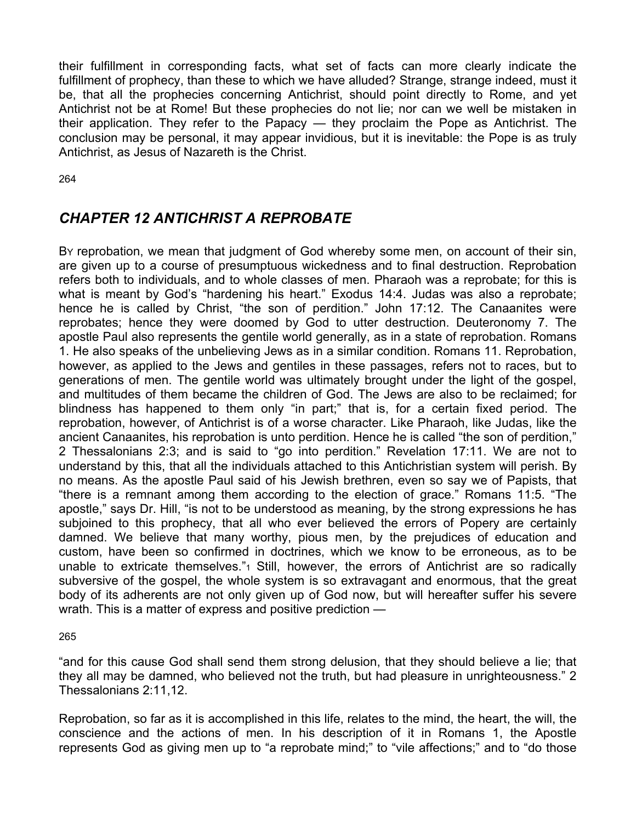their fulfillment in corresponding facts, what set of facts can more clearly indicate the fulfillment of prophecy, than these to which we have alluded? Strange, strange indeed, must it be, that all the prophecies concerning Antichrist, should point directly to Rome, and yet Antichrist not be at Rome! But these prophecies do not lie; nor can we well be mistaken in their application. They refer to the Papacy — they proclaim the Pope as Antichrist. The conclusion may be personal, it may appear invidious, but it is inevitable: the Pope is as truly Antichrist, as Jesus of Nazareth is the Christ.

264

# *CHAPTER 12 ANTICHRIST A REPROBATE*

By reprobation, we mean that judgment of God whereby some men, on account of their sin, are given up to a course of presumptuous wickedness and to final destruction. Reprobation refers both to individuals, and to whole classes of men. Pharaoh was a reprobate; for this is what is meant by God's "hardening his heart." Exodus 14:4. Judas was also a reprobate; hence he is called by Christ, "the son of perdition." John 17:12. The Canaanites were reprobates; hence they were doomed by God to utter destruction. Deuteronomy 7. The apostle Paul also represents the gentile world generally, as in a state of reprobation. Romans 1. He also speaks of the unbelieving Jews as in a similar condition. Romans 11. Reprobation, however, as applied to the Jews and gentiles in these passages, refers not to races, but to generations of men. The gentile world was ultimately brought under the light of the gospel, and multitudes of them became the children of God. The Jews are also to be reclaimed; for blindness has happened to them only "in part;" that is, for a certain fixed period. The reprobation, however, of Antichrist is of a worse character. Like Pharaoh, like Judas, like the ancient Canaanites, his reprobation is unto perdition. Hence he is called "the son of perdition," 2 Thessalonians 2:3; and is said to "go into perdition." Revelation 17:11. We are not to understand by this, that all the individuals attached to this Antichristian system will perish. By no means. As the apostle Paul said of his Jewish brethren, even so say we of Papists, that "there is a remnant among them according to the election of grace." Romans 11:5. "The apostle," says Dr. Hill, "is not to be understood as meaning, by the strong expressions he has subjoined to this prophecy, that all who ever believed the errors of Popery are certainly damned. We believe that many worthy, pious men, by the prejudices of education and custom, have been so confirmed in doctrines, which we know to be erroneous, as to be unable to extricate themselves."1 Still, however, the errors of Antichrist are so radically subversive of the gospel, the whole system is so extravagant and enormous, that the great body of its adherents are not only given up of God now, but will hereafter suffer his severe wrath. This is a matter of express and positive prediction —

265

"and for this cause God shall send them strong delusion, that they should believe a lie; that they all may be damned, who believed not the truth, but had pleasure in unrighteousness." 2 Thessalonians 2:11,12.

Reprobation, so far as it is accomplished in this life, relates to the mind, the heart, the will, the conscience and the actions of men. In his description of it in Romans 1, the Apostle represents God as giving men up to "a reprobate mind;" to "vile affections;" and to "do those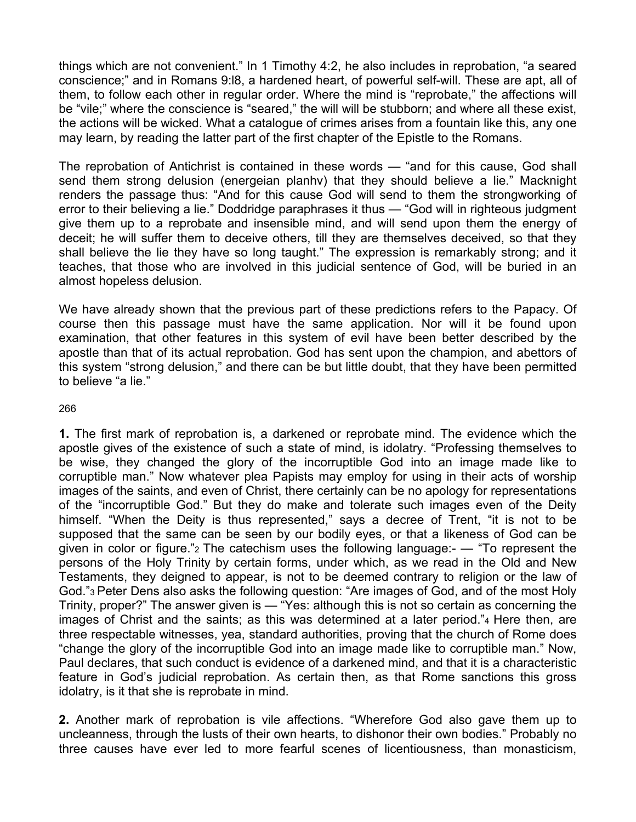things which are not convenient." In 1 Timothy 4:2, he also includes in reprobation, "a seared conscience;" and in Romans 9:l8, a hardened heart, of powerful self-will. These are apt, all of them, to follow each other in regular order. Where the mind is "reprobate," the affections will be "vile;" where the conscience is "seared," the will will be stubborn; and where all these exist, the actions will be wicked. What a catalogue of crimes arises from a fountain like this, any one may learn, by reading the latter part of the first chapter of the Epistle to the Romans.

The reprobation of Antichrist is contained in these words — "and for this cause, God shall send them strong delusion (energeian planhv) that they should believe a lie." Macknight renders the passage thus: "And for this cause God will send to them the strongworking of error to their believing a lie." Doddridge paraphrases it thus — "God will in righteous judgment give them up to a reprobate and insensible mind, and will send upon them the energy of deceit; he will suffer them to deceive others, till they are themselves deceived, so that they shall believe the lie they have so long taught." The expression is remarkably strong; and it teaches, that those who are involved in this judicial sentence of God, will be buried in an almost hopeless delusion.

We have already shown that the previous part of these predictions refers to the Papacy. Of course then this passage must have the same application. Nor will it be found upon examination, that other features in this system of evil have been better described by the apostle than that of its actual reprobation. God has sent upon the champion, and abettors of this system "strong delusion," and there can be but little doubt, that they have been permitted to believe "a lie."

### 266

**1.** The first mark of reprobation is, a darkened or reprobate mind. The evidence which the apostle gives of the existence of such a state of mind, is idolatry. "Professing themselves to be wise, they changed the glory of the incorruptible God into an image made like to corruptible man." Now whatever plea Papists may employ for using in their acts of worship images of the saints, and even of Christ, there certainly can be no apology for representations of the "incorruptible God." But they do make and tolerate such images even of the Deity himself. "When the Deity is thus represented," says a decree of Trent, "it is not to be supposed that the same can be seen by our bodily eyes, or that a likeness of God can be given in color or figure."2 The catechism uses the following language:- — "To represent the persons of the Holy Trinity by certain forms, under which, as we read in the Old and New Testaments, they deigned to appear, is not to be deemed contrary to religion or the law of God."3 Peter Dens also asks the following question: "Are images of God, and of the most Holy Trinity, proper?" The answer given is — "Yes: although this is not so certain as concerning the images of Christ and the saints; as this was determined at a later period."4 Here then, are three respectable witnesses, yea, standard authorities, proving that the church of Rome does "change the glory of the incorruptible God into an image made like to corruptible man." Now, Paul declares, that such conduct is evidence of a darkened mind, and that it is a characteristic feature in God's judicial reprobation. As certain then, as that Rome sanctions this gross idolatry, is it that she is reprobate in mind.

**2.** Another mark of reprobation is vile affections. "Wherefore God also gave them up to uncleanness, through the lusts of their own hearts, to dishonor their own bodies." Probably no three causes have ever led to more fearful scenes of licentiousness, than monasticism,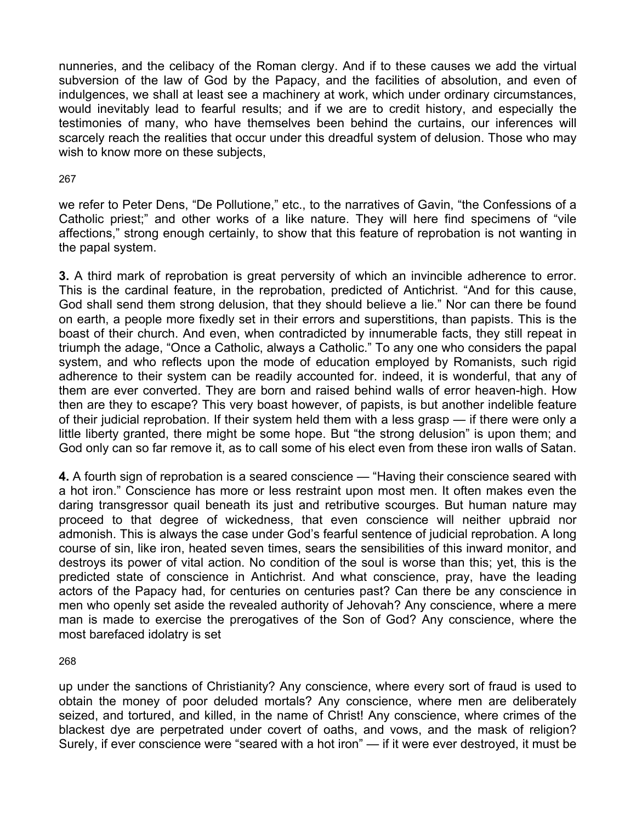nunneries, and the celibacy of the Roman clergy. And if to these causes we add the virtual subversion of the law of God by the Papacy, and the facilities of absolution, and even of indulgences, we shall at least see a machinery at work, which under ordinary circumstances, would inevitably lead to fearful results; and if we are to credit history, and especially the testimonies of many, who have themselves been behind the curtains, our inferences will scarcely reach the realities that occur under this dreadful system of delusion. Those who may wish to know more on these subjects,

### 267

we refer to Peter Dens, "De Pollutione," etc., to the narratives of Gavin, "the Confessions of a Catholic priest;" and other works of a like nature. They will here find specimens of "vile affections," strong enough certainly, to show that this feature of reprobation is not wanting in the papal system.

**3.** A third mark of reprobation is great perversity of which an invincible adherence to error. This is the cardinal feature, in the reprobation, predicted of Antichrist. "And for this cause, God shall send them strong delusion, that they should believe a lie." Nor can there be found on earth, a people more fixedly set in their errors and superstitions, than papists. This is the boast of their church. And even, when contradicted by innumerable facts, they still repeat in triumph the adage, "Once a Catholic, always a Catholic." To any one who considers the papal system, and who reflects upon the mode of education employed by Romanists, such rigid adherence to their system can be readily accounted for. indeed, it is wonderful, that any of them are ever converted. They are born and raised behind walls of error heaven-high. How then are they to escape? This very boast however, of papists, is but another indelible feature of their judicial reprobation. If their system held them with a less grasp — if there were only a little liberty granted, there might be some hope. But "the strong delusion" is upon them; and God only can so far remove it, as to call some of his elect even from these iron walls of Satan.

**4.** A fourth sign of reprobation is a seared conscience — "Having their conscience seared with a hot iron." Conscience has more or less restraint upon most men. It often makes even the daring transgressor quail beneath its just and retributive scourges. But human nature may proceed to that degree of wickedness, that even conscience will neither upbraid nor admonish. This is always the case under God's fearful sentence of judicial reprobation. A long course of sin, like iron, heated seven times, sears the sensibilities of this inward monitor, and destroys its power of vital action. No condition of the soul is worse than this; yet, this is the predicted state of conscience in Antichrist. And what conscience, pray, have the leading actors of the Papacy had, for centuries on centuries past? Can there be any conscience in men who openly set aside the revealed authority of Jehovah? Any conscience, where a mere man is made to exercise the prerogatives of the Son of God? Any conscience, where the most barefaced idolatry is set

268

up under the sanctions of Christianity? Any conscience, where every sort of fraud is used to obtain the money of poor deluded mortals? Any conscience, where men are deliberately seized, and tortured, and killed, in the name of Christ! Any conscience, where crimes of the blackest dye are perpetrated under covert of oaths, and vows, and the mask of religion? Surely, if ever conscience were "seared with a hot iron" — if it were ever destroyed, it must be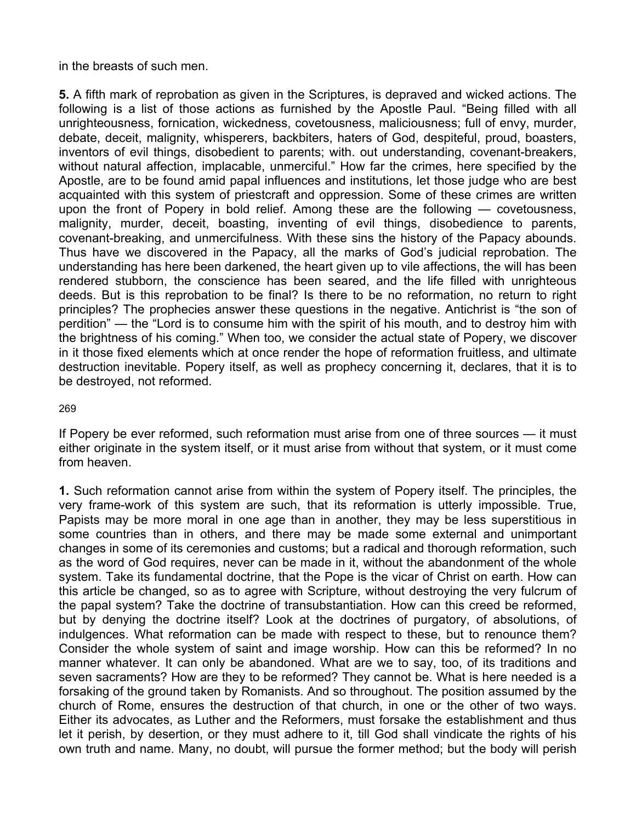in the breasts of such men.

**5.** A fifth mark of reprobation as given in the Scriptures, is depraved and wicked actions. The following is a list of those actions as furnished by the Apostle Paul. "Being filled with all unrighteousness, fornication, wickedness, covetousness, maliciousness; full of envy, murder, debate, deceit, malignity, whisperers, backbiters, haters of God, despiteful, proud, boasters, inventors of evil things, disobedient to parents; with. out understanding, covenant-breakers, without natural affection, implacable, unmerciful." How far the crimes, here specified by the Apostle, are to be found amid papal influences and institutions, let those judge who are best acquainted with this system of priestcraft and oppression. Some of these crimes are written upon the front of Popery in bold relief. Among these are the following — covetousness, malignity, murder, deceit, boasting, inventing of evil things, disobedience to parents, covenant-breaking, and unmercifulness. With these sins the history of the Papacy abounds. Thus have we discovered in the Papacy, all the marks of God's judicial reprobation. The understanding has here been darkened, the heart given up to vile affections, the will has been rendered stubborn, the conscience has been seared, and the life filled with unrighteous deeds. But is this reprobation to be final? Is there to be no reformation, no return to right principles? The prophecies answer these questions in the negative. Antichrist is "the son of perdition" — the "Lord is to consume him with the spirit of his mouth, and to destroy him with the brightness of his coming." When too, we consider the actual state of Popery, we discover in it those fixed elements which at once render the hope of reformation fruitless, and ultimate destruction inevitable. Popery itself, as well as prophecy concerning it, declares, that it is to be destroyed, not reformed.

269

If Popery be ever reformed, such reformation must arise from one of three sources — it must either originate in the system itself, or it must arise from without that system, or it must come from heaven.

**1.** Such reformation cannot arise from within the system of Popery itself. The principles, the very frame-work of this system are such, that its reformation is utterly impossible. True, Papists may be more moral in one age than in another, they may be less superstitious in some countries than in others, and there may be made some external and unimportant changes in some of its ceremonies and customs; but a radical and thorough reformation, such as the word of God requires, never can be made in it, without the abandonment of the whole system. Take its fundamental doctrine, that the Pope is the vicar of Christ on earth. How can this article be changed, so as to agree with Scripture, without destroying the very fulcrum of the papal system? Take the doctrine of transubstantiation. How can this creed be reformed, but by denying the doctrine itself? Look at the doctrines of purgatory, of absolutions, of indulgences. What reformation can be made with respect to these, but to renounce them? Consider the whole system of saint and image worship. How can this be reformed? In no manner whatever. It can only be abandoned. What are we to say, too, of its traditions and seven sacraments? How are they to be reformed? They cannot be. What is here needed is a forsaking of the ground taken by Romanists. And so throughout. The position assumed by the church of Rome, ensures the destruction of that church, in one or the other of two ways. Either its advocates, as Luther and the Reformers, must forsake the establishment and thus let it perish, by desertion, or they must adhere to it, till God shall vindicate the rights of his own truth and name. Many, no doubt, will pursue the former method; but the body will perish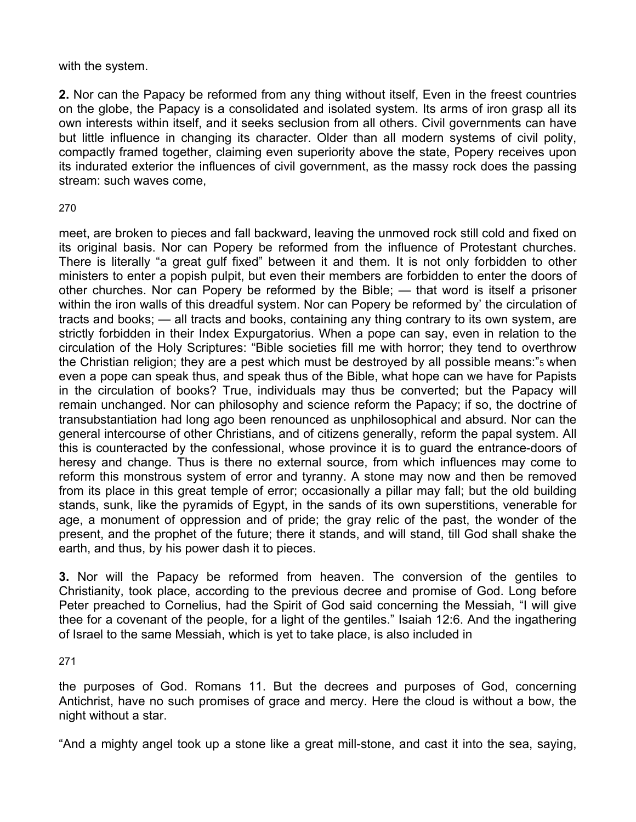with the system.

**2.** Nor can the Papacy be reformed from any thing without itself, Even in the freest countries on the globe, the Papacy is a consolidated and isolated system. Its arms of iron grasp all its own interests within itself, and it seeks seclusion from all others. Civil governments can have but little influence in changing its character. Older than all modern systems of civil polity, compactly framed together, claiming even superiority above the state, Popery receives upon its indurated exterior the influences of civil government, as the massy rock does the passing stream: such waves come,

## 270

meet, are broken to pieces and fall backward, leaving the unmoved rock still cold and fixed on its original basis. Nor can Popery be reformed from the influence of Protestant churches. There is literally "a great gulf fixed" between it and them. It is not only forbidden to other ministers to enter a popish pulpit, but even their members are forbidden to enter the doors of other churches. Nor can Popery be reformed by the Bible; — that word is itself a prisoner within the iron walls of this dreadful system. Nor can Popery be reformed by' the circulation of tracts and books; — all tracts and books, containing any thing contrary to its own system, are strictly forbidden in their Index Expurgatorius. When a pope can say, even in relation to the circulation of the Holy Scriptures: "Bible societies fill me with horror; they tend to overthrow the Christian religion; they are a pest which must be destroyed by all possible means:"5 when even a pope can speak thus, and speak thus of the Bible, what hope can we have for Papists in the circulation of books? True, individuals may thus be converted; but the Papacy will remain unchanged. Nor can philosophy and science reform the Papacy; if so, the doctrine of transubstantiation had long ago been renounced as unphilosophical and absurd. Nor can the general intercourse of other Christians, and of citizens generally, reform the papal system. All this is counteracted by the confessional, whose province it is to guard the entrance-doors of heresy and change. Thus is there no external source, from which influences may come to reform this monstrous system of error and tyranny. A stone may now and then be removed from its place in this great temple of error; occasionally a pillar may fall; but the old building stands, sunk, like the pyramids of Egypt, in the sands of its own superstitions, venerable for age, a monument of oppression and of pride; the gray relic of the past, the wonder of the present, and the prophet of the future; there it stands, and will stand, till God shall shake the earth, and thus, by his power dash it to pieces.

**3.** Nor will the Papacy be reformed from heaven. The conversion of the gentiles to Christianity, took place, according to the previous decree and promise of God. Long before Peter preached to Cornelius, had the Spirit of God said concerning the Messiah, "I will give thee for a covenant of the people, for a light of the gentiles." Isaiah 12:6. And the ingathering of Israel to the same Messiah, which is yet to take place, is also included in

271

the purposes of God. Romans 11. But the decrees and purposes of God, concerning Antichrist, have no such promises of grace and mercy. Here the cloud is without a bow, the night without a star.

"And a mighty angel took up a stone like a great mill-stone, and cast it into the sea, saying,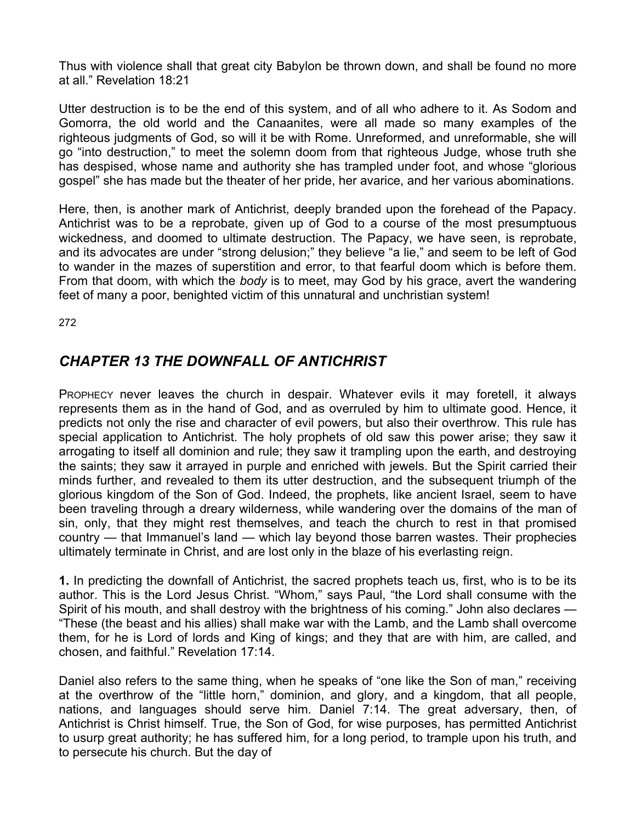Thus with violence shall that great city Babylon be thrown down, and shall be found no more at all." Revelation 18:21

Utter destruction is to be the end of this system, and of all who adhere to it. As Sodom and Gomorra, the old world and the Canaanites, were all made so many examples of the righteous judgments of God, so will it be with Rome. Unreformed, and unreformable, she will go "into destruction," to meet the solemn doom from that righteous Judge, whose truth she has despised, whose name and authority she has trampled under foot, and whose "glorious gospel" she has made but the theater of her pride, her avarice, and her various abominations.

Here, then, is another mark of Antichrist, deeply branded upon the forehead of the Papacy. Antichrist was to be a reprobate, given up of God to a course of the most presumptuous wickedness, and doomed to ultimate destruction. The Papacy, we have seen, is reprobate, and its advocates are under "strong delusion;" they believe "a lie," and seem to be left of God to wander in the mazes of superstition and error, to that fearful doom which is before them. From that doom, with which the *body* is to meet, may God by his grace, avert the wandering feet of many a poor, benighted victim of this unnatural and unchristian system!

272

## *CHAPTER 13 THE DOWNFALL OF ANTICHRIST*

PROPHECY never leaves the church in despair. Whatever evils it may foretell, it always represents them as in the hand of God, and as overruled by him to ultimate good. Hence, it predicts not only the rise and character of evil powers, but also their overthrow. This rule has special application to Antichrist. The holy prophets of old saw this power arise; they saw it arrogating to itself all dominion and rule; they saw it trampling upon the earth, and destroying the saints; they saw it arrayed in purple and enriched with jewels. But the Spirit carried their minds further, and revealed to them its utter destruction, and the subsequent triumph of the glorious kingdom of the Son of God. Indeed, the prophets, like ancient Israel, seem to have been traveling through a dreary wilderness, while wandering over the domains of the man of sin, only, that they might rest themselves, and teach the church to rest in that promised country — that Immanuel's land — which lay beyond those barren wastes. Their prophecies ultimately terminate in Christ, and are lost only in the blaze of his everlasting reign.

**1.** In predicting the downfall of Antichrist, the sacred prophets teach us, first, who is to be its author. This is the Lord Jesus Christ. "Whom," says Paul, "the Lord shall consume with the Spirit of his mouth, and shall destroy with the brightness of his coming." John also declares — "These (the beast and his allies) shall make war with the Lamb, and the Lamb shall overcome them, for he is Lord of lords and King of kings; and they that are with him, are called, and chosen, and faithful." Revelation 17:14.

Daniel also refers to the same thing, when he speaks of "one like the Son of man," receiving at the overthrow of the "little horn," dominion, and glory, and a kingdom, that all people, nations, and languages should serve him. Daniel 7:14. The great adversary, then, of Antichrist is Christ himself. True, the Son of God, for wise purposes, has permitted Antichrist to usurp great authority; he has suffered him, for a long period, to trample upon his truth, and to persecute his church. But the day of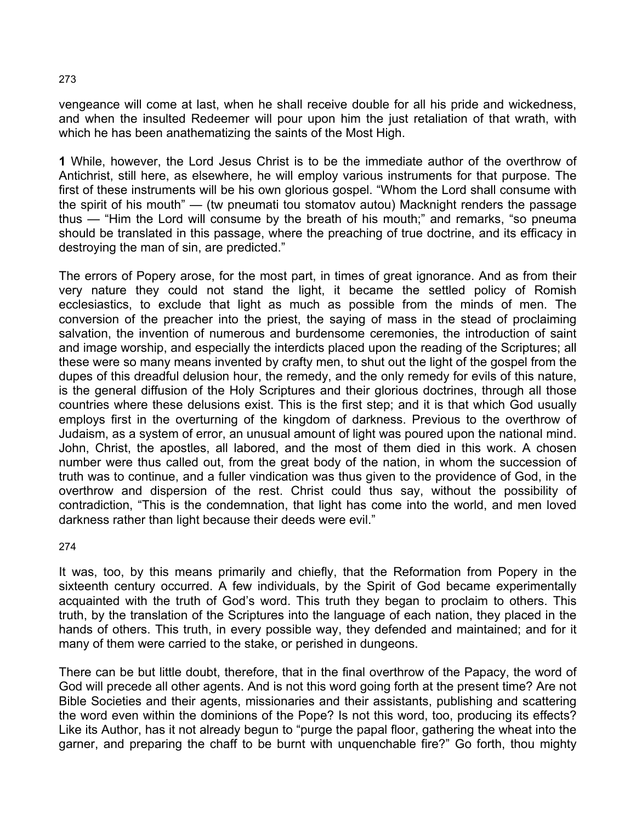vengeance will come at last, when he shall receive double for all his pride and wickedness, and when the insulted Redeemer will pour upon him the just retaliation of that wrath, with which he has been anathematizing the saints of the Most High.

**1** While, however, the Lord Jesus Christ is to be the immediate author of the overthrow of Antichrist, still here, as elsewhere, he will employ various instruments for that purpose. The first of these instruments will be his own glorious gospel. "Whom the Lord shall consume with the spirit of his mouth" — (tw pneumati tou stomatov autou) Macknight renders the passage thus — "Him the Lord will consume by the breath of his mouth;" and remarks, "so pneuma should be translated in this passage, where the preaching of true doctrine, and its efficacy in destroying the man of sin, are predicted."

The errors of Popery arose, for the most part, in times of great ignorance. And as from their very nature they could not stand the light, it became the settled policy of Romish ecclesiastics, to exclude that light as much as possible from the minds of men. The conversion of the preacher into the priest, the saying of mass in the stead of proclaiming salvation, the invention of numerous and burdensome ceremonies, the introduction of saint and image worship, and especially the interdicts placed upon the reading of the Scriptures; all these were so many means invented by crafty men, to shut out the light of the gospel from the dupes of this dreadful delusion hour, the remedy, and the only remedy for evils of this nature, is the general diffusion of the Holy Scriptures and their glorious doctrines, through all those countries where these delusions exist. This is the first step; and it is that which God usually employs first in the overturning of the kingdom of darkness. Previous to the overthrow of Judaism, as a system of error, an unusual amount of light was poured upon the national mind. John, Christ, the apostles, all labored, and the most of them died in this work. A chosen number were thus called out, from the great body of the nation, in whom the succession of truth was to continue, and a fuller vindication was thus given to the providence of God, in the overthrow and dispersion of the rest. Christ could thus say, without the possibility of contradiction, "This is the condemnation, that light has come into the world, and men loved darkness rather than light because their deeds were evil."

274

It was, too, by this means primarily and chiefly, that the Reformation from Popery in the sixteenth century occurred. A few individuals, by the Spirit of God became experimentally acquainted with the truth of God's word. This truth they began to proclaim to others. This truth, by the translation of the Scriptures into the language of each nation, they placed in the hands of others. This truth, in every possible way, they defended and maintained; and for it many of them were carried to the stake, or perished in dungeons.

There can be but little doubt, therefore, that in the final overthrow of the Papacy, the word of God will precede all other agents. And is not this word going forth at the present time? Are not Bible Societies and their agents, missionaries and their assistants, publishing and scattering the word even within the dominions of the Pope? Is not this word, too, producing its effects? Like its Author, has it not already begun to "purge the papal floor, gathering the wheat into the garner, and preparing the chaff to be burnt with unquenchable fire?" Go forth, thou mighty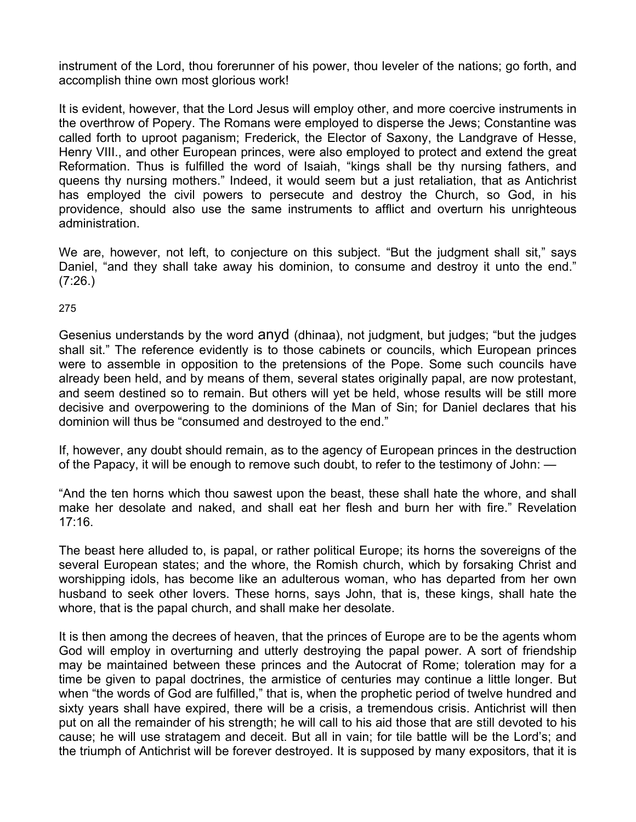instrument of the Lord, thou forerunner of his power, thou leveler of the nations; go forth, and accomplish thine own most glorious work!

It is evident, however, that the Lord Jesus will employ other, and more coercive instruments in the overthrow of Popery. The Romans were employed to disperse the Jews; Constantine was called forth to uproot paganism; Frederick, the Elector of Saxony, the Landgrave of Hesse, Henry VIII., and other European princes, were also employed to protect and extend the great Reformation. Thus is fulfilled the word of Isaiah, "kings shall be thy nursing fathers, and queens thy nursing mothers." Indeed, it would seem but a just retaliation, that as Antichrist has employed the civil powers to persecute and destroy the Church, so God, in his providence, should also use the same instruments to afflict and overturn his unrighteous administration.

We are, however, not left, to conjecture on this subject. "But the judgment shall sit," says Daniel, "and they shall take away his dominion, to consume and destroy it unto the end." (7:26.)

## 275

Gesenius understands by the word anyd (dhinaa), not judgment, but judges; "but the judges shall sit." The reference evidently is to those cabinets or councils, which European princes were to assemble in opposition to the pretensions of the Pope. Some such councils have already been held, and by means of them, several states originally papal, are now protestant, and seem destined so to remain. But others will yet be held, whose results will be still more decisive and overpowering to the dominions of the Man of Sin; for Daniel declares that his dominion will thus be "consumed and destroyed to the end."

If, however, any doubt should remain, as to the agency of European princes in the destruction of the Papacy, it will be enough to remove such doubt, to refer to the testimony of John: —

"And the ten horns which thou sawest upon the beast, these shall hate the whore, and shall make her desolate and naked, and shall eat her flesh and burn her with fire." Revelation 17:16.

The beast here alluded to, is papal, or rather political Europe; its horns the sovereigns of the several European states; and the whore, the Romish church, which by forsaking Christ and worshipping idols, has become like an adulterous woman, who has departed from her own husband to seek other lovers. These horns, says John, that is, these kings, shall hate the whore, that is the papal church, and shall make her desolate.

It is then among the decrees of heaven, that the princes of Europe are to be the agents whom God will employ in overturning and utterly destroying the papal power. A sort of friendship may be maintained between these princes and the Autocrat of Rome; toleration may for a time be given to papal doctrines, the armistice of centuries may continue a little longer. But when "the words of God are fulfilled," that is, when the prophetic period of twelve hundred and sixty years shall have expired, there will be a crisis, a tremendous crisis. Antichrist will then put on all the remainder of his strength; he will call to his aid those that are still devoted to his cause; he will use stratagem and deceit. But all in vain; for tile battle will be the Lord's; and the triumph of Antichrist will be forever destroyed. It is supposed by many expositors, that it is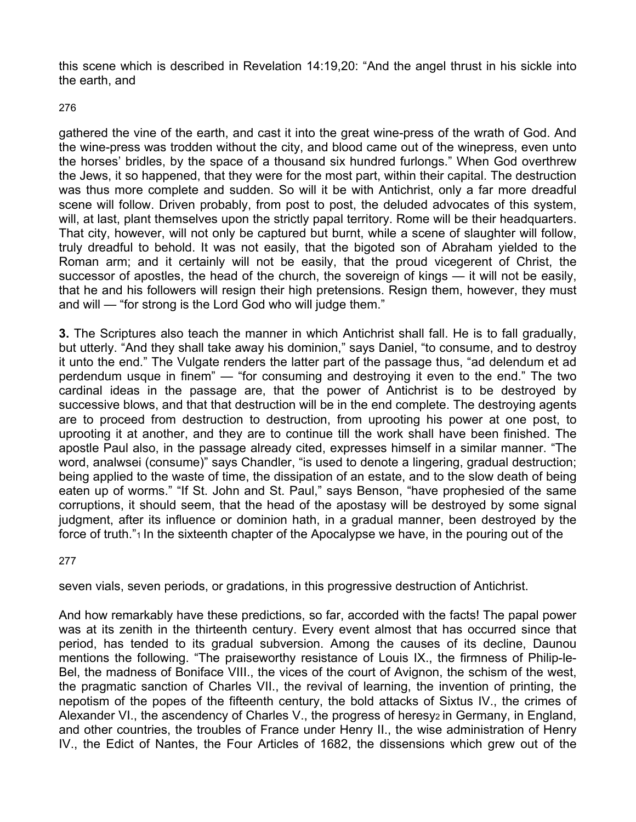this scene which is described in Revelation 14:19,20: "And the angel thrust in his sickle into the earth, and

276

gathered the vine of the earth, and cast it into the great wine-press of the wrath of God. And the wine-press was trodden without the city, and blood came out of the winepress, even unto the horses' bridles, by the space of a thousand six hundred furlongs." When God overthrew the Jews, it so happened, that they were for the most part, within their capital. The destruction was thus more complete and sudden. So will it be with Antichrist, only a far more dreadful scene will follow. Driven probably, from post to post, the deluded advocates of this system, will, at last, plant themselves upon the strictly papal territory. Rome will be their headquarters. That city, however, will not only be captured but burnt, while a scene of slaughter will follow, truly dreadful to behold. It was not easily, that the bigoted son of Abraham yielded to the Roman arm; and it certainly will not be easily, that the proud vicegerent of Christ, the successor of apostles, the head of the church, the sovereign of kings — it will not be easily, that he and his followers will resign their high pretensions. Resign them, however, they must and will — "for strong is the Lord God who will judge them."

**3.** The Scriptures also teach the manner in which Antichrist shall fall. He is to fall gradually, but utterly. "And they shall take away his dominion," says Daniel, "to consume, and to destroy it unto the end." The Vulgate renders the latter part of the passage thus, "ad delendum et ad perdendum usque in finem" — "for consuming and destroying it even to the end." The two cardinal ideas in the passage are, that the power of Antichrist is to be destroyed by successive blows, and that that destruction will be in the end complete. The destroying agents are to proceed from destruction to destruction, from uprooting his power at one post, to uprooting it at another, and they are to continue till the work shall have been finished. The apostle Paul also, in the passage already cited, expresses himself in a similar manner. "The word, analwsei (consume)" says Chandler, "is used to denote a lingering, gradual destruction; being applied to the waste of time, the dissipation of an estate, and to the slow death of being eaten up of worms." "If St. John and St. Paul," says Benson, "have prophesied of the same corruptions, it should seem, that the head of the apostasy will be destroyed by some signal judgment, after its influence or dominion hath, in a gradual manner, been destroyed by the force of truth."<sup>1</sup> In the sixteenth chapter of the Apocalypse we have, in the pouring out of the

277

seven vials, seven periods, or gradations, in this progressive destruction of Antichrist.

And how remarkably have these predictions, so far, accorded with the facts! The papal power was at its zenith in the thirteenth century. Every event almost that has occurred since that period, has tended to its gradual subversion. Among the causes of its decline, Daunou mentions the following. "The praiseworthy resistance of Louis IX., the firmness of Philip-le-Bel, the madness of Boniface VIII., the vices of the court of Avignon, the schism of the west, the pragmatic sanction of Charles VII., the revival of learning, the invention of printing, the nepotism of the popes of the fifteenth century, the bold attacks of Sixtus IV., the crimes of Alexander VI., the ascendency of Charles V., the progress of heresyz in Germany, in England, and other countries, the troubles of France under Henry II., the wise administration of Henry IV., the Edict of Nantes, the Four Articles of 1682, the dissensions which grew out of the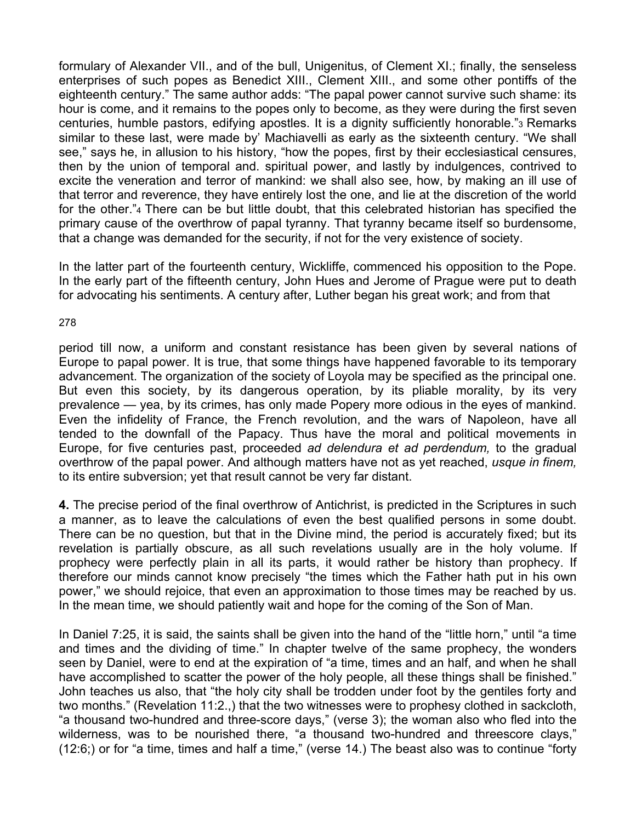formulary of Alexander VII., and of the bull, Unigenitus, of Clement XI.; finally, the senseless enterprises of such popes as Benedict XIII., Clement XIII., and some other pontiffs of the eighteenth century." The same author adds: "The papal power cannot survive such shame: its hour is come, and it remains to the popes only to become, as they were during the first seven centuries, humble pastors, edifying apostles. It is a dignity sufficiently honorable."3 Remarks similar to these last, were made by' Machiavelli as early as the sixteenth century. "We shall see," says he, in allusion to his history, "how the popes, first by their ecclesiastical censures, then by the union of temporal and. spiritual power, and lastly by indulgences, contrived to excite the veneration and terror of mankind: we shall also see, how, by making an ill use of that terror and reverence, they have entirely lost the one, and lie at the discretion of the world for the other."4 There can be but little doubt, that this celebrated historian has specified the primary cause of the overthrow of papal tyranny. That tyranny became itself so burdensome, that a change was demanded for the security, if not for the very existence of society.

In the latter part of the fourteenth century, Wickliffe, commenced his opposition to the Pope. In the early part of the fifteenth century, John Hues and Jerome of Prague were put to death for advocating his sentiments. A century after, Luther began his great work; and from that

278

period till now, a uniform and constant resistance has been given by several nations of Europe to papal power. It is true, that some things have happened favorable to its temporary advancement. The organization of the society of Loyola may be specified as the principal one. But even this society, by its dangerous operation, by its pliable morality, by its very prevalence — yea, by its crimes, has only made Popery more odious in the eyes of mankind. Even the infidelity of France, the French revolution, and the wars of Napoleon, have all tended to the downfall of the Papacy. Thus have the moral and political movements in Europe, for five centuries past, proceeded *ad delendura et ad perdendum,* to the gradual overthrow of the papal power. And although matters have not as yet reached, *usque in finem,*  to its entire subversion; yet that result cannot be very far distant.

**4.** The precise period of the final overthrow of Antichrist, is predicted in the Scriptures in such a manner, as to leave the calculations of even the best qualified persons in some doubt. There can be no question, but that in the Divine mind, the period is accurately fixed; but its revelation is partially obscure, as all such revelations usually are in the holy volume. If prophecy were perfectly plain in all its parts, it would rather be history than prophecy. If therefore our minds cannot know precisely "the times which the Father hath put in his own power," we should rejoice, that even an approximation to those times may be reached by us. In the mean time, we should patiently wait and hope for the coming of the Son of Man.

In Daniel 7:25, it is said, the saints shall be given into the hand of the "little horn," until "a time and times and the dividing of time." In chapter twelve of the same prophecy, the wonders seen by Daniel, were to end at the expiration of "a time, times and an half, and when he shall have accomplished to scatter the power of the holy people, all these things shall be finished." John teaches us also, that "the holy city shall be trodden under foot by the gentiles forty and two months." (Revelation 11:2.,) that the two witnesses were to prophesy clothed in sackcloth, "a thousand two-hundred and three-score days," (verse 3); the woman also who fled into the wilderness, was to be nourished there, "a thousand two-hundred and threescore clays," (12:6;) or for "a time, times and half a time," (verse 14.) The beast also was to continue "forty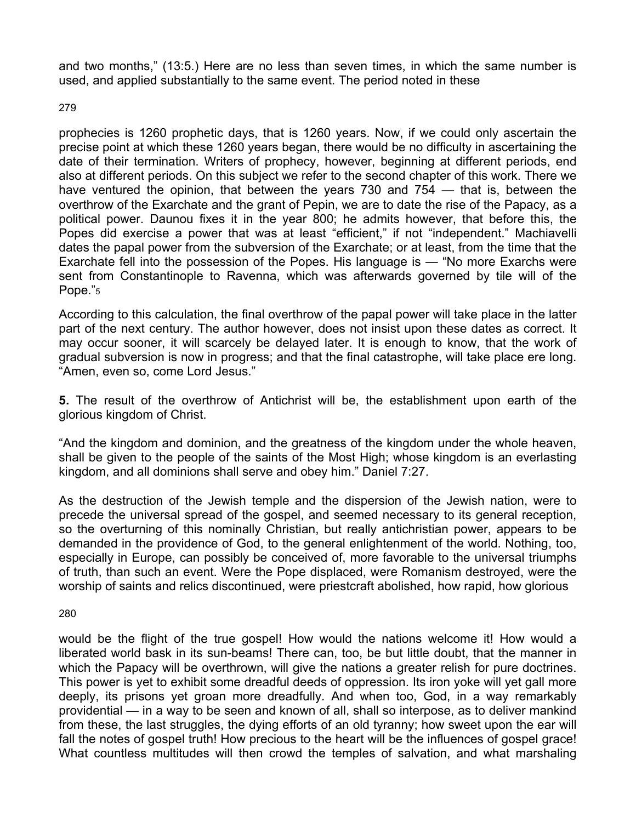and two months," (13:5.) Here are no less than seven times, in which the same number is used, and applied substantially to the same event. The period noted in these

279

prophecies is 1260 prophetic days, that is 1260 years. Now, if we could only ascertain the precise point at which these 1260 years began, there would be no difficulty in ascertaining the date of their termination. Writers of prophecy, however, beginning at different periods, end also at different periods. On this subject we refer to the second chapter of this work. There we have ventured the opinion, that between the years 730 and 754 — that is, between the overthrow of the Exarchate and the grant of Pepin, we are to date the rise of the Papacy, as a political power. Daunou fixes it in the year 800; he admits however, that before this, the Popes did exercise a power that was at least "efficient," if not "independent." Machiavelli dates the papal power from the subversion of the Exarchate; or at least, from the time that the Exarchate fell into the possession of the Popes. His language is — "No more Exarchs were sent from Constantinople to Ravenna, which was afterwards governed by tile will of the Pope."<sub>5</sub>

According to this calculation, the final overthrow of the papal power will take place in the latter part of the next century. The author however, does not insist upon these dates as correct. It may occur sooner, it will scarcely be delayed later. It is enough to know, that the work of gradual subversion is now in progress; and that the final catastrophe, will take place ere long. "Amen, even so, come Lord Jesus."

**5.** The result of the overthrow of Antichrist will be, the establishment upon earth of the glorious kingdom of Christ.

"And the kingdom and dominion, and the greatness of the kingdom under the whole heaven, shall be given to the people of the saints of the Most High; whose kingdom is an everlasting kingdom, and all dominions shall serve and obey him." Daniel 7:27.

As the destruction of the Jewish temple and the dispersion of the Jewish nation, were to precede the universal spread of the gospel, and seemed necessary to its general reception, so the overturning of this nominally Christian, but really antichristian power, appears to be demanded in the providence of God, to the general enlightenment of the world. Nothing, too, especially in Europe, can possibly be conceived of, more favorable to the universal triumphs of truth, than such an event. Were the Pope displaced, were Romanism destroyed, were the worship of saints and relics discontinued, were priestcraft abolished, how rapid, how glorious

280

would be the flight of the true gospel! How would the nations welcome it! How would a liberated world bask in its sun-beams! There can, too, be but little doubt, that the manner in which the Papacy will be overthrown, will give the nations a greater relish for pure doctrines. This power is yet to exhibit some dreadful deeds of oppression. Its iron yoke will yet gall more deeply, its prisons yet groan more dreadfully. And when too, God, in a way remarkably providential — in a way to be seen and known of all, shall so interpose, as to deliver mankind from these, the last struggles, the dying efforts of an old tyranny; how sweet upon the ear will fall the notes of gospel truth! How precious to the heart will be the influences of gospel grace! What countless multitudes will then crowd the temples of salvation, and what marshaling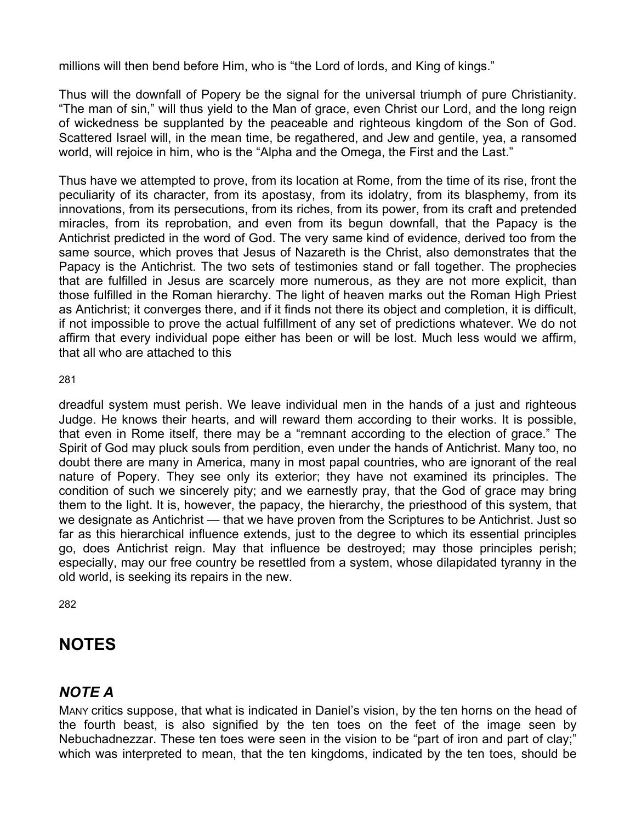millions will then bend before Him, who is "the Lord of lords, and King of kings."

Thus will the downfall of Popery be the signal for the universal triumph of pure Christianity. "The man of sin," will thus yield to the Man of grace, even Christ our Lord, and the long reign of wickedness be supplanted by the peaceable and righteous kingdom of the Son of God. Scattered Israel will, in the mean time, be regathered, and Jew and gentile, yea, a ransomed world, will rejoice in him, who is the "Alpha and the Omega, the First and the Last."

Thus have we attempted to prove, from its location at Rome, from the time of its rise, front the peculiarity of its character, from its apostasy, from its idolatry, from its blasphemy, from its innovations, from its persecutions, from its riches, from its power, from its craft and pretended miracles, from its reprobation, and even from its begun downfall, that the Papacy is the Antichrist predicted in the word of God. The very same kind of evidence, derived too from the same source, which proves that Jesus of Nazareth is the Christ, also demonstrates that the Papacy is the Antichrist. The two sets of testimonies stand or fall together. The prophecies that are fulfilled in Jesus are scarcely more numerous, as they are not more explicit, than those fulfilled in the Roman hierarchy. The light of heaven marks out the Roman High Priest as Antichrist; it converges there, and if it finds not there its object and completion, it is difficult, if not impossible to prove the actual fulfillment of any set of predictions whatever. We do not affirm that every individual pope either has been or will be lost. Much less would we affirm, that all who are attached to this

281

dreadful system must perish. We leave individual men in the hands of a just and righteous Judge. He knows their hearts, and will reward them according to their works. It is possible, that even in Rome itself, there may be a "remnant according to the election of grace." The Spirit of God may pluck souls from perdition, even under the hands of Antichrist. Many too, no doubt there are many in America, many in most papal countries, who are ignorant of the real nature of Popery. They see only its exterior; they have not examined its principles. The condition of such we sincerely pity; and we earnestly pray, that the God of grace may bring them to the light. It is, however, the papacy, the hierarchy, the priesthood of this system, that we designate as Antichrist — that we have proven from the Scriptures to be Antichrist. Just so far as this hierarchical influence extends, just to the degree to which its essential principles go, does Antichrist reign. May that influence be destroyed; may those principles perish; especially, may our free country be resettled from a system, whose dilapidated tyranny in the old world, is seeking its repairs in the new.

282

# **NOTES**

# *NOTE A*

MANY critics suppose, that what is indicated in Daniel's vision, by the ten horns on the head of the fourth beast, is also signified by the ten toes on the feet of the image seen by Nebuchadnezzar. These ten toes were seen in the vision to be "part of iron and part of clay;" which was interpreted to mean, that the ten kingdoms, indicated by the ten toes, should be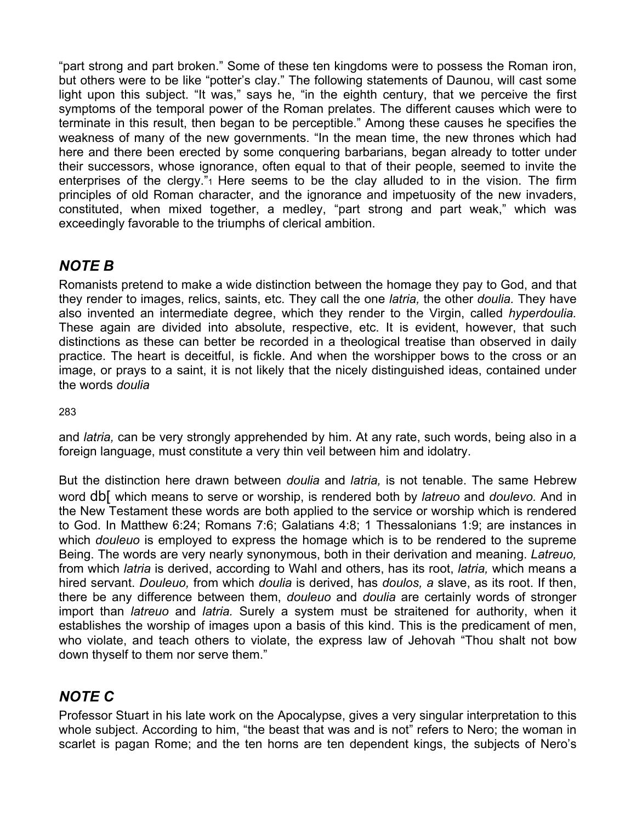"part strong and part broken." Some of these ten kingdoms were to possess the Roman iron, but others were to be like "potter's clay." The following statements of Daunou, will cast some light upon this subject. "It was," says he, "in the eighth century, that we perceive the first symptoms of the temporal power of the Roman prelates. The different causes which were to terminate in this result, then began to be perceptible." Among these causes he specifies the weakness of many of the new governments. "In the mean time, the new thrones which had here and there been erected by some conquering barbarians, began already to totter under their successors, whose ignorance, often equal to that of their people, seemed to invite the enterprises of the clergy." $1$  Here seems to be the clay alluded to in the vision. The firm principles of old Roman character, and the ignorance and impetuosity of the new invaders, constituted, when mixed together, a medley, "part strong and part weak," which was exceedingly favorable to the triumphs of clerical ambition.

## *NOTE B*

Romanists pretend to make a wide distinction between the homage they pay to God, and that they render to images, relics, saints, etc. They call the one *latria,* the other *doulia.* They have also invented an intermediate degree, which they render to the Virgin, called *hyperdoulia.*  These again are divided into absolute, respective, etc. It is evident, however, that such distinctions as these can better be recorded in a theological treatise than observed in daily practice. The heart is deceitful, is fickle. And when the worshipper bows to the cross or an image, or prays to a saint, it is not likely that the nicely distinguished ideas, contained under the words *doulia* 

283

and *latria,* can be very strongly apprehended by him. At any rate, such words, being also in a foreign language, must constitute a very thin veil between him and idolatry.

But the distinction here drawn between *doulia* and *latria,* is not tenable. The same Hebrew word db[ which means to serve or worship, is rendered both by *latreuo* and *doulevo.* And in the New Testament these words are both applied to the service or worship which is rendered to God. In Matthew 6:24; Romans 7:6; Galatians 4:8; 1 Thessalonians 1:9; are instances in which *douleuo* is employed to express the homage which is to be rendered to the supreme Being. The words are very nearly synonymous, both in their derivation and meaning. *Latreuo,*  from which *latria* is derived, according to Wahl and others, has its root, *latria,* which means a hired servant. *Douleuo,* from which *doulia* is derived, has *doulos, a* slave, as its root. If then, there be any difference between them, *douleuo* and *doulia* are certainly words of stronger import than *latreuo* and *latria.* Surely a system must be straitened for authority, when it establishes the worship of images upon a basis of this kind. This is the predicament of men, who violate, and teach others to violate, the express law of Jehovah "Thou shalt not bow down thyself to them nor serve them."

# *NOTE C*

Professor Stuart in his late work on the Apocalypse, gives a very singular interpretation to this whole subject. According to him, "the beast that was and is not" refers to Nero; the woman in scarlet is pagan Rome; and the ten horns are ten dependent kings, the subjects of Nero's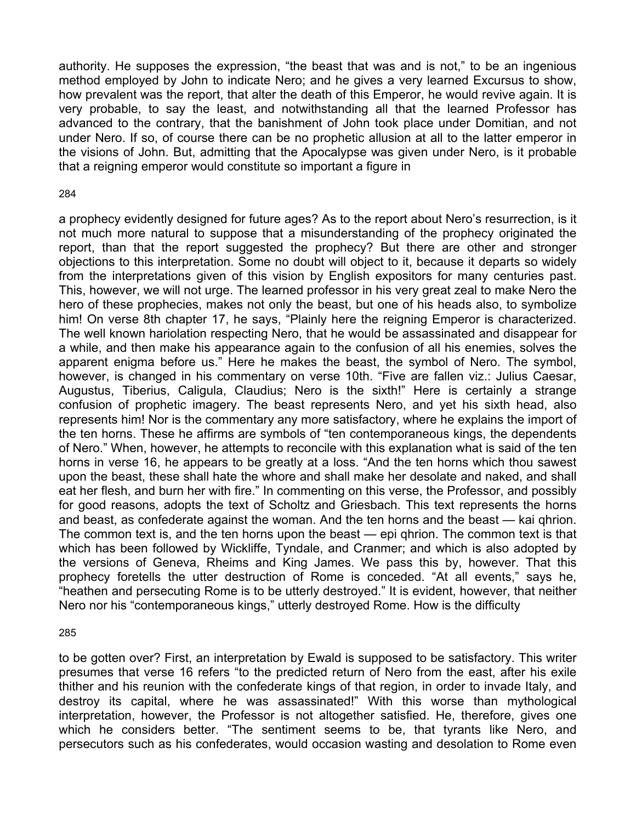authority. He supposes the expression, "the beast that was and is not," to be an ingenious method employed by John to indicate Nero; and he gives a very learned Excursus to show, how prevalent was the report, that alter the death of this Emperor, he would revive again. It is very probable, to say the least, and notwithstanding all that the learned Professor has advanced to the contrary, that the banishment of John took place under Domitian, and not under Nero. If so, of course there can be no prophetic allusion at all to the latter emperor in the visions of John. But, admitting that the Apocalypse was given under Nero, is it probable that a reigning emperor would constitute so important a figure in

#### 284

a prophecy evidently designed for future ages? As to the report about Nero's resurrection, is it not much more natural to suppose that a misunderstanding of the prophecy originated the report, than that the report suggested the prophecy? But there are other and stronger objections to this interpretation. Some no doubt will object to it, because it departs so widely from the interpretations given of this vision by English expositors for many centuries past. This, however, we will not urge. The learned professor in his very great zeal to make Nero the hero of these prophecies, makes not only the beast, but one of his heads also, to symbolize him! On verse 8th chapter 17, he says, "Plainly here the reigning Emperor is characterized. The well known hariolation respecting Nero, that he would be assassinated and disappear for a while, and then make his appearance again to the confusion of all his enemies, solves the apparent enigma before us." Here he makes the beast, the symbol of Nero. The symbol, however, is changed in his commentary on verse 10th. "Five are fallen viz.: Julius Caesar, Augustus, Tiberius, Caligula, Claudius; Nero is the sixth!" Here is certainly a strange confusion of prophetic imagery. The beast represents Nero, and yet his sixth head, also represents him! Nor is the commentary any more satisfactory, where he explains the import of the ten horns. These he affirms are symbols of "ten contemporaneous kings, the dependents of Nero." When, however, he attempts to reconcile with this explanation what is said of the ten horns in verse 16, he appears to be greatly at a loss. "And the ten horns which thou sawest upon the beast, these shall hate the whore and shall make her desolate and naked, and shall eat her flesh, and burn her with fire." In commenting on this verse, the Professor, and possibly for good reasons, adopts the text of Scholtz and Griesbach. This text represents the horns and beast, as confederate against the woman. And the ten horns and the beast — kai qhrion. The common text is, and the ten horns upon the beast — epi qhrion. The common text is that which has been followed by Wickliffe, Tyndale, and Cranmer; and which is also adopted by the versions of Geneva, Rheims and King James. We pass this by, however. That this prophecy foretells the utter destruction of Rome is conceded. "At all events," says he, "heathen and persecuting Rome is to be utterly destroyed." It is evident, however, that neither Nero nor his "contemporaneous kings," utterly destroyed Rome. How is the difficulty

#### 285

to be gotten over? First, an interpretation by Ewald is supposed to be satisfactory. This writer presumes that verse 16 refers "to the predicted return of Nero from the east, after his exile thither and his reunion with the confederate kings of that region, in order to invade Italy, and destroy its capital, where he was assassinated!" With this worse than mythological interpretation, however, the Professor is not altogether satisfied. He, therefore, gives one which he considers better. "The sentiment seems to be, that tyrants like Nero, and persecutors such as his confederates, would occasion wasting and desolation to Rome even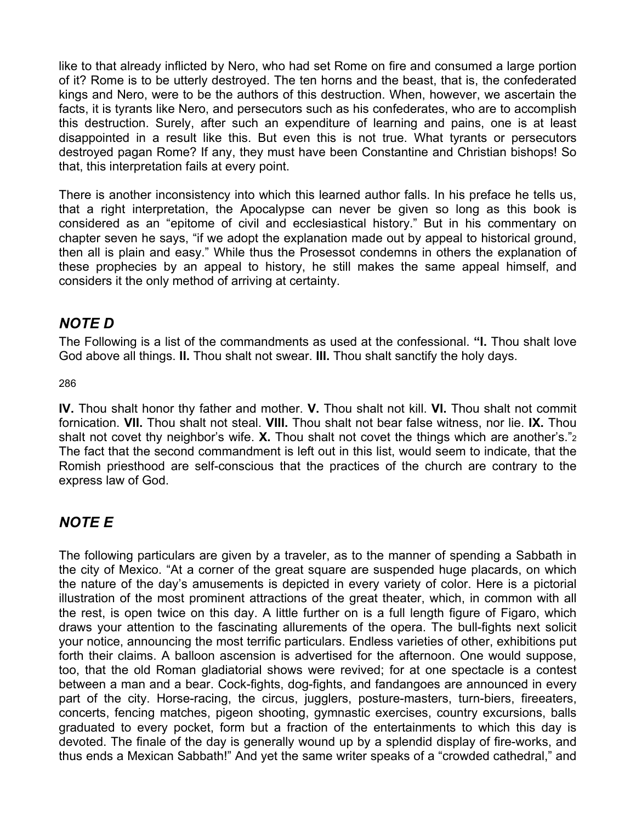like to that already inflicted by Nero, who had set Rome on fire and consumed a large portion of it? Rome is to be utterly destroyed. The ten horns and the beast, that is, the confederated kings and Nero, were to be the authors of this destruction. When, however, we ascertain the facts, it is tyrants like Nero, and persecutors such as his confederates, who are to accomplish this destruction. Surely, after such an expenditure of learning and pains, one is at least disappointed in a result like this. But even this is not true. What tyrants or persecutors destroyed pagan Rome? If any, they must have been Constantine and Christian bishops! So that, this interpretation fails at every point.

There is another inconsistency into which this learned author falls. In his preface he tells us, that a right interpretation, the Apocalypse can never be given so long as this book is considered as an "epitome of civil and ecclesiastical history." But in his commentary on chapter seven he says, "if we adopt the explanation made out by appeal to historical ground, then all is plain and easy." While thus the Prosessot condemns in others the explanation of these prophecies by an appeal to history, he still makes the same appeal himself, and considers it the only method of arriving at certainty.

## *NOTE D*

The Following is a list of the commandments as used at the confessional. **"I.** Thou shalt love God above all things. **II.** Thou shalt not swear. **III.** Thou shalt sanctify the holy days.

286

**IV.** Thou shalt honor thy father and mother. **V.** Thou shalt not kill. **VI.** Thou shalt not commit fornication. **VII.** Thou shalt not steal. **VIII.** Thou shalt not bear false witness, nor lie. **IX.** Thou shalt not covet thy neighbor's wife. **X.** Thou shalt not covet the things which are another's."2 The fact that the second commandment is left out in this list, would seem to indicate, that the Romish priesthood are self-conscious that the practices of the church are contrary to the express law of God.

## *NOTE E*

The following particulars are given by a traveler, as to the manner of spending a Sabbath in the city of Mexico. "At a corner of the great square are suspended huge placards, on which the nature of the day's amusements is depicted in every variety of color. Here is a pictorial illustration of the most prominent attractions of the great theater, which, in common with all the rest, is open twice on this day. A little further on is a full length figure of Figaro, which draws your attention to the fascinating allurements of the opera. The bull-fights next solicit your notice, announcing the most terrific particulars. Endless varieties of other, exhibitions put forth their claims. A balloon ascension is advertised for the afternoon. One would suppose, too, that the old Roman gladiatorial shows were revived; for at one spectacle is a contest between a man and a bear. Cock-fights, dog-fights, and fandangoes are announced in every part of the city. Horse-racing, the circus, jugglers, posture-masters, turn-biers, fireeaters, concerts, fencing matches, pigeon shooting, gymnastic exercises, country excursions, balls graduated to every pocket, form but a fraction of the entertainments to which this day is devoted. The finale of the day is generally wound up by a splendid display of fire-works, and thus ends a Mexican Sabbath!" And yet the same writer speaks of a "crowded cathedral," and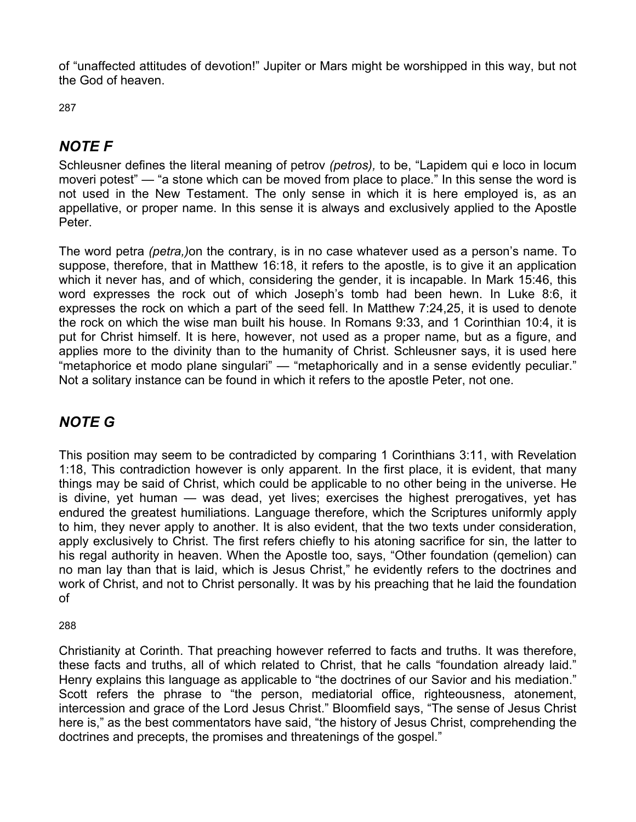of "unaffected attitudes of devotion!" Jupiter or Mars might be worshipped in this way, but not the God of heaven.

287

# *NOTE F*

Schleusner defines the literal meaning of petrov *(petros),* to be, "Lapidem qui e loco in locum moveri potest" — "a stone which can be moved from place to place." In this sense the word is not used in the New Testament. The only sense in which it is here employed is, as an appellative, or proper name. In this sense it is always and exclusively applied to the Apostle Peter.

The word petra *(petra,)*on the contrary, is in no case whatever used as a person's name. To suppose, therefore, that in Matthew 16:18, it refers to the apostle, is to give it an application which it never has, and of which, considering the gender, it is incapable. In Mark 15:46, this word expresses the rock out of which Joseph's tomb had been hewn. In Luke 8:6, it expresses the rock on which a part of the seed fell. In Matthew 7:24,25, it is used to denote the rock on which the wise man built his house. In Romans 9:33, and 1 Corinthian 10:4, it is put for Christ himself. It is here, however, not used as a proper name, but as a figure, and applies more to the divinity than to the humanity of Christ. Schleusner says, it is used here "metaphorice et modo plane singulari" — "metaphorically and in a sense evidently peculiar." Not a solitary instance can be found in which it refers to the apostle Peter, not one.

## *NOTE G*

This position may seem to be contradicted by comparing 1 Corinthians 3:11, with Revelation 1:18, This contradiction however is only apparent. In the first place, it is evident, that many things may be said of Christ, which could be applicable to no other being in the universe. He is divine, yet human — was dead, yet lives; exercises the highest prerogatives, yet has endured the greatest humiliations. Language therefore, which the Scriptures uniformly apply to him, they never apply to another. It is also evident, that the two texts under consideration, apply exclusively to Christ. The first refers chiefly to his atoning sacrifice for sin, the latter to his regal authority in heaven. When the Apostle too, says, "Other foundation (qemelion) can no man lay than that is laid, which is Jesus Christ," he evidently refers to the doctrines and work of Christ, and not to Christ personally. It was by his preaching that he laid the foundation of

288

Christianity at Corinth. That preaching however referred to facts and truths. It was therefore, these facts and truths, all of which related to Christ, that he calls "foundation already laid." Henry explains this language as applicable to "the doctrines of our Savior and his mediation." Scott refers the phrase to "the person, mediatorial office, righteousness, atonement, intercession and grace of the Lord Jesus Christ." Bloomfield says, "The sense of Jesus Christ here is," as the best commentators have said, "the history of Jesus Christ, comprehending the doctrines and precepts, the promises and threatenings of the gospel."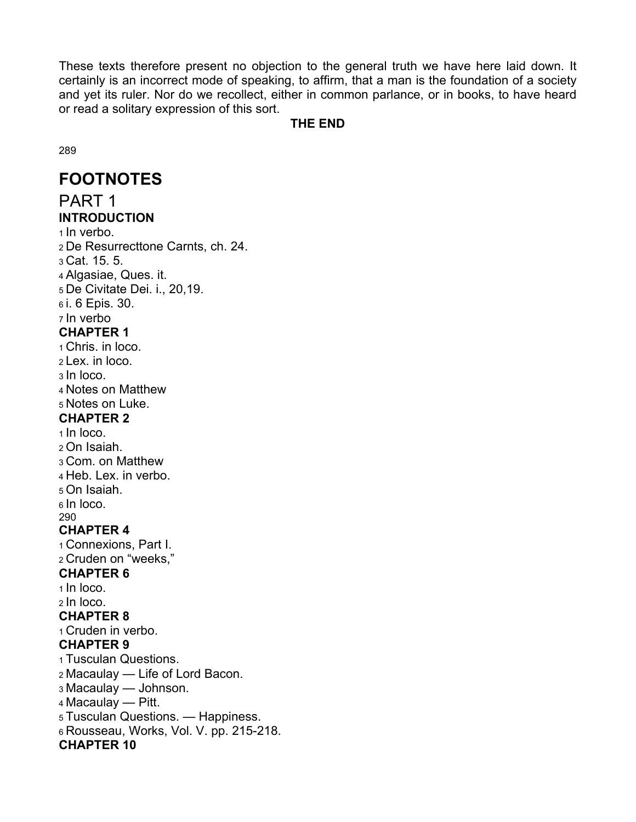These texts therefore present no objection to the general truth we have here laid down. It certainly is an incorrect mode of speaking, to affirm, that a man is the foundation of a society and yet its ruler. Nor do we recollect, either in common parlance, or in books, to have heard or read a solitary expression of this sort.

#### **THE END**

289

# **FOOTNOTES**

PART 1 **INTRODUCTION**  1 In verbo. 2 De Resurrecttone Carnts, ch. 24. 3 Cat. 15. 5. 4 Algasiae, Ques. it. 5 De Civitate Dei. i., 20,19. 6 i. 6 Epis. 30. 7 In verbo **CHAPTER 1**  1 Chris. in loco. 2 Lex. in loco. 3 In loco. 4 Notes on Matthew 5 Notes on Luke. **CHAPTER 2**  1 In loco. 2 On Isaiah. 3 Com. on Matthew 4 Heb. Lex. in verbo. 5 On Isaiah. 6 In loco. 290 **CHAPTER 4**  1 Connexions, Part I. 2 Cruden on "weeks," **CHAPTER 6**  1 In loco. 2 In loco. **CHAPTER 8**  1 Cruden in verbo. **CHAPTER 9**  1 Tusculan Questions. 2 Macaulay — Life of Lord Bacon. 3 Macaulay — Johnson. 4 Macaulay — Pitt. 5 Tusculan Questions. — Happiness. 6 Rousseau, Works, Vol. V. pp. 215-218. **CHAPTER 10**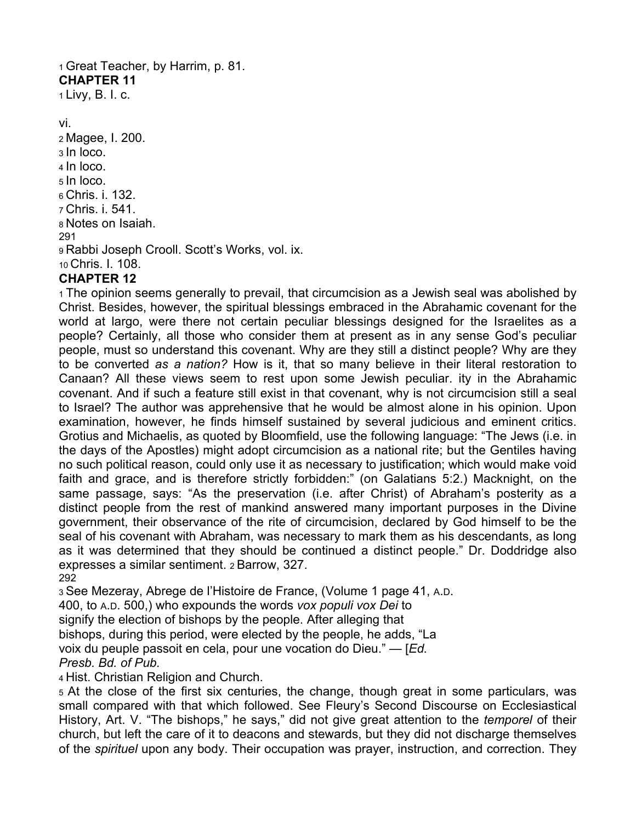1 Great Teacher, by Harrim, p. 81. **CHAPTER 11**  1 Livy, B. I. c.

vi. 2 Magee, I. 200. 3 In loco. 4 In loco. 5 In loco. 6 Chris. i. 132. 7 Chris. i. 541. 8 Notes on Isaiah. 291 9 Rabbi Joseph Crooll. Scott's Works, vol. ix. 10 Chris. I. 108.

## **CHAPTER 12**

1 The opinion seems generally to prevail, that circumcision as a Jewish seal was abolished by Christ. Besides, however, the spiritual blessings embraced in the Abrahamic covenant for the world at largo, were there not certain peculiar blessings designed for the Israelites as a people? Certainly, all those who consider them at present as in any sense God's peculiar people, must so understand this covenant. Why are they still a distinct people? Why are they to be converted *as a nation?* How is it, that so many believe in their literal restoration to Canaan? All these views seem to rest upon some Jewish peculiar. ity in the Abrahamic covenant. And if such a feature still exist in that covenant, why is not circumcision still a seal to Israel? The author was apprehensive that he would be almost alone in his opinion. Upon examination, however, he finds himself sustained by several judicious and eminent critics. Grotius and Michaelis, as quoted by Bloomfield, use the following language: "The Jews (i.e. in the days of the Apostles) might adopt circumcision as a national rite; but the Gentiles having no such political reason, could only use it as necessary to justification; which would make void faith and grace, and is therefore strictly forbidden:" (on Galatians 5:2.) Macknight, on the same passage, says: "As the preservation (i.e. after Christ) of Abraham's posterity as a distinct people from the rest of mankind answered many important purposes in the Divine government, their observance of the rite of circumcision, declared by God himself to be the seal of his covenant with Abraham, was necessary to mark them as his descendants, as long as it was determined that they should be continued a distinct people." Dr. Doddridge also expresses a similar sentiment. 2 Barrow, 327. 292

3 See Mezeray, Abrege de l'Histoire de France, (Volume 1 page 41, A.D.

400, to A.D. 500,) who expounds the words *vox populi vox Dei* to

signify the election of bishops by the people. After alleging that

bishops, during this period, were elected by the people, he adds, "La

voix du peuple passoit en cela, pour une vocation do Dieu." — [*Ed.* 

#### *Presb. Bd. of Pub.*

4 Hist. Christian Religion and Church.

5 At the close of the first six centuries, the change, though great in some particulars, was small compared with that which followed. See Fleury's Second Discourse on Ecclesiastical History, Art. V. "The bishops," he says," did not give great attention to the *temporel* of their church, but left the care of it to deacons and stewards, but they did not discharge themselves of the *spirituel* upon any body. Their occupation was prayer, instruction, and correction. They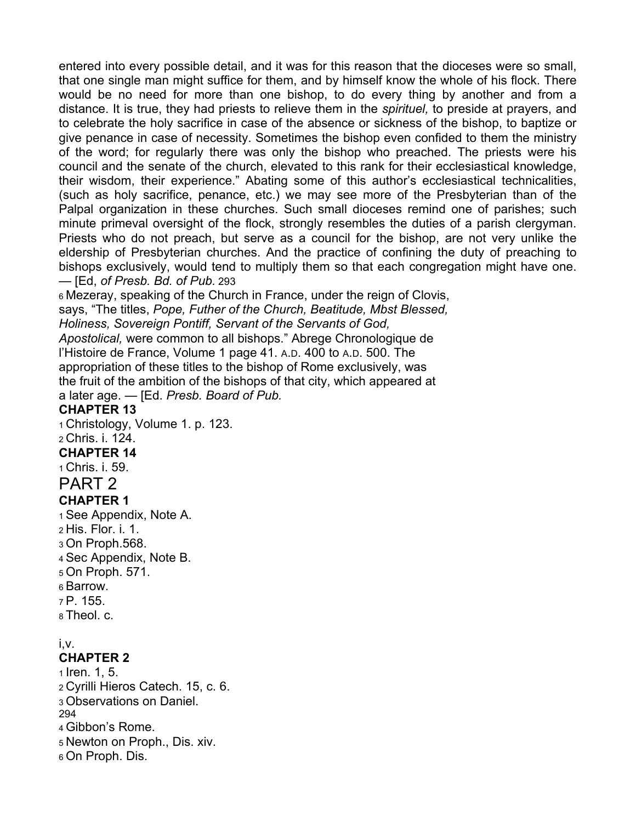entered into every possible detail, and it was for this reason that the dioceses were so small, that one single man might suffice for them, and by himself know the whole of his flock. There would be no need for more than one bishop, to do every thing by another and from a distance. It is true, they had priests to relieve them in the *spirituel,* to preside at prayers, and to celebrate the holy sacrifice in case of the absence or sickness of the bishop, to baptize or give penance in case of necessity. Sometimes the bishop even confided to them the ministry of the word; for regularly there was only the bishop who preached. The priests were his council and the senate of the church, elevated to this rank for their ecclesiastical knowledge, their wisdom, their experience." Abating some of this author's ecclesiastical technicalities, (such as holy sacrifice, penance, etc.) we may see more of the Presbyterian than of the Palpal organization in these churches. Such small dioceses remind one of parishes; such minute primeval oversight of the flock, strongly resembles the duties of a parish clergyman. Priests who do not preach, but serve as a council for the bishop, are not very unlike the eldership of Presbyterian churches. And the practice of confining the duty of preaching to bishops exclusively, would tend to multiply them so that each congregation might have one. — [Ed, *of Presb. Bd. of Pub.* 293

6 Mezeray, speaking of the Church in France, under the reign of Clovis, says, "The titles, *Pope, Futher of the Church, Beatitude, Mbst Blessed, Holiness, Sovereign Pontiff, Servant of the Servants of God,* 

*Apostolical,* were common to all bishops." Abrege Chronologique de l'Histoire de France, Volume 1 page 41. A.D. 400 to A.D. 500. The appropriation of these titles to the bishop of Rome exclusively, was the fruit of the ambition of the bishops of that city, which appeared at a later age. — [Ed. *Presb. Board of Pub.* 

### **CHAPTER 13**

1 Christology, Volume 1. p. 123.

#### 2 Chris. i. 124.

#### **CHAPTER 14**

1 Chris. i. 59.

# PART 2

## **CHAPTER 1**

1 See Appendix, Note A. 2 His. Flor. i. 1. 3 On Proph.568. 4 Sec Appendix, Note B. 5 On Proph. 571. 6 Barrow. 7 P. 155.

### 8 Theol. c.

## i,v.

## **CHAPTER 2**

1 Iren. 1, 5. 2 Cyrilli Hieros Catech. 15, c. 6. 3 Observations on Daniel. 294 4 Gibbon's Rome. 5 Newton on Proph., Dis. xiv. 6 On Proph. Dis.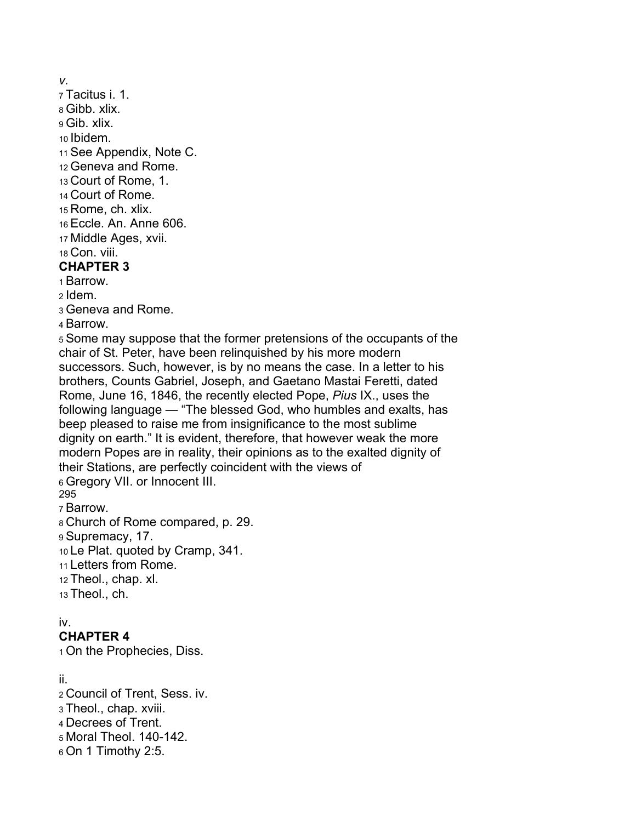*v.* 

7 Tacitus i. 1. 8 Gibb. xlix. 9 Gib. xlix. 10 Ibidem. 11 See Appendix, Note C. 12 Geneva and Rome. 13 Court of Rome, 1. 14 Court of Rome. 15 Rome, ch. xlix. 16 Eccle. An. Anne 606. 17 Middle Ages, xvii. 18 Con. viii. **CHAPTER 3**  1 Barrow. 2 Idem. 3 Geneva and Rome.

4 Barrow.

5 Some may suppose that the former pretensions of the occupants of the chair of St. Peter, have been relinquished by his more modern successors. Such, however, is by no means the case. In a letter to his brothers, Counts Gabriel, Joseph, and Gaetano Mastai Feretti, dated Rome, June 16, 1846, the recently elected Pope, *Pius* IX., uses the following language — "The blessed God, who humbles and exalts, has beep pleased to raise me from insignificance to the most sublime dignity on earth." It is evident, therefore, that however weak the more modern Popes are in reality, their opinions as to the exalted dignity of their Stations, are perfectly coincident with the views of 6 Gregory VII. or Innocent III. 295

7 Barrow.

8 Church of Rome compared, p. 29. 9 Supremacy, 17. 10 Le Plat. quoted by Cramp, 341. 11 Letters from Rome. 12 Theol., chap. xl. 13 Theol., ch.

## iv.

## **CHAPTER 4**

1 On the Prophecies, Diss.

## ii.

2 Council of Trent, Sess. iv. 3 Theol., chap. xviii. 4 Decrees of Trent. 5 Moral Theol. 140-142. 6 On 1 Timothy 2:5.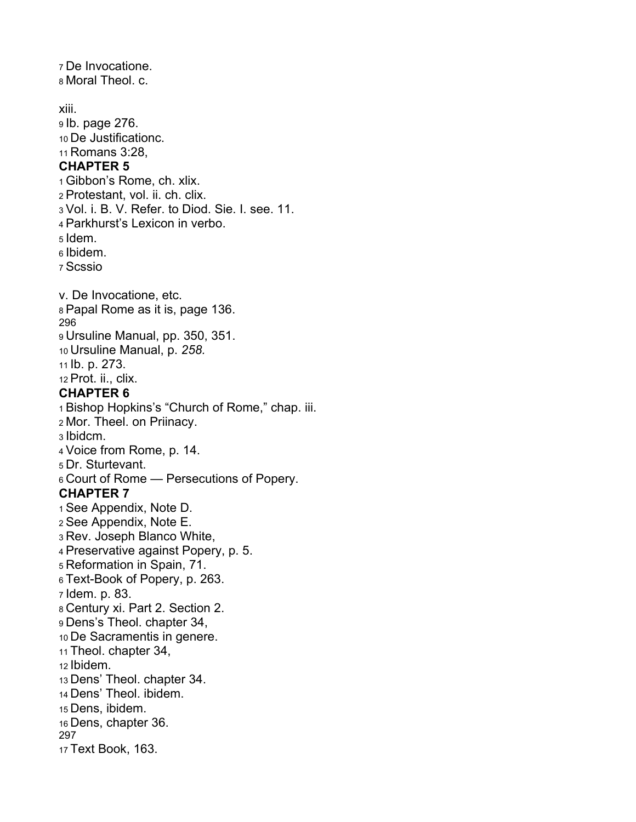7 De Invocatione. 8 Moral Theol. c. xiii. 9 Ib. page 276. 10 De Justificationc. 11 Romans 3:28, **CHAPTER 5**  1 Gibbon's Rome, ch. xlix. 2 Protestant, vol. ii. ch. clix. 3 Vol. i. B. V. Refer. to Diod. Sie. I. see. 11. 4 Parkhurst's Lexicon in verbo. 5 Idem. 6 Ibidem. 7 Scssio v. De Invocatione, etc. 8 Papal Rome as it is, page 136. 296 9 Ursuline Manual, pp. 350, 351. 10 Ursuline Manual, p. *258.*  11 Ib. p. 273. 12 Prot. ii., clix. **CHAPTER 6**  1 Bishop Hopkins's "Church of Rome," chap. iii. 2 Mor. Theel. on Priinacy. 3 Ibidcm. 4 Voice from Rome, p. 14. 5 Dr. Sturtevant. 6 Court of Rome — Persecutions of Popery. **CHAPTER 7**  1 See Appendix, Note D. 2 See Appendix, Note E. 3 Rev. Joseph Blanco White, 4 Preservative against Popery, p. 5. 5 Reformation in Spain, 71. 6 Text-Book of Popery, p. 263. 7 Idem. p. 83. 8 Century xi. Part 2. Section 2. 9 Dens's Theol. chapter 34, 10 De Sacramentis in genere. 11 Theol. chapter 34, 12 Ibidem. 13 Dens' Theol. chapter 34. 14 Dens' Theol. ibidem. 15 Dens, ibidem. 16 Dens, chapter 36. 297 17 Text Book, 163.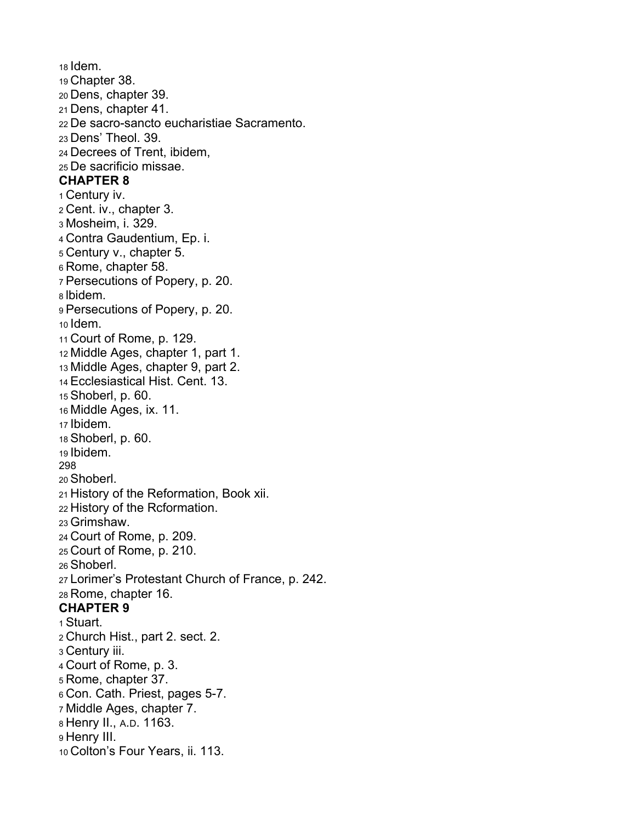18 Idem. 19 Chapter 38. 20 Dens, chapter 39. 21 Dens, chapter 41. 22 De sacro-sancto eucharistiae Sacramento. 23 Dens' Theol. 39. 24 Decrees of Trent, ibidem, 25 De sacrificio missae. **CHAPTER 8**  1 Century iv. 2 Cent. iv., chapter 3. 3 Mosheim, i. 329. 4 Contra Gaudentium, Ep. i. 5 Century v., chapter 5. 6 Rome, chapter 58. 7 Persecutions of Popery, p. 20. 8 lbidem. 9 Persecutions of Popery, p. 20. 10 Idem. 11 Court of Rome, p. 129. 12 Middle Ages, chapter 1, part 1. 13 Middle Ages, chapter 9, part 2. 14 Ecclesiastical Hist. Cent. 13. 15 Shoberl, p. 60. 16 Middle Ages, ix. 11. 17 Ibidem. 18 Shoberl, p. 60. 19 Ibidem. 298 20 Shoberl. 21 History of the Reformation, Book xii. 22 History of the Rcformation. 23 Grimshaw. 24 Court of Rome, p. 209. 25 Court of Rome, p. 210. 26 Shoberl. 27 Lorimer's Protestant Church of France, p. 242. 28 Rome, chapter 16. **CHAPTER 9**  1 Stuart. 2 Church Hist., part 2. sect. 2. 3 Century iii. 4 Court of Rome, p. 3. 5 Rome, chapter 37. 6 Con. Cath. Priest, pages 5-7. 7 Middle Ages, chapter 7. 8 Henry II., A.D. 1163. 9 Henry III. 10 Colton's Four Years, ii. 113.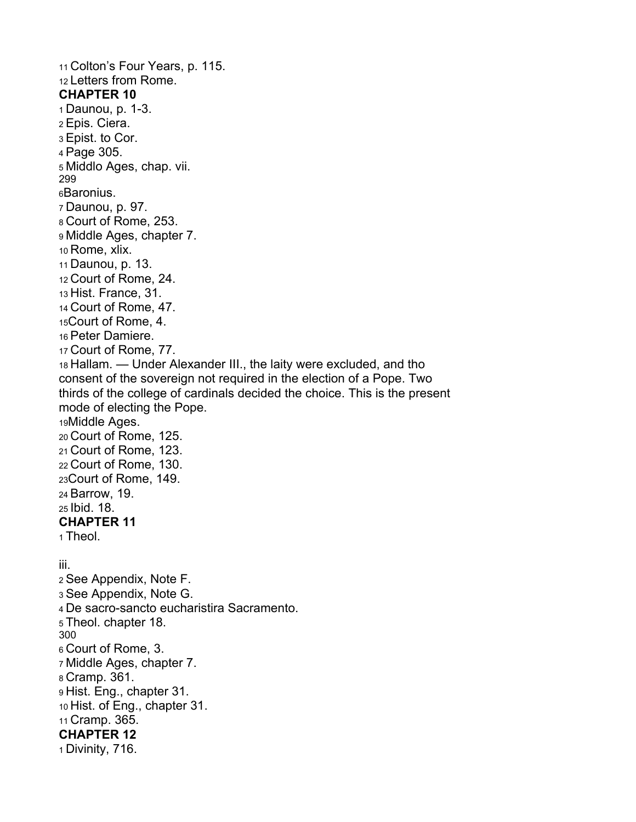11 Colton's Four Years, p. 115. 12 Letters from Rome. **CHAPTER 10**  1 Daunou, p. 1-3. 2 Epis. Ciera. 3 Epist. to Cor. 4 Page 305. 5 Middlo Ages, chap. vii. 299 6Baronius. 7 Daunou, p. 97. 8 Court of Rome, 253. 9 Middle Ages, chapter 7. 10 Rome, xlix. 11 Daunou, p. 13. 12 Court of Rome, 24. 13 Hist. France, 31. 14 Court of Rome, 47. 15Court of Rome, 4. 16 Peter Damiere. 17 Court of Rome, 77. 18 Hallam. — Under Alexander III., the laity were excluded, and tho consent of the sovereign not required in the election of a Pope. Two thirds of the college of cardinals decided the choice. This is the present mode of electing the Pope. 19Middle Ages. 20 Court of Rome, 125. 21 Court of Rome, 123. 22 Court of Rome, 130. 23Court of Rome, 149. 24 Barrow, 19. 25 Ibid. 18. **CHAPTER 11**  1 Theol. iii. 2 See Appendix, Note F. 3 See Appendix, Note G. 4 De sacro-sancto eucharistira Sacramento. 5 Theol. chapter 18. 300 6 Court of Rome, 3. 7 Middle Ages, chapter 7. 8 Cramp. 361. 9 Hist. Eng., chapter 31. 10 Hist. of Eng., chapter 31. 11 Cramp. 365. **CHAPTER 12**  1 Divinity, 716.